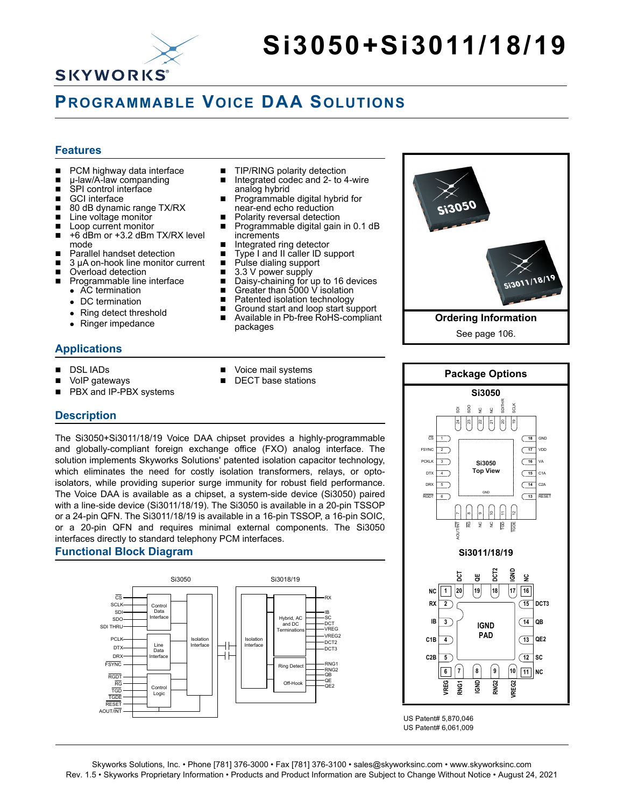

# **Si3050+Si3011/18/19**

## **PROGRAMMABLE VOICE DAA SOLUTIONS**

#### **Features**

- PCM highway data interface
- µ-law/A-law companding
- SPI control interface
- GCI interface
- 80 dB dynamic range TX/RX
- Line voltage monitor
- Loop current monitor
- $\blacksquare$  +6 dBm or +3.2 dBm TX/RX level mode
- Parallel handset detection
- 3 µA on-hook line monitor current
- Overload detection
- **Programmable line interface** • AC termination
	- DC termination
	- Ring detect threshold
	-
	- Ringer impedance

#### **Applications**

- DSL IADs
- VoIP gateways
- PBX and IP-PBX systems

#### **Description**

The Si3050+Si3011/18/19 Voice DAA chipset provides a highly-programmable and globally-compliant foreign exchange office (FXO) analog interface. The solution implements Skyworks Solutions' patented isolation capacitor technology, which eliminates the need for costly isolation transformers, relays, or optoisolators, while providing superior surge immunity for robust field performance. The Voice DAA is available as a chipset, a system-side device (Si3050) paired with a line-side device (Si3011/18/19). The Si3050 is available in a 20-pin TSSOP or a 24-pin QFN. The Si3011/18/19 is available in a 16-pin TSSOP, a 16-pin SOIC, or a 20-pin QFN and requires minimal external components. The Si3050 interfaces directly to standard telephony PCM interfaces.

#### **Functional Block Diagram**



- TIP/RING polarity detection
- Integrated codec and 2- to 4-wire analog hybrid
- **Programmable digital hybrid for** near-end echo reduction
- Polarity reversal detection<br>■ Programmable digital gain
- Programmable digital gain in 0.1 dB increments
- Integrated ring detector
- Type I and II caller ID support<br>■ Pulse dialing support
	- Pulse dialing support
- $\blacksquare$  3.3 V power supply<br> $\blacksquare$  Daisy-chaining for u
- Daisy-chaining for up to 16 devices
- Greater than 5000 V isolation
- Patented isolation technology
- 
- Ground start and loop start support<br>■ Available in Ph-free RoHS-complian Available in Pb-free RoHS-compliant packages
- Voice mail systems
- **DECT** base stations





US Patent# 5,870,046 US Patent# 6,061,009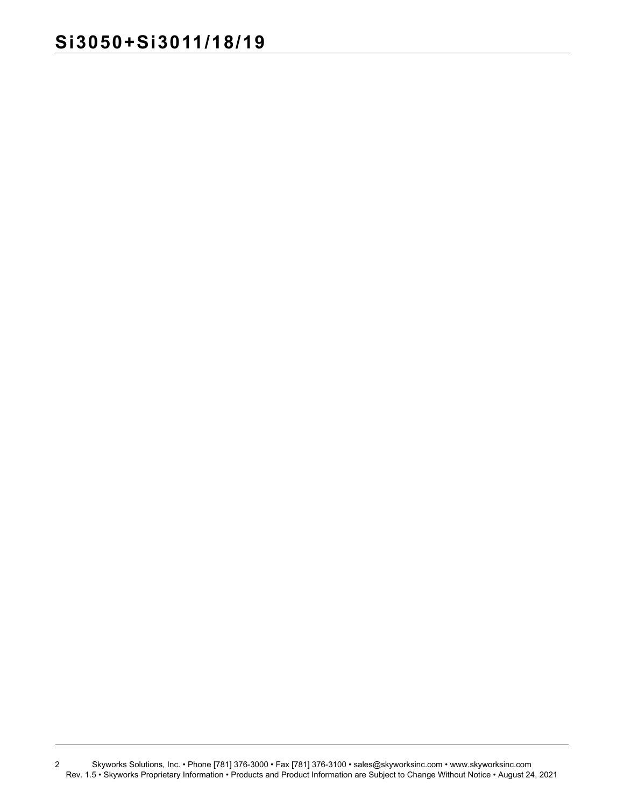2 Skyworks Solutions, Inc. • Phone [781] 376-3000 • Fax [781] 376-3100 • sales@skyworksinc.com • www.skyworksinc.com Rev. 1.5 • Skyworks Proprietary Information • Products and Product Information are Subject to Change Without Notice • August 24, 2021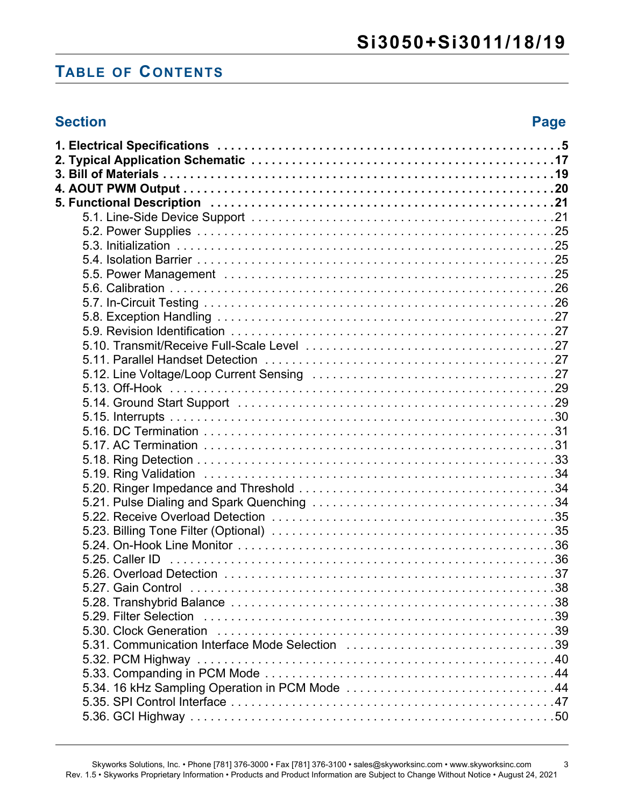### **TABLE OF CONTENTS**

### **Section Page**

| 5.31. Communication Interface Mode Selection (and all all all all all all all 39 |  |
|----------------------------------------------------------------------------------|--|
|                                                                                  |  |
|                                                                                  |  |
| 5.34. 16 kHz Sampling Operation in PCM Mode 44                                   |  |
|                                                                                  |  |
|                                                                                  |  |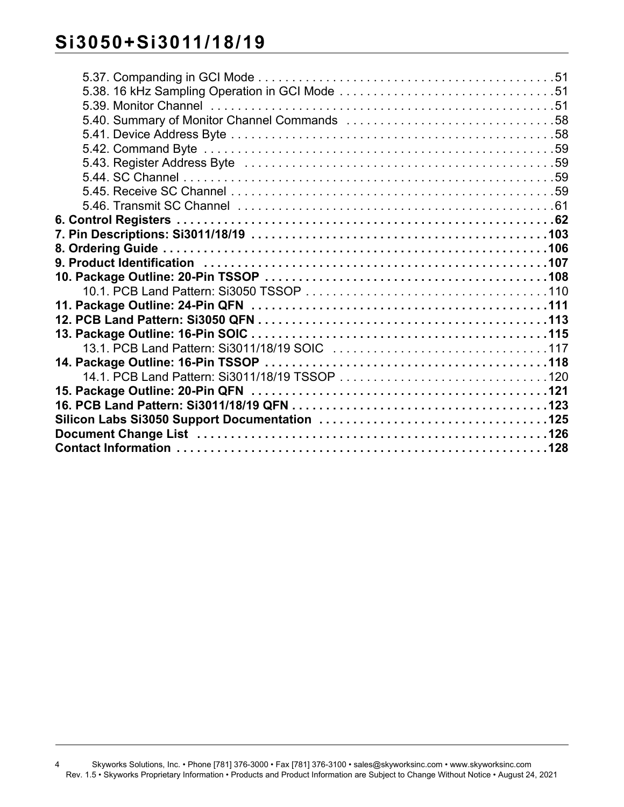| 14.1. PCB Land Pattern: Si3011/18/19 TSSOP 120 |  |
|------------------------------------------------|--|
|                                                |  |
|                                                |  |
|                                                |  |
|                                                |  |
|                                                |  |
|                                                |  |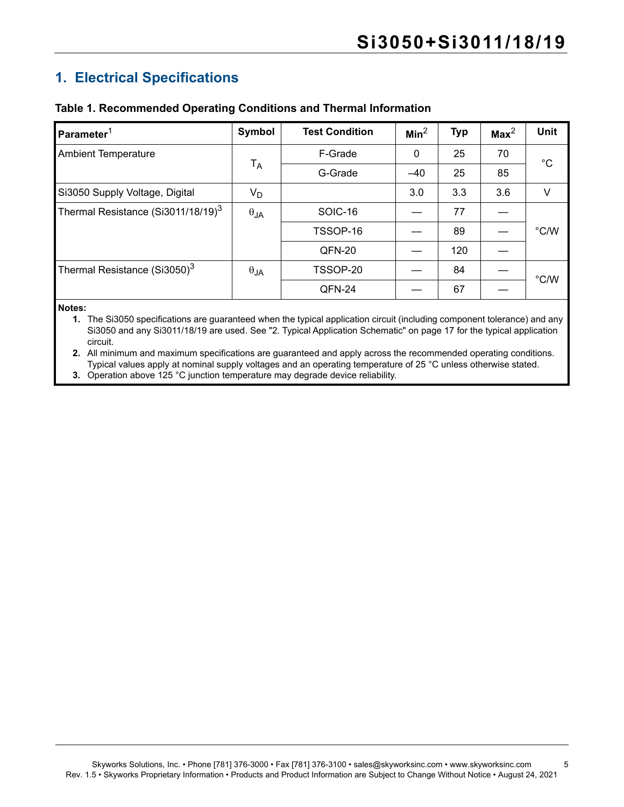### <span id="page-4-0"></span>**1. Electrical Specifications**

#### **Table 1. Recommended Operating Conditions and Thermal Information**

| <b>Parameter</b> <sup>1</sup>                  | Symbol         | <b>Test Condition</b> | Min <sup>2</sup> | Typ | Max <sup>2</sup> | <b>Unit</b>   |
|------------------------------------------------|----------------|-----------------------|------------------|-----|------------------|---------------|
| <b>Ambient Temperature</b>                     |                | F-Grade               | 0                | 25  | 70               |               |
|                                                | T <sub>A</sub> | G-Grade               | $-40$            | 25  | 85               | $^{\circ}C$   |
| Si3050 Supply Voltage, Digital                 | $V_D$          |                       | 3.0              | 3.3 | 3.6              | V             |
| Thermal Resistance (Si3011/18/19) <sup>3</sup> | $\theta$ JA    | SOIC-16               |                  | 77  |                  |               |
|                                                |                | TSSOP-16              |                  | 89  |                  | $\degree$ C/W |
|                                                |                | QFN-20                |                  | 120 |                  |               |
| Thermal Resistance (Si3050) <sup>3</sup>       | $\theta$ JA    | TSSOP-20              |                  | 84  |                  |               |
|                                                |                | QFN-24                |                  | 67  |                  | $\degree$ C/W |

#### <span id="page-4-1"></span>**Notes:**

**1.** The Si3050 specifications are guaranteed when the typical application circuit (including component tolerance) and any Si3050 and any Si3011/18/19 are used. See ["2. Typical Application Schematic" on page 17](#page-16-0) for the typical application circuit.

<span id="page-4-2"></span>**2.** All minimum and maximum specifications are guaranteed and apply across the recommended operating conditions. Typical values apply at nominal supply voltages and an operating temperature of 25 °C unless otherwise stated.

**3.** Operation above 125 °C junction temperature may degrade device reliability.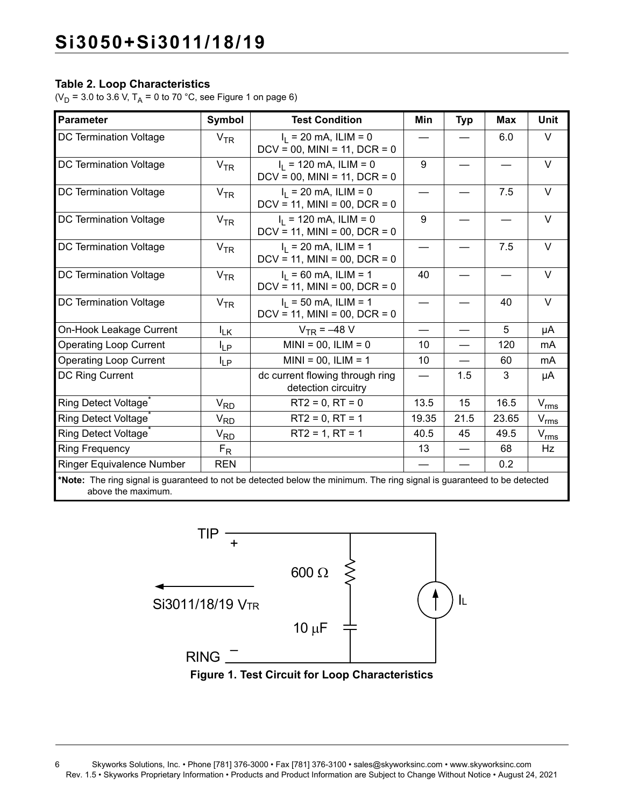#### **Table 2. Loop Characteristics**

( $V_D$  = 3.0 to 3.6 V, T<sub>A</sub> = 0 to 70 °C, see [Figure 1 on page 6\)](#page-5-0)

| <b>Parameter</b>                 | Symbol          | <b>Test Condition</b>                                                                                                   | Min   | <b>Typ</b>               | <b>Max</b> | <b>Unit</b>      |
|----------------------------------|-----------------|-------------------------------------------------------------------------------------------------------------------------|-------|--------------------------|------------|------------------|
| <b>DC Termination Voltage</b>    | V <sub>TR</sub> | $I_1 = 20$ mA, ILIM = 0<br>$DCV = 00$ , MINI = 11, DCR = 0                                                              |       |                          | 6.0        | V                |
| <b>DC Termination Voltage</b>    | V <sub>TR</sub> | $I_1 = 120$ mA, ILIM = 0<br>$DCV = 00$ , MINI = 11, DCR = 0                                                             | 9     |                          |            | $\vee$           |
| <b>DC Termination Voltage</b>    | V <sub>TR</sub> | $I_1 = 20$ mA, ILIM = 0<br>$DCV = 11$ , MINI = 00, DCR = 0                                                              |       |                          | 7.5        | $\vee$           |
| <b>DC Termination Voltage</b>    | V <sub>TR</sub> | $I_1 = 120$ mA, ILIM = 0<br>$DCV = 11$ , MINI = 00, DCR = 0                                                             | 9     |                          |            | V                |
| DC Termination Voltage           | V <sub>TR</sub> | $I_1 = 20$ mA, ILIM = 1<br>$DCV = 11$ , MINI = 00, DCR = 0                                                              |       |                          | 7.5        | $\vee$           |
| <b>DC Termination Voltage</b>    | V <sub>TR</sub> | $I_1 = 60$ mA, ILIM = 1<br>$DCV = 11$ , MINI = 00, DCR = 0                                                              | 40    |                          |            | $\vee$           |
| <b>DC Termination Voltage</b>    | V <sub>TR</sub> | $I_1 = 50$ mA, ILIM = 1<br>$DCV = 11$ , MINI = 00, DCR = 0                                                              |       |                          | 40         | $\vee$           |
| On-Hook Leakage Current          | $I_{LK}$        | $V_{TR} = -48 V$                                                                                                        |       |                          | 5          | μA               |
| <b>Operating Loop Current</b>    | $I_{LP}$        | $MINI = 00$ , $ILIM = 0$                                                                                                | 10    |                          | 120        | mA               |
| <b>Operating Loop Current</b>    | $I_{LP}$        | $MINI = 00$ , $ILIM = 1$                                                                                                | 10    | $\overline{\phantom{0}}$ | 60         | mA               |
| DC Ring Current                  |                 | dc current flowing through ring<br>detection circuitry                                                                  | —     | 1.5                      | 3          | μA               |
| Ring Detect Voltage <sup>®</sup> | $V_{RD}$        | $RT2 = 0$ , $RT = 0$                                                                                                    | 13.5  | 15                       | 16.5       | $V_{\text{rms}}$ |
| Ring Detect Voltage <sup>®</sup> | $V_{RD}$        | $RT2 = 0, RT = 1$                                                                                                       | 19.35 | 21.5                     | 23.65      | $V_{rms}$        |
| Ring Detect Voltage <sup>®</sup> | V <sub>RD</sub> | $RT2 = 1, RT = 1$                                                                                                       | 40.5  | 45                       | 49.5       | $V_{rms}$        |
| <b>Ring Frequency</b>            | $F_R$           |                                                                                                                         | 13    |                          | 68         | Hz               |
| <b>Ringer Equivalence Number</b> | <b>REN</b>      |                                                                                                                         |       |                          | 0.2        |                  |
| above the maximum.               |                 | *Note: The ring signal is guaranteed to not be detected below the minimum. The ring signal is guaranteed to be detected |       |                          |            |                  |



<span id="page-5-0"></span>**Figure 1. Test Circuit for Loop Characteristics**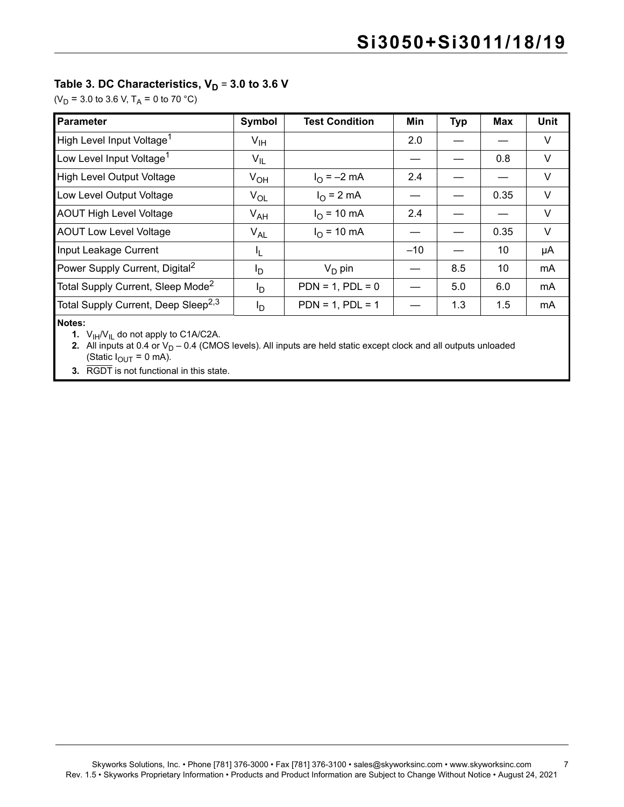#### Table 3. DC Characteristics,  $V_D = 3.0$  to 3.6 V

( $V_D$  = 3.0 to 3.6 V, T<sub>A</sub> = 0 to 70 °C)

| Parameter                                       | Symbol          | <b>Test Condition</b> | Min   | <b>Typ</b> | <b>Max</b> | <b>Unit</b> |
|-------------------------------------------------|-----------------|-----------------------|-------|------------|------------|-------------|
| High Level Input Voltage <sup>1</sup>           | V <sub>IH</sub> |                       | 2.0   |            |            | V           |
| Low Level Input Voltage <sup>1</sup>            | $V_{IL}$        |                       |       |            | 0.8        | V           |
| <b>High Level Output Voltage</b>                | $V_{OH}$        | $I_{\Omega} = -2$ mA  | 2.4   |            |            | V           |
| Low Level Output Voltage                        | $V_{OL}$        | $I_{\Omega}$ = 2 mA   |       |            | 0.35       | V           |
| <b>AOUT High Level Voltage</b>                  | $V_{AH}$        | $I_{\Omega}$ = 10 mA  | 2.4   |            |            | V           |
| <b>AOUT Low Level Voltage</b>                   | $V_{AL}$        | $I_{\Omega}$ = 10 mA  |       |            | 0.35       | V           |
| Input Leakage Current                           | IL.             |                       | $-10$ |            | 10         | μA          |
| Power Supply Current, Digital <sup>2</sup>      | $I_{\text{D}}$  | $V_D$ pin             |       | 8.5        | 10         | mA          |
| Total Supply Current, Sleep Mode <sup>2</sup>   | I <sub>D</sub>  | $PDN = 1, PDL = 0$    |       | 5.0        | 6.0        | mA          |
| Total Supply Current, Deep Sleep <sup>2,3</sup> | l <sub>D</sub>  | $PDN = 1$ , $PDL = 1$ |       | 1.3        | 1.5        | mA          |

**Notes:**

**1.** V<sub>IH</sub>/V<sub>IL</sub> do not apply to C1A/C2A.

**2.** All inputs at 0.4 or V<sub>D</sub> – 0.4 (CMOS levels). All inputs are held static except clock and all outputs unloaded (Static  $I_{\text{OUT}} = 0 \text{ mA}$ ).

**3.** RGDT is not functional in this state.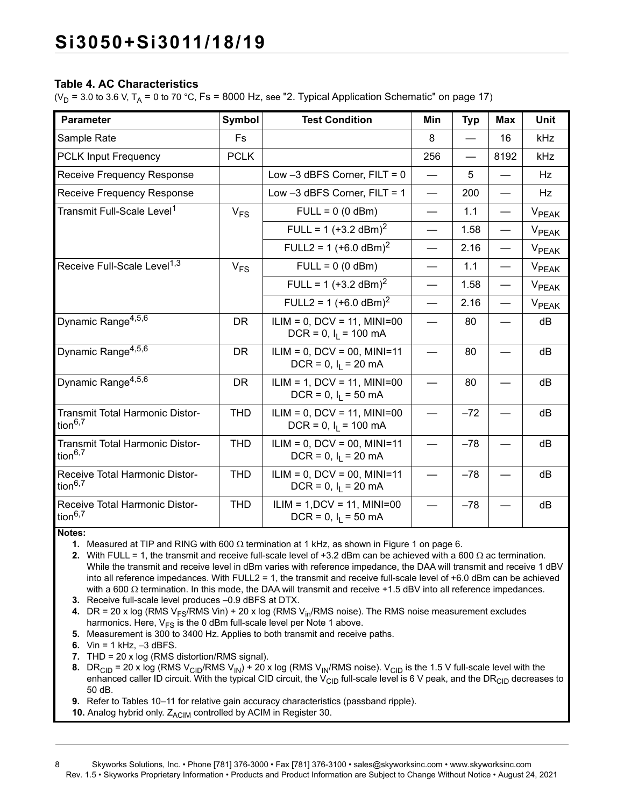#### **Table 4. AC Characteristics**

( $V_D$  = 3.0 to 3.6 V, T<sub>A</sub> = 0 to 70 °C, Fs = 8000 Hz, see ["2. Typical Application Schematic" on page 17](#page-16-0))

| <b>Parameter</b>                                              | Symbol      | <b>Test Condition</b>                                       | Min | <b>Typ</b>               | <b>Max</b>               | <b>Unit</b>             |
|---------------------------------------------------------------|-------------|-------------------------------------------------------------|-----|--------------------------|--------------------------|-------------------------|
| Sample Rate                                                   | Fs          |                                                             | 8   |                          | 16                       | kHz                     |
| <b>PCLK Input Frequency</b>                                   | <b>PCLK</b> |                                                             | 256 | $\overline{\phantom{0}}$ | 8192                     | kHz                     |
| Receive Frequency Response                                    |             | Low $-3$ dBFS Corner, FILT = 0                              |     | 5                        |                          | Hz                      |
| Receive Frequency Response                                    |             | Low $-3$ dBFS Corner, FILT = 1                              |     | 200                      |                          | <b>Hz</b>               |
| Transmit Full-Scale Level <sup>1</sup>                        | $V_{FS}$    | $FULL = 0 (0 dBm)$                                          |     | 1.1                      | $\hspace{0.05cm}$        | <b>V<sub>PEAK</sub></b> |
|                                                               |             | FULL = 1 $(+3.2$ dBm) <sup>2</sup>                          |     | 1.58                     | $\overline{\phantom{0}}$ | <b>V<sub>PEAK</sub></b> |
|                                                               |             | FULL2 = 1 $(+6.0$ dBm) <sup>2</sup>                         |     | 2.16                     | $\qquad \qquad$          | <b>V<sub>PEAK</sub></b> |
| Receive Full-Scale Level <sup>1,3</sup>                       | $V_{FS}$    | $FULL = 0 (0 dBm)$                                          |     | 1.1                      | $\overline{\phantom{0}}$ | <b>V<sub>PEAK</sub></b> |
|                                                               |             | FULL = 1 $(+3.2$ dBm) <sup>2</sup>                          |     | 1.58                     | $\overline{\phantom{0}}$ | V <sub>PEAK</sub>       |
|                                                               |             | FULL2 = 1 $(+6.0$ dBm) <sup>2</sup>                         |     | 2.16                     | $\qquad \qquad$          | <b>V<sub>PEAK</sub></b> |
| Dynamic Range <sup>4,5,6</sup>                                | <b>DR</b>   | $ILIM = 0$ , DCV = 11, MINI=00<br>$DCR = 0, I_1 = 100 mA$   |     | 80                       |                          | dB                      |
| Dynamic Range <sup>4,5,6</sup>                                | <b>DR</b>   | $ILIM = 0$ , DCV = 00, MINI=11<br>$DCR = 0, I_1 = 20 mA$    |     | 80                       |                          | dB                      |
| Dynamic Range <sup>4,5,6</sup>                                | <b>DR</b>   | $ILIM = 1$ , DCV = 11, MINI=00<br>$DCR = 0$ , $I_1 = 50$ mA |     | 80                       |                          | dB                      |
| Transmit Total Harmonic Distor-<br>tion $6,7$                 | <b>THD</b>  | $ILIM = 0$ , DCV = 11, MINI=00<br>$DCR = 0, I1 = 100 mA$    |     | $-72$                    |                          | dB                      |
| <b>Transmit Total Harmonic Distor-</b><br>$\text{tion}^{6,7}$ | <b>THD</b>  | $ILIM = 0$ , DCV = 00, MINI=11<br>$DCR = 0, I_1 = 20 mA$    |     | $-78$                    |                          | dB                      |
| Receive Total Harmonic Distor-<br>tion $6,7$                  | <b>THD</b>  | $ILIM = 0$ , DCV = 00, MINI=11<br>$DCR = 0, I_1 = 20 mA$    |     | $-78$                    |                          | dB                      |
| Receive Total Harmonic Distor-<br>$\text{tion}^{6,7}$         | <b>THD</b>  | $ILIM = 1,DCV = 11, MINI = 00$<br>$DCR = 0$ , $I_1 = 50$ mA |     | $-78$                    |                          | dB                      |

#### **Notes:**

**1.** Measured at TIP and RING with 600 Ω termination at 1 kHz, as shown in [Figure 1 on page 6.](#page-5-0)

**2.** With FULL = 1, the transmit and receive full-scale level of +3.2 dBm can be achieved with a 600  $\Omega$  ac termination. While the transmit and receive level in dBm varies with reference impedance, the DAA will transmit and receive 1 dBV into all reference impedances. With FULL2 = 1, the transmit and receive full-scale level of +6.0 dBm can be achieved with a 600  $\Omega$  termination. In this mode, the DAA will transmit and receive +1.5 dBV into all reference impedances.

**3.** Receive full-scale level produces –0.9 dBFS at DTX.

**4.** DR = 20 x log (RMS V<sub>FS</sub>/RMS Vin) + 20 x log (RMS V<sub>in</sub>/RMS noise). The RMS noise measurement excludes harmonics. Here,  $V_{FS}$  is the 0 dBm full-scale level per Note 1 above.

**5.** Measurement is 300 to 3400 Hz. Applies to both transmit and receive paths.

**6.** Vin = 1 kHz, –3 dBFS.

**7.** THD = 20 x log (RMS distortion/RMS signal).

**8.**  $DR<sub>CD</sub> = 20$  x log (RMS V<sub>CID</sub>/RMS V<sub>IN</sub>) + 20 x log (RMS V<sub>IN</sub>/RMS noise). V<sub>CID</sub> is the 1.5 V full-scale level with the enhanced caller ID circuit. With the typical CID circuit, the  $V_{\text{CID}}$  full-scale level is 6 V peak, and the DR<sub>CID</sub> decreases to 50 dB.

**9.** Refer to Tables [10–](#page-13-0)[11](#page-13-1) for relative gain accuracy characteristics (passband ripple).

**10.** Analog hybrid only. Z<sub>ACIM</sub> controlled by ACIM in Register 30.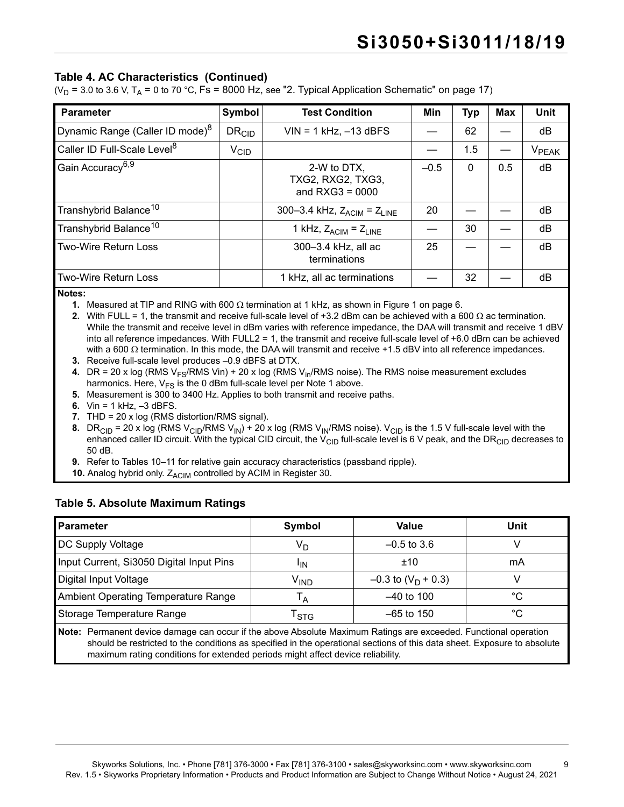#### **Table 4. AC Characteristics (Continued)**

( $V_D$  = 3.0 to 3.6 V, T<sub>A</sub> = 0 to 70 °C, Fs = 8000 Hz, see "2. Typical Application Schematic" on page 17)

| <b>Parameter</b>                            | <b>Symbol</b>                | <b>Test Condition</b>                                 | Min    | <b>Typ</b> | <b>Max</b> | <b>Unit</b> |
|---------------------------------------------|------------------------------|-------------------------------------------------------|--------|------------|------------|-------------|
| Dynamic Range (Caller ID mode) <sup>8</sup> | $\mathsf{DR}_{\mathsf{CID}}$ | $VIN = 1$ kHz, $-13$ dBFS                             |        | 62         |            | dB          |
| Caller ID Full-Scale Level <sup>8</sup>     | $V_{\text{CID}}$             |                                                       |        | 1.5        |            | $V_{PEAK}$  |
| Gain Accuracy <sup>6,9</sup>                |                              | 2-W to DTX.<br>TXG2, RXG2, TXG3,<br>and $RXG3 = 0000$ | $-0.5$ | $\Omega$   | 0.5        | dB          |
| Transhybrid Balance <sup>10</sup>           |                              | 300-3.4 kHz, $Z_{ACIM} = Z_{LINE}$                    | 20     |            |            | dB          |
| Transhybrid Balance <sup>10</sup>           |                              | 1 kHz, $Z_{ACIM} = Z_{LINE}$                          |        | 30         |            | dB          |
| <b>Two-Wire Return Loss</b>                 |                              | 300-3.4 kHz, all ac<br>terminations                   | 25     |            |            | dB          |
| <b>Two-Wire Return Loss</b>                 |                              | 1 kHz, all ac terminations                            |        | 32         |            | dB          |

#### **Notes:**

- **1.** Measured at TIP and RING with 600  $\Omega$  termination at 1 kHz, as shown in Figure 1 on page 6.
- **2.** With FULL = 1, the transmit and receive full-scale level of +3.2 dBm can be achieved with a 600  $\Omega$  ac termination. While the transmit and receive level in dBm varies with reference impedance, the DAA will transmit and receive 1 dBV into all reference impedances. With FULL2 = 1, the transmit and receive full-scale level of +6.0 dBm can be achieved with a 600  $\Omega$  termination. In this mode, the DAA will transmit and receive +1.5 dBV into all reference impedances.
- **3.** Receive full-scale level produces –0.9 dBFS at DTX.
- **4.** DR = 20 x log (RMS V<sub>FS</sub>/RMS Vin) + 20 x log (RMS V<sub>in</sub>/RMS noise). The RMS noise measurement excludes harmonics. Here,  $V_{FS}$  is the 0 dBm full-scale level per Note 1 above.
- **5.** Measurement is 300 to 3400 Hz. Applies to both transmit and receive paths.
- **6.** Vin = 1 kHz, –3 dBFS.
- **7.** THD = 20 x log (RMS distortion/RMS signal).
- **8.**  $DR<sub>CID</sub> = 20$  x log (RMS V<sub>CID</sub>/RMS V<sub>IN</sub>) + 20 x log (RMS V<sub>IN</sub>/RMS noise). V<sub>CID</sub> is the 1.5 V full-scale level with the enhanced caller ID circuit. With the typical CID circuit, the  $V_{\text{CID}}$  full-scale level is 6 V peak, and the DR<sub>CID</sub> decreases to 50 dB.
- **9.** Refer to Tables 10–11 for relative gain accuracy characteristics (passband ripple).
- **10.** Analog hybrid only. Z<sub>ACIM</sub> controlled by ACIM in Register 30.

#### **Table 5. Absolute Maximum Ratings**

| l Parameter                                | Symbol           | Value                   | Unit |
|--------------------------------------------|------------------|-------------------------|------|
| DC Supply Voltage                          | V <sub>D</sub>   | $-0.5$ to 3.6           |      |
| Input Current, Si3050 Digital Input Pins   | 'IN              | ±10                     | mA   |
| Digital Input Voltage                      | V <sub>IND</sub> | $-0.3$ to $(V_D + 0.3)$ |      |
| <b>Ambient Operating Temperature Range</b> | l A              | $-40$ to 100            | °C   |
| Storage Temperature Range                  | <sup>I</sup> STG | $-65$ to 150            | °C   |

**Note:** Permanent device damage can occur if the above Absolute Maximum Ratings are exceeded. Functional operation should be restricted to the conditions as specified in the operational sections of this data sheet. Exposure to absolute maximum rating conditions for extended periods might affect device reliability.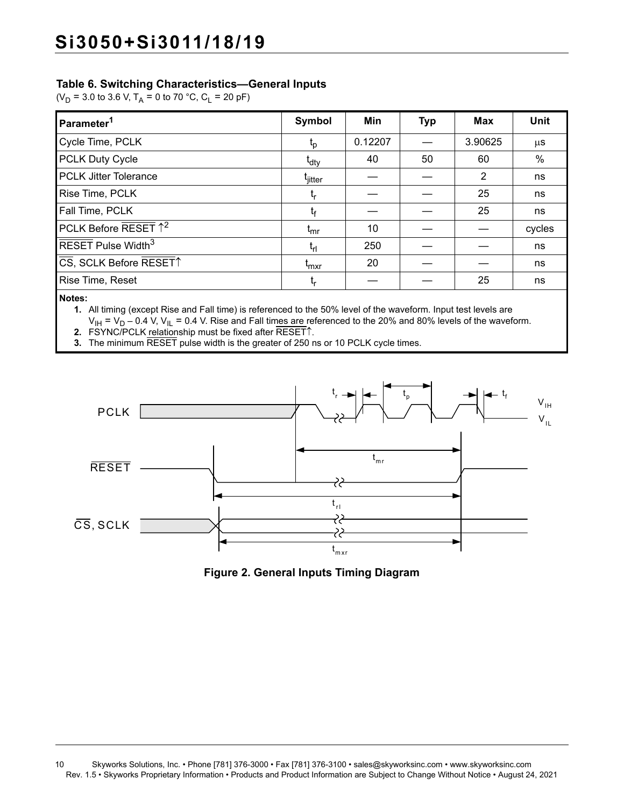#### **Table 6. Switching Characteristics—General Inputs**

( $V_D$  = 3.0 to 3.6 V, T<sub>A</sub> = 0 to 70 °C, C<sub>L</sub> = 20 pF)

| Parameter <sup>1</sup>           | Symbol                       | Min     | <b>Typ</b> | <b>Max</b> | <b>Unit</b> |
|----------------------------------|------------------------------|---------|------------|------------|-------------|
| Cycle Time, PCLK                 | $t_{p}$                      | 0.12207 |            | 3.90625    | μS          |
| <b>PCLK Duty Cycle</b>           | t <sub>dty</sub>             | 40      | 50         | 60         | $\%$        |
| <b>PCLK Jitter Tolerance</b>     | t <sub>jitter</sub>          |         |            | 2          | ns          |
| <b>Rise Time, PCLK</b>           | t,                           |         |            | 25         | ns          |
| Fall Time, PCLK                  | tŧ                           |         |            | 25         | ns          |
| PCLK Before RESET ↑ <sup>2</sup> | $t_{mr}$                     | 10      |            |            | cycles      |
| RESET Pulse Width <sup>3</sup>   | $\mathfrak{t}_{\mathsf{rl}}$ | 250     |            |            | ns          |
| CS, SCLK Before RESET1           | t <sub>mxr</sub>             | 20      |            |            | ns          |
| Rise Time, Reset                 |                              |         |            | 25         | ns          |

#### **Notes:**

**1.** All timing (except Rise and Fall time) is referenced to the 50% level of the waveform. Input test levels are

 $V_{\text{IH}} = V_{\text{D}} - 0.4$  V,  $V_{\text{IL}} = 0.4$  V. Rise and Fall times are referenced to the 20% and 80% levels of the waveform.

**2.** FSYNC/PCLK relationship must be fixed after RESET1.

**3.** The minimum RESET pulse width is the greater of 250 ns or 10 PCLK cycle times.



**Figure 2. General Inputs Timing Diagram**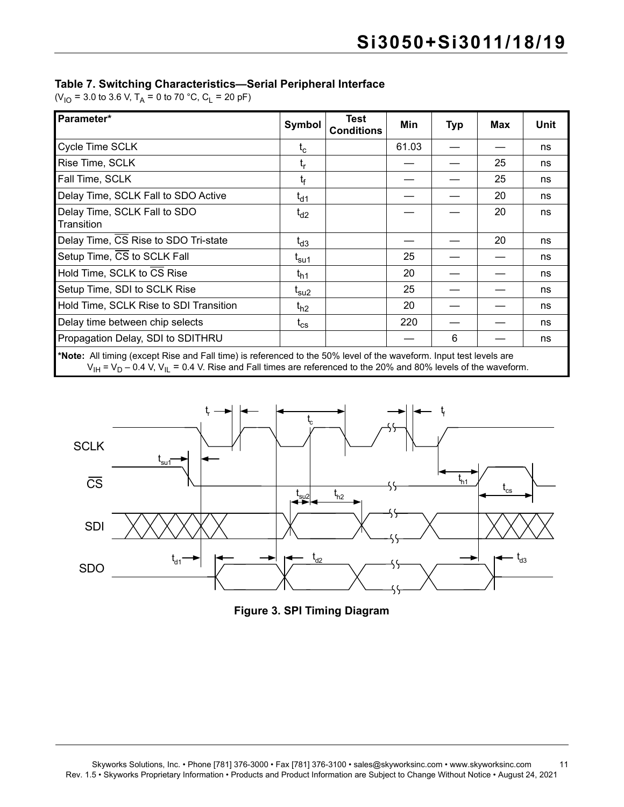#### **Table 7. Switching Characteristics—Serial Peripheral Interface**

(V<sub>IO</sub> = 3.0 to 3.6 V, T<sub>A</sub> = 0 to 70 °C, C<sub>L</sub> = 20 pF)

| Parameter*                                                                                                                                                                                                                                                             | Symbol           | Test<br><b>Conditions</b> | Min   | <b>Typ</b> | Max | Unit |
|------------------------------------------------------------------------------------------------------------------------------------------------------------------------------------------------------------------------------------------------------------------------|------------------|---------------------------|-------|------------|-----|------|
| Cycle Time SCLK                                                                                                                                                                                                                                                        | $t_c$            |                           | 61.03 |            |     | ns   |
| Rise Time, SCLK                                                                                                                                                                                                                                                        | t,               |                           |       |            | 25  | ns   |
| Fall Time, SCLK                                                                                                                                                                                                                                                        | $t_{\rm f}$      |                           |       |            | 25  | ns   |
| Delay Time, SCLK Fall to SDO Active                                                                                                                                                                                                                                    | $t_{d1}$         |                           |       |            | 20  | ns   |
| Delay Time, SCLK Fall to SDO<br>Transition                                                                                                                                                                                                                             | $t_{d2}$         |                           |       |            | 20  | ns   |
| Delay Time, CS Rise to SDO Tri-state                                                                                                                                                                                                                                   | $t_{d3}$         |                           |       |            | 20  | ns   |
| Setup Time, CS to SCLK Fall                                                                                                                                                                                                                                            | t <sub>su1</sub> |                           | 25    |            |     | ns   |
| Hold Time, SCLK to CS Rise                                                                                                                                                                                                                                             | $t_{h1}$         |                           | 20    |            |     | ns   |
| Setup Time, SDI to SCLK Rise                                                                                                                                                                                                                                           | t <sub>su2</sub> |                           | 25    |            |     | ns   |
| Hold Time, SCLK Rise to SDI Transition                                                                                                                                                                                                                                 | $t_{h2}$         |                           | 20    |            |     | ns   |
| Delay time between chip selects                                                                                                                                                                                                                                        | $t_{\rm cs}$     |                           | 220   |            |     | ns   |
| Propagation Delay, SDI to SDITHRU                                                                                                                                                                                                                                      |                  |                           |       | 6          |     | ns   |
| *Note: All timing (except Rise and Fall time) is referenced to the 50% level of the waveform. Input test levels are<br>$V_{\text{H}}$ = V <sub>D</sub> – 0.4 V, V <sub>II</sub> = 0.4 V. Rise and Fall times are referenced to the 20% and 80% levels of the waveform. |                  |                           |       |            |     |      |



**Figure 3. SPI Timing Diagram**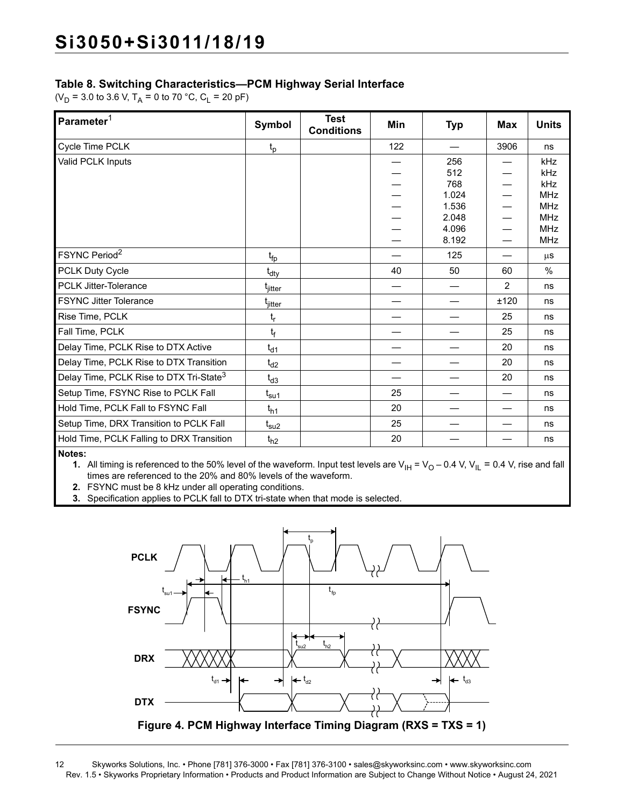#### **Table 8. Switching Characteristics—PCM Highway Serial Interface**

( $V_D$  = 3.0 to 3.6 V, T<sub>A</sub> = 0 to 70 °C, C<sub>L</sub> = 20 pF)

| Parameter <sup>1</sup>                              | Symbol              | <b>Test</b><br><b>Conditions</b> | Min | <b>Typ</b> | <b>Max</b>     | <b>Units</b>  |
|-----------------------------------------------------|---------------------|----------------------------------|-----|------------|----------------|---------------|
| Cycle Time PCLK                                     | $t_{p}$             |                                  | 122 |            | 3906           | ns            |
| Valid PCLK Inputs                                   |                     |                                  |     | 256        |                | kHz           |
|                                                     |                     |                                  |     | 512        |                | kHz           |
|                                                     |                     |                                  |     | 768        |                | kHz           |
|                                                     |                     |                                  |     | 1.024      |                | <b>MHz</b>    |
|                                                     |                     |                                  |     | 1.536      |                | <b>MHz</b>    |
|                                                     |                     |                                  |     | 2.048      |                | <b>MHz</b>    |
|                                                     |                     |                                  |     | 4.096      |                | <b>MHz</b>    |
|                                                     |                     |                                  |     | 8.192      |                | <b>MHz</b>    |
| FSYNC Period <sup>2</sup>                           | $t_{fp}$            |                                  |     | 125        |                | μs            |
| PCLK Duty Cycle                                     | $t_{\text{dty}}$    |                                  | 40  | 50         | 60             | $\frac{0}{0}$ |
| <b>PCLK Jitter-Tolerance</b>                        | t <sub>jitter</sub> |                                  |     |            | $\overline{2}$ | ns            |
| <b>FSYNC Jitter Tolerance</b>                       | t <sub>jitter</sub> |                                  |     |            | ±120           | ns            |
| Rise Time, PCLK                                     | $t_{r}$             |                                  |     |            | 25             | ns            |
| Fall Time, PCLK                                     | $t_{f}$             |                                  |     |            | 25             | ns            |
| Delay Time, PCLK Rise to DTX Active                 | $t_{d1}$            |                                  |     |            | 20             | ns            |
| Delay Time, PCLK Rise to DTX Transition             | $t_{d2}$            |                                  |     |            | 20             | ns            |
| Delay Time, PCLK Rise to DTX Tri-State <sup>3</sup> | $t_{d3}$            |                                  |     |            | 20             | ns            |
| Setup Time, FSYNC Rise to PCLK Fall                 | $t_{\rm su1}$       |                                  | 25  |            |                | ns            |
| Hold Time, PCLK Fall to FSYNC Fall                  | $t_{h1}$            |                                  | 20  |            |                | ns            |
| Setup Time, DRX Transition to PCLK Fall             | $t_{\sf su2}$       |                                  | 25  |            |                | ns            |
| Hold Time, PCLK Falling to DRX Transition           | $t_{h2}$            |                                  | 20  |            |                | ns            |

**Notes:**

**1.** All timing is referenced to the 50% level of the waveform. Input test levels are V<sub>IH</sub> = V<sub>O</sub> – 0.4 V, V<sub>IL</sub> = 0.4 V, rise and fall times are referenced to the 20% and 80% levels of the waveform.

**2.** FSYNC must be 8 kHz under all operating conditions.

**3.** Specification applies to PCLK fall to DTX tri-state when that mode is selected.



**Figure 4. PCM Highway Interface Timing Diagram (RXS = TXS = 1)**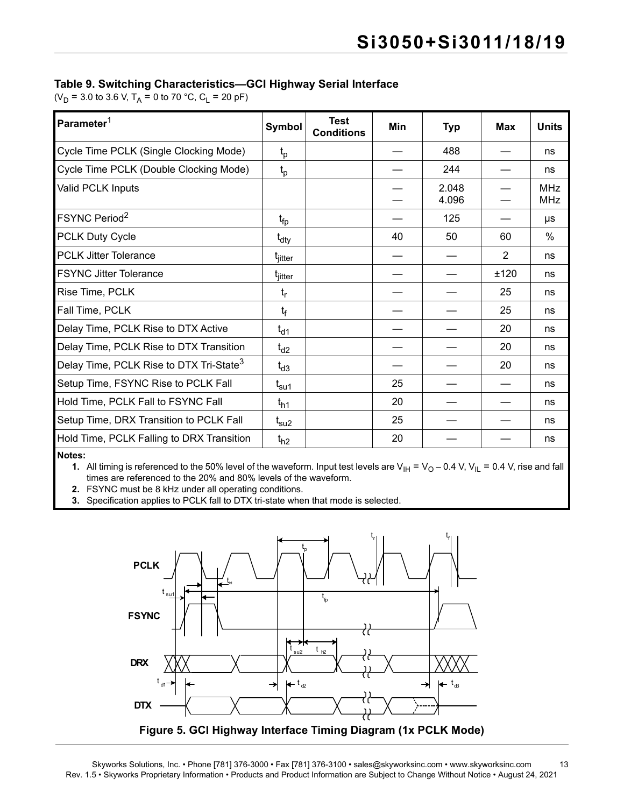#### **Table 9. Switching Characteristics—GCI Highway Serial Interface**

( $V_D$  = 3.0 to 3.6 V, T<sub>A</sub> = 0 to 70 °C, C<sub>L</sub> = 20 pF)

| Parameter <sup>1</sup>                              | Symbol              | <b>Test</b><br><b>Conditions</b> | Min | <b>Typ</b>     | <b>Max</b>     | <b>Units</b>             |
|-----------------------------------------------------|---------------------|----------------------------------|-----|----------------|----------------|--------------------------|
| Cycle Time PCLK (Single Clocking Mode)              | $t_{p}$             |                                  |     | 488            |                | ns                       |
| Cycle Time PCLK (Double Clocking Mode)              | $t_{p}$             |                                  |     | 244            |                | ns                       |
| Valid PCLK Inputs                                   |                     |                                  |     | 2.048<br>4.096 |                | <b>MHz</b><br><b>MHz</b> |
| FSYNC Period <sup>2</sup>                           | $t_{\sf fp}$        |                                  |     | 125            |                | μs                       |
| <b>PCLK Duty Cycle</b>                              | t <sub>dty</sub>    |                                  | 40  | 50             | 60             | $\%$                     |
| <b>PCLK Jitter Tolerance</b>                        | t <sub>iitter</sub> |                                  |     |                | $\overline{2}$ | ns                       |
| <b>FSYNC Jitter Tolerance</b>                       | t <sub>iitter</sub> |                                  |     |                | ±120           | ns                       |
| Rise Time, PCLK                                     | $t_{r}$             |                                  |     |                | 25             | ns                       |
| Fall Time, PCLK                                     | $t_{\rm f}$         |                                  |     |                | 25             | ns                       |
| Delay Time, PCLK Rise to DTX Active                 | $t_{d1}$            |                                  |     |                | 20             | ns                       |
| Delay Time, PCLK Rise to DTX Transition             | $t_{d2}$            |                                  |     |                | 20             | ns                       |
| Delay Time, PCLK Rise to DTX Tri-State <sup>3</sup> | $t_{d3}$            |                                  |     |                | 20             | ns                       |
| Setup Time, FSYNC Rise to PCLK Fall                 | $t_{\rm su1}$       |                                  | 25  |                |                | ns                       |
| Hold Time, PCLK Fall to FSYNC Fall                  | $t_{h1}$            |                                  | 20  |                |                | ns                       |
| Setup Time, DRX Transition to PCLK Fall             | $t_{\sf su2}$       |                                  | 25  |                |                | ns                       |
| Hold Time, PCLK Falling to DRX Transition           | $t_{h2}$            |                                  | 20  |                |                | ns                       |

**Notes:**

**1.** All timing is referenced to the 50% level of the waveform. Input test levels are V<sub>IH</sub> = V<sub>O</sub> – 0.4 V, V<sub>IL</sub> = 0.4 V, rise and fall times are referenced to the 20% and 80% levels of the waveform.

**2.** FSYNC must be 8 kHz under all operating conditions.

**3.** Specification applies to PCLK fall to DTX tri-state when that mode is selected.



Skyworks Solutions, Inc. • Phone [781] 376-3000 • Fax [781] 376-3100 • sales@skyworksinc.com • www.skyworksinc.com 13 Rev. 1.5 • Skyworks Proprietary Information • Products and Product Information are Subject to Change Without Notice • August 24, 2021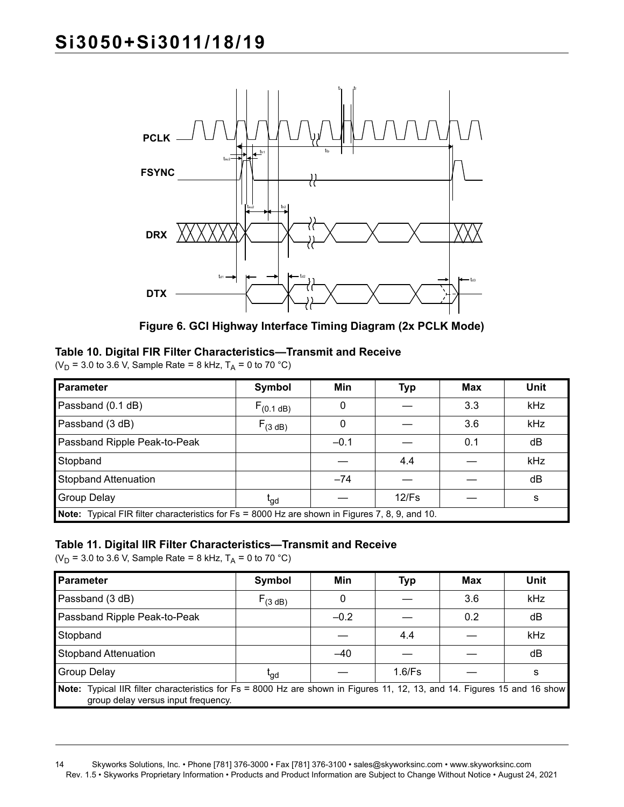

**Figure 6. GCI Highway Interface Timing Diagram (2x PCLK Mode)**

#### <span id="page-13-0"></span>**Table 10. Digital FIR Filter Characteristics—Transmit and Receive**

( $V_D$  = 3.0 to 3.6 V, Sample Rate = 8 kHz,  $T_A$  = 0 to 70 °C)

| Parameter                                                                                       | Symbol                 | Min      | <b>Typ</b> | <b>Max</b> | Unit       |
|-------------------------------------------------------------------------------------------------|------------------------|----------|------------|------------|------------|
| Passband (0.1 dB)                                                                               | $F_{(0.1 \text{ dB})}$ | $\Omega$ |            | 3.3        | kHz        |
| Passband (3 dB)                                                                                 | $F_{(3 dB)}$           | $\Omega$ |            | 3.6        | <b>kHz</b> |
| Passband Ripple Peak-to-Peak                                                                    |                        | $-0.1$   |            | 0.1        | dB         |
| Stopband                                                                                        |                        |          | 4.4        |            | <b>kHz</b> |
| <b>Stopband Attenuation</b>                                                                     |                        | $-74$    |            |            | dB         |
| <b>Group Delay</b>                                                                              | <sup>L</sup> gd        |          | 12/Fs      |            | S          |
| Note: Typical FIR filter characteristics for Fs = 8000 Hz are shown in Figures 7, 8, 9, and 10. |                        |          |            |            |            |

#### <span id="page-13-1"></span>**Table 11. Digital IIR Filter Characteristics—Transmit and Receive**

( $V_D$  = 3.0 to 3.6 V, Sample Rate = 8 kHz,  $T_A$  = 0 to 70 °C)

| Parameter                                                                                                                                                        | Symbol          | Min    | <b>Typ</b> | Max | Unit |
|------------------------------------------------------------------------------------------------------------------------------------------------------------------|-----------------|--------|------------|-----|------|
| Passband (3 dB)                                                                                                                                                  | $F_{(3 dB)}$    | 0      |            | 3.6 | kHz  |
| Passband Ripple Peak-to-Peak                                                                                                                                     |                 | $-0.2$ |            | 0.2 | dB   |
| Stopband                                                                                                                                                         |                 |        | 4.4        |     | kHz  |
| <b>Stopband Attenuation</b>                                                                                                                                      |                 | $-40$  |            |     | dB   |
| <b>Group Delay</b>                                                                                                                                               | <sup>L</sup> ad |        | $1.6$ /Fs  |     | s    |
| Note: Typical IIR filter characteristics for Fs = 8000 Hz are shown in Figures 11, 12, 13, and 14. Figures 15 and 16 show<br>group delay versus input frequency. |                 |        |            |     |      |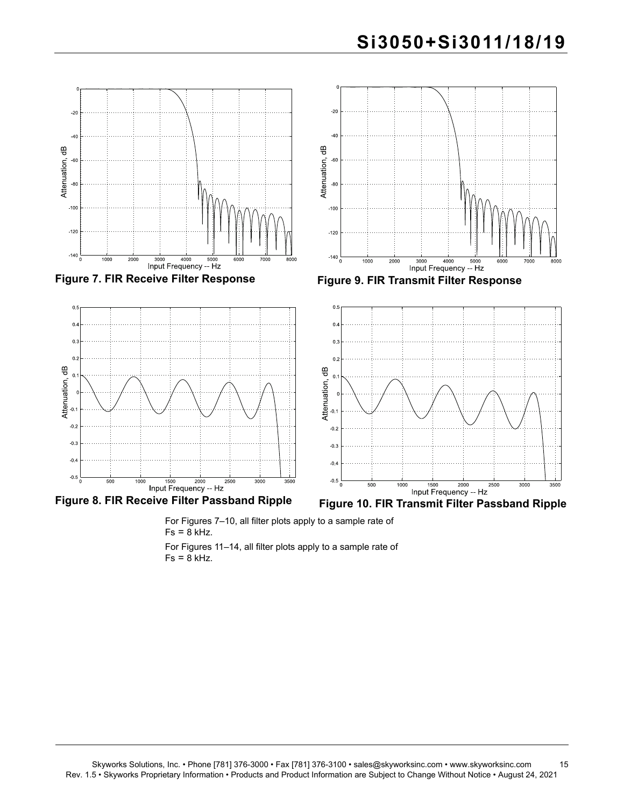

**Figure 10. FIR Transmit Filter Passband Ripple**

For Figures 7–10, all filter plots apply to a sample rate of  $Fs = 8 kHz.$ 

For Figures 11–14, all filter plots apply to a sample rate of  $Fs = 8 kHz.$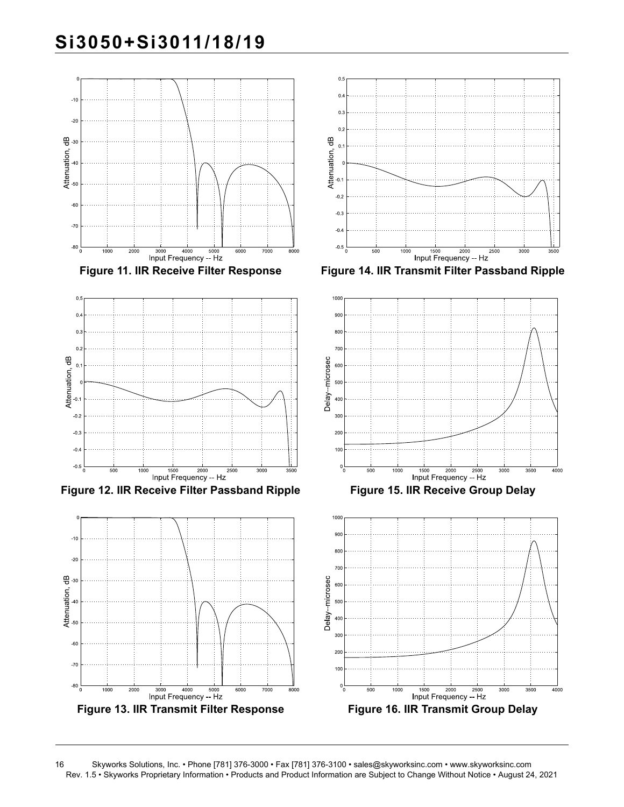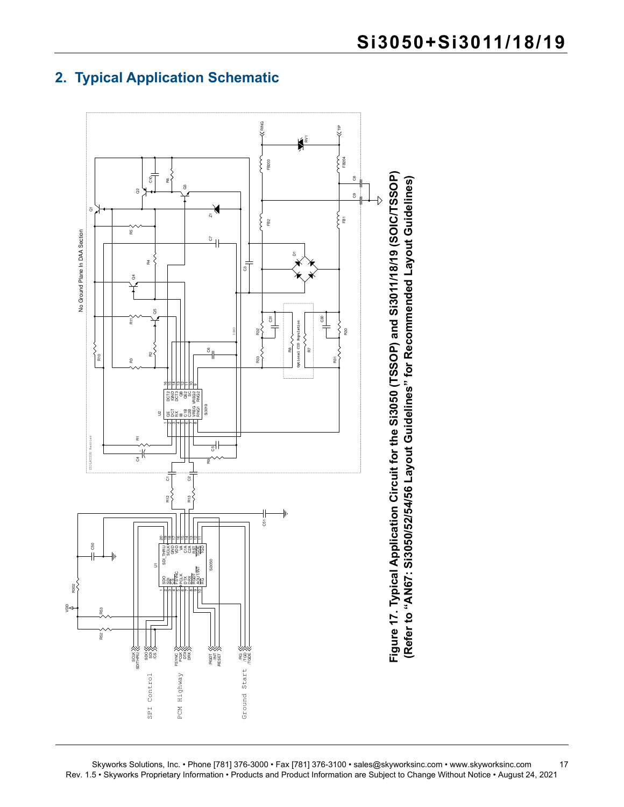

### <span id="page-16-0"></span>**2. Typical Application Schematic**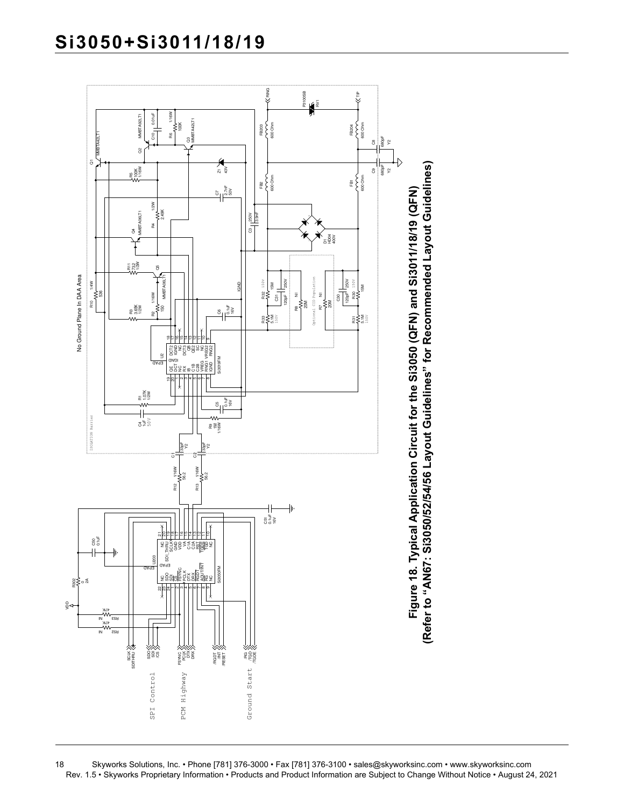

18 Skyworks Solutions, Inc. • Phone [781] 376-3000 • Fax [781] 376-3100 • sales@skyworksinc.com • www.skyworksinc.com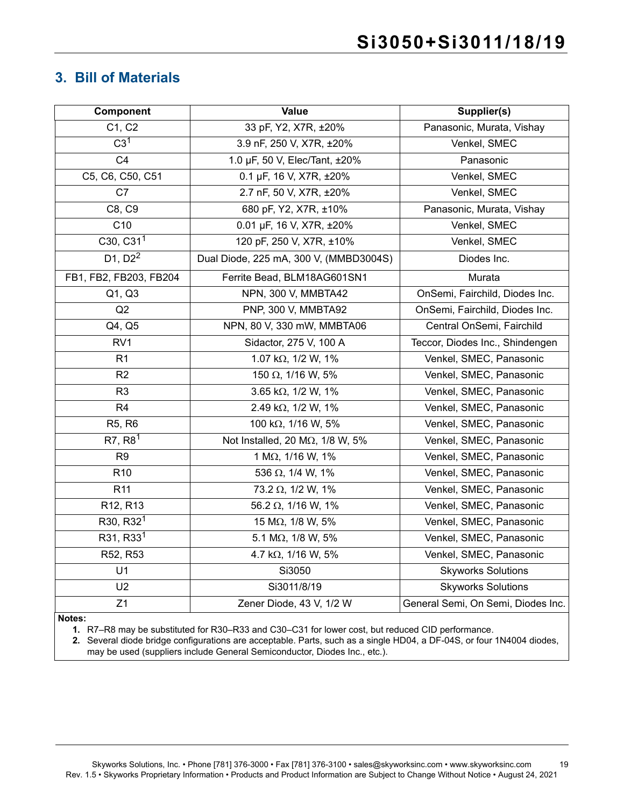### <span id="page-18-0"></span>**3. Bill of Materials**

| Component                                    | <b>Value</b><br>Supplier(s)                  |                                    |  |  |
|----------------------------------------------|----------------------------------------------|------------------------------------|--|--|
| C1, C2                                       | 33 pF, Y2, X7R, ±20%                         | Panasonic, Murata, Vishay          |  |  |
| C3 <sup>1</sup>                              | 3.9 nF, 250 V, X7R, ±20%                     | Venkel, SMEC                       |  |  |
| C <sub>4</sub>                               | 1.0 µF, 50 V, Elec/Tant, ±20%                | Panasonic                          |  |  |
| C5, C6, C50, C51                             | 0.1 µF, 16 V, X7R, ±20%                      | Venkel, SMEC                       |  |  |
| C7                                           | 2.7 nF, 50 V, X7R, ±20%                      | Venkel, SMEC                       |  |  |
| C8, C9                                       | 680 pF, Y2, X7R, ±10%                        | Panasonic, Murata, Vishay          |  |  |
| C10                                          | 0.01 µF, 16 V, X7R, ±20%                     | Venkel, SMEC                       |  |  |
| C30, C31 <sup>1</sup>                        | 120 pF, 250 V, X7R, ±10%                     | Venkel, SMEC                       |  |  |
| D <sub>1</sub> , D <sub>2</sub> <sup>2</sup> | Dual Diode, 225 mA, 300 V, (MMBD3004S)       | Diodes Inc.                        |  |  |
| FB1, FB2, FB203, FB204                       | Ferrite Bead, BLM18AG601SN1                  | Murata                             |  |  |
| Q1, Q3                                       | NPN, 300 V, MMBTA42                          | OnSemi, Fairchild, Diodes Inc.     |  |  |
| Q2                                           | PNP, 300 V, MMBTA92                          | OnSemi, Fairchild, Diodes Inc.     |  |  |
| Q4, Q5                                       | NPN, 80 V, 330 mW, MMBTA06                   | Central OnSemi, Fairchild          |  |  |
| RV <sub>1</sub>                              | Sidactor, 275 V, 100 A                       | Teccor, Diodes Inc., Shindengen    |  |  |
| R <sub>1</sub>                               | 1.07 kΩ, 1/2 W, 1%                           | Venkel, SMEC, Panasonic            |  |  |
| R2                                           | 150 Ω, 1/16 W, 5%                            | Venkel, SMEC, Panasonic            |  |  |
| R <sub>3</sub>                               | 3.65 kΩ, 1/2 W, 1%                           | Venkel, SMEC, Panasonic            |  |  |
| R <sub>4</sub>                               | 2.49 kΩ, 1/2 W, 1%                           | Venkel, SMEC, Panasonic            |  |  |
| R <sub>5</sub> , R <sub>6</sub>              | 100 kΩ, 1/16 W, 5%                           | Venkel, SMEC, Panasonic            |  |  |
| R7, R8 <sup>1</sup>                          | Not Installed, 20 M $\Omega$ , 1/8 W, 5%     | Venkel, SMEC, Panasonic            |  |  |
| R <sub>9</sub>                               | 1 ΜΩ, 1/16 W, 1%                             | Venkel, SMEC, Panasonic            |  |  |
| R <sub>10</sub>                              | 536 $\Omega$ , 1/4 W, 1%                     | Venkel, SMEC, Panasonic            |  |  |
| R <sub>11</sub>                              | 73.2 Ω, 1/2 W, 1%                            | Venkel, SMEC, Panasonic            |  |  |
| R <sub>12</sub> , R <sub>13</sub>            | $56.2 \Omega$ , 1/16 W, 1%                   | Venkel, SMEC, Panasonic            |  |  |
| R30, R32 <sup>1</sup>                        | 15 MΩ, 1/8 W, 5%                             | Venkel, SMEC, Panasonic            |  |  |
| R31, R33 <sup>1</sup>                        | 5.1 MQ, 1/8 W, 5%<br>Venkel, SMEC, Panasonic |                                    |  |  |
| R52, R53                                     | 4.7 kΩ, 1/16 W, 5%                           | Venkel, SMEC, Panasonic            |  |  |
| U1                                           | Si3050                                       | <b>Skyworks Solutions</b>          |  |  |
| U <sub>2</sub>                               | Si3011/8/19                                  | <b>Skyworks Solutions</b>          |  |  |
| Z1                                           | Zener Diode, 43 V, 1/2 W                     | General Semi, On Semi, Diodes Inc. |  |  |

<span id="page-18-1"></span>**Notes:**

**1.** R7–R8 may be substituted for R30–R33 and C30–C31 for lower cost, but reduced CID performance.

**2.** Several diode bridge configurations are acceptable. Parts, such as a single HD04, a DF-04S, or four 1N4004 diodes, may be used (suppliers include General Semiconductor, Diodes Inc., etc.).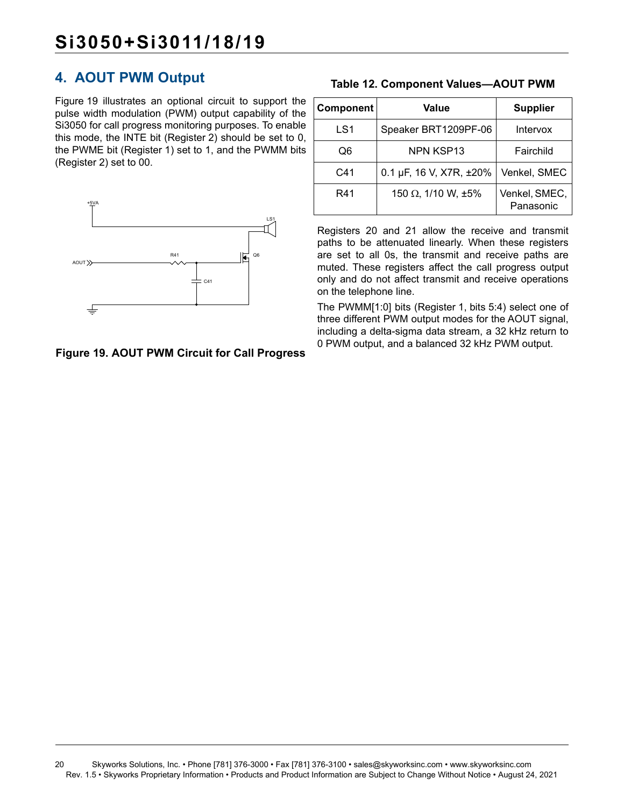### <span id="page-19-0"></span>**4. AOUT PWM Output**

[Figure 19](#page-19-1) illustrates an optional circuit to support the pulse width modulation (PWM) output capability of the Si3050 for call progress monitoring purposes. To enable this mode, the INTE bit (Register 2) should be set to 0, the PWME bit (Register 1) set to 1, and the PWMM bits (Register 2) set to 00.



<span id="page-19-1"></span>**Figure 19. AOUT PWM Circuit for Call Progress**

**Table 12. Component Values—AOUT PWM**

| Component | Value                      | <b>Supplier</b>            |
|-----------|----------------------------|----------------------------|
| LS1       | Speaker BRT1209PF-06       | Intervox                   |
| Q6        | <b>NPN KSP13</b>           | Fairchild                  |
| C41       | 0.1 µF, 16 V, X7R, ±20%    | Venkel, SMEC               |
| R41       | 150 $\Omega$ , 1/10 W, ±5% | Venkel, SMEC,<br>Panasonic |

Registers 20 and 21 allow the receive and transmit paths to be attenuated linearly. When these registers are set to all 0s, the transmit and receive paths are muted. These registers affect the call progress output only and do not affect transmit and receive operations on the telephone line.

The PWMM[1:0] bits (Register 1, bits 5:4) select one of three different PWM output modes for the AOUT signal, including a delta-sigma data stream, a 32 kHz return to 0 PWM output, and a balanced 32 kHz PWM output.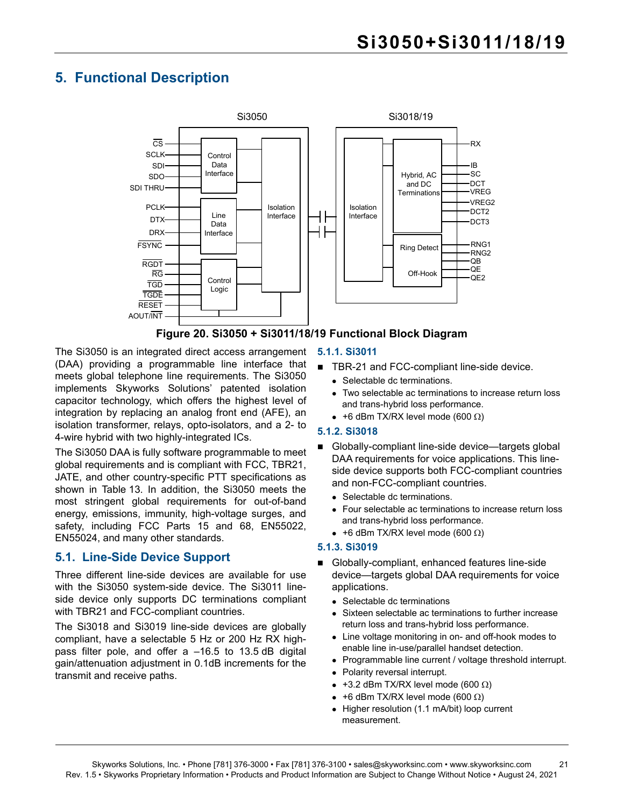### <span id="page-20-0"></span>**5. Functional Description**



#### **Figure 20. Si3050 + Si3011/18/19 Functional Block Diagram**

The Si3050 is an integrated direct access arrangement (DAA) providing a programmable line interface that meets global telephone line requirements. The Si3050 implements Skyworks Solutions' patented isolation capacitor technology, which offers the highest level of integration by replacing an analog front end (AFE), an isolation transformer, relays, opto-isolators, and a 2- to 4-wire hybrid with two highly-integrated ICs.

The Si3050 DAA is fully software programmable to meet global requirements and is compliant with FCC, TBR21, JATE, and other country-specific PTT specifications as shown in [Table 13.](#page-21-0) In addition, the Si3050 meets the most stringent global requirements for out-of-band energy, emissions, immunity, high-voltage surges, and safety, including FCC Parts 15 and 68, EN55022, EN55024, and many other standards.

#### <span id="page-20-1"></span>**5.1. Line-Side Device Support**

Three different line-side devices are available for use with the Si3050 system-side device. The Si3011 lineside device only supports DC terminations compliant with TBR21 and FCC-compliant countries.

The Si3018 and Si3019 line-side devices are globally compliant, have a selectable 5 Hz or 200 Hz RX highpass filter pole, and offer a –16.5 to 13.5 dB digital gain/attenuation adjustment in 0.1dB increments for the transmit and receive paths.

#### **5.1.1. Si3011**

- TBR-21 and FCC-compliant line-side device.
	- Selectable dc terminations.
	- Two selectable ac terminations to increase return loss and trans-hybrid loss performance.
	- $\bullet$  +6 dBm TX/RX level mode (600  $\Omega$ )

#### **5.1.2. Si3018**

- Globally-compliant line-side device—targets global DAA requirements for voice applications. This lineside device supports both FCC-compliant countries and non-FCC-compliant countries.
	- Selectable dc terminations.
	- Four selectable ac terminations to increase return loss and trans-hybrid loss performance.
	- $\bullet$  +6 dBm TX/RX level mode (600  $\Omega$ )

#### **5.1.3. Si3019**

- Globally-compliant, enhanced features line-side device—targets global DAA requirements for voice applications.
	- Selectable dc terminations
	- Sixteen selectable ac terminations to further increase return loss and trans-hybrid loss performance.
	- Line voltage monitoring in on- and off-hook modes to enable line in-use/parallel handset detection.
	- Programmable line current / voltage threshold interrupt.
	- Polarity reversal interrupt.
	- $\bullet$  +3.2 dBm TX/RX level mode (600  $\Omega$ )
	- $\bullet$  +6 dBm TX/RX level mode (600  $\Omega$ )
	- Higher resolution (1.1 mA/bit) loop current measurement.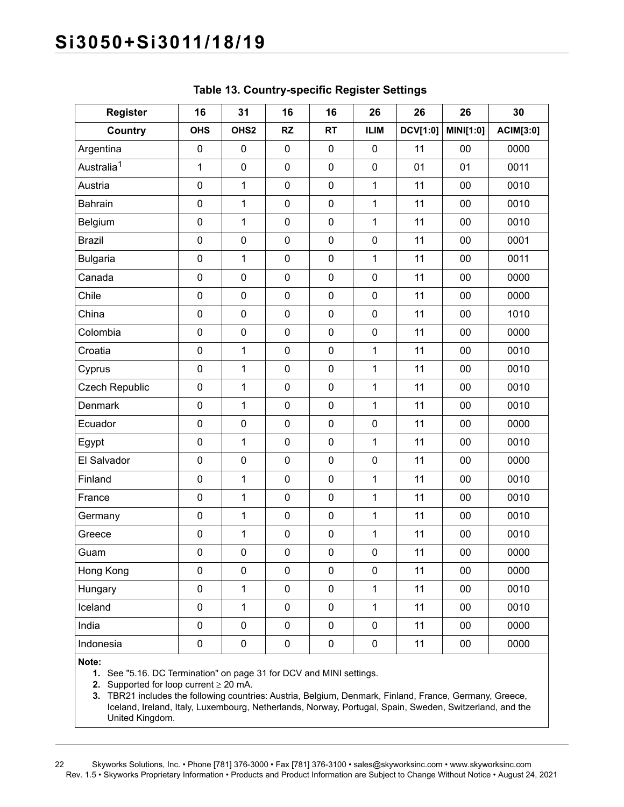<span id="page-21-0"></span>

| <b>Register</b>        | 16           | 31               | 16          | 16          | 26          | 26              | 26               | 30               |
|------------------------|--------------|------------------|-------------|-------------|-------------|-----------------|------------------|------------------|
| Country                | <b>OHS</b>   | OHS <sub>2</sub> | <b>RZ</b>   | <b>RT</b>   | <b>ILIM</b> | <b>DCV[1:0]</b> | <b>MINI[1:0]</b> | <b>ACIM[3:0]</b> |
| Argentina              | $\mathbf 0$  | $\mathbf 0$      | $\mathbf 0$ | $\mathbf 0$ | $\mathbf 0$ | 11              | 00               | 0000             |
| Australia <sup>1</sup> | $\mathbf{1}$ | $\mathbf 0$      | $\mathbf 0$ | $\mathbf 0$ | $\mathbf 0$ | 01              | 01               | 0011             |
| Austria                | $\mathbf 0$  | 1                | $\mathbf 0$ | $\mathbf 0$ | $\mathbf 1$ | 11              | 00               | 0010             |
| <b>Bahrain</b>         | $\mathbf 0$  | 1                | $\mathbf 0$ | $\mathbf 0$ | $\mathbf 1$ | 11              | 00               | 0010             |
| Belgium                | $\mathbf 0$  | 1                | $\mathbf 0$ | $\mathbf 0$ | $\mathbf 1$ | 11              | $00\,$           | 0010             |
| <b>Brazil</b>          | $\mathbf 0$  | $\mathbf 0$      | $\mathbf 0$ | $\mathbf 0$ | $\mathsf 0$ | 11              | 00               | 0001             |
| <b>Bulgaria</b>        | $\mathbf 0$  | 1                | $\mathbf 0$ | $\mathbf 0$ | 1           | 11              | $00\,$           | 0011             |
| Canada                 | $\mathbf 0$  | $\mathbf 0$      | $\mathbf 0$ | $\mathbf 0$ | $\mathbf 0$ | 11              | 00               | 0000             |
| Chile                  | $\mathbf 0$  | $\mathbf 0$      | $\mathbf 0$ | $\mathbf 0$ | $\mathbf 0$ | 11              | $00\,$           | 0000             |
| China                  | $\mathbf 0$  | $\mathbf 0$      | $\mathbf 0$ | $\mathbf 0$ | $\mathbf 0$ | 11              | 00               | 1010             |
| Colombia               | $\mathbf 0$  | $\mathbf 0$      | $\mathbf 0$ | $\mathbf 0$ | $\mathbf 0$ | 11              | $00\,$           | 0000             |
| Croatia                | $\mathbf 0$  | 1                | $\mathbf 0$ | $\mathbf 0$ | 1           | 11              | 00               | 0010             |
| Cyprus                 | $\mathbf 0$  | 1                | $\mathbf 0$ | $\mathbf 0$ | 1           | 11              | $00\,$           | 0010             |
| <b>Czech Republic</b>  | $\mathbf 0$  | 1                | $\mathbf 0$ | $\mathbf 0$ | 1           | 11              | 00               | 0010             |
| Denmark                | $\mathbf 0$  | 1                | $\mathbf 0$ | $\mathbf 0$ | $\mathbf 1$ | 11              | $00\,$           | 0010             |
| Ecuador                | $\mathbf 0$  | $\mathbf 0$      | $\mathbf 0$ | $\mathbf 0$ | $\mathbf 0$ | 11              | 00               | 0000             |
| Egypt                  | $\mathbf 0$  | 1                | $\mathbf 0$ | $\mathbf 0$ | 1           | 11              | $00\,$           | 0010             |
| El Salvador            | $\mathbf 0$  | $\mathbf 0$      | $\mathbf 0$ | $\mathbf 0$ | $\mathsf 0$ | 11              | 00               | 0000             |
| Finland                | $\mathbf 0$  | 1                | $\mathbf 0$ | $\mathbf 0$ | 1           | 11              | $00\,$           | 0010             |
| France                 | $\mathbf 0$  | 1                | $\mathbf 0$ | $\mathbf 0$ | 1           | 11              | 00               | 0010             |
| Germany                | $\mathbf 0$  | 1                | $\mathbf 0$ | $\mathbf 0$ | 1           | 11              | 00               | 0010             |
| Greece                 | $\mathbf 0$  | 1                | $\pmb{0}$   | $\pmb{0}$   | $\mathbf 1$ | 11              | 00               | 0010             |
| Guam                   | $\pmb{0}$    | $\mathbf 0$      | $\mathbf 0$ | $\mathbf 0$ | 0           | 11              | 00               | 0000             |
| Hong Kong              | $\mathbf 0$  | $\pmb{0}$        | $\pmb{0}$   | $\pmb{0}$   | $\pmb{0}$   | 11              | $00\,$           | 0000             |
| Hungary                | $\pmb{0}$    | $\mathbf{1}$     | $\pmb{0}$   | $\pmb{0}$   | $\mathbf 1$ | 11              | $00\,$           | 0010             |
| Iceland                | $\pmb{0}$    | $\mathbf{1}$     | $\pmb{0}$   | $\pmb{0}$   | $\mathbf 1$ | 11              | $00\,$           | 0010             |
| India                  | $\pmb{0}$    | $\pmb{0}$        | $\pmb{0}$   | $\pmb{0}$   | $\pmb{0}$   | 11              | $00\,$           | 0000             |
| Indonesia              | $\pmb{0}$    | $\pmb{0}$        | $\pmb{0}$   | $\pmb{0}$   | $\pmb{0}$   | 11              | $00\,$           | 0000             |

**Table 13. Country-specific Register Settings**

<span id="page-21-1"></span>**Note:**

**1.** See ["5.16. DC Termination" on page 31](#page-30-0) for DCV and MINI settings.

<span id="page-21-2"></span>**2.** Supported for loop current  $\geq 20$  mA.

<span id="page-21-3"></span>**3.** TBR21 includes the following countries: Austria, Belgium, Denmark, Finland, France, Germany, Greece, Iceland, Ireland, Italy, Luxembourg, Netherlands, Norway, Portugal, Spain, Sweden, Switzerland, and the United Kingdom.

22 Skyworks Solutions, Inc. • Phone [781] 376-3000 • Fax [781] 376-3100 • sales@skyworksinc.com • www.skyworksinc.com Rev. 1.5 • Skyworks Proprietary Information • Products and Product Information are Subject to Change Without Notice • August 24, 2021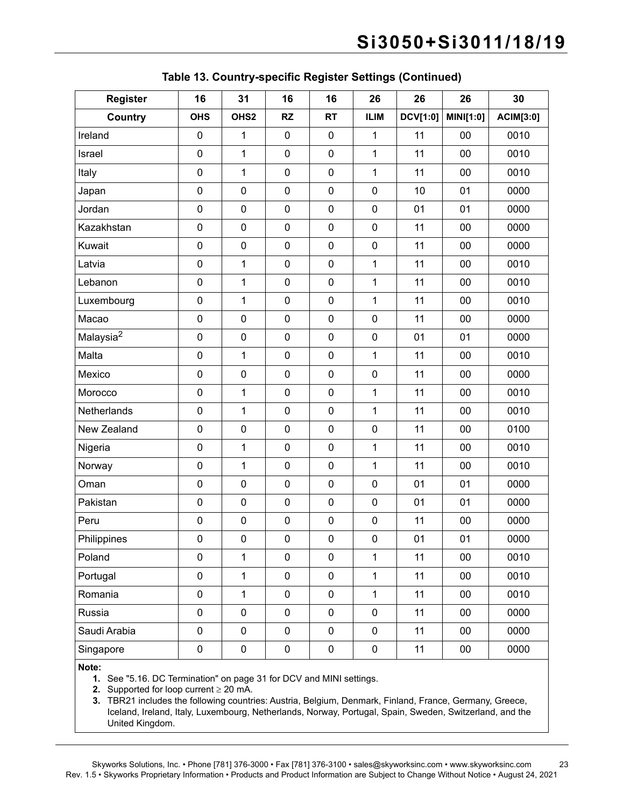| Register              | 16          | 31               | 16          | 16          | 26             | 26       | 26        | 30               |
|-----------------------|-------------|------------------|-------------|-------------|----------------|----------|-----------|------------------|
| Country               | <b>OHS</b>  | OHS <sub>2</sub> | <b>RZ</b>   | <b>RT</b>   | <b>ILIM</b>    | DCV[1:0] | MINI[1:0] | <b>ACIM[3:0]</b> |
| Ireland               | $\mathbf 0$ | $\mathbf{1}$     | $\mathbf 0$ | $\mathbf 0$ | $\overline{1}$ | 11       | 00        | 0010             |
| Israel                | $\mathbf 0$ | $\overline{1}$   | $\mathbf 0$ | $\pmb{0}$   | $\overline{1}$ | 11       | 00        | 0010             |
| Italy                 | $\mathbf 0$ | $\overline{1}$   | $\mathbf 0$ | $\pmb{0}$   | $\overline{1}$ | 11       | 00        | 0010             |
| Japan                 | $\mathbf 0$ | $\pmb{0}$        | $\mathbf 0$ | $\pmb{0}$   | 0              | 10       | 01        | 0000             |
| Jordan                | $\mathbf 0$ | $\pmb{0}$        | $\mathbf 0$ | $\pmb{0}$   | $\mathbf 0$    | 01       | 01        | 0000             |
| Kazakhstan            | $\mathbf 0$ | $\pmb{0}$        | $\mathbf 0$ | $\pmb{0}$   | 0              | 11       | 00        | 0000             |
| Kuwait                | $\mathbf 0$ | $\pmb{0}$        | $\mathbf 0$ | $\pmb{0}$   | $\mathbf 0$    | 11       | 00        | 0000             |
| Latvia                | $\mathbf 0$ | $\mathbf{1}$     | $\mathbf 0$ | $\pmb{0}$   | $\mathbf 1$    | 11       | 00        | 0010             |
| Lebanon               | $\mathbf 0$ | $\mathbf{1}$     | $\pmb{0}$   | $\pmb{0}$   | $\mathbf{1}$   | 11       | 00        | 0010             |
| Luxembourg            | $\mathbf 0$ | $\mathbf{1}$     | $\mathbf 0$ | $\mathbf 0$ | $\mathbf 1$    | 11       | 00        | 0010             |
| Macao                 | $\mathbf 0$ | $\pmb{0}$        | $\pmb{0}$   | $\pmb{0}$   | $\mathbf 0$    | 11       | 00        | 0000             |
| Malaysia <sup>2</sup> | $\mathbf 0$ | $\pmb{0}$        | $\mathbf 0$ | $\pmb{0}$   | 0              | 01       | 01        | 0000             |
| Malta                 | $\mathbf 0$ | $\mathbf 1$      | $\pmb{0}$   | $\pmb{0}$   | $\mathbf 1$    | 11       | 00        | 0010             |
| Mexico                | $\mathbf 0$ | $\pmb{0}$        | $\pmb{0}$   | $\pmb{0}$   | 0              | 11       | 00        | 0000             |
| Morocco               | $\mathbf 0$ | $\mathbf 1$      | $\pmb{0}$   | $\pmb{0}$   | $\mathbf 1$    | 11       | 00        | 0010             |
| Netherlands           | $\mathbf 0$ | $\mathbf 1$      | $\pmb{0}$   | $\pmb{0}$   | $\mathbf 1$    | 11       | 00        | 0010             |
| New Zealand           | $\mathbf 0$ | $\pmb{0}$        | $\pmb{0}$   | $\pmb{0}$   | $\mathbf 0$    | 11       | 00        | 0100             |
| Nigeria               | $\mathbf 0$ | $\mathbf 1$      | $\pmb{0}$   | $\pmb{0}$   | $\mathbf 1$    | 11       | 00        | 0010             |
| Norway                | $\mathbf 0$ | $\mathbf{1}$     | $\pmb{0}$   | $\pmb{0}$   | $\mathbf 1$    | 11       | 00        | 0010             |
| Oman                  | $\mathbf 0$ | $\pmb{0}$        | $\pmb{0}$   | $\pmb{0}$   | 0              | 01       | 01        | 0000             |
| Pakistan              | $\mathbf 0$ | $\pmb{0}$        | $\pmb{0}$   | $\pmb{0}$   | $\mathbf 0$    | 01       | 01        | 0000             |
| Peru                  | $\pmb{0}$   | $\pmb{0}$        | $\pmb{0}$   | $\pmb{0}$   | $\mathbf 0$    | 11       | 00        | 0000             |
| Philippines           | $\mathbf 0$ | $\mathsf 0$      | $\mathbf 0$ | $\mathbf 0$ | 0              | 01       | 01        | 0000             |
| Poland                | 0           | 1                | 0           | $\mathbf 0$ | $\mathbf{1}$   | 11       | $00\,$    | 0010             |
| Portugal              | $\mathbf 0$ | $\mathbf{1}$     | $\pmb{0}$   | $\pmb{0}$   | $\overline{1}$ | 11       | $00\,$    | 0010             |
| Romania               | $\mathbf 0$ | $\mathbf{1}$     | $\pmb{0}$   | $\pmb{0}$   | $\overline{1}$ | 11       | $00\,$    | 0010             |
| Russia                | $\mathbf 0$ | $\pmb{0}$        | $\pmb{0}$   | $\pmb{0}$   | $\pmb{0}$      | 11       | $00\,$    | 0000             |
| Saudi Arabia          | $\mathbf 0$ | $\pmb{0}$        | $\pmb{0}$   | $\pmb{0}$   | $\mathbf 0$    | 11       | $00\,$    | 0000             |
| Singapore             | $\pmb{0}$   | $\pmb{0}$        | $\pmb{0}$   | $\pmb{0}$   | $\mathbf 0$    | 11       | $00\,$    | 0000             |

**Table 13. Country-specific Register Settings (Continued)**

**Note:**

**1.** See "5.16. DC Termination" on page 31 for DCV and MINI settings.

**2.** Supported for loop current  $\geq 20$  mA.

**3.** TBR21 includes the following countries: Austria, Belgium, Denmark, Finland, France, Germany, Greece, Iceland, Ireland, Italy, Luxembourg, Netherlands, Norway, Portugal, Spain, Sweden, Switzerland, and the United Kingdom.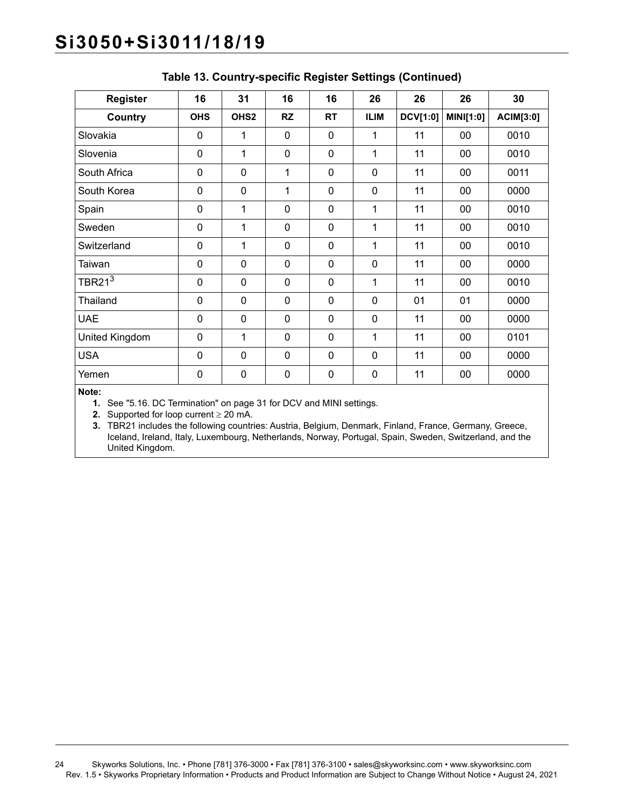| <b>Register</b>    | 16           | 31               | 16          | 16           | 26             | 26              | 26        | 30               |
|--------------------|--------------|------------------|-------------|--------------|----------------|-----------------|-----------|------------------|
| Country            | <b>OHS</b>   | OHS <sub>2</sub> | <b>RZ</b>   | <b>RT</b>    | <b>ILIM</b>    | <b>DCV[1:0]</b> | MINI[1:0] | <b>ACIM[3:0]</b> |
| Slovakia           | $\mathbf 0$  | 1                | $\mathbf 0$ | $\mathbf 0$  | 1              | 11              | 00        | 0010             |
| Slovenia           | $\mathbf 0$  | 1                | $\mathbf 0$ | $\mathbf 0$  | 1              | 11              | 00        | 0010             |
| South Africa       | $\mathbf 0$  | $\mathbf 0$      | 1           | $\mathbf 0$  | $\overline{0}$ | 11              | 00        | 0011             |
| South Korea        | $\mathbf 0$  | $\mathbf 0$      | 1           | $\mathbf 0$  | $\mathbf 0$    | 11              | 00        | 0000             |
| Spain              | $\mathbf 0$  | 1                | $\mathbf 0$ | $\mathbf 0$  | 1              | 11              | 00        | 0010             |
| Sweden             | $\mathbf 0$  | 1                | $\mathbf 0$ | $\mathbf 0$  | 1              | 11              | 00        | 0010             |
| Switzerland        | $\mathbf 0$  | 1                | $\mathbf 0$ | 0            | $\mathbf{1}$   | 11              | 00        | 0010             |
| Taiwan             | $\mathbf 0$  | $\mathbf 0$      | $\mathbf 0$ | $\mathbf 0$  | $\overline{0}$ | 11              | 00        | 0000             |
| TBR21 <sup>3</sup> | $\mathbf{0}$ | $\mathbf{0}$     | $\mathbf 0$ | $\mathbf{0}$ | 1              | 11              | 00        | 0010             |
| Thailand           | $\mathbf 0$  | $\mathbf 0$      | $\mathbf 0$ | $\mathbf 0$  | $\overline{0}$ | 01              | 01        | 0000             |
| <b>UAE</b>         | $\mathbf 0$  | $\mathbf 0$      | $\mathbf 0$ | $\mathbf 0$  | $\mathbf 0$    | 11              | 00        | 0000             |
| United Kingdom     | $\Omega$     | 1                | $\Omega$    | $\mathbf 0$  | 1              | 11              | 00        | 0101             |
| <b>USA</b>         | $\Omega$     | $\mathbf 0$      | $\mathbf 0$ | $\mathbf 0$  | $\mathbf 0$    | 11              | 00        | 0000             |
| Yemen              | 0            | $\mathbf 0$      | 0           | $\mathbf 0$  | $\mathbf 0$    | 11              | 00        | 0000             |

#### **Table 13. Country-specific Register Settings (Continued)**

**Note:**

**1.** See "5.16. DC Termination" on page 31 for DCV and MINI settings.

**2.** Supported for loop current  $\geq 20$  mA.

**3.** TBR21 includes the following countries: Austria, Belgium, Denmark, Finland, France, Germany, Greece, Iceland, Ireland, Italy, Luxembourg, Netherlands, Norway, Portugal, Spain, Sweden, Switzerland, and the United Kingdom.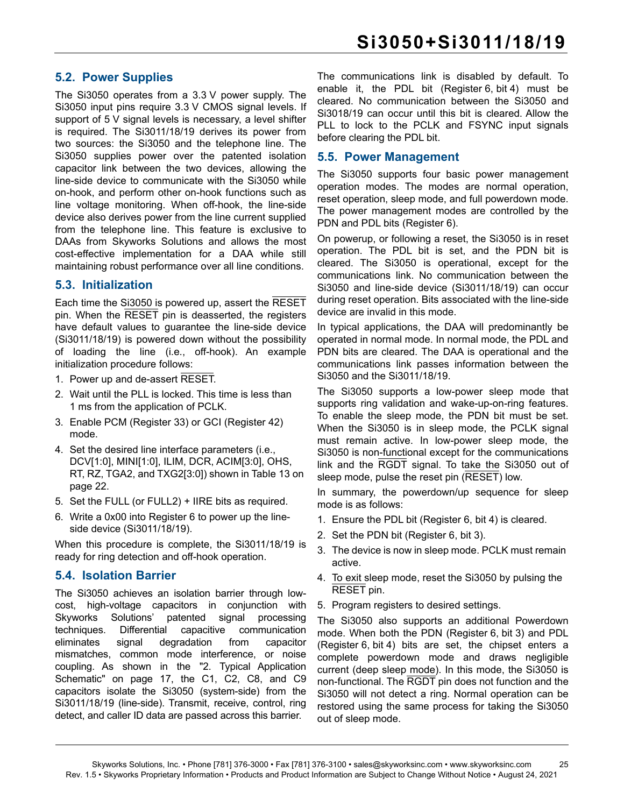#### <span id="page-24-0"></span>**5.2. Power Supplies**

The Si3050 operates from a 3.3 V power supply. The Si3050 input pins require 3.3 V CMOS signal levels. If support of 5 V signal levels is necessary, a level shifter is required. The Si3011/18/19 derives its power from two sources: the Si3050 and the telephone line. The Si3050 supplies power over the patented isolation capacitor link between the two devices, allowing the line-side device to communicate with the Si3050 while on-hook, and perform other on-hook functions such as line voltage monitoring. When off-hook, the line-side device also derives power from the line current supplied from the telephone line. This feature is exclusive to DAAs from Skyworks Solutions and allows the most cost-effective implementation for a DAA while still maintaining robust performance over all line conditions.

#### <span id="page-24-1"></span>**5.3. Initialization**

Each time the Si3050 is powered up, assert the RESET pin. When the RESET pin is deasserted, the registers have default values to guarantee the line-side device (Si3011/18/19) is powered down without the possibility of loading the line (i.e., off-hook). An example initialization procedure follows:

- 1. Power up and de-assert RESET.
- 2. Wait until the PLL is locked. This time is less than 1 ms from the application of PCLK.
- 3. Enable PCM (Register 33) or GCI (Register 42) mode.
- 4. Set the desired line interface parameters (i.e., DCV[1:0], MINI[1:0], ILIM, DCR, ACIM[3:0], OHS, RT, RZ, TGA2, and TXG2[3:0]) shown in [Table 13 on](#page-21-0)  [page 22.](#page-21-0)
- 5. Set the FULL (or FULL2) + IIRE bits as required.
- 6. Write a 0x00 into Register 6 to power up the lineside device (Si3011/18/19).

When this procedure is complete, the Si3011/18/19 is ready for ring detection and off-hook operation.

#### <span id="page-24-2"></span>**5.4. Isolation Barrier**

The Si3050 achieves an isolation barrier through lowcost, high-voltage capacitors in conjunction with Skyworks Solutions' patented signal processing techniques. Differential capacitive communication eliminates signal degradation from capacitor mismatches, common mode interference, or noise coupling. As shown in the ["2. Typical Application](#page-16-0) [Schematic" on page 17,](#page-16-0) the C1, C2, C8, and C9 capacitors isolate the Si3050 (system-side) from the Si3011/18/19 (line-side). Transmit, receive, control, ring detect, and caller ID data are passed across this barrier.

The communications link is disabled by default. To enable it, the PDL bit (Register 6, bit 4) must be cleared. No communication between the Si3050 and Si3018/19 can occur until this bit is cleared. Allow the PLL to lock to the PCLK and FSYNC input signals before clearing the PDL bit.

#### <span id="page-24-3"></span>**5.5. Power Management**

The Si3050 supports four basic power management operation modes. The modes are normal operation, reset operation, sleep mode, and full powerdown mode. The power management modes are controlled by the PDN and PDL bits (Register 6).

On powerup, or following a reset, the Si3050 is in reset operation. The PDL bit is set, and the PDN bit is cleared. The Si3050 is operational, except for the communications link. No communication between the Si3050 and line-side device (Si3011/18/19) can occur during reset operation. Bits associated with the line-side device are invalid in this mode.

In typical applications, the DAA will predominantly be operated in normal mode. In normal mode, the PDL and PDN bits are cleared. The DAA is operational and the communications link passes information between the Si3050 and the Si3011/18/19.

The Si3050 supports a low-power sleep mode that supports ring validation and wake-up-on-ring features. To enable the sleep mode, the PDN bit must be set. When the Si3050 is in sleep mode, the PCLK signal must remain active. In low-power sleep mode, the Si3050 is non-functional except for the communications link and the RGDT signal. To take the Si3050 out of sleep mode, pulse the reset pin (RESET) low.

In summary, the powerdown/up sequence for sleep mode is as follows:

- 1. Ensure the PDL bit (Register 6, bit 4) is cleared.
- 2. Set the PDN bit (Register 6, bit 3).
- 3. The device is now in sleep mode. PCLK must remain active.
- 4. To exit sleep mode, reset the Si3050 by pulsing the RESET pin.
- 5. Program registers to desired settings.

The Si3050 also supports an additional Powerdown mode. When both the PDN (Register 6, bit 3) and PDL (Register 6, bit 4) bits are set, the chipset enters a complete powerdown mode and draws negligible current (deep sleep mode). In this mode, the Si3050 is non-functional. The RGDT pin does not function and the Si3050 will not detect a ring. Normal operation can be restored using the same process for taking the Si3050 out of sleep mode.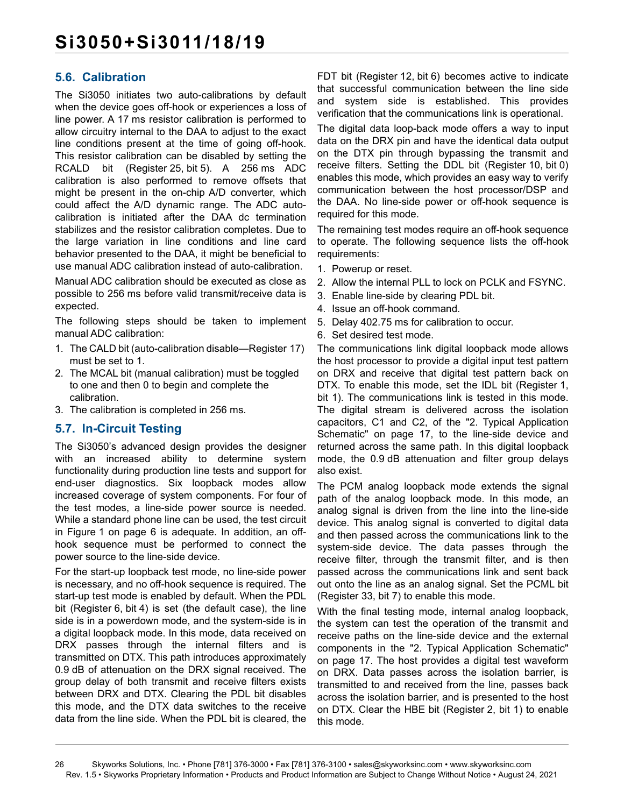#### <span id="page-25-0"></span>**5.6. Calibration**

The Si3050 initiates two auto-calibrations by default when the device goes off-hook or experiences a loss of line power. A 17 ms resistor calibration is performed to allow circuitry internal to the DAA to adjust to the exact line conditions present at the time of going off-hook. This resistor calibration can be disabled by setting the RCALD bit (Register 25, bit 5). A 256 ms ADC calibration is also performed to remove offsets that might be present in the on-chip A/D converter, which could affect the A/D dynamic range. The ADC autocalibration is initiated after the DAA dc termination stabilizes and the resistor calibration completes. Due to the large variation in line conditions and line card behavior presented to the DAA, it might be beneficial to use manual ADC calibration instead of auto-calibration.

Manual ADC calibration should be executed as close as possible to 256 ms before valid transmit/receive data is expected.

The following steps should be taken to implement manual ADC calibration:

- 1. The CALD bit (auto-calibration disable—Register 17) must be set to 1.
- 2. The MCAL bit (manual calibration) must be toggled to one and then 0 to begin and complete the calibration.
- 3. The calibration is completed in 256 ms.

#### <span id="page-25-1"></span>**5.7. In-Circuit Testing**

The Si3050's advanced design provides the designer with an increased ability to determine system functionality during production line tests and support for end-user diagnostics. Six loopback modes allow increased coverage of system components. For four of the test modes, a line-side power source is needed. While a standard phone line can be used, the test circuit in [Figure 1 on page 6](#page-5-0) is adequate. In addition, an offhook sequence must be performed to connect the power source to the line-side device.

For the start-up loopback test mode, no line-side power is necessary, and no off-hook sequence is required. The start-up test mode is enabled by default. When the PDL bit (Register 6, bit 4) is set (the default case), the line side is in a powerdown mode, and the system-side is in a digital loopback mode. In this mode, data received on DRX passes through the internal filters and is transmitted on DTX. This path introduces approximately 0.9 dB of attenuation on the DRX signal received. The group delay of both transmit and receive filters exists between DRX and DTX. Clearing the PDL bit disables this mode, and the DTX data switches to the receive data from the line side. When the PDL bit is cleared, the

FDT bit (Register 12, bit 6) becomes active to indicate that successful communication between the line side and system side is established. This provides verification that the communications link is operational.

The digital data loop-back mode offers a way to input data on the DRX pin and have the identical data output on the DTX pin through bypassing the transmit and receive filters. Setting the DDL bit (Register 10, bit 0) enables this mode, which provides an easy way to verify communication between the host processor/DSP and the DAA. No line-side power or off-hook sequence is required for this mode.

The remaining test modes require an off-hook sequence to operate. The following sequence lists the off-hook requirements:

- 1. Powerup or reset.
- 2. Allow the internal PLL to lock on PCLK and FSYNC.
- 3. Enable line-side by clearing PDL bit.
- 4. Issue an off-hook command.
- 5. Delay 402.75 ms for calibration to occur.
- 6. Set desired test mode.

The communications link digital loopback mode allows the host processor to provide a digital input test pattern on DRX and receive that digital test pattern back on DTX. To enable this mode, set the IDL bit (Register 1, bit 1). The communications link is tested in this mode. The digital stream is delivered across the isolation capacitors, C1 and C2, of the ["2. Typical Application](#page-16-0) [Schematic" on page 17,](#page-16-0) to the line-side device and returned across the same path. In this digital loopback mode, the 0.9 dB attenuation and filter group delays also exist.

The PCM analog loopback mode extends the signal path of the analog loopback mode. In this mode, an analog signal is driven from the line into the line-side device. This analog signal is converted to digital data and then passed across the communications link to the system-side device. The data passes through the receive filter, through the transmit filter, and is then passed across the communications link and sent back out onto the line as an analog signal. Set the PCML bit (Register 33, bit 7) to enable this mode.

With the final testing mode, internal analog loopback, the system can test the operation of the transmit and receive paths on the line-side device and the external components in the ["2. Typical Application Schematic"](#page-16-0) [on page 17.](#page-16-0) The host provides a digital test waveform on DRX. Data passes across the isolation barrier, is transmitted to and received from the line, passes back across the isolation barrier, and is presented to the host on DTX. Clear the HBE bit (Register 2, bit 1) to enable this mode.

<sup>26</sup> Skyworks Solutions, Inc. • Phone [781] 376-3000 • Fax [781] 376-3100 • sales@skyworksinc.com • www.skyworksinc.com Rev. 1.5 • Skyworks Proprietary Information • Products and Product Information are Subject to Change Without Notice • August 24, 2021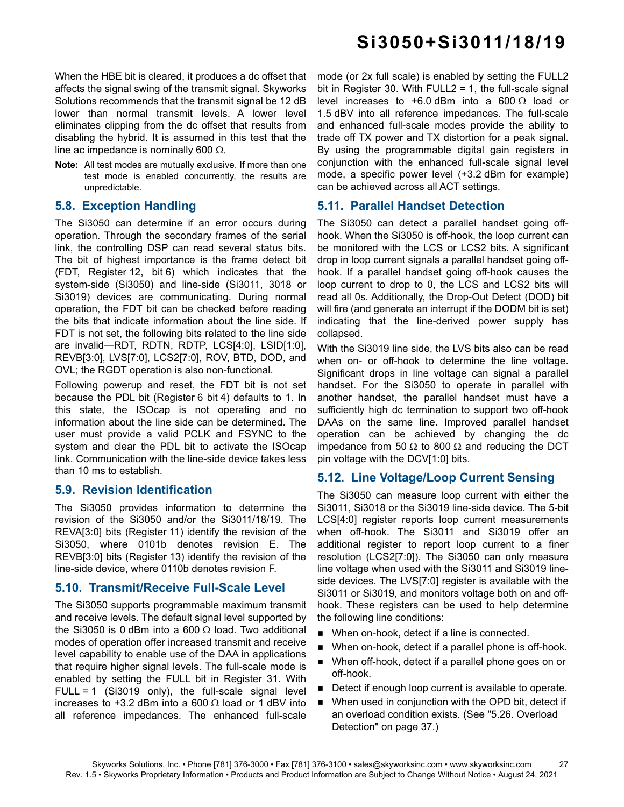When the HBE bit is cleared, it produces a dc offset that affects the signal swing of the transmit signal. Skyworks Solutions recommends that the transmit signal be 12 dB lower than normal transmit levels. A lower level eliminates clipping from the dc offset that results from disabling the hybrid. It is assumed in this test that the line ac impedance is nominally 600  $\Omega$ .

**Note:** All test modes are mutually exclusive. If more than one test mode is enabled concurrently, the results are unpredictable.

#### <span id="page-26-0"></span>**5.8. Exception Handling**

The Si3050 can determine if an error occurs during operation. Through the secondary frames of the serial link, the controlling DSP can read several status bits. The bit of highest importance is the frame detect bit (FDT, Register 12, bit 6) which indicates that the system-side (Si3050) and line-side (Si3011, 3018 or Si3019) devices are communicating. During normal operation, the FDT bit can be checked before reading the bits that indicate information about the line side. If FDT is not set, the following bits related to the line side are invalid—RDT, RDTN, RDTP, LCS[4:0], LSID[1:0], REVB[3:0], LVS[7:0], LCS2[7:0], ROV, BTD, DOD, and OVL; the RGDT operation is also non-functional.

Following powerup and reset, the FDT bit is not set because the PDL bit (Register 6 bit 4) defaults to 1. In this state, the ISOcap is not operating and no information about the line side can be determined. The user must provide a valid PCLK and FSYNC to the system and clear the PDL bit to activate the ISOcap link. Communication with the line-side device takes less than 10 ms to establish.

#### <span id="page-26-1"></span>**5.9. Revision Identification**

The Si3050 provides information to determine the revision of the Si3050 and/or the Si3011/18/19. The REVA[3:0] bits (Register 11) identify the revision of the Si3050, where 0101b denotes revision E. The REVB[3:0] bits (Register 13) identify the revision of the line-side device, where 0110b denotes revision F.

#### <span id="page-26-2"></span>**5.10. Transmit/Receive Full-Scale Level**

The Si3050 supports programmable maximum transmit and receive levels. The default signal level supported by the Si3050 is 0 dBm into a 600  $\Omega$  load. Two additional modes of operation offer increased transmit and receive level capability to enable use of the DAA in applications that require higher signal levels. The full-scale mode is enabled by setting the FULL bit in Register 31. With FULL = 1  $(Si3019 \text{ only})$ , the full-scale signal level increases to +3.2 dBm into a 600  $\Omega$  load or 1 dBV into all reference impedances. The enhanced full-scale

mode (or 2x full scale) is enabled by setting the FULL2 bit in Register 30. With FULL2 = 1, the full-scale signal level increases to +6.0 dBm into a 600  $\Omega$  load or 1.5 dBV into all reference impedances. The full-scale and enhanced full-scale modes provide the ability to trade off TX power and TX distortion for a peak signal. By using the programmable digital gain registers in conjunction with the enhanced full-scale signal level mode, a specific power level (+3.2 dBm for example) can be achieved across all ACT settings.

#### <span id="page-26-3"></span>**5.11. Parallel Handset Detection**

The Si3050 can detect a parallel handset going offhook. When the Si3050 is off-hook, the loop current can be monitored with the LCS or LCS2 bits. A significant drop in loop current signals a parallel handset going offhook. If a parallel handset going off-hook causes the loop current to drop to 0, the LCS and LCS2 bits will read all 0s. Additionally, the Drop-Out Detect (DOD) bit will fire (and generate an interrupt if the DODM bit is set) indicating that the line-derived power supply has collapsed.

With the Si3019 line side, the LVS bits also can be read when on- or off-hook to determine the line voltage. Significant drops in line voltage can signal a parallel handset. For the Si3050 to operate in parallel with another handset, the parallel handset must have a sufficiently high dc termination to support two off-hook DAAs on the same line. Improved parallel handset operation can be achieved by changing the dc impedance from 50  $\Omega$  to 800  $\Omega$  and reducing the DCT pin voltage with the DCV[1:0] bits.

### <span id="page-26-4"></span>**5.12. Line Voltage/Loop Current Sensing**

The Si3050 can measure loop current with either the Si3011, Si3018 or the Si3019 line-side device. The 5-bit LCS[4:0] register reports loop current measurements when off-hook. The Si3011 and Si3019 offer an additional register to report loop current to a finer resolution (LCS2[7:0]). The Si3050 can only measure line voltage when used with the Si3011 and Si3019 lineside devices. The LVS[7:0] register is available with the Si3011 or Si3019, and monitors voltage both on and offhook. These registers can be used to help determine the following line conditions:

- When on-hook, detect if a line is connected.
- When on-hook, detect if a parallel phone is off-hook.
- When off-hook, detect if a parallel phone goes on or off-hook.
- Detect if enough loop current is available to operate.
- When used in conjunction with the OPD bit, detect if an overload condition exists. (See ["5.26. Overload](#page-36-0)  [Detection" on page 37](#page-36-0).)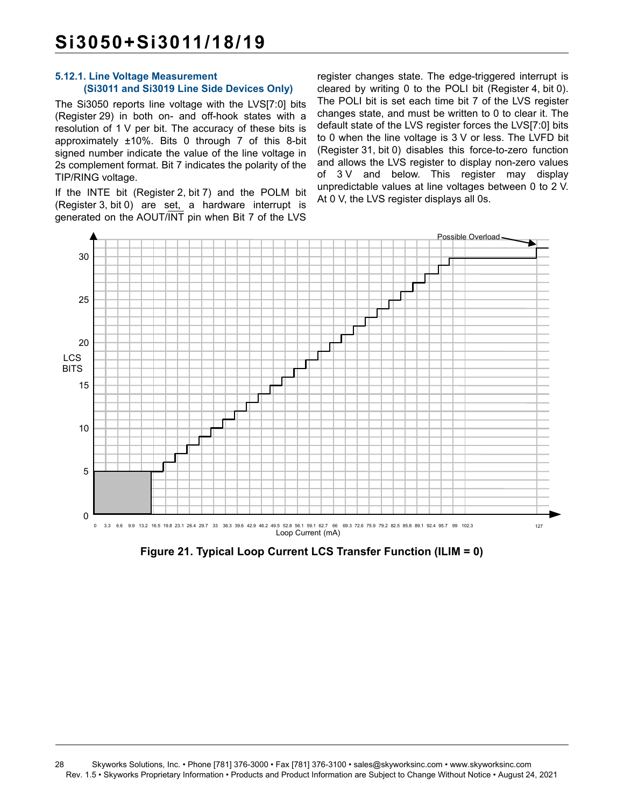#### **5.12.1. Line Voltage Measurement (Si3011 and Si3019 Line Side Devices Only)**

The Si3050 reports line voltage with the LVS[7:0] bits (Register 29) in both on- and off-hook states with a resolution of 1 V per bit. The accuracy of these bits is approximately ±10%. Bits 0 through 7 of this 8-bit signed number indicate the value of the line voltage in 2s complement format. Bit 7 indicates the polarity of the TIP/RING voltage.

If the INTE bit (Register 2, bit 7) and the POLM bit (Register 3, bit 0) are set, a hardware interrupt is generated on the AOUT/INT pin when Bit 7 of the LVS

register changes state. The edge-triggered interrupt is cleared by writing 0 to the POLI bit (Register 4, bit 0). The POLI bit is set each time bit 7 of the LVS register changes state, and must be written to 0 to clear it. The default state of the LVS register forces the LVS[7:0] bits to 0 when the line voltage is 3 V or less. The LVFD bit (Register 31, bit 0) disables this force-to-zero function and allows the LVS register to display non-zero values of 3 V and below. This register may display unpredictable values at line voltages between 0 to 2 V. At 0 V, the LVS register displays all 0s.



<span id="page-27-0"></span>**Figure 21. Typical Loop Current LCS Transfer Function (ILIM = 0)**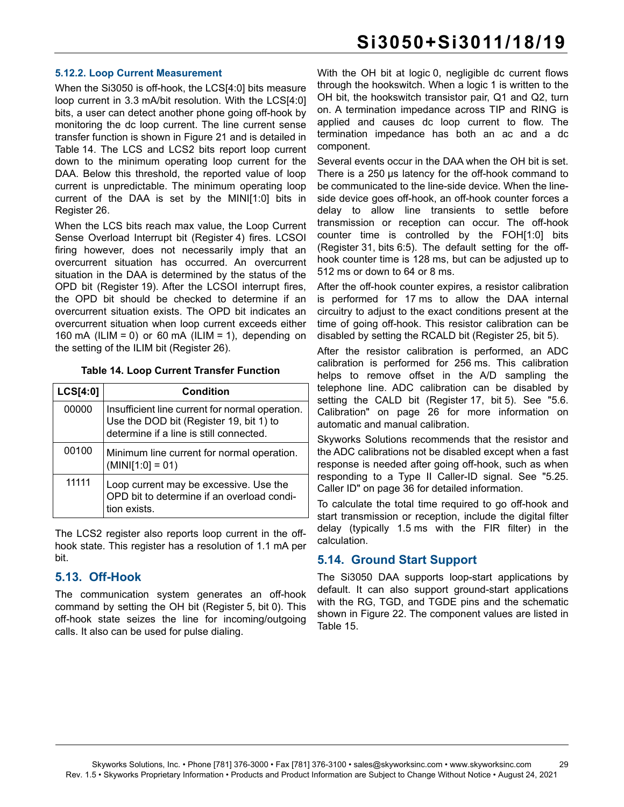#### **5.12.2. Loop Current Measurement**

When the Si3050 is off-hook, the LCS[4:0] bits measure loop current in 3.3 mA/bit resolution. With the LCS[4:0] bits, a user can detect another phone going off-hook by monitoring the dc loop current. The line current sense transfer function is shown in [Figure 21](#page-27-0) and is detailed in [Table 14.](#page-28-2) The LCS and LCS2 bits report loop current down to the minimum operating loop current for the DAA. Below this threshold, the reported value of loop current is unpredictable. The minimum operating loop current of the DAA is set by the MINI[1:0] bits in Register 26.

When the LCS bits reach max value, the Loop Current Sense Overload Interrupt bit (Register 4) fires. LCSOI firing however, does not necessarily imply that an overcurrent situation has occurred. An overcurrent situation in the DAA is determined by the status of the OPD bit (Register 19). After the LCSOI interrupt fires, the OPD bit should be checked to determine if an overcurrent situation exists. The OPD bit indicates an overcurrent situation when loop current exceeds either 160 mA (ILIM = 0) or 60 mA (ILIM = 1), depending on the setting of the ILIM bit (Register 26).

#### **Table 14. Loop Current Transfer Function**

<span id="page-28-2"></span>

| <b>LCS[4:0]</b> | <b>Condition</b>                                                                                                                      |
|-----------------|---------------------------------------------------------------------------------------------------------------------------------------|
| 00000           | Insufficient line current for normal operation.<br>Use the DOD bit (Register 19, bit 1) to<br>determine if a line is still connected. |
| 00100           | Minimum line current for normal operation.<br>$(MINI[1:0] = 01)$                                                                      |
| 11111           | Loop current may be excessive. Use the<br>OPD bit to determine if an overload condi-<br>tion exists.                                  |

The LCS2 register also reports loop current in the offhook state. This register has a resolution of 1.1 mA per bit.

#### <span id="page-28-0"></span>**5.13. Off-Hook**

The communication system generates an off-hook command by setting the OH bit (Register 5, bit 0). This off-hook state seizes the line for incoming/outgoing calls. It also can be used for pulse dialing.

With the OH bit at logic 0, negligible dc current flows through the hookswitch. When a logic 1 is written to the OH bit, the hookswitch transistor pair, Q1 and Q2, turn on. A termination impedance across TIP and RING is applied and causes dc loop current to flow. The termination impedance has both an ac and a dc component.

Several events occur in the DAA when the OH bit is set. There is a 250 µs latency for the off-hook command to be communicated to the line-side device. When the lineside device goes off-hook, an off-hook counter forces a delay to allow line transients to settle before transmission or reception can occur. The off-hook counter time is controlled by the FOH[1:0] bits (Register 31, bits 6:5). The default setting for the offhook counter time is 128 ms, but can be adjusted up to 512 ms or down to 64 or 8 ms.

After the off-hook counter expires, a resistor calibration is performed for 17 ms to allow the DAA internal circuitry to adjust to the exact conditions present at the time of going off-hook. This resistor calibration can be disabled by setting the RCALD bit (Register 25, bit 5).

After the resistor calibration is performed, an ADC calibration is performed for 256 ms. This calibration helps to remove offset in the A/D sampling the telephone line. ADC calibration can be disabled by setting the CALD bit (Register 17, bit 5). See ["5.6.](#page-25-0) [Calibration" on page 26](#page-25-0) for more information on automatic and manual calibration.

Skyworks Solutions recommends that the resistor and the ADC calibrations not be disabled except when a fast response is needed after going off-hook, such as when responding to a Type II Caller-ID signal. See ["5.25.](#page-35-1) [Caller ID" on page 36](#page-35-1) for detailed information.

To calculate the total time required to go off-hook and start transmission or reception, include the digital filter delay (typically 1.5 ms with the FIR filter) in the calculation.

#### <span id="page-28-1"></span>**5.14. Ground Start Support**

The Si3050 DAA supports loop-start applications by default. It can also support ground-start applications with the RG, TGD, and TGDE pins and the schematic shown in [Figure 22](#page-29-1). The component values are listed in [Table 15](#page-29-2).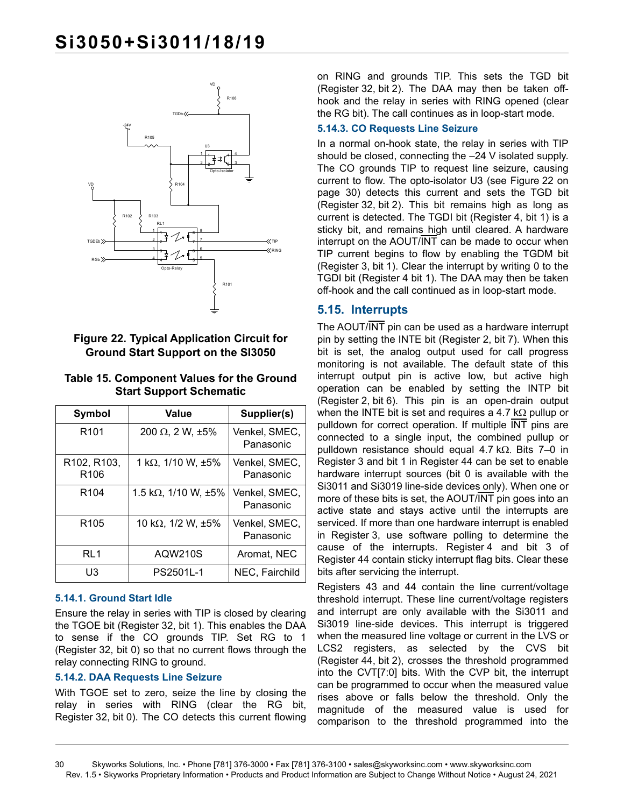

<span id="page-29-1"></span>**Figure 22. Typical Application Circuit for Ground Start Support on the SI3050**

#### <span id="page-29-2"></span>**Table 15. Component Values for the Ground Start Support Schematic**

| Symbol                          | Value                             | Supplier(s)                |
|---------------------------------|-----------------------------------|----------------------------|
| R <sub>101</sub>                | 200 $\Omega$ , 2 W, $\pm 5\%$     | Venkel, SMEC,<br>Panasonic |
| R102, R103,<br>R <sub>106</sub> | 1 k $\Omega$ , 1/10 W, ±5%        | Venkel, SMEC,<br>Panasonic |
| R <sub>104</sub>                | 1.5 k $\Omega$ , 1/10 W, $\pm$ 5% | Venkel, SMEC,<br>Panasonic |
| R <sub>105</sub>                | 10 k $\Omega$ , 1/2 W, ±5%        | Venkel, SMEC,<br>Panasonic |
| RL <sub>1</sub>                 | <b>AQW210S</b>                    | Aromat, NEC                |
| UЗ                              | PS2501L-1                         | NEC, Fairchild             |

#### **5.14.1. Ground Start Idle**

Ensure the relay in series with TIP is closed by clearing the TGOE bit (Register 32, bit 1). This enables the DAA to sense if the CO grounds TIP. Set RG to 1 (Register 32, bit 0) so that no current flows through the relay connecting RING to ground.

#### **5.14.2. DAA Requests Line Seizure**

With TGOE set to zero, seize the line by closing the relay in series with RING (clear the RG bit, Register 32, bit 0). The CO detects this current flowing

on RING and grounds TIP. This sets the TGD bit (Register 32, bit 2). The DAA may then be taken offhook and the relay in series with RING opened (clear the RG bit). The call continues as in loop-start mode.

#### **5.14.3. CO Requests Line Seizure**

In a normal on-hook state, the relay in series with TIP should be closed, connecting the –24 V isolated supply. The CO grounds TIP to request line seizure, causing current to flow. The opto-isolator U3 (see [Figure 22 on](#page-29-1) [page 30](#page-29-1)) detects this current and sets the TGD bit (Register 32, bit 2). This bit remains high as long as current is detected. The TGDI bit (Register 4, bit 1) is a sticky bit, and remains high until cleared. A hardware interrupt on the AOUT/INT can be made to occur when TIP current begins to flow by enabling the TGDM bit (Register 3, bit 1). Clear the interrupt by writing 0 to the TGDI bit (Register 4 bit 1). The DAA may then be taken off-hook and the call continued as in loop-start mode.

#### <span id="page-29-0"></span>**5.15. Interrupts**

The AOUT/INT pin can be used as a hardware interrupt pin by setting the INTE bit (Register 2, bit 7). When this bit is set, the analog output used for call progress monitoring is not available. The default state of this interrupt output pin is active low, but active high operation can be enabled by setting the INTP bit (Register 2, bit 6). This pin is an open-drain output when the INTE bit is set and requires a 4.7 k $\Omega$  pullup or pulldown for correct operation. If multiple INT pins are connected to a single input, the combined pullup or pulldown resistance should equal 4.7 k $\Omega$ . Bits 7–0 in Register 3 and bit 1 in Register 44 can be set to enable hardware interrupt sources (bit 0 is available with the Si3011 and Si3019 line-side devices only). When one or more of these bits is set, the AOUT/INT pin goes into an active state and stays active until the interrupts are serviced. If more than one hardware interrupt is enabled in Register 3, use software polling to determine the cause of the interrupts. Register 4 and bit 3 of Register 44 contain sticky interrupt flag bits. Clear these bits after servicing the interrupt.

Registers 43 and 44 contain the line current/voltage threshold interrupt. These line current/voltage registers and interrupt are only available with the Si3011 and Si3019 line-side devices. This interrupt is triggered when the measured line voltage or current in the LVS or LCS2 registers, as selected by the CVS bit (Register 44, bit 2), crosses the threshold programmed into the CVT[7:0] bits. With the CVP bit, the interrupt can be programmed to occur when the measured value rises above or falls below the threshold. Only the magnitude of the measured value is used for comparison to the threshold programmed into the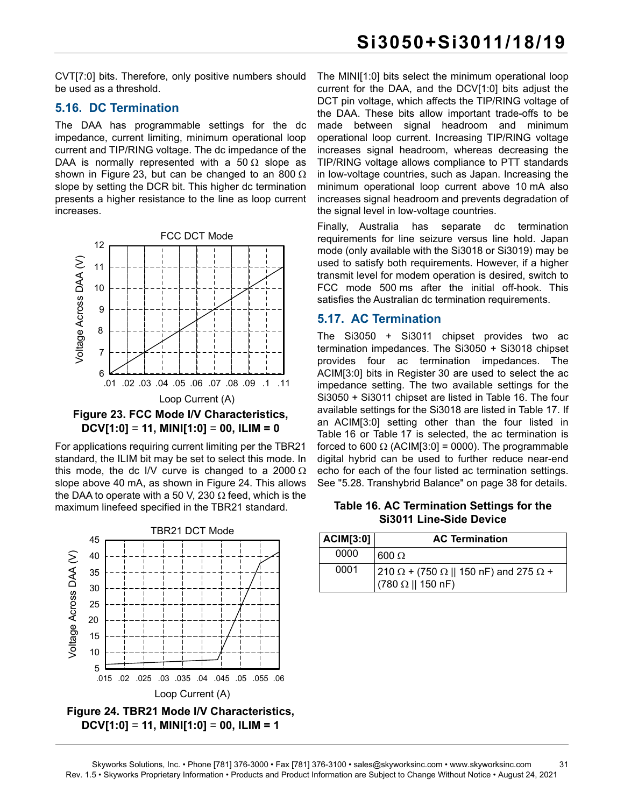CVT[7:0] bits. Therefore, only positive numbers should be used as a threshold.

#### <span id="page-30-0"></span>**5.16. DC Termination**

The DAA has programmable settings for the dc impedance, current limiting, minimum operational loop current and TIP/RING voltage. The dc impedance of the DAA is normally represented with a 50  $\Omega$  slope as shown in [Figure 23,](#page-30-2) but can be changed to an 800  $\Omega$ slope by setting the DCR bit. This higher dc termination presents a higher resistance to the line as loop current increases.



<span id="page-30-2"></span>For applications requiring current limiting per the TBR21 standard, the ILIM bit may be set to select this mode. In this mode, the dc I/V curve is changed to a 2000  $\Omega$ slope above 40 mA, as shown in [Figure 24](#page-30-3). This allows the DAA to operate with a 50 V, 230  $\Omega$  feed, which is the maximum linefeed specified in the TBR21 standard.

<span id="page-30-3"></span>

The MINI[1:0] bits select the minimum operational loop current for the DAA, and the DCV[1:0] bits adjust the DCT pin voltage, which affects the TIP/RING voltage of the DAA. These bits allow important trade-offs to be made between signal headroom and minimum operational loop current. Increasing TIP/RING voltage increases signal headroom, whereas decreasing the TIP/RING voltage allows compliance to PTT standards in low-voltage countries, such as Japan. Increasing the minimum operational loop current above 10 mA also increases signal headroom and prevents degradation of the signal level in low-voltage countries.

Finally, Australia has separate dc termination requirements for line seizure versus line hold. Japan mode (only available with the Si3018 or Si3019) may be used to satisfy both requirements. However, if a higher transmit level for modem operation is desired, switch to FCC mode 500 ms after the initial off-hook. This satisfies the Australian dc termination requirements.

#### <span id="page-30-1"></span>**5.17. AC Termination**

The Si3050 + Si3011 chipset provides two ac termination impedances. The Si3050 + Si3018 chipset provides four ac termination impedances. The ACIM[3:0] bits in Register 30 are used to select the ac impedance setting. The two available settings for the Si3050 + Si3011 chipset are listed in [Table 16.](#page-30-4) The four available settings for the Si3018 are listed in [Table 17.](#page-31-0) If an ACIM[3:0] setting other than the four listed in [Table 16](#page-30-4) or [Table 17](#page-31-0) is selected, the ac termination is forced to 600  $\Omega$  (ACIM[3:0] = 0000). The programmable digital hybrid can be used to further reduce near-end echo for each of the four listed ac termination settings. See ["5.28. Transhybrid Balance" on page 38](#page-37-1) for details.

<span id="page-30-4"></span>

| Table 16. AC Termination Settings for the |
|-------------------------------------------|
| <b>Si3011 Line-Side Device</b>            |

| <b>ACIM[3:0]</b> | <b>AC Termination</b>                                                                        |
|------------------|----------------------------------------------------------------------------------------------|
| 0000             | $600 \Omega$                                                                                 |
| 0001             | $ 210 \Omega + (750 \Omega)   150 \text{ nF}$ and 275 $\Omega$ +<br>$(780 \Omega    150 nF)$ |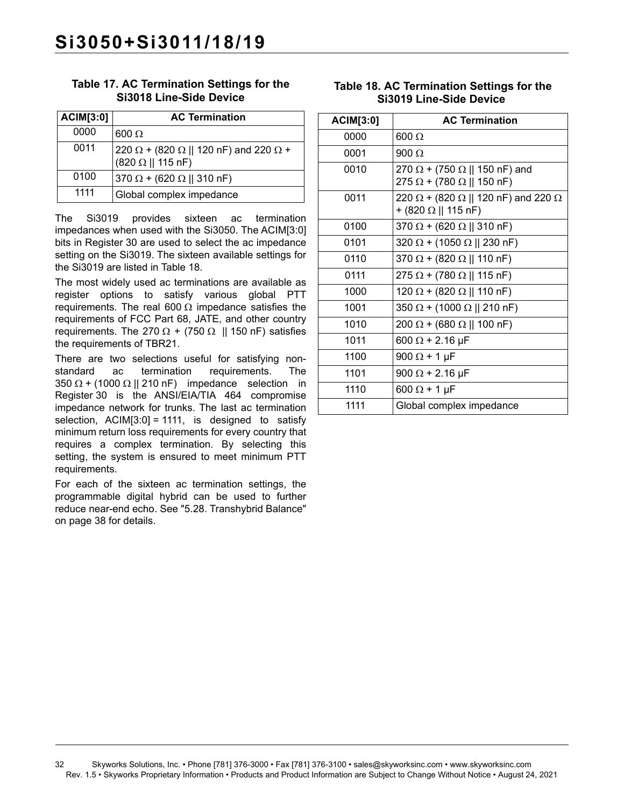#### <span id="page-31-0"></span>**Table 17. AC Termination Settings for the Si3018 Line-Side Device**

| <b>ACIM[3:0]</b> | <b>AC Termination</b>                                                                  |
|------------------|----------------------------------------------------------------------------------------|
| 0000             | $600 \Omega$                                                                           |
| 0011             | 220 $\Omega$ + (820 $\Omega$    120 nF) and 220 $\Omega$ +<br>$(820 \Omega    115 nF)$ |
| 0100             | $370 \Omega + (620 \Omega    310 \text{ nF})$                                          |
| 1111             | Global complex impedance                                                               |

The Si3019 provides sixteen ac termination impedances when used with the Si3050. The ACIM[3:0] bits in Register 30 are used to select the ac impedance setting on the Si3019. The sixteen available settings for the Si3019 are listed in [Table 18](#page-31-1).

The most widely used ac terminations are available as register options to satisfy various global PTT requirements. The real 600  $\Omega$  impedance satisfies the requirements of FCC Part 68, JATE, and other country requirements. The 270  $\Omega$  + (750  $\Omega$  || 150 nF) satisfies the requirements of TBR21.

There are two selections useful for satisfying nonstandard ac termination requirements. The  $350 \Omega + (1000 \Omega || 210 nF)$  impedance selection in Register 30 is the ANSI/EIA/TIA 464 compromise impedance network for trunks. The last ac termination selection,  $ACIM[3:0] = 1111$ , is designed to satisfy minimum return loss requirements for every country that requires a complex termination. By selecting this setting, the system is ensured to meet minimum PTT requirements.

For each of the sixteen ac termination settings, the programmable digital hybrid can be used to further reduce near-end echo. See ["5.28. Transhybrid Balance"](#page-37-1) [on page 38](#page-37-1) for details.

#### <span id="page-31-1"></span>**Table 18. AC Termination Settings for the Si3019 Line-Side Device**

| <b>ACIM[3:0]</b> | <b>AC Termination</b>                                                                        |
|------------------|----------------------------------------------------------------------------------------------|
| 0000             | $600 \Omega$                                                                                 |
| 0001             | 900 $\Omega$                                                                                 |
| 0010             | 270 $\Omega$ + (750 $\Omega$    150 nF) and<br>$275 \Omega + (780 \Omega    150 \text{ nF})$ |
| 0011             | 220 $\Omega$ + (820 $\Omega$    120 nF) and 220 $\Omega$<br>+ (820 Ω    115 nF)              |
| 0100             | $370 \Omega + (620 \Omega    310 \text{ nF})$                                                |
| 0101             | $320 \Omega + (1050 \Omega    230 \text{ nF})$                                               |
| 0110             | $370 \Omega + (820 \Omega    110 \text{ nF})$                                                |
| 0111             | $275 \Omega + (780 \Omega    115 \text{ nF})$                                                |
| 1000             | $120 \Omega + (820 \Omega    110 \text{ nF})$                                                |
| 1001             | $350 \Omega + (1000 \Omega    210 \text{ nF})$                                               |
| 1010             | $200 \Omega + (680 \Omega    100 \text{ nF})$                                                |
| 1011             | $600 \Omega + 2.16 \mu F$                                                                    |
| 1100             | $900 \Omega + 1 \mu F$                                                                       |
| 1101             | $900 \Omega + 2.16 \mu F$                                                                    |
| 1110             | $600 \Omega + 1 \mu F$                                                                       |
| 1111             | Global complex impedance                                                                     |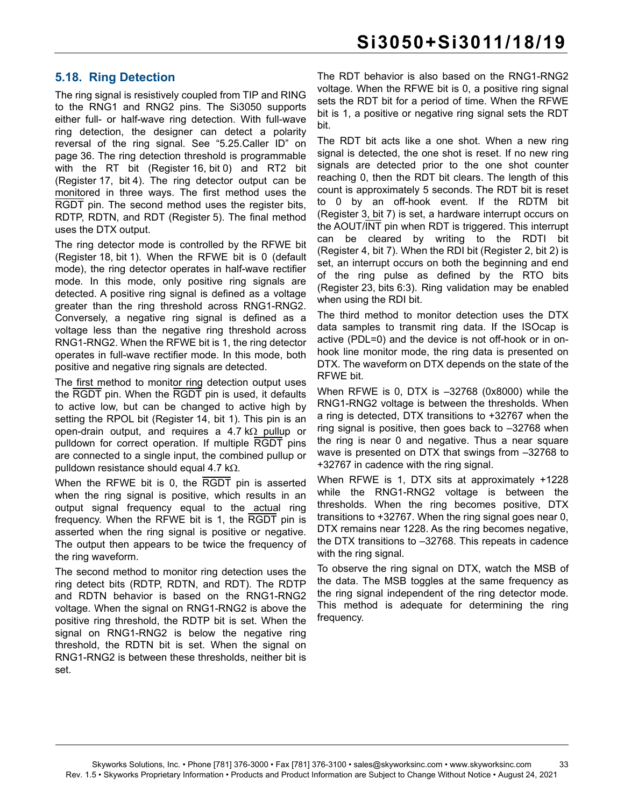#### <span id="page-32-0"></span>**5.18. Ring Detection**

The ring signal is resistively coupled from TIP and RING to the RNG1 and RNG2 pins. The Si3050 supports either full- or half-wave ring detection. With full-wave ring detection, the designer can detect a polarity reversal of the ring signal. [See "5.25.Caller ID" on](#page-35-1) [page 36.](#page-35-1) The ring detection threshold is programmable with the RT bit (Register 16, bit 0) and RT2 bit (Register 17, bit 4). The ring detector output can be monitored in three ways. The first method uses the RGDT pin. The second method uses the register bits, RDTP, RDTN, and RDT (Register 5). The final method uses the DTX output.

The ring detector mode is controlled by the RFWE bit (Register 18, bit 1). When the RFWE bit is 0 (default mode), the ring detector operates in half-wave rectifier mode. In this mode, only positive ring signals are detected. A positive ring signal is defined as a voltage greater than the ring threshold across RNG1-RNG2. Conversely, a negative ring signal is defined as a voltage less than the negative ring threshold across RNG1-RNG2. When the RFWE bit is 1, the ring detector operates in full-wave rectifier mode. In this mode, both positive and negative ring signals are detected.

The first method to monitor ring detection output uses the RGDT pin. When the RGDT pin is used, it defaults to active low, but can be changed to active high by setting the RPOL bit (Register 14, bit 1). This pin is an open-drain output, and requires a 4.7 k $\Omega$  pullup or pulldown for correct operation. If multiple RGDT pins are connected to a single input, the combined pullup or pulldown resistance should equal 4.7 k $\Omega$ .

When the RFWE bit is 0, the RGDT pin is asserted when the ring signal is positive, which results in an output signal frequency equal to the actual ring frequency. When the RFWE bit is 1, the RGDT pin is asserted when the ring signal is positive or negative. The output then appears to be twice the frequency of the ring waveform.

The second method to monitor ring detection uses the ring detect bits (RDTP, RDTN, and RDT). The RDTP and RDTN behavior is based on the RNG1-RNG2 voltage. When the signal on RNG1-RNG2 is above the positive ring threshold, the RDTP bit is set. When the signal on RNG1-RNG2 is below the negative ring threshold, the RDTN bit is set. When the signal on RNG1-RNG2 is between these thresholds, neither bit is set.

The RDT behavior is also based on the RNG1-RNG2 voltage. When the RFWE bit is 0, a positive ring signal sets the RDT bit for a period of time. When the RFWE bit is 1, a positive or negative ring signal sets the RDT bit.

The RDT bit acts like a one shot. When a new ring signal is detected, the one shot is reset. If no new ring signals are detected prior to the one shot counter reaching 0, then the RDT bit clears. The length of this count is approximately 5 seconds. The RDT bit is reset to 0 by an off-hook event. If the RDTM bit (Register 3, bit 7) is set, a hardware interrupt occurs on the AOUT/INT pin when RDT is triggered. This interrupt can be cleared by writing to the RDTI bit (Register 4, bit 7). When the RDI bit (Register 2, bit 2) is set, an interrupt occurs on both the beginning and end of the ring pulse as defined by the RTO bits (Register 23, bits 6:3). Ring validation may be enabled when using the RDI bit.

The third method to monitor detection uses the DTX data samples to transmit ring data. If the ISOcap is active (PDL=0) and the device is not off-hook or in onhook line monitor mode, the ring data is presented on DTX. The waveform on DTX depends on the state of the RFWE bit.

When RFWE is 0, DTX is –32768 (0x8000) while the RNG1-RNG2 voltage is between the thresholds. When a ring is detected, DTX transitions to +32767 when the ring signal is positive, then goes back to –32768 when the ring is near 0 and negative. Thus a near square wave is presented on DTX that swings from –32768 to +32767 in cadence with the ring signal.

When RFWE is 1, DTX sits at approximately +1228 while the RNG1-RNG2 voltage is between the thresholds. When the ring becomes positive, DTX transitions to +32767. When the ring signal goes near 0, DTX remains near 1228. As the ring becomes negative, the DTX transitions to –32768. This repeats in cadence with the ring signal.

To observe the ring signal on DTX, watch the MSB of the data. The MSB toggles at the same frequency as the ring signal independent of the ring detector mode. This method is adequate for determining the ring frequency.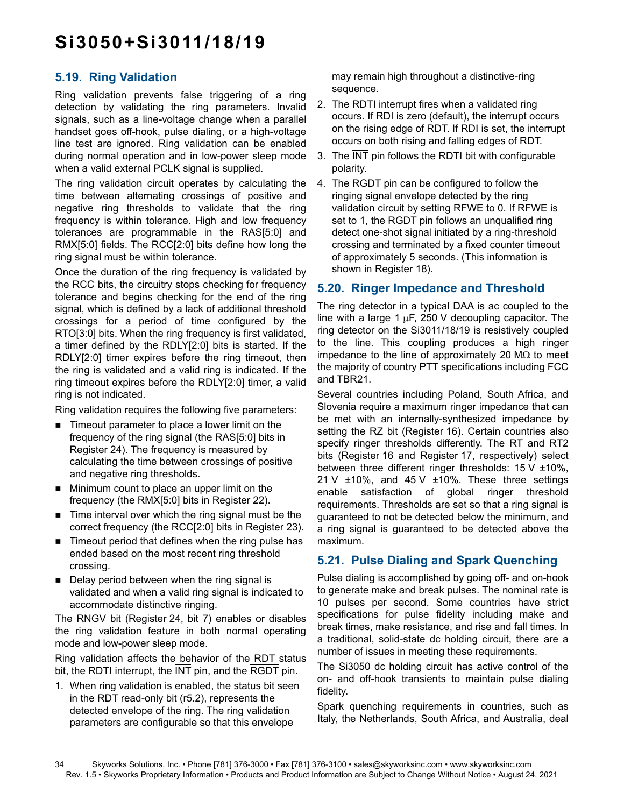#### <span id="page-33-0"></span>**5.19. Ring Validation**

Ring validation prevents false triggering of a ring detection by validating the ring parameters. Invalid signals, such as a line-voltage change when a parallel handset goes off-hook, pulse dialing, or a high-voltage line test are ignored. Ring validation can be enabled during normal operation and in low-power sleep mode when a valid external PCLK signal is supplied.

The ring validation circuit operates by calculating the time between alternating crossings of positive and negative ring thresholds to validate that the ring frequency is within tolerance. High and low frequency tolerances are programmable in the RAS[5:0] and RMX[5:0] fields. The RCC[2:0] bits define how long the ring signal must be within tolerance.

Once the duration of the ring frequency is validated by the RCC bits, the circuitry stops checking for frequency tolerance and begins checking for the end of the ring signal, which is defined by a lack of additional threshold crossings for a period of time configured by the RTO[3:0] bits. When the ring frequency is first validated, a timer defined by the RDLY[2:0] bits is started. If the RDLY[2:0] timer expires before the ring timeout, then the ring is validated and a valid ring is indicated. If the ring timeout expires before the RDLY[2:0] timer, a valid ring is not indicated.

Ring validation requires the following five parameters:

- Timeout parameter to place a lower limit on the frequency of the ring signal (the RAS[5:0] bits in Register 24). The frequency is measured by calculating the time between crossings of positive and negative ring thresholds.
- $\blacksquare$  Minimum count to place an upper limit on the frequency (the RMX[5:0] bits in Register 22).
- Time interval over which the ring signal must be the correct frequency (the RCC[2:0] bits in Register 23).
- Timeout period that defines when the ring pulse has ended based on the most recent ring threshold crossing.
- Delay period between when the ring signal is validated and when a valid ring signal is indicated to accommodate distinctive ringing.

The RNGV bit (Register 24, bit 7) enables or disables the ring validation feature in both normal operating mode and low-power sleep mode.

Ring validation affects the behavior of the RDT status bit, the RDTI interrupt, the INT pin, and the RGDT pin.

1. When ring validation is enabled, the status bit seen in the RDT read-only bit (r5.2), represents the detected envelope of the ring. The ring validation parameters are configurable so that this envelope

may remain high throughout a distinctive-ring sequence.

- 2. The RDTI interrupt fires when a validated ring occurs. If RDI is zero (default), the interrupt occurs on the rising edge of RDT. If RDI is set, the interrupt occurs on both rising and falling edges of RDT.
- 3. The INT pin follows the RDTI bit with configurable polarity.
- 4. The RGDT pin can be configured to follow the ringing signal envelope detected by the ring validation circuit by setting RFWE to 0. If RFWE is set to 1, the RGDT pin follows an unqualified ring detect one-shot signal initiated by a ring-threshold crossing and terminated by a fixed counter timeout of approximately 5 seconds. (This information is shown in [Register 18](#page-75-0)).

#### <span id="page-33-1"></span>**5.20. Ringer Impedance and Threshold**

The ring detector in a typical DAA is ac coupled to the line with a large 1  $\mu$ F, 250 V decoupling capacitor. The ring detector on the Si3011/18/19 is resistively coupled to the line. This coupling produces a high ringer impedance to the line of approximately 20  $\text{M}\Omega$  to meet the majority of country PTT specifications including FCC and TBR21.

Several countries including Poland, South Africa, and Slovenia require a maximum ringer impedance that can be met with an internally-synthesized impedance by setting the RZ bit (Register 16). Certain countries also specify ringer thresholds differently. The RT and RT2 bits (Register 16 and Register 17, respectively) select between three different ringer thresholds:  $15 \text{ V } \pm 10\%$ , 21 V ±10%, and 45 V ±10%. These three settings enable satisfaction of global ringer threshold requirements. Thresholds are set so that a ring signal is guaranteed to not be detected below the minimum, and a ring signal is guaranteed to be detected above the maximum.

#### <span id="page-33-2"></span>**5.21. Pulse Dialing and Spark Quenching**

Pulse dialing is accomplished by going off- and on-hook to generate make and break pulses. The nominal rate is 10 pulses per second. Some countries have strict specifications for pulse fidelity including make and break times, make resistance, and rise and fall times. In a traditional, solid-state dc holding circuit, there are a number of issues in meeting these requirements.

The Si3050 dc holding circuit has active control of the on- and off-hook transients to maintain pulse dialing fidelity.

Spark quenching requirements in countries, such as Italy, the Netherlands, South Africa, and Australia, deal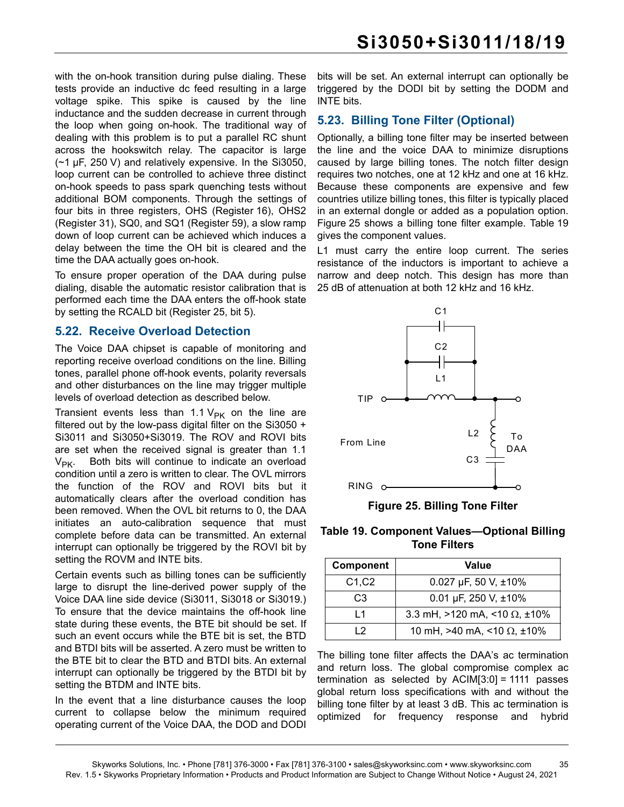with the on-hook transition during pulse dialing. These tests provide an inductive dc feed resulting in a large voltage spike. This spike is caused by the line inductance and the sudden decrease in current through the loop when going on-hook. The traditional way of dealing with this problem is to put a parallel RC shunt across the hookswitch relay. The capacitor is large (~1 µF, 250 V) and relatively expensive. In the Si3050, loop current can be controlled to achieve three distinct on-hook speeds to pass spark quenching tests without additional BOM components. Through the settings of four bits in three registers, OHS (Register 16), OHS2 (Register 31), SQ0, and SQ1 (Register 59), a slow ramp down of loop current can be achieved which induces a delay between the time the OH bit is cleared and the time the DAA actually goes on-hook.

To ensure proper operation of the DAA during pulse dialing, disable the automatic resistor calibration that is performed each time the DAA enters the off-hook state by setting the RCALD bit (Register 25, bit 5).

#### <span id="page-34-0"></span>**5.22. Receive Overload Detection**

The Voice DAA chipset is capable of monitoring and reporting receive overload conditions on the line. Billing tones, parallel phone off-hook events, polarity reversals and other disturbances on the line may trigger multiple levels of overload detection as described below.

Transient events less than 1.1  $V_{PK}$  on the line are filtered out by the low-pass digital filter on the Si3050 + Si3011 and Si3050+Si3019. The ROV and ROVI bits are set when the received signal is greater than 1.1  $V_{PK}$ . Both bits will continue to indicate an overload condition until a zero is written to clear. The OVL mirrors the function of the ROV and ROVI bits but it automatically clears after the overload condition has been removed. When the OVL bit returns to 0, the DAA initiates an auto-calibration sequence that must complete before data can be transmitted. An external interrupt can optionally be triggered by the ROVI bit by setting the ROVM and INTE bits.

Certain events such as billing tones can be sufficiently large to disrupt the line-derived power supply of the Voice DAA line side device (Si3011, Si3018 or Si3019.) To ensure that the device maintains the off-hook line state during these events, the BTE bit should be set. If such an event occurs while the BTE bit is set, the BTD and BTDI bits will be asserted. A zero must be written to the BTE bit to clear the BTD and BTDI bits. An external interrupt can optionally be triggered by the BTDI bit by setting the BTDM and INTE bits.

In the event that a line disturbance causes the loop current to collapse below the minimum required operating current of the Voice DAA, the DOD and DODI

bits will be set. An external interrupt can optionally be triggered by the DODI bit by setting the DODM and INTE bits.

#### <span id="page-34-1"></span>**5.23. Billing Tone Filter (Optional)**

Optionally, a billing tone filter may be inserted between the line and the voice DAA to minimize disruptions caused by large billing tones. The notch filter design requires two notches, one at 12 kHz and one at 16 kHz. Because these components are expensive and few countries utilize billing tones, this filter is typically placed in an external dongle or added as a population option. [Figure 25](#page-34-2) shows a billing tone filter example. [Table 19](#page-34-3) gives the component values.

L1 must carry the entire loop current. The series resistance of the inductors is important to achieve a narrow and deep notch. This design has more than 25 dB of attenuation at both 12 kHz and 16 kHz.



**Figure 25. Billing Tone Filter**

<span id="page-34-3"></span><span id="page-34-2"></span>**Table 19. Component Values—Optional Billing Tone Filters**

| Component        | Value                                |
|------------------|--------------------------------------|
| C1, C2           | $0.027 \mu F$ , 50 V, ±10%           |
| C3               | 0.01 µF, 250 V, $\pm 10\%$           |
| $\overline{1}$ 1 | 3.3 mH, >120 mA, <10 $\Omega$ , ±10% |
| $\overline{2}$   | 10 mH, >40 mA, <10 $\Omega$ , ±10%   |

The billing tone filter affects the DAA's ac termination and return loss. The global compromise complex ac termination as selected by ACIM[3:0] = 1111 passes global return loss specifications with and without the billing tone filter by at least 3 dB. This ac termination is optimized for frequency response and hybrid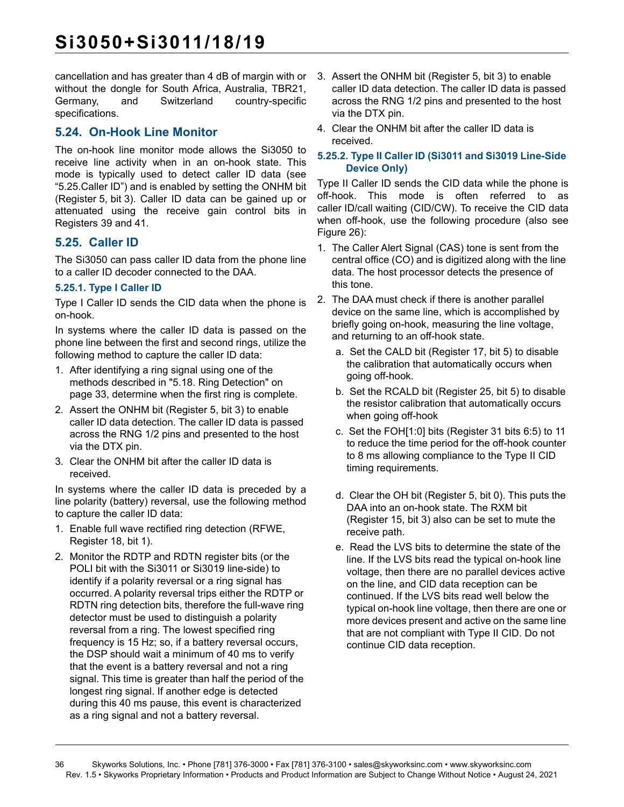cancellation and has greater than 4 dB of margin with or without the dongle for South Africa, Australia, TBR21, Germany, and Switzerland country-specific specifications.

#### <span id="page-35-0"></span>**5.24. On-Hook Line Monitor**

The on-hook line monitor mode allows the Si3050 to receive line activity when in an on-hook state. This mode is typically used to detect caller ID data (see ["5.25.Caller ID"\)](#page-35-1) and is enabled by setting the ONHM bit (Register 5, bit 3). Caller ID data can be gained up or attenuated using the receive gain control bits in Registers 39 and 41.

#### <span id="page-35-1"></span>**5.25. Caller ID**

The Si3050 can pass caller ID data from the phone line to a caller ID decoder connected to the DAA.

#### **5.25.1. Type I Caller ID**

Type I Caller ID sends the CID data when the phone is on-hook.

In systems where the caller ID data is passed on the phone line between the first and second rings, utilize the following method to capture the caller ID data:

- 1. After identifying a ring signal using one of the methods described in ["5.18. Ring Detection" on](#page-32-0)  [page 33,](#page-32-0) determine when the first ring is complete.
- 2. Assert the ONHM bit (Register 5, bit 3) to enable caller ID data detection. The caller ID data is passed across the RNG 1/2 pins and presented to the host via the DTX pin.
- 3. Clear the ONHM bit after the caller ID data is received.

In systems where the caller ID data is preceded by a line polarity (battery) reversal, use the following method to capture the caller ID data:

- 1. Enable full wave rectified ring detection (RFWE, Register 18, bit 1).
- 2. Monitor the RDTP and RDTN register bits (or the POLI bit with the Si3011 or Si3019 line-side) to identify if a polarity reversal or a ring signal has occurred. A polarity reversal trips either the RDTP or RDTN ring detection bits, therefore the full-wave ring detector must be used to distinguish a polarity reversal from a ring. The lowest specified ring frequency is 15 Hz; so, if a battery reversal occurs, the DSP should wait a minimum of 40 ms to verify that the event is a battery reversal and not a ring signal. This time is greater than half the period of the longest ring signal. If another edge is detected during this 40 ms pause, this event is characterized as a ring signal and not a battery reversal.
- 3. Assert the ONHM bit (Register 5, bit 3) to enable caller ID data detection. The caller ID data is passed across the RNG 1/2 pins and presented to the host via the DTX pin.
- 4. Clear the ONHM bit after the caller ID data is received.

#### **5.25.2. Type II Caller ID (Si3011 and Si3019 Line-Side Device Only)**

Type II Caller ID sends the CID data while the phone is off-hook. This mode is often referred to as caller ID/call waiting (CID/CW). To receive the CID data when off-hook, use the following procedure (also see [Figure 26\)](#page-36-1):

- 1. The Caller Alert Signal (CAS) tone is sent from the central office (CO) and is digitized along with the line data. The host processor detects the presence of this tone.
- 2. The DAA must check if there is another parallel device on the same line, which is accomplished by briefly going on-hook, measuring the line voltage, and returning to an off-hook state.
	- a. Set the CALD bit (Register 17, bit 5) to disable the calibration that automatically occurs when going off-hook.
	- b. Set the RCALD bit (Register 25, bit 5) to disable the resistor calibration that automatically occurs when going off-hook
	- c. Set the FOH[1:0] bits (Register 31 bits 6:5) to 11 to reduce the time period for the off-hook counter to 8 ms allowing compliance to the Type II CID timing requirements.
	- d. Clear the OH bit (Register 5, bit 0). This puts the DAA into an on-hook state. The RXM bit (Register 15, bit 3) also can be set to mute the receive path.
	- e. Read the LVS bits to determine the state of the line. If the LVS bits read the typical on-hook line voltage, then there are no parallel devices active on the line, and CID data reception can be continued. If the LVS bits read well below the typical on-hook line voltage, then there are one or more devices present and active on the same line that are not compliant with Type II CID. Do not continue CID data reception.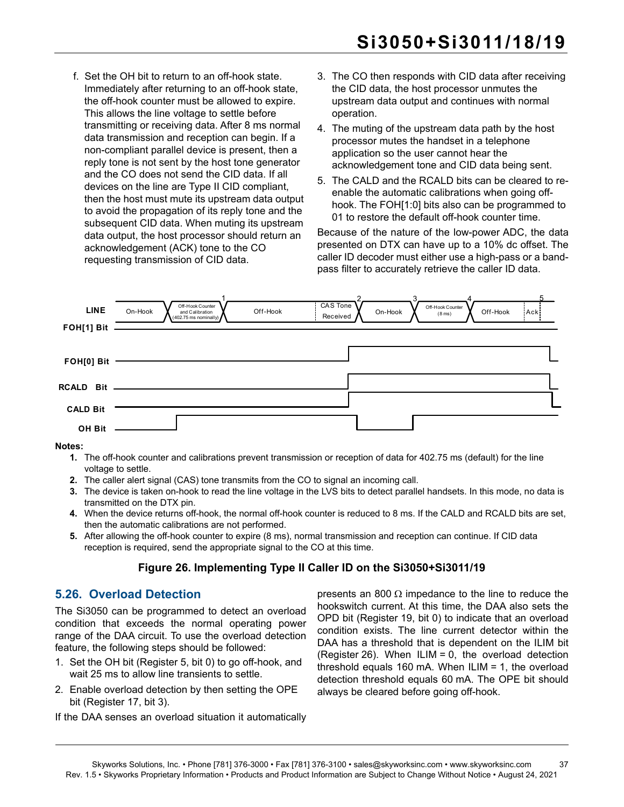- f. Set the OH bit to return to an off-hook state. Immediately after returning to an off-hook state, the off-hook counter must be allowed to expire. This allows the line voltage to settle before transmitting or receiving data. After 8 ms normal data transmission and reception can begin. If a non-compliant parallel device is present, then a reply tone is not sent by the host tone generator and the CO does not send the CID data. If all devices on the line are Type II CID compliant, then the host must mute its upstream data output to avoid the propagation of its reply tone and the subsequent CID data. When muting its upstream data output, the host processor should return an acknowledgement (ACK) tone to the CO requesting transmission of CID data.
- 3. The CO then responds with CID data after receiving the CID data, the host processor unmutes the upstream data output and continues with normal operation.
- 4. The muting of the upstream data path by the host processor mutes the handset in a telephone application so the user cannot hear the acknowledgement tone and CID data being sent.
- 5. The CALD and the RCALD bits can be cleared to reenable the automatic calibrations when going offhook. The FOH[1:0] bits also can be programmed to 01 to restore the default off-hook counter time.

Because of the nature of the low-power ADC, the data presented on DTX can have up to a 10% dc offset. The caller ID decoder must either use a high-pass or a bandpass filter to accurately retrieve the caller ID data.



**Notes:**

- **1.** The off-hook counter and calibrations prevent transmission or reception of data for 402.75 ms (default) for the line voltage to settle.
- **2.** The caller alert signal (CAS) tone transmits from the CO to signal an incoming call.
- **3.** The device is taken on-hook to read the line voltage in the LVS bits to detect parallel handsets. In this mode, no data is transmitted on the DTX pin.
- **4.** When the device returns off-hook, the normal off-hook counter is reduced to 8 ms. If the CALD and RCALD bits are set, then the automatic calibrations are not performed.
- **5.** After allowing the off-hook counter to expire (8 ms), normal transmission and reception can continue. If CID data reception is required, send the appropriate signal to the CO at this time.

## **Figure 26. Implementing Type II Caller ID on the Si3050+Si3011/19**

## **5.26. Overload Detection**

The Si3050 can be programmed to detect an overload condition that exceeds the normal operating power range of the DAA circuit. To use the overload detection feature, the following steps should be followed:

- 1. Set the OH bit (Register 5, bit 0) to go off-hook, and wait 25 ms to allow line transients to settle.
- 2. Enable overload detection by then setting the OPE bit (Register 17, bit 3).

If the DAA senses an overload situation it automatically

presents an 800  $\Omega$  impedance to the line to reduce the hookswitch current. At this time, the DAA also sets the OPD bit (Register 19, bit 0) to indicate that an overload condition exists. The line current detector within the DAA has a threshold that is dependent on the ILIM bit (Register 26). When  $ILIM = 0$ , the overload detection threshold equals 160 mA. When  $ILIM = 1$ , the overload detection threshold equals 60 mA. The OPE bit should always be cleared before going off-hook.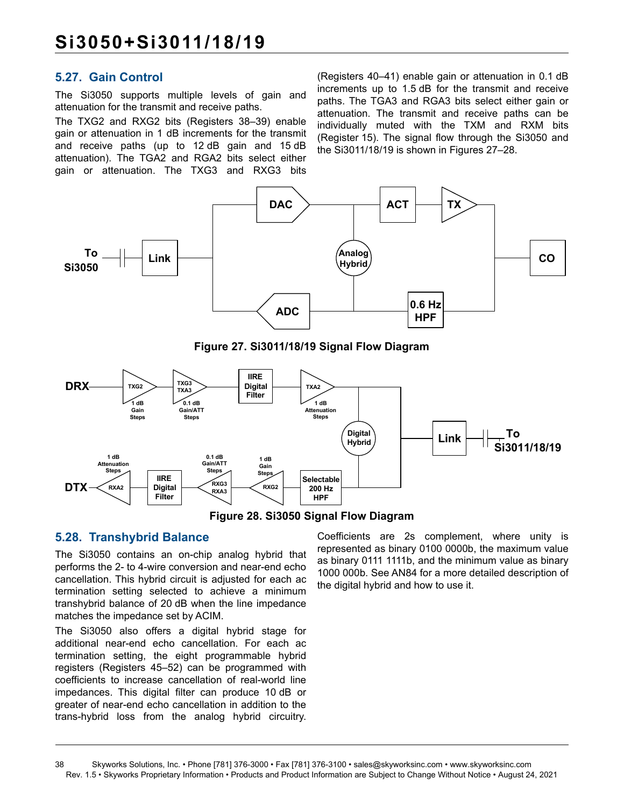## **5.27. Gain Control**

The Si3050 supports multiple levels of gain and attenuation for the transmit and receive paths.

The TXG2 and RXG2 bits (Registers 38–39) enable gain or attenuation in 1 dB increments for the transmit and receive paths (up to 12 dB gain and 15 dB attenuation). The TGA2 and RGA2 bits select either gain or attenuation. The TXG3 and RXG3 bits

(Registers 40–41) enable gain or attenuation in 0.1 dB increments up to 1.5 dB for the transmit and receive paths. The TGA3 and RGA3 bits select either gain or attenuation. The transmit and receive paths can be individually muted with the TXM and RXM bits (Register 15). The signal flow through the Si3050 and the Si3011/18/19 is shown in Figures [27](#page-37-0)–[28](#page-37-1).



<span id="page-37-0"></span>

#### <span id="page-37-1"></span>**5.28. Transhybrid Balance**

The Si3050 contains an on-chip analog hybrid that performs the 2- to 4-wire conversion and near-end echo cancellation. This hybrid circuit is adjusted for each ac termination setting selected to achieve a minimum transhybrid balance of 20 dB when the line impedance matches the impedance set by ACIM.

The Si3050 also offers a digital hybrid stage for additional near-end echo cancellation. For each ac termination setting, the eight programmable hybrid registers (Registers 45–52) can be programmed with coefficients to increase cancellation of real-world line impedances. This digital filter can produce 10 dB or greater of near-end echo cancellation in addition to the trans-hybrid loss from the analog hybrid circuitry.

Coefficients are 2s complement, where unity is represented as binary 0100 0000b, the maximum value as binary 0111 1111b, and the minimum value as binary 1000 000b. See AN84 for a more detailed description of the digital hybrid and how to use it.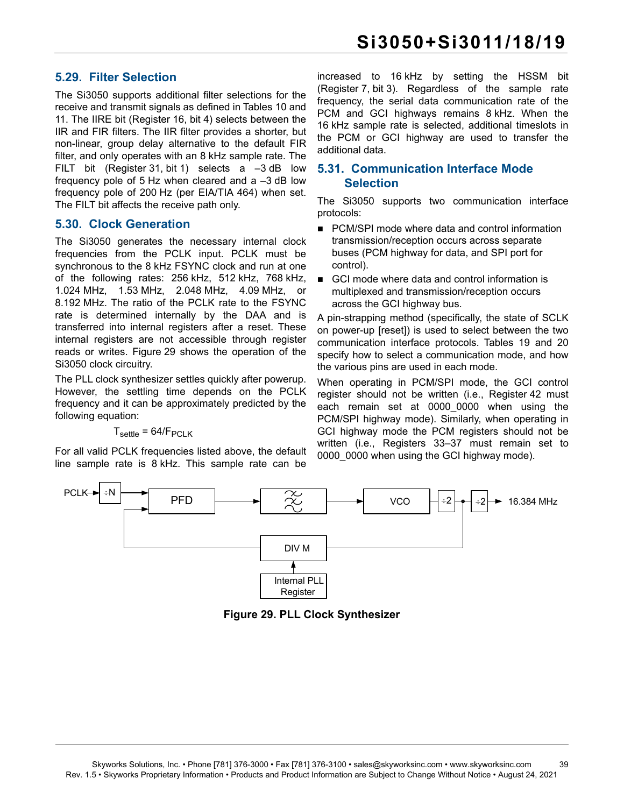## **5.29. Filter Selection**

The Si3050 supports additional filter selections for the receive and transmit signals as defined in Tables [10](#page-13-0) and [11](#page-13-1). The IIRE bit (Register 16, bit 4) selects between the IIR and FIR filters. The IIR filter provides a shorter, but non-linear, group delay alternative to the default FIR filter, and only operates with an 8 kHz sample rate. The FILT bit (Register 31, bit 1) selects a -3 dB low frequency pole of  $5$  Hz when cleared and a  $-3$  dB low frequency pole of 200 Hz (per EIA/TIA 464) when set. The FILT bit affects the receive path only.

### **5.30. Clock Generation**

The Si3050 generates the necessary internal clock frequencies from the PCLK input. PCLK must be synchronous to the 8 kHz FSYNC clock and run at one of the following rates: 256 kHz, 512 kHz, 768 kHz, 1.024 MHz, 1.53 MHz, 2.048 MHz, 4.09 MHz, or 8.192 MHz. The ratio of the PCLK rate to the FSYNC rate is determined internally by the DAA and is transferred into internal registers after a reset. These internal registers are not accessible through register reads or writes. [Figure 29](#page-38-0) shows the operation of the Si3050 clock circuitry.

The PLL clock synthesizer settles quickly after powerup. However, the settling time depends on the PCLK frequency and it can be approximately predicted by the following equation:

#### $T_{\text{settle}} = 64/F_{\text{PCI K}}$

For all valid PCLK frequencies listed above, the default line sample rate is 8 kHz. This sample rate can be

increased to 16 kHz by setting the HSSM bit (Register 7, bit 3). Regardless of the sample rate frequency, the serial data communication rate of the PCM and GCI highways remains 8 kHz. When the 16 kHz sample rate is selected, additional timeslots in the PCM or GCI highway are used to transfer the additional data.

### **5.31. Communication Interface Mode Selection**

The Si3050 supports two communication interface protocols:

- PCM/SPI mode where data and control information transmission/reception occurs across separate buses (PCM highway for data, and SPI port for control).
- GCI mode where data and control information is multiplexed and transmission/reception occurs across the GCI highway bus.

A pin-strapping method (specifically, the state of SCLK on power-up [reset]) is used to select between the two communication interface protocols. Tables [19](#page-34-0) and [20](#page-39-0) specify how to select a communication mode, and how the various pins are used in each mode.

When operating in PCM/SPI mode, the GCI control register should not be written (i.e., Register 42 must each remain set at 0000 0000 when using the PCM/SPI highway mode). Similarly, when operating in GCI highway mode the PCM registers should not be written (i.e., Registers 33–37 must remain set to 0000 0000 when using the GCI highway mode).

<span id="page-38-0"></span>

**Figure 29. PLL Clock Synthesizer**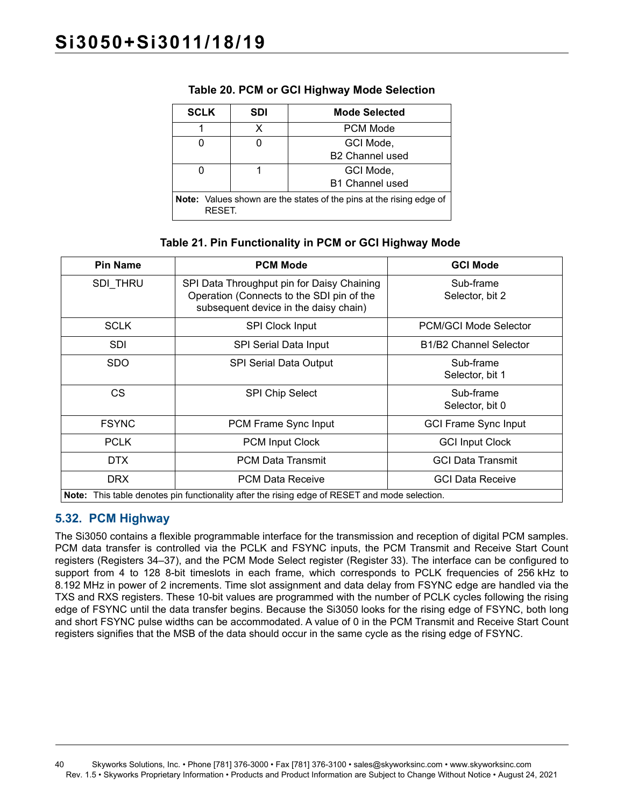<span id="page-39-0"></span>

| <b>SCLK</b>                                                                          | SDI | <b>Mode Selected</b>   |  |  |
|--------------------------------------------------------------------------------------|-----|------------------------|--|--|
|                                                                                      |     | <b>PCM Mode</b>        |  |  |
|                                                                                      |     | GCI Mode,              |  |  |
|                                                                                      |     | <b>B2 Channel used</b> |  |  |
|                                                                                      |     | GCI Mode,              |  |  |
|                                                                                      |     | <b>B1 Channel used</b> |  |  |
| <b>Note:</b> Values shown are the states of the pins at the rising edge of<br>RFSFT. |     |                        |  |  |

## **Table 20. PCM or GCI Highway Mode Selection**

### **Table 21. Pin Functionality in PCM or GCI Highway Mode**

<span id="page-39-1"></span>

| <b>Pin Name</b> | <b>PCM Mode</b>                                                                                                                  | <b>GCI Mode</b>               |
|-----------------|----------------------------------------------------------------------------------------------------------------------------------|-------------------------------|
| <b>SDI THRU</b> | SPI Data Throughput pin for Daisy Chaining<br>Operation (Connects to the SDI pin of the<br>subsequent device in the daisy chain) | Sub-frame<br>Selector, bit 2  |
| <b>SCLK</b>     | <b>SPI Clock Input</b>                                                                                                           | <b>PCM/GCI Mode Selector</b>  |
| SDI             | <b>SPI Serial Data Input</b>                                                                                                     | <b>B1/B2 Channel Selector</b> |
| <b>SDO</b>      | <b>SPI Serial Data Output</b>                                                                                                    | Sub-frame<br>Selector, bit 1  |
| <b>CS</b>       | <b>SPI Chip Select</b>                                                                                                           | Sub-frame<br>Selector, bit 0  |
| <b>FSYNC</b>    | PCM Frame Sync Input                                                                                                             | <b>GCI Frame Sync Input</b>   |
| <b>PCLK</b>     | <b>PCM Input Clock</b>                                                                                                           | <b>GCI Input Clock</b>        |
| DTX.            | <b>PCM Data Transmit</b>                                                                                                         | <b>GCI Data Transmit</b>      |
| DRX             | <b>PCM Data Receive</b>                                                                                                          | <b>GCI Data Receive</b>       |
|                 | Note: This table denotes pin functionality after the rising edge of RESET and mode selection.                                    |                               |

## **5.32. PCM Highway**

The Si3050 contains a flexible programmable interface for the transmission and reception of digital PCM samples. PCM data transfer is controlled via the PCLK and FSYNC inputs, the PCM Transmit and Receive Start Count registers (Registers 34–37), and the PCM Mode Select register (Register 33). The interface can be configured to support from 4 to 128 8-bit timeslots in each frame, which corresponds to PCLK frequencies of 256 kHz to 8.192 MHz in power of 2 increments. Time slot assignment and data delay from FSYNC edge are handled via the TXS and RXS registers. These 10-bit values are programmed with the number of PCLK cycles following the rising edge of FSYNC until the data transfer begins. Because the Si3050 looks for the rising edge of FSYNC, both long and short FSYNC pulse widths can be accommodated. A value of 0 in the PCM Transmit and Receive Start Count registers signifies that the MSB of the data should occur in the same cycle as the rising edge of FSYNC.

<sup>40</sup> Skyworks Solutions, Inc. • Phone [781] 376-3000 • Fax [781] 376-3100 • sales@skyworksinc.com • www.skyworksinc.com Rev. 1.5 • Skyworks Proprietary Information • Products and Product Information are Subject to Change Without Notice • August 24, 2021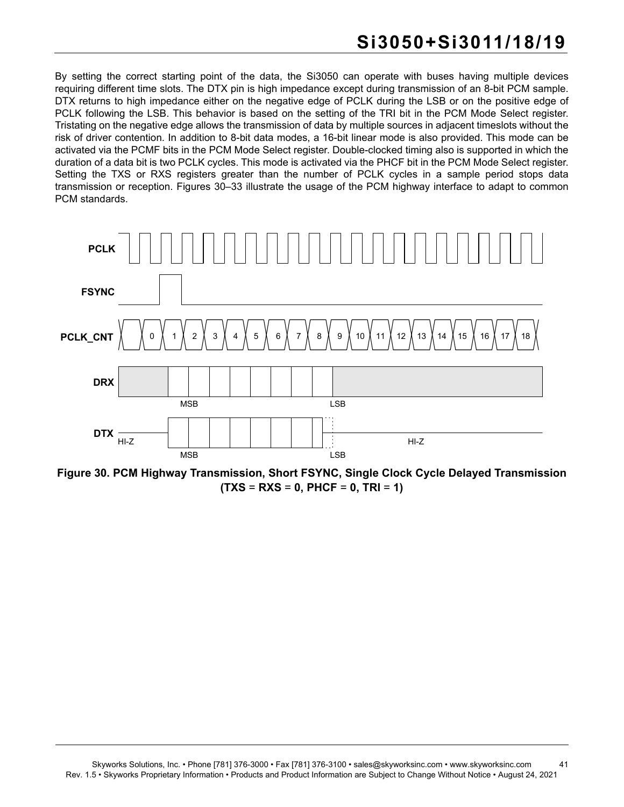By setting the correct starting point of the data, the Si3050 can operate with buses having multiple devices requiring different time slots. The DTX pin is high impedance except during transmission of an 8-bit PCM sample. DTX returns to high impedance either on the negative edge of PCLK during the LSB or on the positive edge of PCLK following the LSB. This behavior is based on the setting of the TRI bit in the PCM Mode Select register. Tristating on the negative edge allows the transmission of data by multiple sources in adjacent timeslots without the risk of driver contention. In addition to 8-bit data modes, a 16-bit linear mode is also provided. This mode can be activated via the PCMF bits in the PCM Mode Select register. Double-clocked timing also is supported in which the duration of a data bit is two PCLK cycles. This mode is activated via the PHCF bit in the PCM Mode Select register. Setting the TXS or RXS registers greater than the number of PCLK cycles in a sample period stops data transmission or reception. Figures [30](#page-40-0)–[33](#page-42-0) illustrate the usage of the PCM highway interface to adapt to common PCM standards.



<span id="page-40-0"></span>**Figure 30. PCM Highway Transmission, Short FSYNC, Single Clock Cycle Delayed Transmission (TXS** = **RXS** = **0, PHCF** = **0, TRI** = **1)**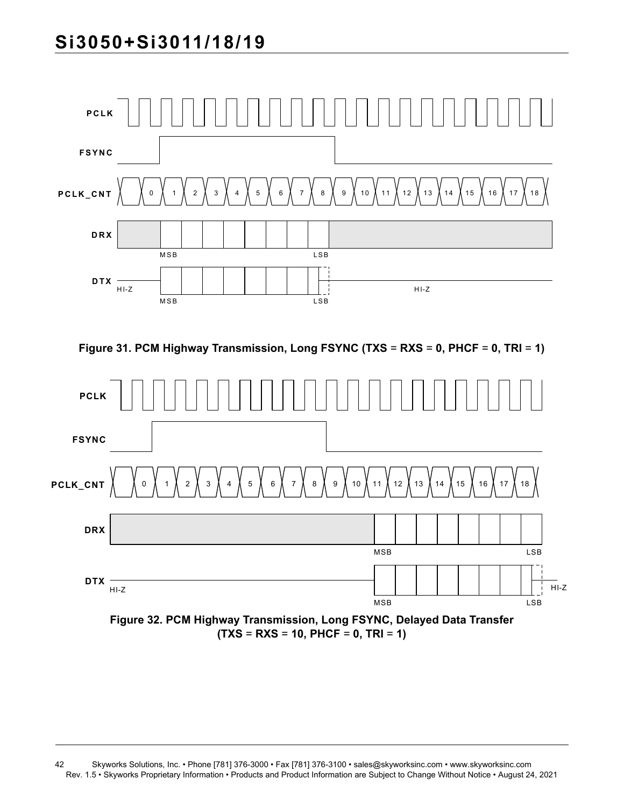

**Figure 31. PCM Highway Transmission, Long FSYNC (TXS** = **RXS** = **0, PHCF** = **0, TRI** = **1)**



<sup>42</sup> Skyworks Solutions, Inc. • Phone [781] 376-3000 • Fax [781] 376-3100 • sales@skyworksinc.com • www.skyworksinc.com Rev. 1.5 • Skyworks Proprietary Information • Products and Product Information are Subject to Change Without Notice • August 24, 2021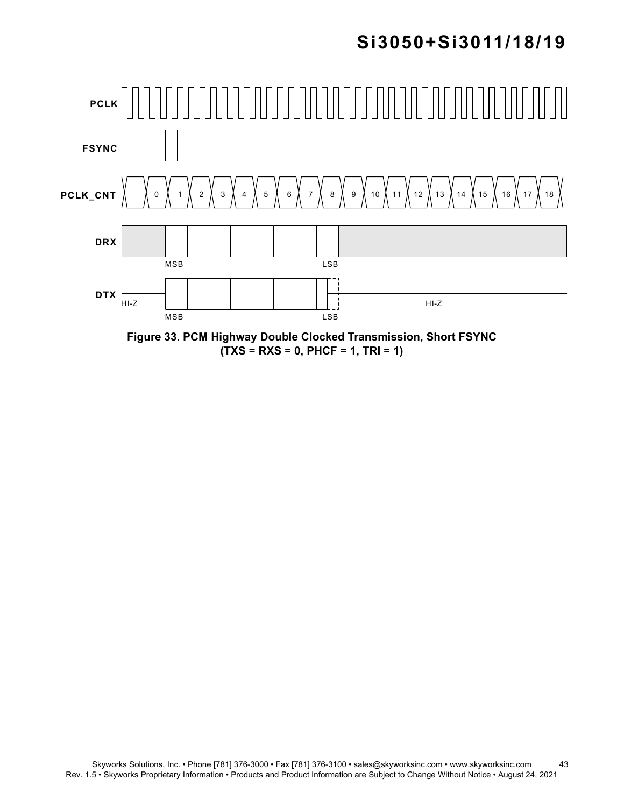<span id="page-42-0"></span>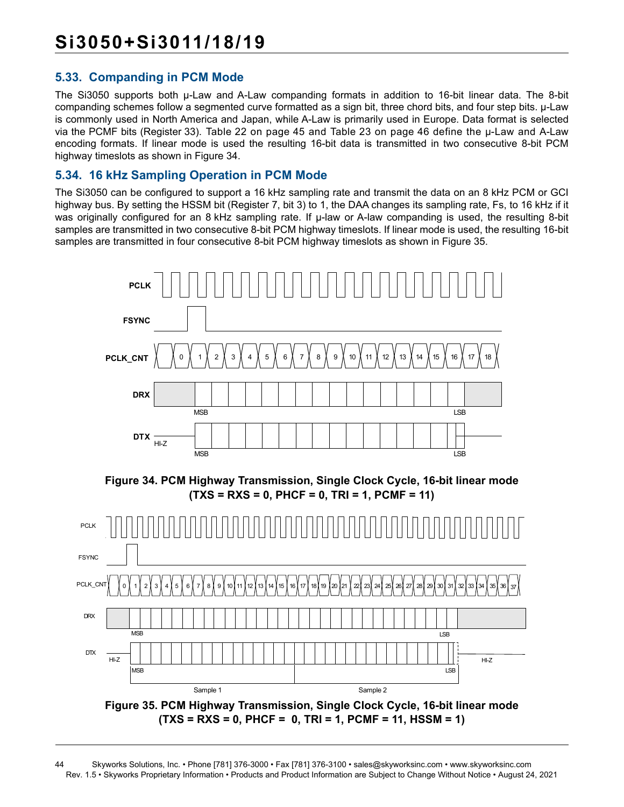## <span id="page-43-3"></span>**5.33. Companding in PCM Mode**

The Si3050 supports both µ-Law and A-Law companding formats in addition to 16-bit linear data. The 8-bit companding schemes follow a segmented curve formatted as a sign bit, three chord bits, and four step bits. µ-Law is commonly used in North America and Japan, while A-Law is primarily used in Europe. Data format is selected via the PCMF bits (Register 33). [Table 22 on page 45](#page-44-0) and [Table 23 on page 46](#page-45-0) define the µ-Law and A-Law encoding formats. If linear mode is used the resulting 16-bit data is transmitted in two consecutive 8-bit PCM highway timeslots as shown in [Figure 34](#page-43-0).

## <span id="page-43-2"></span>**5.34. 16 kHz Sampling Operation in PCM Mode**

The Si3050 can be configured to support a 16 kHz sampling rate and transmit the data on an 8 kHz PCM or GCI highway bus. By setting the HSSM bit (Register 7, bit 3) to 1, the DAA changes its sampling rate, Fs, to 16 kHz if it was originally configured for an 8 kHz sampling rate. If  $\mu$ -law or A-law companding is used, the resulting 8-bit samples are transmitted in two consecutive 8-bit PCM highway timeslots. If linear mode is used, the resulting 16-bit samples are transmitted in four consecutive 8-bit PCM highway timeslots as shown in [Figure 35](#page-43-1).

<span id="page-43-1"></span><span id="page-43-0"></span>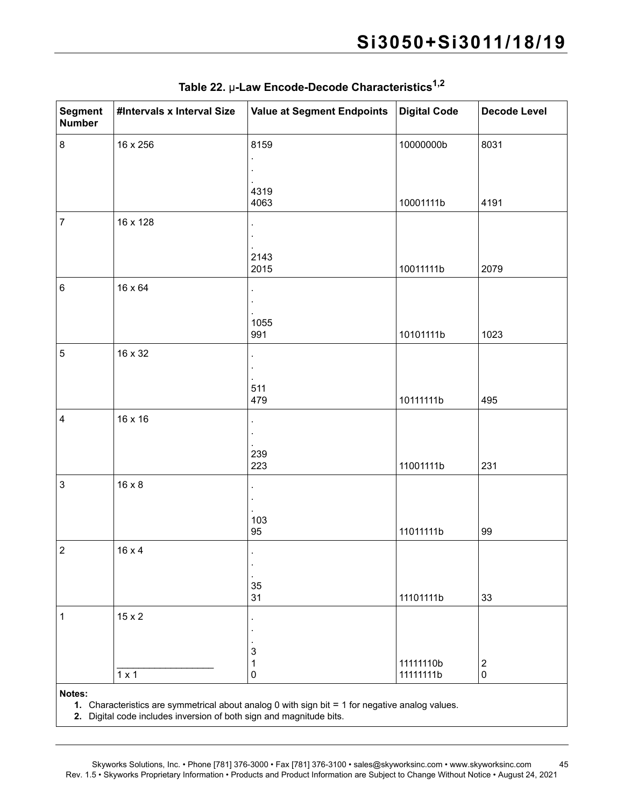<span id="page-44-0"></span>

| <b>Segment</b><br><b>Number</b> | #Intervals x Interval Size    | <b>Value at Segment Endpoints</b>          | <b>Digital Code</b>    | <b>Decode Level</b>           |
|---------------------------------|-------------------------------|--------------------------------------------|------------------------|-------------------------------|
| $\bf 8$                         | 16 x 256                      | 8159<br>4319<br>4063                       | 10000000b<br>10001111b | 8031<br>4191                  |
| $\overline{7}$                  | 16 x 128                      | 2143<br>2015                               | 10011111b              | 2079                          |
| $\,6\,$                         | 16 x 64                       | 1055<br>991                                | 10101111b              | 1023                          |
| $\mathbf 5$                     | 16 x 32                       | $\blacksquare$<br>511<br>479               | 10111111b              | 495                           |
| $\overline{\mathbf{4}}$         | 16 x 16                       | 239<br>223                                 | 11001111b              | 231                           |
| $\mathbf{3}$                    | $16 \times 8$                 | ä,<br>103<br>95                            | 11011111b              | 99                            |
| $\overline{2}$                  | $16 \times 4$                 | 35<br>31                                   | 11101111b              | 33                            |
| $\mathbf{1}$                    | $15 \times 2$<br>$1 \times 1$ | ï<br>$\blacksquare$<br>3<br>1<br>$\pmb{0}$ | 11111110b<br>11111111b | $\boldsymbol{2}$<br>$\pmb{0}$ |

|  |  |  |  | Table 22. µ-Law Encode-Decode Characteristics $^{\mathrm{1,2}}$ |  |
|--|--|--|--|-----------------------------------------------------------------|--|
|--|--|--|--|-----------------------------------------------------------------|--|

<span id="page-44-1"></span>**Notes:**

**1.** Characteristics are symmetrical about analog 0 with sign bit = 1 for negative analog values.

<span id="page-44-2"></span>**2.** Digital code includes inversion of both sign and magnitude bits.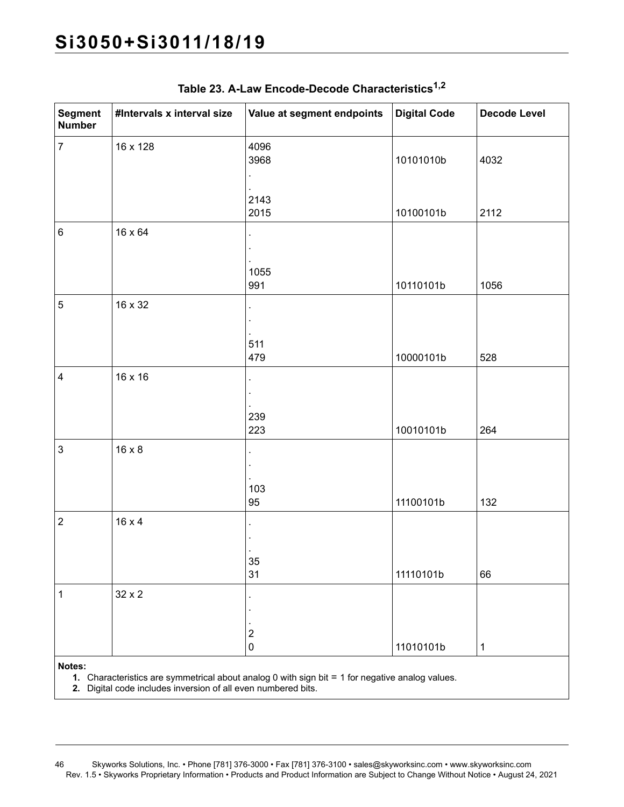# **Si3050+Si3011/18/19**

<span id="page-45-0"></span>

| $\overline{7}$          | 16 x 128      |                      |           |             |
|-------------------------|---------------|----------------------|-----------|-------------|
|                         |               | 4096                 |           |             |
|                         |               | 3968                 | 10101010b | 4032        |
|                         |               |                      |           |             |
|                         |               | 2143                 |           |             |
|                         |               | 2015                 | 10100101b | 2112        |
| 6                       | 16 x 64       |                      |           |             |
|                         |               | ×.                   |           |             |
|                         |               |                      |           |             |
|                         |               | 1055                 |           |             |
|                         |               | 991                  | 10110101b | 1056        |
| $\sqrt{5}$              | 16 x 32       | ä,                   |           |             |
|                         |               |                      |           |             |
|                         |               | 511                  |           |             |
|                         |               | 479                  | 10000101b | 528         |
| $\overline{\mathbf{4}}$ | 16 x 16       | ٠                    |           |             |
|                         |               | $\ddot{\phantom{0}}$ |           |             |
|                         |               |                      |           |             |
|                         |               | 239                  |           |             |
|                         |               | 223                  | 10010101b | 264         |
| $\mathbf{3}$            | $16 \times 8$ |                      |           |             |
|                         |               |                      |           |             |
|                         |               | 103                  |           |             |
|                         |               | 95                   | 11100101b | 132         |
| $\overline{2}$          | $16 \times 4$ |                      |           |             |
|                         |               |                      |           |             |
|                         |               |                      |           |             |
|                         |               | 35                   |           |             |
|                         |               | 31                   | 11110101b | 66          |
| $\mathbf{1}$            | $32 \times 2$ |                      |           |             |
|                         |               |                      |           |             |
|                         |               | $\sqrt{2}$           |           |             |
|                         |               | $\pmb{0}$            | 11010101b | $\mathbf 1$ |
| Notes:                  |               |                      |           |             |

| Table 23. A-Law Encode-Decode Characteristics <sup>1,2</sup> |
|--------------------------------------------------------------|
|--------------------------------------------------------------|

icteristics are symmetrical about analog 0 with sign bit = 1 for negative analog

**2.** Digital code includes inversion of all even numbered bits.

46 Skyworks Solutions, Inc. • Phone [781] 376-3000 • Fax [781] 376-3100 • sales@skyworksinc.com • www.skyworksinc.com Rev. 1.5 • Skyworks Proprietary Information • Products and Product Information are Subject to Change Without Notice • August 24, 2021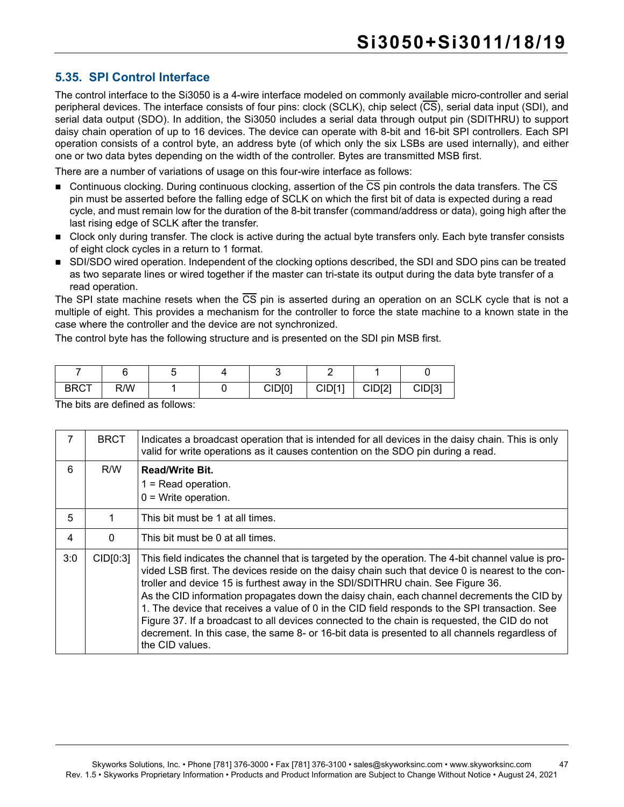## **5.35. SPI Control Interface**

The control interface to the Si3050 is a 4-wire interface modeled on commonly available micro-controller and serial peripheral devices. The interface consists of four pins: clock (SCLK), chip select (CS), serial data input (SDI), and serial data output (SDO). In addition, the Si3050 includes a serial data through output pin (SDITHRU) to support daisy chain operation of up to 16 devices. The device can operate with 8-bit and 16-bit SPI controllers. Each SPI operation consists of a control byte, an address byte (of which only the six LSBs are used internally), and either one or two data bytes depending on the width of the controller. Bytes are transmitted MSB first.

There are a number of variations of usage on this four-wire interface as follows:

- Continuous clocking. During continuous clocking, assertion of the  $\overline{CS}$  pin controls the data transfers. The  $\overline{CS}$ pin must be asserted before the falling edge of SCLK on which the first bit of data is expected during a read cycle, and must remain low for the duration of the 8-bit transfer (command/address or data), going high after the last rising edge of SCLK after the transfer.
- Clock only during transfer. The clock is active during the actual byte transfers only. Each byte transfer consists of eight clock cycles in a return to 1 format.
- SDI/SDO wired operation. Independent of the clocking options described, the SDI and SDO pins can be treated as two separate lines or wired together if the master can tri-state its output during the data byte transfer of a read operation.

The SPI state machine resets when the  $\overline{CS}$  pin is asserted during an operation on an SCLK cycle that is not a multiple of eight. This provides a mechanism for the controller to force the state machine to a known state in the case where the controller and the device are not synchronized.

The control byte has the following structure and is presented on the SDI pin MSB first.

| <b>RDCT</b><br>י שווש | R/W |  | CID[0] | CID[1] | CID[2] | CID[3] |
|-----------------------|-----|--|--------|--------|--------|--------|

The bits are defined as follows:

| 7   | <b>BRCT</b> | Indicates a broadcast operation that is intended for all devices in the daisy chain. This is only<br>valid for write operations as it causes contention on the SDO pin during a read.                                                                                                                                                                                                                                                                                                                                                                                                                                                                                                                           |
|-----|-------------|-----------------------------------------------------------------------------------------------------------------------------------------------------------------------------------------------------------------------------------------------------------------------------------------------------------------------------------------------------------------------------------------------------------------------------------------------------------------------------------------------------------------------------------------------------------------------------------------------------------------------------------------------------------------------------------------------------------------|
| 6   | R/W         | <b>Read/Write Bit.</b><br>$1 =$ Read operation.<br>$0 = Write operation$ .                                                                                                                                                                                                                                                                                                                                                                                                                                                                                                                                                                                                                                      |
| 5   | 1           | This bit must be 1 at all times.                                                                                                                                                                                                                                                                                                                                                                                                                                                                                                                                                                                                                                                                                |
| 4   | $\Omega$    | This bit must be 0 at all times.                                                                                                                                                                                                                                                                                                                                                                                                                                                                                                                                                                                                                                                                                |
| 3:0 | CIDI0:3]    | This field indicates the channel that is targeted by the operation. The 4-bit channel value is pro-<br>vided LSB first. The devices reside on the daisy chain such that device 0 is nearest to the con-<br>troller and device 15 is furthest away in the SDI/SDITHRU chain. See Figure 36.<br>As the CID information propagates down the daisy chain, each channel decrements the CID by<br>1. The device that receives a value of 0 in the CID field responds to the SPI transaction. See<br>Figure 37. If a broadcast to all devices connected to the chain is requested, the CID do not<br>decrement. In this case, the same 8- or 16-bit data is presented to all channels regardless of<br>the CID values. |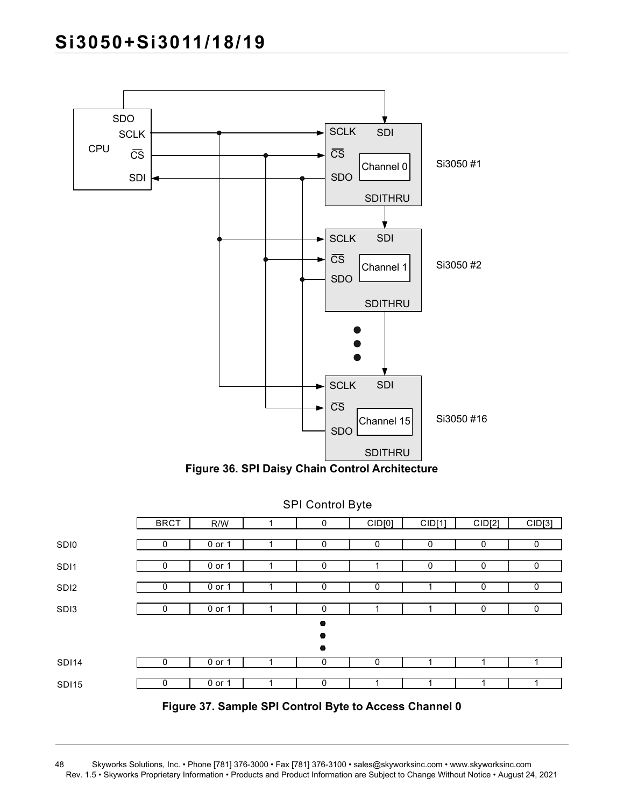



<span id="page-47-0"></span>

## SPI Control Byte

<span id="page-47-1"></span><sup>48</sup> Skyworks Solutions, Inc. • Phone [781] 376-3000 • Fax [781] 376-3100 • sales@skyworksinc.com • www.skyworksinc.com Rev. 1.5 • Skyworks Proprietary Information • Products and Product Information are Subject to Change Without Notice • August 24, 2021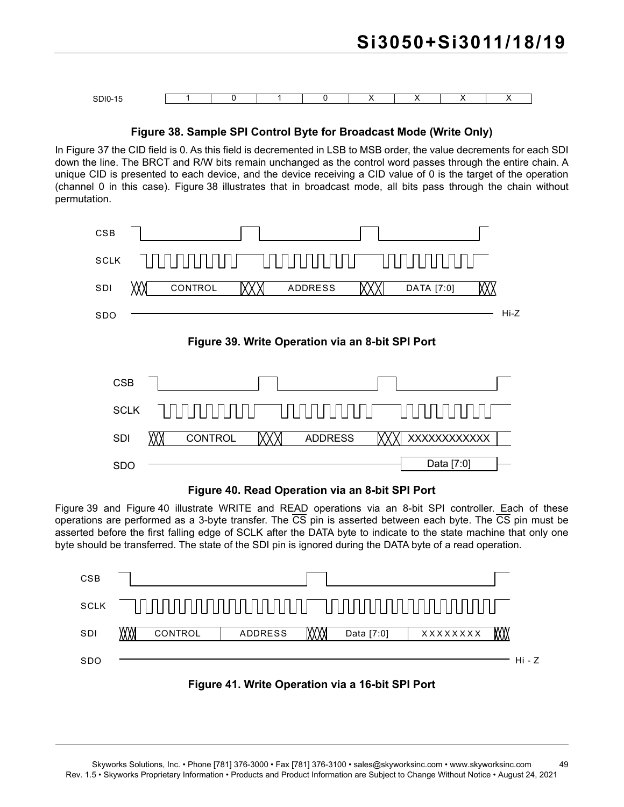| $\sim$ $\sim$ $\sim$<br>-11<br>. .<br>__ |  |  |  |  |
|------------------------------------------|--|--|--|--|

#### **Figure 38. Sample SPI Control Byte for Broadcast Mode (Write Only)**

<span id="page-48-0"></span>In [Figure 37](#page-47-1) the CID field is 0. As this field is decremented in LSB to MSB order, the value decrements for each SDI down the line. The BRCT and R/W bits remain unchanged as the control word passes through the entire chain. A unique CID is presented to each device, and the device receiving a CID value of 0 is the target of the operation (channel 0 in this case). [Figure 38](#page-48-0) illustrates that in broadcast mode, all bits pass through the chain without permutation.

<span id="page-48-1"></span>

#### **Figure 40. Read Operation via an 8-bit SPI Port**

<span id="page-48-2"></span>[Figure 39](#page-48-1) and [Figure 40](#page-48-2) illustrate WRITE and READ operations via an 8-bit SPI controller. Each of these operations are performed as a 3-byte transfer. The  $\overline{CS}$  pin is asserted between each byte. The  $\overline{CS}$  pin must be asserted before the first falling edge of SCLK after the DATA byte to indicate to the state machine that only one byte should be transferred. The state of the SDI pin is ignored during the DATA byte of a read operation.



## <span id="page-48-3"></span>Skyworks Solutions, Inc. • Phone [781] 376-3000 • Fax [781] 376-3100 • sales@skyworksinc.com • www.skyworksinc.com 49 Rev. 1.5 • Skyworks Proprietary Information • Products and Product Information are Subject to Change Without Notice • August 24, 2021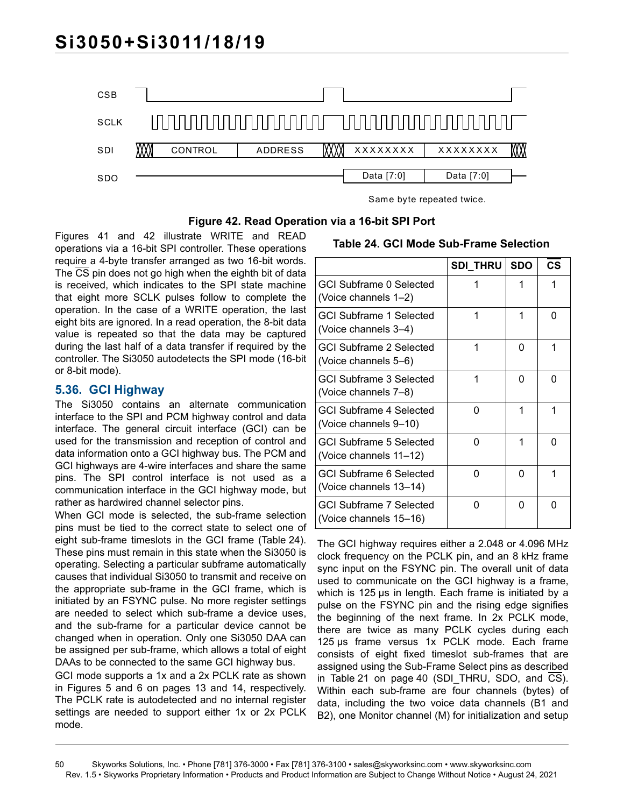

Same byte repeated twice.

#### **Figure 42. Read Operation via a 16-bit SPI Port**

<span id="page-49-1"></span>Figures [41](#page-48-3) and [42](#page-49-1) illustrate WRITE and READ operations via a 16-bit SPI controller. These operations require a 4-byte transfer arranged as two 16-bit words. The CS pin does not go high when the eighth bit of data is received, which indicates to the SPI state machine that eight more SCLK pulses follow to complete the operation. In the case of a WRITE operation, the last eight bits are ignored. In a read operation, the 8-bit data value is repeated so that the data may be captured during the last half of a data transfer if required by the controller. The Si3050 autodetects the SPI mode (16-bit or 8-bit mode).

#### **5.36. GCI Highway**

The Si3050 contains an alternate communication interface to the SPI and PCM highway control and data interface. The general circuit interface (GCI) can be used for the transmission and reception of control and data information onto a GCI highway bus. The PCM and GCI highways are 4-wire interfaces and share the same pins. The SPI control interface is not used as a communication interface in the GCI highway mode, but rather as hardwired channel selector pins.

When GCI mode is selected, the sub-frame selection pins must be tied to the correct state to select one of eight sub-frame timeslots in the GCI frame ([Table 24](#page-49-0)). These pins must remain in this state when the Si3050 is operating. Selecting a particular subframe automatically causes that individual Si3050 to transmit and receive on the appropriate sub-frame in the GCI frame, which is initiated by an FSYNC pulse. No more register settings are needed to select which sub-frame a device uses, and the sub-frame for a particular device cannot be changed when in operation. Only one Si3050 DAA can be assigned per sub-frame, which allows a total of eight DAAs to be connected to the same GCI highway bus.

GCI mode supports a 1x and a 2x PCLK rate as shown in Figures [5](#page-12-0) and [6](#page-13-2) on pages [13](#page-12-0) and [14,](#page-13-2) respectively. The PCLK rate is autodetected and no internal register settings are needed to support either 1x or 2x PCLK mode.

<span id="page-49-0"></span>**Table 24. GCI Mode Sub-Frame Selection**

|                                                          | <b>SDI THRU</b> | <b>SDO</b> | $\mathsf{cs}$ |
|----------------------------------------------------------|-----------------|------------|---------------|
| <b>GCI Subframe 0 Selected</b><br>(Voice channels 1-2)   |                 | 1          | 1             |
| <b>GCI Subframe 1 Selected</b><br>(Voice channels 3-4)   | 1               | 1          | 0             |
| <b>GCI Subframe 2 Selected</b><br>(Voice channels 5–6)   | 1               | 0          | 1             |
| <b>GCI Subframe 3 Selected</b><br>(Voice channels 7-8)   | 1               | 0          | 0             |
| <b>GCI Subframe 4 Selected</b><br>(Voice channels 9-10)  | 0               | 1          | 1             |
| <b>GCI Subframe 5 Selected</b><br>(Voice channels 11–12) | U               | 1          | 0             |
| <b>GCI Subframe 6 Selected</b><br>(Voice channels 13-14) | O               | 0          | 1             |
| <b>GCI Subframe 7 Selected</b><br>(Voice channels 15–16) | O               | 0          | O             |

The GCI highway requires either a 2.048 or 4.096 MHz clock frequency on the PCLK pin, and an 8 kHz frame sync input on the FSYNC pin. The overall unit of data used to communicate on the GCI highway is a frame, which is 125 µs in length. Each frame is initiated by a pulse on the FSYNC pin and the rising edge signifies the beginning of the next frame. In 2x PCLK mode, there are twice as many PCLK cycles during each 125 µs frame versus 1x PCLK mode. Each frame consists of eight fixed timeslot sub-frames that are assigned using the Sub-Frame Select pins as described in [Table 21 on page 40](#page-39-1) (SDI\_THRU, SDO, and CS). Within each sub-frame are four channels (bytes) of data, including the two voice data channels (B1 and B2), one Monitor channel (M) for initialization and setup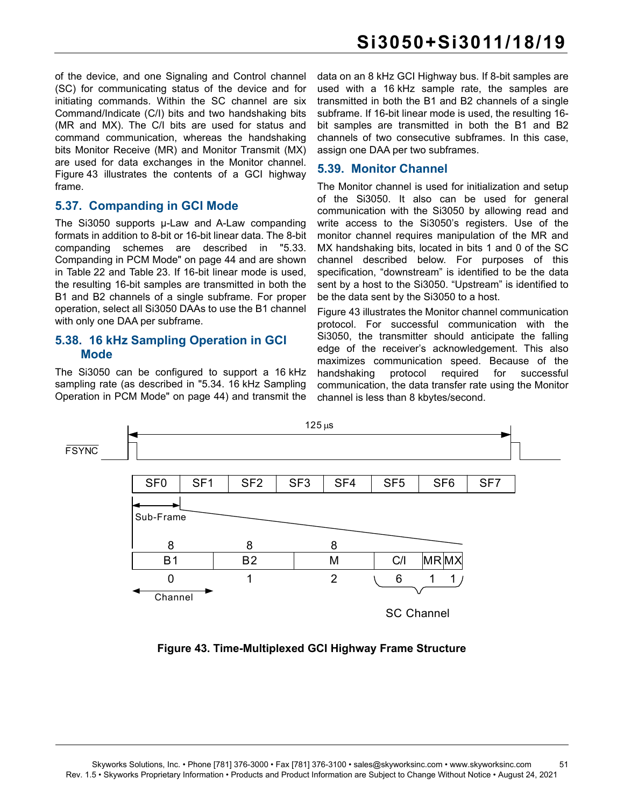of the device, and one Signaling and Control channel (SC) for communicating status of the device and for initiating commands. Within the SC channel are six Command/Indicate (C/I) bits and two handshaking bits (MR and MX). The C/I bits are used for status and command communication, whereas the handshaking bits Monitor Receive (MR) and Monitor Transmit (MX) are used for data exchanges in the Monitor channel. [Figure 43](#page-50-0) illustrates the contents of a GCI highway frame.

## **5.37. Companding in GCI Mode**

The Si3050 supports µ-Law and A-Law companding formats in addition to 8-bit or 16-bit linear data. The 8-bit companding schemes are described in ["5.33.](#page-43-3) [Companding in PCM Mode" on page 44](#page-43-3) and are shown in [Table 22](#page-44-0) and [Table 23.](#page-45-0) If 16-bit linear mode is used, the resulting 16-bit samples are transmitted in both the B1 and B2 channels of a single subframe. For proper operation, select all Si3050 DAAs to use the B1 channel with only one DAA per subframe.

## **5.38. 16 kHz Sampling Operation in GCI Mode**

The Si3050 can be configured to support a 16 kHz sampling rate (as described in ["5.34. 16 kHz Sampling](#page-43-2) [Operation in PCM Mode" on page 44](#page-43-2)) and transmit the data on an 8 kHz GCI Highway bus. If 8-bit samples are used with a 16 kHz sample rate, the samples are transmitted in both the B1 and B2 channels of a single subframe. If 16-bit linear mode is used, the resulting 16 bit samples are transmitted in both the B1 and B2 channels of two consecutive subframes. In this case, assign one DAA per two subframes.

### **5.39. Monitor Channel**

The Monitor channel is used for initialization and setup of the Si3050. It also can be used for general communication with the Si3050 by allowing read and write access to the Si3050's registers. Use of the monitor channel requires manipulation of the MR and MX handshaking bits, located in bits 1 and 0 of the SC channel described below. For purposes of this specification, "downstream" is identified to be the data sent by a host to the Si3050. "Upstream" is identified to be the data sent by the Si3050 to a host.

[Figure 43](#page-50-0) illustrates the Monitor channel communication protocol. For successful communication with the Si3050, the transmitter should anticipate the falling edge of the receiver's acknowledgement. This also maximizes communication speed. Because of the handshaking protocol required for successful communication, the data transfer rate using the Monitor channel is less than 8 kbytes/second.



<span id="page-50-0"></span>**Figure 43. Time-Multiplexed GCI Highway Frame Structure**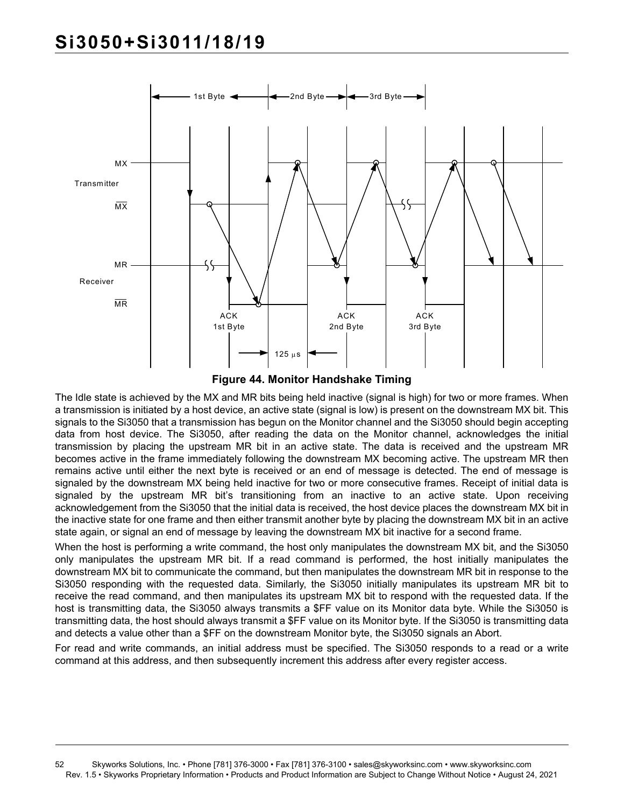



The Idle state is achieved by the MX and MR bits being held inactive (signal is high) for two or more frames. When a transmission is initiated by a host device, an active state (signal is low) is present on the downstream MX bit. This signals to the Si3050 that a transmission has begun on the Monitor channel and the Si3050 should begin accepting data from host device. The Si3050, after reading the data on the Monitor channel, acknowledges the initial transmission by placing the upstream MR bit in an active state. The data is received and the upstream MR becomes active in the frame immediately following the downstream MX becoming active. The upstream MR then remains active until either the next byte is received or an end of message is detected. The end of message is signaled by the downstream MX being held inactive for two or more consecutive frames. Receipt of initial data is signaled by the upstream MR bit's transitioning from an inactive to an active state. Upon receiving acknowledgement from the Si3050 that the initial data is received, the host device places the downstream MX bit in the inactive state for one frame and then either transmit another byte by placing the downstream MX bit in an active state again, or signal an end of message by leaving the downstream MX bit inactive for a second frame.

When the host is performing a write command, the host only manipulates the downstream MX bit, and the Si3050 only manipulates the upstream MR bit. If a read command is performed, the host initially manipulates the downstream MX bit to communicate the command, but then manipulates the downstream MR bit in response to the Si3050 responding with the requested data. Similarly, the Si3050 initially manipulates its upstream MR bit to receive the read command, and then manipulates its upstream MX bit to respond with the requested data. If the host is transmitting data, the Si3050 always transmits a \$FF value on its Monitor data byte. While the Si3050 is transmitting data, the host should always transmit a \$FF value on its Monitor byte. If the Si3050 is transmitting data and detects a value other than a \$FF on the downstream Monitor byte, the Si3050 signals an Abort.

For read and write commands, an initial address must be specified. The Si3050 responds to a read or a write command at this address, and then subsequently increment this address after every register access.

<sup>52</sup> Skyworks Solutions, Inc. • Phone [781] 376-3000 • Fax [781] 376-3100 • sales@skyworksinc.com • www.skyworksinc.com Rev. 1.5 • Skyworks Proprietary Information • Products and Product Information are Subject to Change Without Notice • August 24, 2021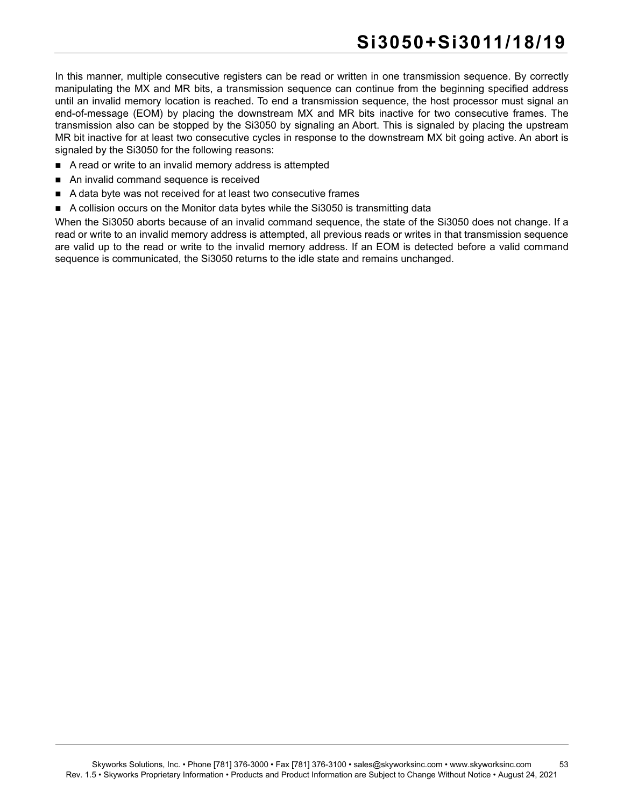In this manner, multiple consecutive registers can be read or written in one transmission sequence. By correctly manipulating the MX and MR bits, a transmission sequence can continue from the beginning specified address until an invalid memory location is reached. To end a transmission sequence, the host processor must signal an end-of-message (EOM) by placing the downstream MX and MR bits inactive for two consecutive frames. The transmission also can be stopped by the Si3050 by signaling an Abort. This is signaled by placing the upstream MR bit inactive for at least two consecutive cycles in response to the downstream MX bit going active. An abort is signaled by the Si3050 for the following reasons:

- A read or write to an invalid memory address is attempted
- An invalid command sequence is received
- A data byte was not received for at least two consecutive frames
- A collision occurs on the Monitor data bytes while the Si3050 is transmitting data

When the Si3050 aborts because of an invalid command sequence, the state of the Si3050 does not change. If a read or write to an invalid memory address is attempted, all previous reads or writes in that transmission sequence are valid up to the read or write to the invalid memory address. If an EOM is detected before a valid command sequence is communicated, the Si3050 returns to the idle state and remains unchanged.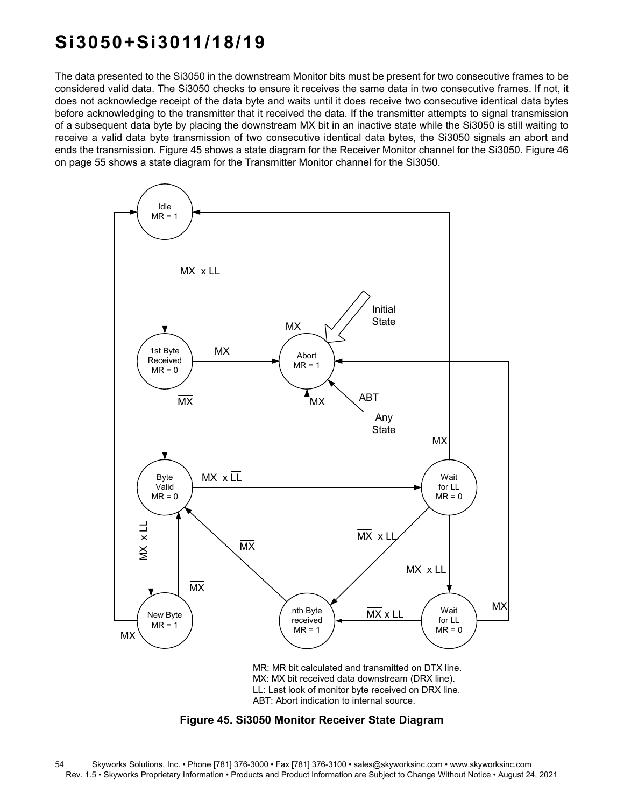The data presented to the Si3050 in the downstream Monitor bits must be present for two consecutive frames to be considered valid data. The Si3050 checks to ensure it receives the same data in two consecutive frames. If not, it does not acknowledge receipt of the data byte and waits until it does receive two consecutive identical data bytes before acknowledging to the transmitter that it received the data. If the transmitter attempts to signal transmission of a subsequent data byte by placing the downstream MX bit in an inactive state while the Si3050 is still waiting to receive a valid data byte transmission of two consecutive identical data bytes, the Si3050 signals an abort and ends the transmission. [Figure 45](#page-53-0) shows a state diagram for the Receiver Monitor channel for the Si3050. [Figure 46](#page-54-0) [on page 55](#page-54-0) shows a state diagram for the Transmitter Monitor channel for the Si3050.



<span id="page-53-0"></span>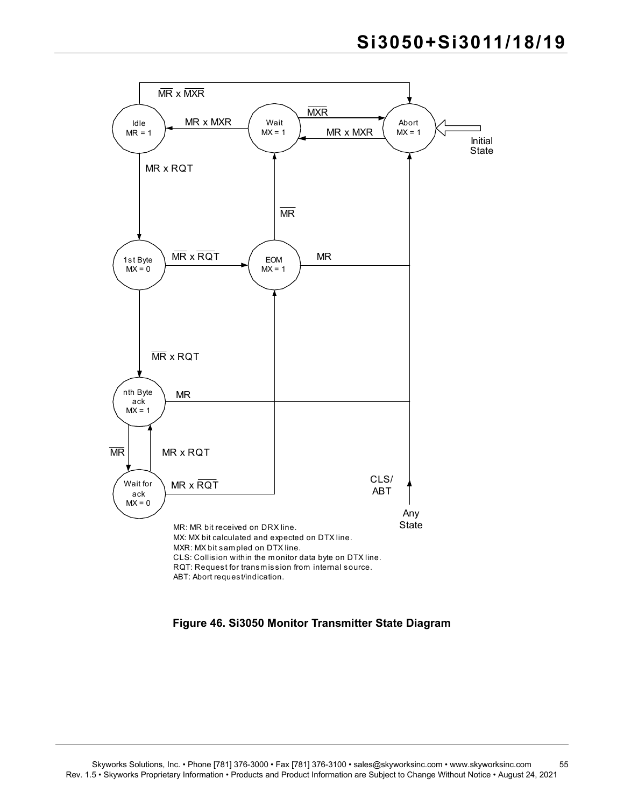

<span id="page-54-0"></span>**Figure 46. Si3050 Monitor Transmitter State Diagram**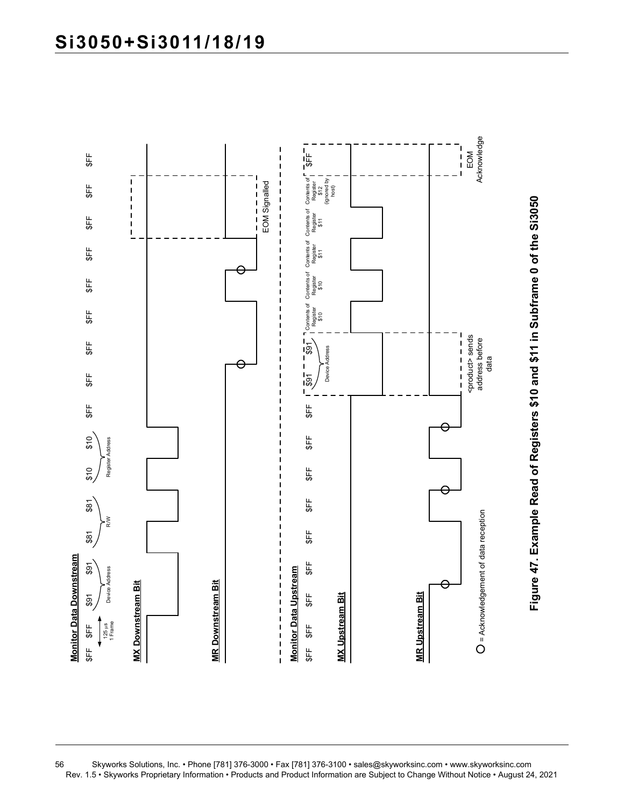



56 Skyworks Solutions, Inc. • Phone [781] 376-3000 • Fax [781] 376-3100 • sales@skyworksinc.com • www.skyworksinc.com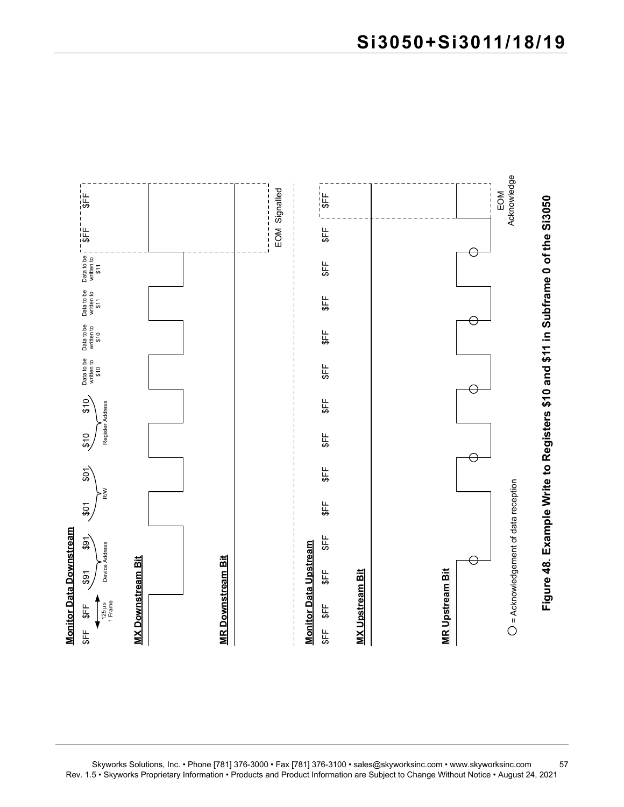

Skyworks Solutions, Inc. • Phone [781] 376-3000 • Fax [781] 376-3100 • sales@skyworksinc.com • www.skyworksinc.com 57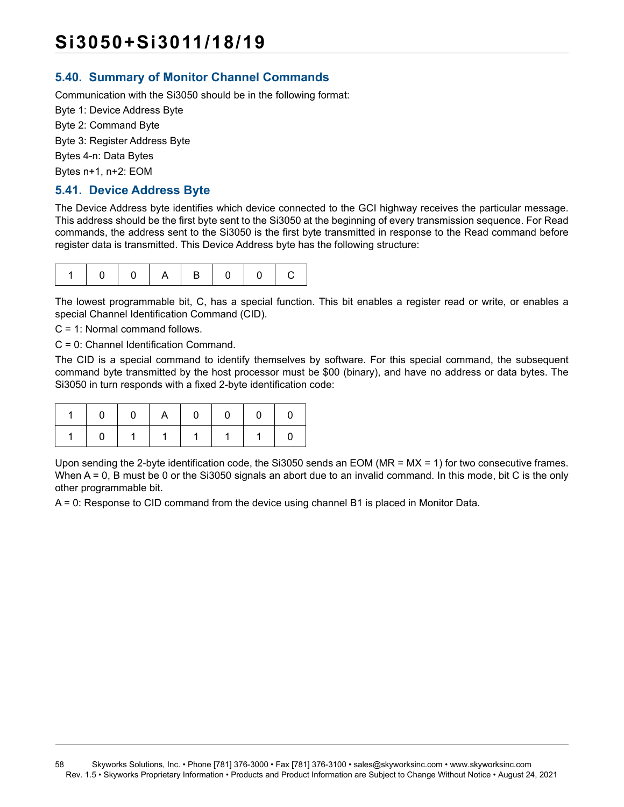## **5.40. Summary of Monitor Channel Commands**

Communication with the Si3050 should be in the following format:

Byte 1: Device Address Byte Byte 2: Command Byte Byte 3: Register Address Byte Bytes 4-n: Data Bytes Bytes n+1, n+2: EOM

## **5.41. Device Address Byte**

The Device Address byte identifies which device connected to the GCI highway receives the particular message. This address should be the first byte sent to the Si3050 at the beginning of every transmission sequence. For Read commands, the address sent to the Si3050 is the first byte transmitted in response to the Read command before register data is transmitted. This Device Address byte has the following structure:

|  |  |  |  |  |  |  | $\mathbf{r}$ |
|--|--|--|--|--|--|--|--------------|
|--|--|--|--|--|--|--|--------------|

The lowest programmable bit, C, has a special function. This bit enables a register read or write, or enables a special Channel Identification Command (CID).

C = 1: Normal command follows.

C = 0: Channel Identification Command.

The CID is a special command to identify themselves by software. For this special command, the subsequent command byte transmitted by the host processor must be \$00 (binary), and have no address or data bytes. The Si3050 in turn responds with a fixed 2-byte identification code:

|  | $\blacksquare$ | $\blacksquare$ | $\sim$ 1 | $\overline{1}$ |  |
|--|----------------|----------------|----------|----------------|--|

Upon sending the 2-byte identification code, the Si3050 sends an EOM (MR = MX = 1) for two consecutive frames. When A = 0, B must be 0 or the Si3050 signals an abort due to an invalid command. In this mode, bit C is the only other programmable bit.

A = 0: Response to CID command from the device using channel B1 is placed in Monitor Data.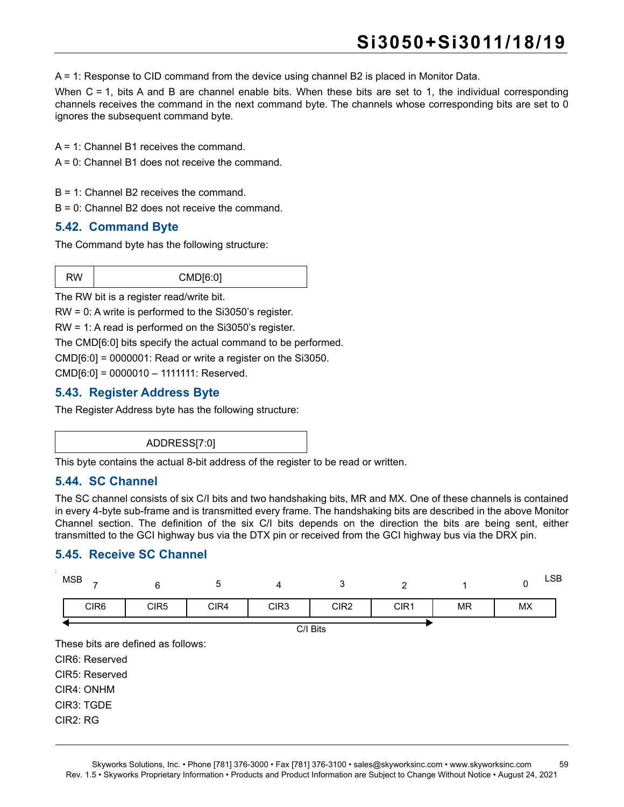A = 1: Response to CID command from the device using channel B2 is placed in Monitor Data.

When C = 1, bits A and B are channel enable bits. When these bits are set to 1, the individual corresponding channels receives the command in the next command byte. The channels whose corresponding bits are set to 0 ignores the subsequent command byte.

- A = 1: Channel B1 receives the command.
- $A = 0$ : Channel B1 does not receive the command.

B = 1: Channel B2 receives the command.

B = 0: Channel B2 does not receive the command.

## **5.42. Command Byte**

The Command byte has the following structure:

| CMD[6:0] |
|----------|
|----------|

The RW bit is a register read/write bit.

RW = 0: A write is performed to the Si3050's register.

RW = 1: A read is performed on the Si3050's register.

The CMD[6:0] bits specify the actual command to be performed.

CMD[6:0] = 0000001: Read or write a register on the Si3050.

CMD[6:0] = 0000010 – 1111111: Reserved.

## **5.43. Register Address Byte**

The Register Address byte has the following structure:

#### ADDRESS[7:0]

This byte contains the actual 8-bit address of the register to be read or written.

## **5.44. SC Channel**

The SC channel consists of six C/I bits and two handshaking bits, MR and MX. One of these channels is contained in every 4-byte sub-frame and is transmitted every frame. The handshaking bits are described in the above Monitor Channel section. The definition of the six C/I bits depends on the direction the bits are being sent, either transmitted to the GCI highway bus via the DTX pin or received from the GCI highway bus via the DRX pin.

## **5.45. Receive SC Channel**

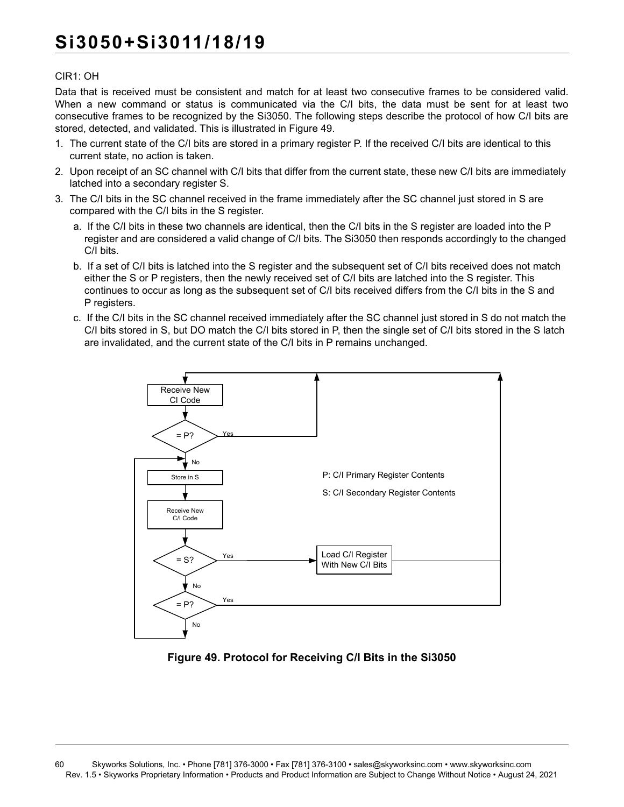### CIR1: OH

Data that is received must be consistent and match for at least two consecutive frames to be considered valid. When a new command or status is communicated via the C/I bits, the data must be sent for at least two consecutive frames to be recognized by the Si3050. The following steps describe the protocol of how C/I bits are stored, detected, and validated. This is illustrated in [Figure 49.](#page-59-0)

- 1. The current state of the C/I bits are stored in a primary register P. If the received C/I bits are identical to this current state, no action is taken.
- 2. Upon receipt of an SC channel with C/I bits that differ from the current state, these new C/I bits are immediately latched into a secondary register S.
- 3. The C/I bits in the SC channel received in the frame immediately after the SC channel just stored in S are compared with the C/I bits in the S register.
	- a. If the C/I bits in these two channels are identical, then the C/I bits in the S register are loaded into the P register and are considered a valid change of C/I bits. The Si3050 then responds accordingly to the changed C/I bits.
	- b. If a set of C/I bits is latched into the S register and the subsequent set of C/I bits received does not match either the S or P registers, then the newly received set of C/I bits are latched into the S register. This continues to occur as long as the subsequent set of C/I bits received differs from the C/I bits in the S and P registers.
	- c. If the C/I bits in the SC channel received immediately after the SC channel just stored in S do not match the C/I bits stored in S, but DO match the C/I bits stored in P, then the single set of C/I bits stored in the S latch are invalidated, and the current state of the C/I bits in P remains unchanged.



<span id="page-59-0"></span>**Figure 49. Protocol for Receiving C/I Bits in the Si3050**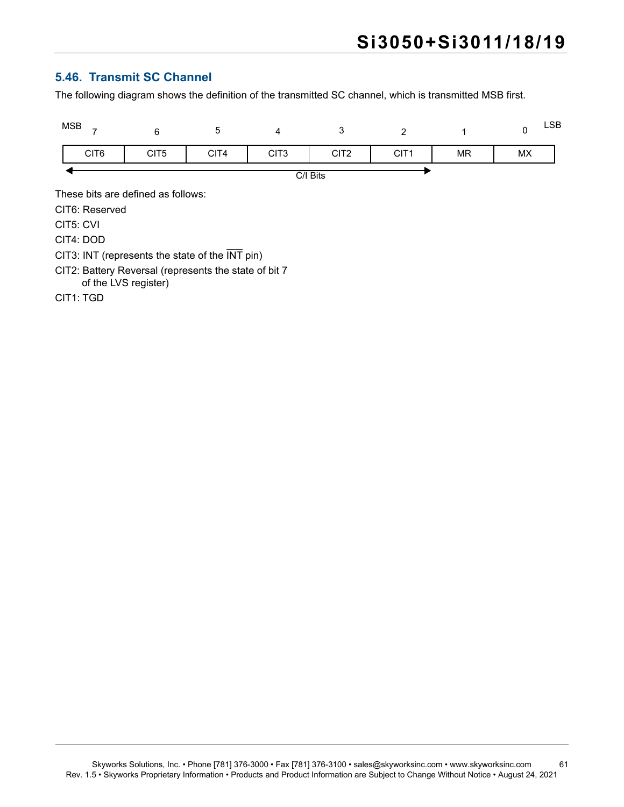## **5.46. Transmit SC Channel**

The following diagram shows the definition of the transmitted SC channel, which is transmitted MSB first.



These bits are defined as follows:

CIT6: Reserved

CIT5: CVI

CIT4: DOD

CIT3: INT (represents the state of the  $\overline{\text{INT}}$  pin)

CIT2: Battery Reversal (represents the state of bit 7

of the LVS register)

CIT1: TGD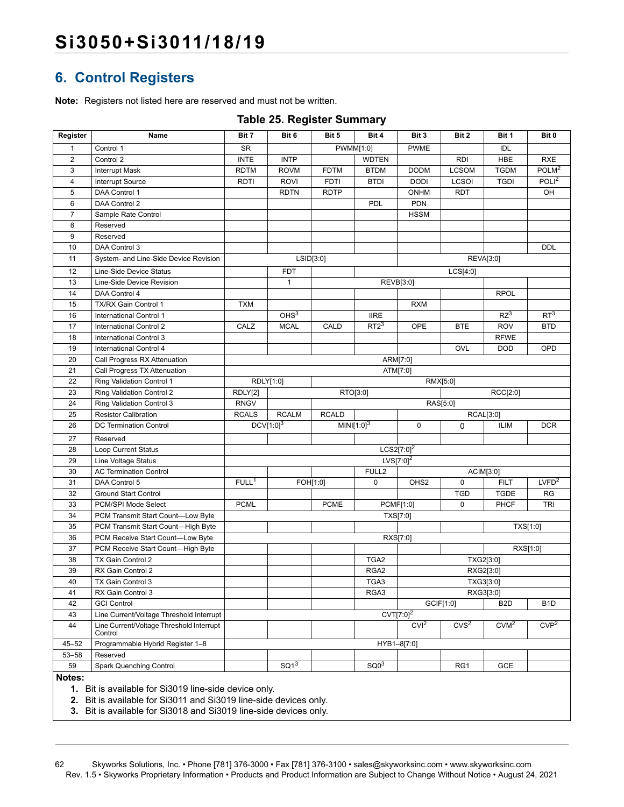## **6. Control Registers**

**Note:** Registers not listed here are reserved and must not be written.

| Register       | <b>Name</b>                                         | Bit 7               | Bit 6                 | Bit 5        | Bit 4                    | Bit 3                  | Bit 2            | Bit 1            | Bit 0             |
|----------------|-----------------------------------------------------|---------------------|-----------------------|--------------|--------------------------|------------------------|------------------|------------------|-------------------|
| $\mathbf{1}$   | Control 1                                           | <b>SR</b>           |                       |              | PWMM[1:0]                | <b>PWME</b>            |                  | IDL              |                   |
| $\overline{2}$ | Control 2                                           | <b>INTE</b>         | <b>INTP</b>           |              | <b>WDTEN</b>             |                        | <b>RDI</b>       | <b>HBE</b>       | <b>RXE</b>        |
| 3              | <b>Interrupt Mask</b>                               | <b>RDTM</b>         | <b>ROVM</b>           | <b>FDTM</b>  | <b>BTDM</b>              | <b>DODM</b>            | <b>LCSOM</b>     | <b>TGDM</b>      | POLM <sup>2</sup> |
| 4              | Interrupt Source                                    | <b>RDTI</b>         | <b>ROVI</b>           | <b>FDTI</b>  | <b>BTDI</b>              | <b>DODI</b>            | <b>LCSOI</b>     | <b>TGDI</b>      | POLI <sup>2</sup> |
| 5              | DAA Control 1                                       |                     | <b>RDTN</b>           | <b>RDTP</b>  |                          | <b>ONHM</b>            | <b>RDT</b>       |                  | OH                |
| 6              | DAA Control 2                                       |                     |                       |              | PDL                      | <b>PDN</b>             |                  |                  |                   |
| $\overline{7}$ | Sample Rate Control                                 |                     |                       |              |                          | <b>HSSM</b>            |                  |                  |                   |
| 8              | Reserved                                            |                     |                       |              |                          |                        |                  |                  |                   |
| 9              | Reserved                                            |                     |                       |              |                          |                        |                  |                  |                   |
| 10             | DAA Control 3                                       |                     |                       |              |                          |                        |                  |                  | <b>DDL</b>        |
| 11             | System- and Line-Side Device Revision               |                     |                       | LSID[3:0]    |                          |                        |                  | REVA[3:0]        |                   |
| 12             | Line-Side Device Status                             |                     | <b>FDT</b>            |              |                          |                        | LCS[4:0]         |                  |                   |
| 13             | Line-Side Device Revision                           |                     | $\mathbf{1}$          |              |                          | REVB[3:0]              |                  |                  |                   |
| 14             | DAA Control 4                                       |                     |                       |              |                          |                        |                  | <b>RPOL</b>      |                   |
| 15             | TX/RX Gain Control 1                                | <b>TXM</b>          |                       |              |                          | <b>RXM</b>             |                  |                  |                   |
| 16             | International Control 1                             |                     | OHS <sup>3</sup>      |              | <b>IIRE</b>              |                        |                  | $RZ^3$           | RT <sup>3</sup>   |
| 17             | International Control 2                             | CALZ                | <b>MCAL</b>           | CALD         | RT2 <sup>3</sup>         | OPE                    | <b>BTE</b>       | <b>ROV</b>       | <b>BTD</b>        |
| 18             | International Control 3                             |                     |                       |              |                          |                        |                  | <b>RFWE</b>      |                   |
| 19             | International Control 4                             |                     |                       |              |                          |                        | OVL              | <b>DOD</b>       | OPD               |
| 20             | Call Progress RX Attenuation                        |                     |                       |              |                          | ARM[7:0]               |                  |                  |                   |
| 21             | Call Progress TX Attenuation                        |                     |                       |              |                          | ATM[7:0]               |                  |                  |                   |
| 22             | <b>Ring Validation Control 1</b>                    |                     | RDLY[1:0]             |              |                          | RMX[5:0]               |                  |                  |                   |
| 23             | <b>Ring Validation Control 2</b>                    | RDLY[2]<br>RTO[3:0] |                       |              |                          | RCC[2:0]               |                  |                  |                   |
| 24             | <b>Ring Validation Control 3</b>                    | <b>RNGV</b>         |                       |              | RAS[5:0]                 |                        |                  |                  |                   |
| 25             | <b>Resistor Calibration</b>                         | <b>RCALS</b>        | <b>RCALM</b>          | <b>RCALD</b> |                          |                        | RCAL[3:0]        |                  |                   |
| 26             | DC Termination Control                              |                     | DCV[1:0] <sup>3</sup> |              | $MINI[1:0]$ <sup>3</sup> | 0                      | 0                | <b>ILIM</b>      | <b>DCR</b>        |
| 27             | Reserved                                            |                     |                       |              |                          |                        |                  |                  |                   |
| 28             | Loop Current Status                                 |                     |                       |              |                          | LCS2[7:0] <sup>2</sup> |                  |                  |                   |
| 29             | Line Voltage Status                                 |                     |                       |              |                          | $LVS[7:0]^2$           |                  |                  |                   |
| 30             | <b>AC Termination Control</b>                       |                     |                       |              | FULL2                    |                        |                  | ACIM[3:0]        |                   |
| 31             | DAA Control 5                                       | FULL <sup>1</sup>   |                       | FOH[1:0]     | 0                        | OHS <sub>2</sub>       | 0                | <b>FILT</b>      | LVFD <sup>2</sup> |
| 32             | <b>Ground Start Control</b>                         |                     |                       |              |                          |                        | <b>TGD</b>       | <b>TGDE</b>      | <b>RG</b>         |
| 33             | PCM/SPI Mode Select                                 | <b>PCML</b>         |                       | <b>PCME</b>  |                          | PCMF[1:0]              | 0                | <b>PHCF</b>      | <b>TRI</b>        |
| 34             | PCM Transmit Start Count-Low Byte                   |                     |                       |              |                          | TXS[7:0]               |                  |                  |                   |
| 35             | PCM Transmit Start Count-High Byte                  |                     |                       |              |                          |                        |                  |                  | TXS[1:0]          |
| 36             | PCM Receive Start Count-Low Byte                    |                     |                       |              |                          | RXS[7:0]               |                  |                  |                   |
| 37             | PCM Receive Start Count-High Byte                   |                     |                       |              |                          |                        |                  |                  | RXS[1:0]          |
| 38             | TX Gain Control 2                                   |                     |                       |              | TGA <sub>2</sub>         |                        | TXG2[3:0]        |                  |                   |
| 39             | RX Gain Control 2                                   |                     |                       |              | RGA <sub>2</sub>         |                        | RXG2[3:0]        |                  |                   |
| 40             | TX Gain Control 3                                   |                     |                       |              | TGA3                     |                        |                  | TXG3[3:0]        |                   |
| 41             | RX Gain Control 3                                   |                     |                       |              | RGA3                     |                        |                  | RXG3[3:0]        |                   |
| 42             | <b>GCI Control</b>                                  |                     |                       |              |                          |                        | GCIF[1:0]        | B <sub>2</sub> D | B <sub>1</sub> D  |
| 43             | Line Current/Voltage Threshold Interrupt            |                     |                       |              |                          | CVT[7:0] <sup>2</sup>  |                  |                  |                   |
| 44             | Line Current/Voltage Threshold Interrupt<br>Control |                     |                       |              |                          | CVI <sup>2</sup>       | CVS <sup>2</sup> | CVM <sup>2</sup> | CVP <sup>2</sup>  |
| $45 - 52$      | Programmable Hybrid Register 1-8                    |                     |                       |              |                          | HYB1-8[7:0]            |                  |                  |                   |
| $53 - 58$      | Reserved                                            |                     |                       |              |                          |                        |                  |                  |                   |
| 59             | Spark Quenching Control                             |                     | SQ1 <sup>3</sup>      |              | SQ <sup>3</sup>          |                        | RG1              | <b>GCE</b>       |                   |
| Notes:         |                                                     |                     |                       |              |                          |                        |                  |                  |                   |

#### **Table 25. Register Summary**

**Notes:**

**1.** Bit is available for Si3019 line-side device only.

**2.** Bit is available for Si3011 and Si3019 line-side devices only.

**3.** Bit is available for Si3018 and Si3019 line-side devices only.

62 Skyworks Solutions, Inc. • Phone [781] 376-3000 • Fax [781] 376-3100 • sales@skyworksinc.com • www.skyworksinc.com Rev. 1.5 • Skyworks Proprietary Information • Products and Product Information are Subject to Change Without Notice • August 24, 2021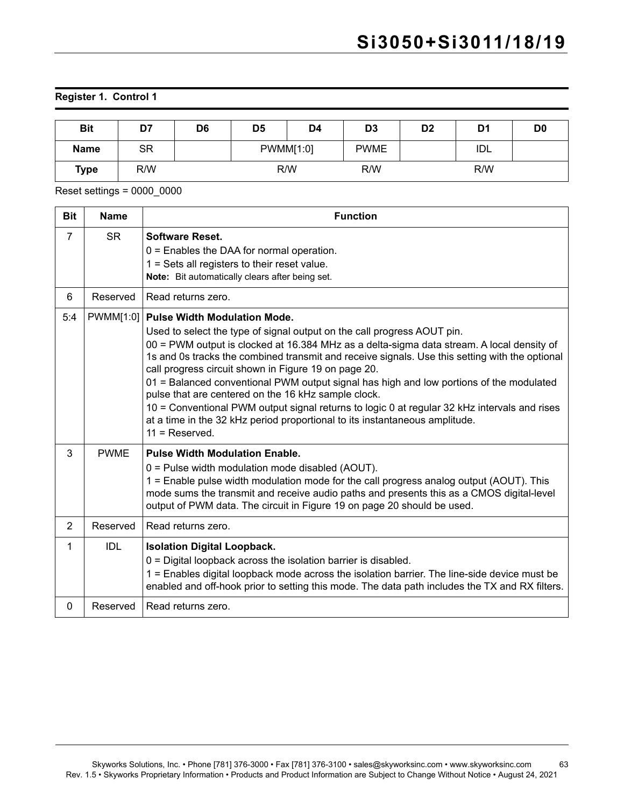#### **Register 1. Control 1**

| <b>Bit</b>  | D7  | D <sub>6</sub> | D <sub>5</sub> | D4  | D <sub>3</sub> | D <sub>2</sub> | D <sub>1</sub> | D <sub>0</sub> |
|-------------|-----|----------------|----------------|-----|----------------|----------------|----------------|----------------|
| <b>Name</b> | SR  |                | PWMM[1:0]      |     | <b>PWME</b>    |                | idl            |                |
| <b>Type</b> | R/W |                |                | R/W | R/W            |                | R/W            |                |

| <b>Bit</b>     | <b>Name</b> | <b>Function</b>                                                                                                                                                                                                                                                                                                                                                                                                                                                                                                                                                                                                                                                                                                               |
|----------------|-------------|-------------------------------------------------------------------------------------------------------------------------------------------------------------------------------------------------------------------------------------------------------------------------------------------------------------------------------------------------------------------------------------------------------------------------------------------------------------------------------------------------------------------------------------------------------------------------------------------------------------------------------------------------------------------------------------------------------------------------------|
| $\overline{7}$ | <b>SR</b>   | <b>Software Reset.</b><br>$0 =$ Enables the DAA for normal operation.<br>1 = Sets all registers to their reset value.<br>Note: Bit automatically clears after being set.                                                                                                                                                                                                                                                                                                                                                                                                                                                                                                                                                      |
| 6              | Reserved    | Read returns zero.                                                                                                                                                                                                                                                                                                                                                                                                                                                                                                                                                                                                                                                                                                            |
| 5:4            |             | PWMM[1:0] Pulse Width Modulation Mode.<br>Used to select the type of signal output on the call progress AOUT pin.<br>00 = PWM output is clocked at 16.384 MHz as a delta-sigma data stream. A local density of<br>1s and 0s tracks the combined transmit and receive signals. Use this setting with the optional<br>call progress circuit shown in Figure 19 on page 20.<br>01 = Balanced conventional PWM output signal has high and low portions of the modulated<br>pulse that are centered on the 16 kHz sample clock.<br>10 = Conventional PWM output signal returns to logic 0 at regular 32 kHz intervals and rises<br>at a time in the 32 kHz period proportional to its instantaneous amplitude.<br>$11 =$ Reserved. |
| 3              | <b>PWME</b> | <b>Pulse Width Modulation Enable.</b><br>0 = Pulse width modulation mode disabled (AOUT).<br>1 = Enable pulse width modulation mode for the call progress analog output (AOUT). This<br>mode sums the transmit and receive audio paths and presents this as a CMOS digital-level<br>output of PWM data. The circuit in Figure 19 on page 20 should be used.                                                                                                                                                                                                                                                                                                                                                                   |
| 2              | Reserved    | Read returns zero.                                                                                                                                                                                                                                                                                                                                                                                                                                                                                                                                                                                                                                                                                                            |
| 1              | <b>IDL</b>  | <b>Isolation Digital Loopback.</b><br>0 = Digital loopback across the isolation barrier is disabled.<br>1 = Enables digital loopback mode across the isolation barrier. The line-side device must be<br>enabled and off-hook prior to setting this mode. The data path includes the TX and RX filters.                                                                                                                                                                                                                                                                                                                                                                                                                        |
| 0              | Reserved    | Read returns zero.                                                                                                                                                                                                                                                                                                                                                                                                                                                                                                                                                                                                                                                                                                            |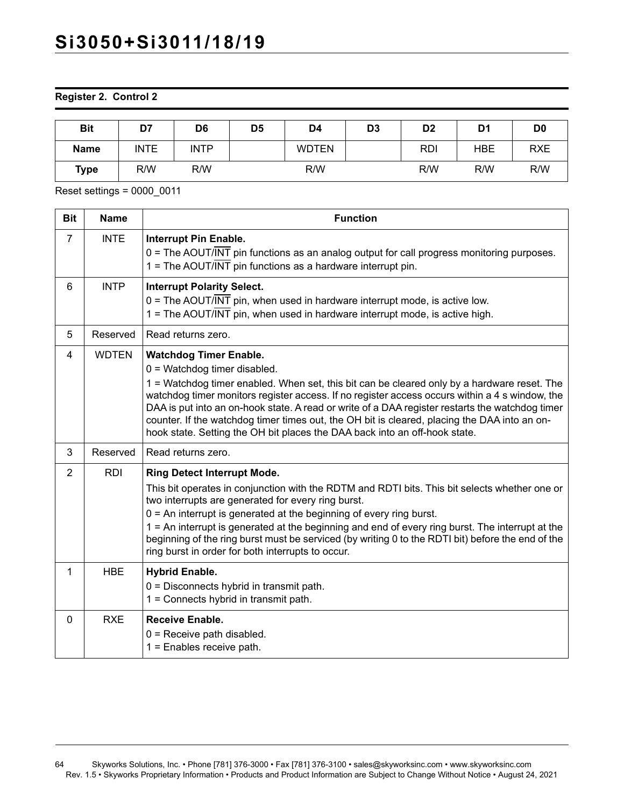#### **Register 2. Control 2**

| <b>Bit</b>  | D7          | D <sub>6</sub> | D <sub>5</sub> | D4           | D <sub>3</sub> | D <sub>2</sub> | D <sub>1</sub> | D <sub>0</sub> |
|-------------|-------------|----------------|----------------|--------------|----------------|----------------|----------------|----------------|
| <b>Name</b> | <b>INTE</b> | <b>INTP</b>    |                | <b>WDTEN</b> |                | <b>RDI</b>     | HBE            | <b>RXE</b>     |
| Type        | R/W         | R/W            |                | R/W          |                | R/W            | R/W            | R/W            |

| <b>Bit</b>     | <b>Name</b>  | <b>Function</b>                                                                                                                                                                                                                                                                                                                                                                                                                                                                                                                                   |
|----------------|--------------|---------------------------------------------------------------------------------------------------------------------------------------------------------------------------------------------------------------------------------------------------------------------------------------------------------------------------------------------------------------------------------------------------------------------------------------------------------------------------------------------------------------------------------------------------|
| $\overline{7}$ | <b>INTE</b>  | <b>Interrupt Pin Enable.</b><br>0 = The AOUT/INT pin functions as an analog output for call progress monitoring purposes.<br>$1 =$ The AOUT/INT pin functions as a hardware interrupt pin.                                                                                                                                                                                                                                                                                                                                                        |
| 6              | <b>INTP</b>  | <b>Interrupt Polarity Select.</b><br>0 = The AOUT/INT pin, when used in hardware interrupt mode, is active low.<br>1 = The AOUT/ $\overline{INT}$ pin, when used in hardware interrupt mode, is active high.                                                                                                                                                                                                                                                                                                                                      |
| 5              | Reserved     | Read returns zero.                                                                                                                                                                                                                                                                                                                                                                                                                                                                                                                                |
| 4              | <b>WDTEN</b> | <b>Watchdog Timer Enable.</b><br>$0 =$ Watchdog timer disabled.<br>1 = Watchdog timer enabled. When set, this bit can be cleared only by a hardware reset. The<br>watchdog timer monitors register access. If no register access occurs within a 4 s window, the<br>DAA is put into an on-hook state. A read or write of a DAA register restarts the watchdog timer<br>counter. If the watchdog timer times out, the OH bit is cleared, placing the DAA into an on-<br>hook state. Setting the OH bit places the DAA back into an off-hook state. |
| 3              | Reserved     | Read returns zero.                                                                                                                                                                                                                                                                                                                                                                                                                                                                                                                                |
| $\overline{2}$ | <b>RDI</b>   | <b>Ring Detect Interrupt Mode.</b><br>This bit operates in conjunction with the RDTM and RDTI bits. This bit selects whether one or<br>two interrupts are generated for every ring burst.<br>$0 = An$ interrupt is generated at the beginning of every ring burst.<br>1 = An interrupt is generated at the beginning and end of every ring burst. The interrupt at the<br>beginning of the ring burst must be serviced (by writing 0 to the RDTI bit) before the end of the<br>ring burst in order for both interrupts to occur.                  |
| 1              | <b>HBE</b>   | <b>Hybrid Enable.</b><br>0 = Disconnects hybrid in transmit path.<br>1 = Connects hybrid in transmit path.                                                                                                                                                                                                                                                                                                                                                                                                                                        |
| 0              | <b>RXE</b>   | <b>Receive Enable.</b><br>$0 =$ Receive path disabled.<br>1 = Enables receive path.                                                                                                                                                                                                                                                                                                                                                                                                                                                               |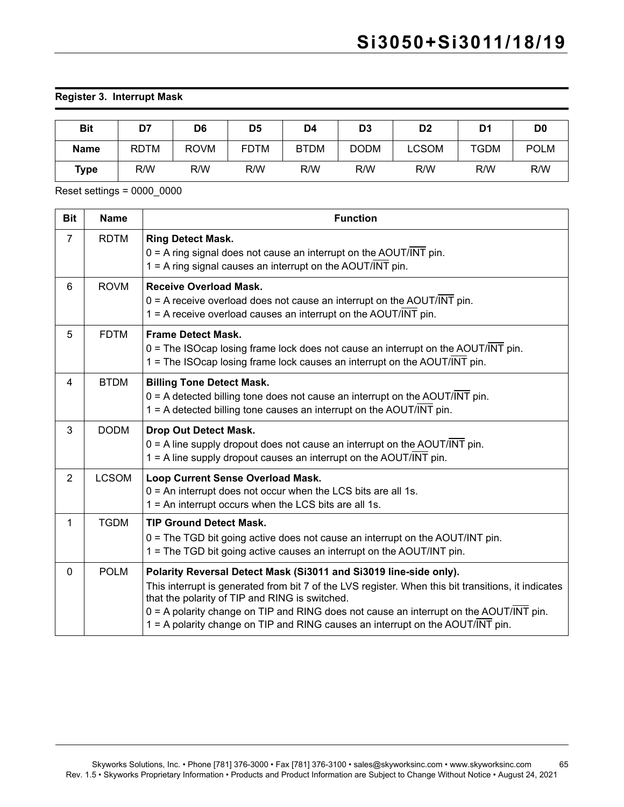#### **Register 3. Interrupt Mask**

| <b>Bit</b>  | D7          | D6          | D <sub>5</sub> | D4          | D <sub>3</sub> | D <sub>2</sub> | D <sub>1</sub> | D0          |
|-------------|-------------|-------------|----------------|-------------|----------------|----------------|----------------|-------------|
| <b>Name</b> | <b>RDTM</b> | <b>ROVM</b> | <b>FDTM</b>    | <b>BTDM</b> | <b>DODM</b>    | <b>LCSOM</b>   | <b>TGDM</b>    | <b>POLM</b> |
| <b>Type</b> | R/W         | R/W         | R/W            | R/W         | R/W            | R/W            | R/W            | R/W         |

| <b>Bit</b>     | <b>Name</b>  | <b>Function</b>                                                                                                                                                                                                                                                                                                                                                                                          |
|----------------|--------------|----------------------------------------------------------------------------------------------------------------------------------------------------------------------------------------------------------------------------------------------------------------------------------------------------------------------------------------------------------------------------------------------------------|
| $\overline{7}$ | <b>RDTM</b>  | <b>Ring Detect Mask.</b><br>0 = A ring signal does not cause an interrupt on the AOUT/INT pin.<br>1 = A ring signal causes an interrupt on the AOUT/ $\overline{\text{INT}}$ pin.                                                                                                                                                                                                                        |
| 6              | <b>ROVM</b>  | <b>Receive Overload Mask.</b><br>0 = A receive overload does not cause an interrupt on the AOUT/INT pin.<br>$1 = A$ receive overload causes an interrupt on the AOUT/INT pin.                                                                                                                                                                                                                            |
| 5              | <b>FDTM</b>  | <b>Frame Detect Mask.</b><br>0 = The ISOcap losing frame lock does not cause an interrupt on the AOUT/INT pin.<br>1 = The ISOcap losing frame lock causes an interrupt on the AOUT/INT pin.                                                                                                                                                                                                              |
| 4              | <b>BTDM</b>  | <b>Billing Tone Detect Mask.</b><br>$0 = A$ detected billing tone does not cause an interrupt on the AOUT/INT pin.<br>1 = A detected billing tone causes an interrupt on the AOUT/INT pin.                                                                                                                                                                                                               |
| 3              | <b>DODM</b>  | Drop Out Detect Mask.<br>$0 = A$ line supply dropout does not cause an interrupt on the AOUT/INT pin.<br>1 = A line supply dropout causes an interrupt on the AOUT/INT pin.                                                                                                                                                                                                                              |
| $\overline{2}$ | <b>LCSOM</b> | Loop Current Sense Overload Mask.<br>0 = An interrupt does not occur when the LCS bits are all 1s.<br>1 = An interrupt occurs when the LCS bits are all 1s.                                                                                                                                                                                                                                              |
| $\mathbf{1}$   | <b>TGDM</b>  | <b>TIP Ground Detect Mask.</b><br>0 = The TGD bit going active does not cause an interrupt on the AOUT/INT pin.<br>1 = The TGD bit going active causes an interrupt on the AOUT/INT pin.                                                                                                                                                                                                                 |
| $\mathbf 0$    | <b>POLM</b>  | Polarity Reversal Detect Mask (Si3011 and Si3019 line-side only).<br>This interrupt is generated from bit 7 of the LVS register. When this bit transitions, it indicates<br>that the polarity of TIP and RING is switched.<br>$0 = A$ polarity change on TIP and RING does not cause an interrupt on the AOUT/INT pin.<br>1 = A polarity change on TIP and RING causes an interrupt on the AOUT/INT pin. |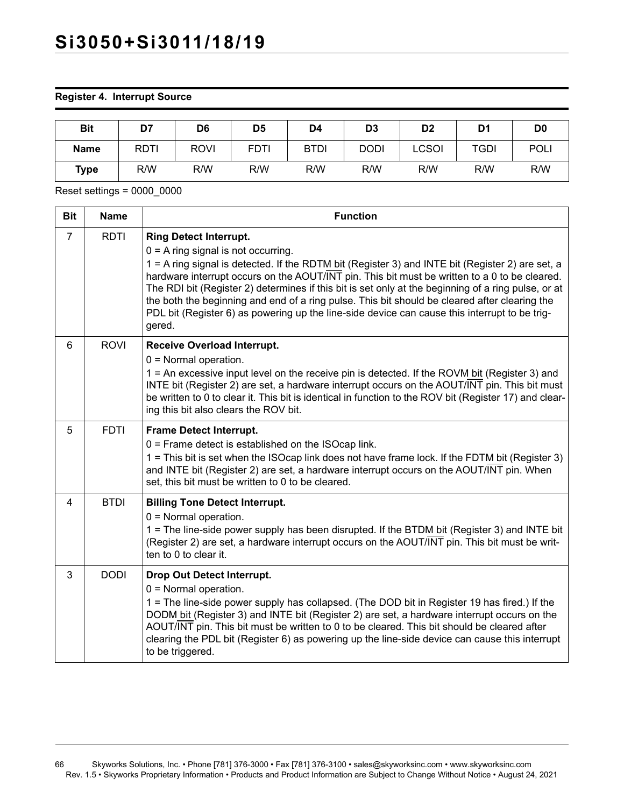#### **Register 4. Interrupt Source**

| <b>Bit</b>  | D7          | D6          | D <sub>5</sub> | D4          | D <sub>3</sub> | D <sub>2</sub> | D <sub>1</sub> | D <sub>0</sub> |
|-------------|-------------|-------------|----------------|-------------|----------------|----------------|----------------|----------------|
| <b>Name</b> | <b>RDTI</b> | <b>ROVI</b> | FDTI           | <b>BTDI</b> | <b>DODI</b>    | <b>LCSOI</b>   | <b>TGDI</b>    | <b>POLI</b>    |
| <b>Type</b> | R/W         | R/W         | R/W            | R/W         | R/W            | R/W            | R/W            | R/W            |

| <b>Bit</b>     | <b>Name</b> | <b>Function</b>                                                                                                                                                                                                                                                                                                                                                                                                                                                                                                                                                                                                     |
|----------------|-------------|---------------------------------------------------------------------------------------------------------------------------------------------------------------------------------------------------------------------------------------------------------------------------------------------------------------------------------------------------------------------------------------------------------------------------------------------------------------------------------------------------------------------------------------------------------------------------------------------------------------------|
| $\overline{7}$ | <b>RDTI</b> | <b>Ring Detect Interrupt.</b><br>$0 = A$ ring signal is not occurring.<br>1 = A ring signal is detected. If the RDTM bit (Register 3) and INTE bit (Register 2) are set, a<br>hardware interrupt occurs on the AOUT/ $\overline{\text{INT}}$ pin. This bit must be written to a 0 to be cleared.<br>The RDI bit (Register 2) determines if this bit is set only at the beginning of a ring pulse, or at<br>the both the beginning and end of a ring pulse. This bit should be cleared after clearing the<br>PDL bit (Register 6) as powering up the line-side device can cause this interrupt to be trig-<br>gered. |
| 6              | <b>ROVI</b> | <b>Receive Overload Interrupt.</b><br>$0 =$ Normal operation.<br>1 = An excessive input level on the receive pin is detected. If the ROVM bit (Register 3) and<br>INTE bit (Register 2) are set, a hardware interrupt occurs on the AOUT/INT pin. This bit must<br>be written to 0 to clear it. This bit is identical in function to the ROV bit (Register 17) and clear-<br>ing this bit also clears the ROV bit.                                                                                                                                                                                                  |
| 5              | <b>FDTI</b> | <b>Frame Detect Interrupt.</b><br>0 = Frame detect is established on the ISOcap link.<br>1 = This bit is set when the ISOcap link does not have frame lock. If the FDTM bit (Register 3)<br>and INTE bit (Register 2) are set, a hardware interrupt occurs on the AOUT/INT pin. When<br>set, this bit must be written to 0 to be cleared.                                                                                                                                                                                                                                                                           |
| 4              | <b>BTDI</b> | <b>Billing Tone Detect Interrupt.</b><br>$0 =$ Normal operation.<br>1 = The line-side power supply has been disrupted. If the BTDM bit (Register 3) and INTE bit<br>(Register 2) are set, a hardware interrupt occurs on the AOUT/ $\overline{\text{INT}}$ pin. This bit must be writ-<br>ten to 0 to clear it.                                                                                                                                                                                                                                                                                                     |
| 3              | <b>DODI</b> | Drop Out Detect Interrupt.<br>$0 =$ Normal operation.<br>1 = The line-side power supply has collapsed. (The DOD bit in Register 19 has fired.) If the<br>DODM bit (Register 3) and INTE bit (Register 2) are set, a hardware interrupt occurs on the<br>AOUT/INT pin. This bit must be written to 0 to be cleared. This bit should be cleared after<br>clearing the PDL bit (Register 6) as powering up the line-side device can cause this interrupt<br>to be triggered.                                                                                                                                           |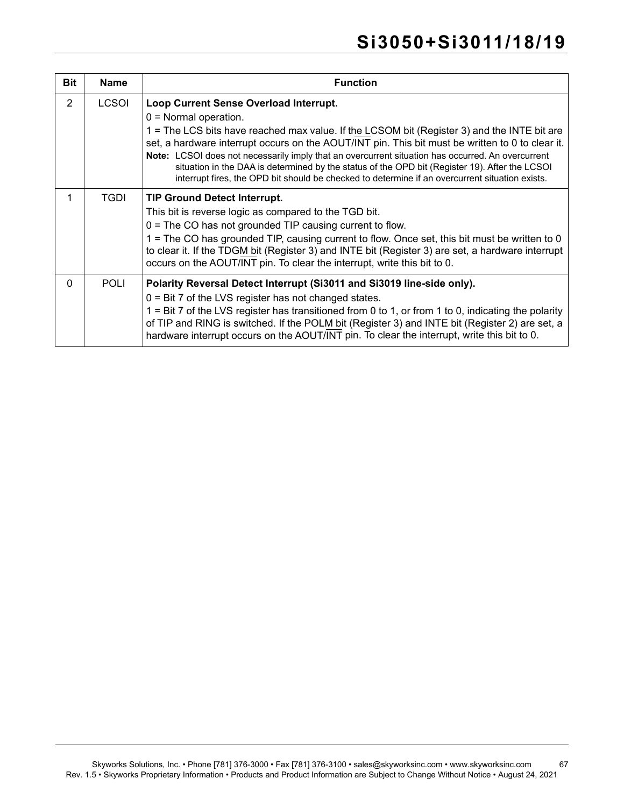| <b>Bit</b> | <b>Name</b>  | <b>Function</b>                                                                                                                                                                                                                                                                                                                                                                                                                                                                                                                                                                |
|------------|--------------|--------------------------------------------------------------------------------------------------------------------------------------------------------------------------------------------------------------------------------------------------------------------------------------------------------------------------------------------------------------------------------------------------------------------------------------------------------------------------------------------------------------------------------------------------------------------------------|
| 2          | <b>LCSOI</b> | Loop Current Sense Overload Interrupt.<br>$0 =$ Normal operation.<br>1 = The LCS bits have reached max value. If the LCSOM bit (Register 3) and the INTE bit are<br>set, a hardware interrupt occurs on the AOUT/INT pin. This bit must be written to 0 to clear it.<br>Note: LCSOI does not necessarily imply that an overcurrent situation has occurred. An overcurrent<br>situation in the DAA is determined by the status of the OPD bit (Register 19). After the LCSOI<br>interrupt fires, the OPD bit should be checked to determine if an overcurrent situation exists. |
|            | TGDI         | <b>TIP Ground Detect Interrupt.</b><br>This bit is reverse logic as compared to the TGD bit.<br>0 = The CO has not grounded TIP causing current to flow.<br>1 = The CO has grounded TIP, causing current to flow. Once set, this bit must be written to 0<br>to clear it. If the TDGM bit (Register 3) and INTE bit (Register 3) are set, a hardware interrupt<br>occurs on the AOUT/INT pin. To clear the interrupt, write this bit to 0.                                                                                                                                     |
| $\Omega$   | <b>POLI</b>  | Polarity Reversal Detect Interrupt (Si3011 and Si3019 line-side only).<br>$0 = Bit 7$ of the LVS register has not changed states.<br>1 = Bit 7 of the LVS register has transitioned from 0 to 1, or from 1 to 0, indicating the polarity<br>of TIP and RING is switched. If the POLM bit (Register 3) and INTE bit (Register 2) are set, a<br>hardware interrupt occurs on the AOUT/INT pin. To clear the interrupt, write this bit to 0.                                                                                                                                      |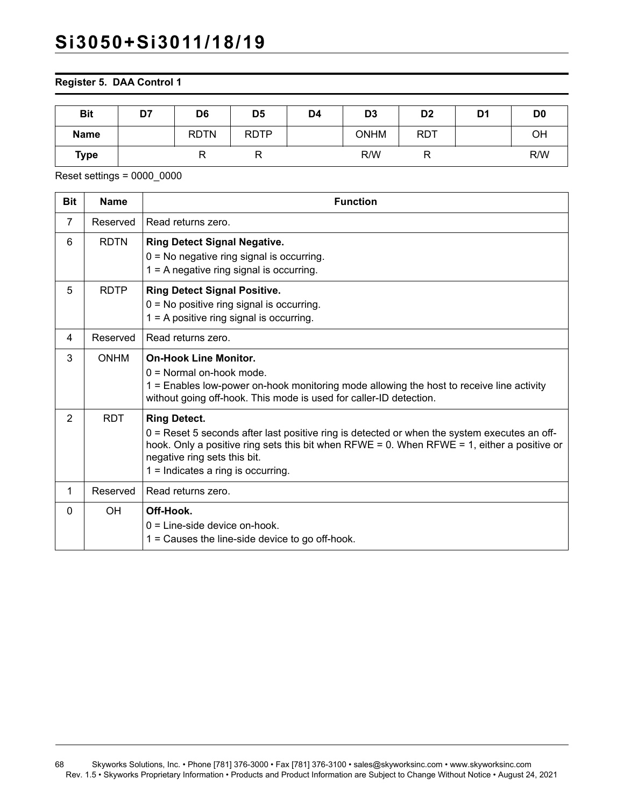#### **Register 5. DAA Control 1**

| <b>Bit</b>  | D7 | D <sub>6</sub> | D <sub>5</sub> | D4 | D <sub>3</sub> | D <sub>2</sub> | D <sub>1</sub> | D <sub>0</sub> |
|-------------|----|----------------|----------------|----|----------------|----------------|----------------|----------------|
| <b>Name</b> |    | <b>RDTN</b>    | <b>RDTP</b>    |    | <b>ONHM</b>    | <b>RDT</b>     |                | OН             |
| Type        |    |                |                |    | R/W            |                |                | R/W            |

| <b>Bit</b>     | <b>Name</b> | <b>Function</b>                                                                                                                                                                                                                                                                                  |
|----------------|-------------|--------------------------------------------------------------------------------------------------------------------------------------------------------------------------------------------------------------------------------------------------------------------------------------------------|
| $\overline{7}$ | Reserved    | Read returns zero.                                                                                                                                                                                                                                                                               |
| 6              | <b>RDTN</b> | <b>Ring Detect Signal Negative.</b><br>$0 = No$ negative ring signal is occurring.<br>$1 = A$ negative ring signal is occurring.                                                                                                                                                                 |
| 5              | <b>RDTP</b> | <b>Ring Detect Signal Positive.</b><br>$0 = No$ positive ring signal is occurring.<br>$1 = A$ positive ring signal is occurring.                                                                                                                                                                 |
| 4              | Reserved    | Read returns zero.                                                                                                                                                                                                                                                                               |
| 3              | <b>ONHM</b> | <b>On-Hook Line Monitor.</b><br>$0 =$ Normal on-hook mode.<br>1 = Enables low-power on-hook monitoring mode allowing the host to receive line activity<br>without going off-hook. This mode is used for caller-ID detection.                                                                     |
| $\overline{2}$ | <b>RDT</b>  | <b>Ring Detect.</b><br>0 = Reset 5 seconds after last positive ring is detected or when the system executes an off-<br>hook. Only a positive ring sets this bit when $RFWE = 0$ . When $RFWE = 1$ , either a positive or<br>negative ring sets this bit.<br>$1 =$ Indicates a ring is occurring. |
| 1              | Reserved    | Read returns zero.                                                                                                                                                                                                                                                                               |
| $\Omega$       | <b>OH</b>   | Off-Hook.<br>$0 =$ Line-side device on-hook.<br>1 = Causes the line-side device to go off-hook.                                                                                                                                                                                                  |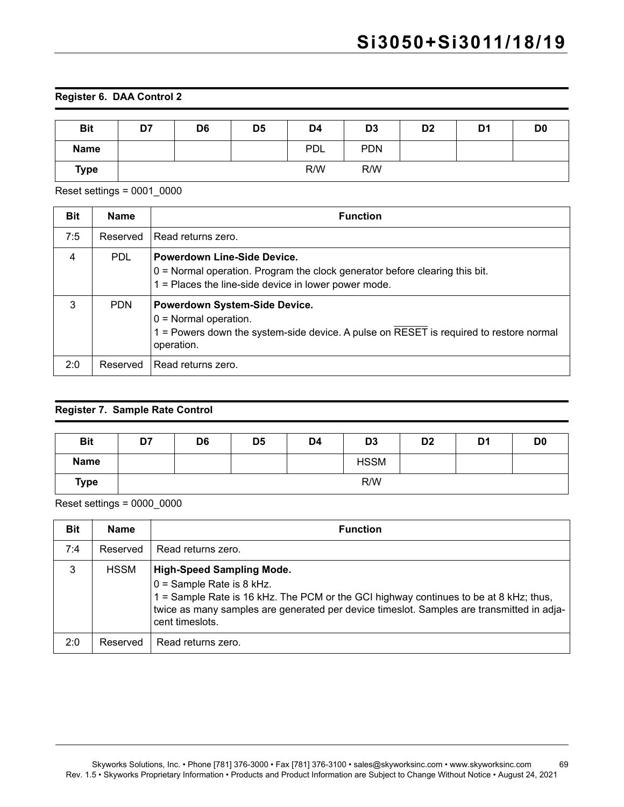#### **Register 6. DAA Control 2**

| <b>Bit</b>  | D7 | D6 | D <sub>5</sub> | D4         | D <sub>3</sub> | D <sub>2</sub> | D <sub>1</sub> | D <sub>0</sub> |
|-------------|----|----|----------------|------------|----------------|----------------|----------------|----------------|
| <b>Name</b> |    |    |                | <b>PDL</b> | <b>PDN</b>     |                |                |                |
| <b>Type</b> |    |    |                | R/W        | R/W            |                |                |                |

Reset settings = 0001\_0000

| <b>Bit</b> | <b>Name</b> | <b>Function</b>                                                                                                                                                    |
|------------|-------------|--------------------------------------------------------------------------------------------------------------------------------------------------------------------|
| 7:5        | Reserved    | Read returns zero.                                                                                                                                                 |
| 4          | PDL.        | Powerdown Line-Side Device.<br>0 = Normal operation. Program the clock generator before clearing this bit.<br>1 = Places the line-side device in lower power mode. |
| 3          | <b>PDN</b>  | Powerdown System-Side Device.<br>$0 =$ Normal operation.<br>1 = Powers down the system-side device. A pulse on RESET is required to restore normal<br>operation.   |
| 2:0        | Reserved    | Read returns zero.                                                                                                                                                 |

#### **Register 7. Sample Rate Control**

| <b>Bit</b>  | D7 | D <sub>6</sub> | D <sub>5</sub> | D4 | D <sub>3</sub> | D <sub>2</sub> | D <sub>1</sub> | D <sub>0</sub> |
|-------------|----|----------------|----------------|----|----------------|----------------|----------------|----------------|
| <b>Name</b> |    |                |                |    | <b>HSSM</b>    |                |                |                |
| <b>Type</b> |    |                |                |    | R/W            |                |                |                |

| <b>Bit</b> | Name     | <b>Function</b>                                                                                                                                                                                                                                                          |
|------------|----------|--------------------------------------------------------------------------------------------------------------------------------------------------------------------------------------------------------------------------------------------------------------------------|
| 7:4        | Reserved | Read returns zero.                                                                                                                                                                                                                                                       |
| 3          | HSSM     | <b>High-Speed Sampling Mode.</b><br>$0 =$ Sample Rate is 8 kHz.<br>1 = Sample Rate is 16 kHz. The PCM or the GCI highway continues to be at 8 kHz; thus,<br>twice as many samples are generated per device timeslot. Samples are transmitted in adja-<br>cent timeslots. |
| 2:0        | Reserved | Read returns zero.                                                                                                                                                                                                                                                       |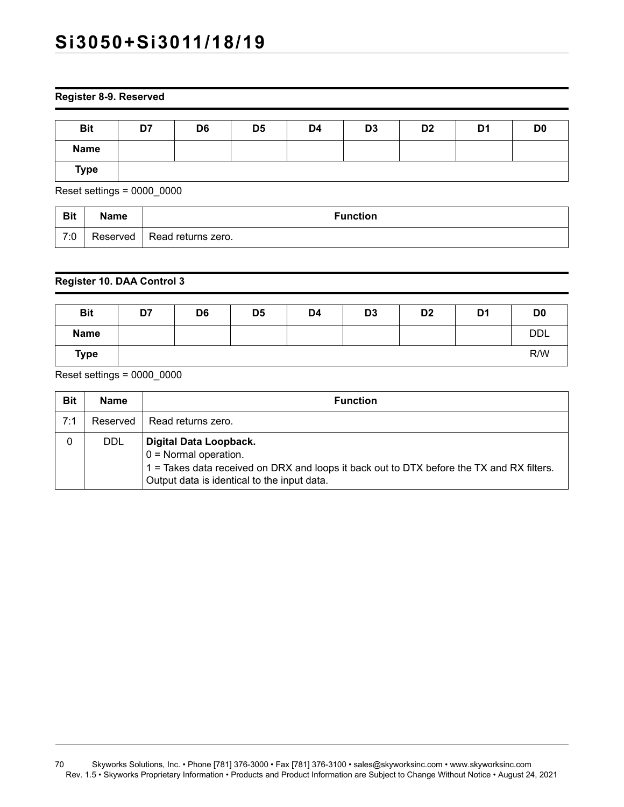# **Si3050+Si3011/18/19**

#### **Register 8-9. Reserved**

| <b>Bit</b>  | D7 | D <sub>6</sub> | D <sub>5</sub> | D <sub>4</sub> | D <sub>3</sub> | D <sub>2</sub> | D <sub>1</sub> | D <sub>0</sub> |
|-------------|----|----------------|----------------|----------------|----------------|----------------|----------------|----------------|
| <b>Name</b> |    |                |                |                |                |                |                |                |
| <b>Type</b> |    |                |                |                |                |                |                |                |

Reset settings = 0000\_0000

| <b>Bit</b> | Name     | <b>Function</b>      |
|------------|----------|----------------------|
| 7:0        | Reserved | I Read returns zero. |

#### **Register 10. DAA Control 3**

| <b>Bit</b>  | D7 | D <sub>6</sub> | D <sub>5</sub> | D <sub>4</sub> | D <sub>3</sub> | D <sub>2</sub> | D <sub>1</sub> | D <sub>0</sub> |
|-------------|----|----------------|----------------|----------------|----------------|----------------|----------------|----------------|
| <b>Name</b> |    |                |                |                |                |                |                | <b>DDL</b>     |
| Type        |    |                |                |                |                |                |                | R/W            |

| Bit | <b>Name</b> | <b>Function</b>                                                                                                                                                                                      |
|-----|-------------|------------------------------------------------------------------------------------------------------------------------------------------------------------------------------------------------------|
| 7:1 | Reserved    | l Read returns zero.                                                                                                                                                                                 |
| 0   | <b>DDL</b>  | <b>Digital Data Loopback.</b><br>$0 =$ Normal operation.<br>1 = Takes data received on DRX and loops it back out to DTX before the TX and RX filters.<br>Output data is identical to the input data. |

<sup>70</sup> Skyworks Solutions, Inc. • Phone [781] 376-3000 • Fax [781] 376-3100 • sales@skyworksinc.com • www.skyworksinc.com Rev. 1.5 • Skyworks Proprietary Information • Products and Product Information are Subject to Change Without Notice • August 24, 2021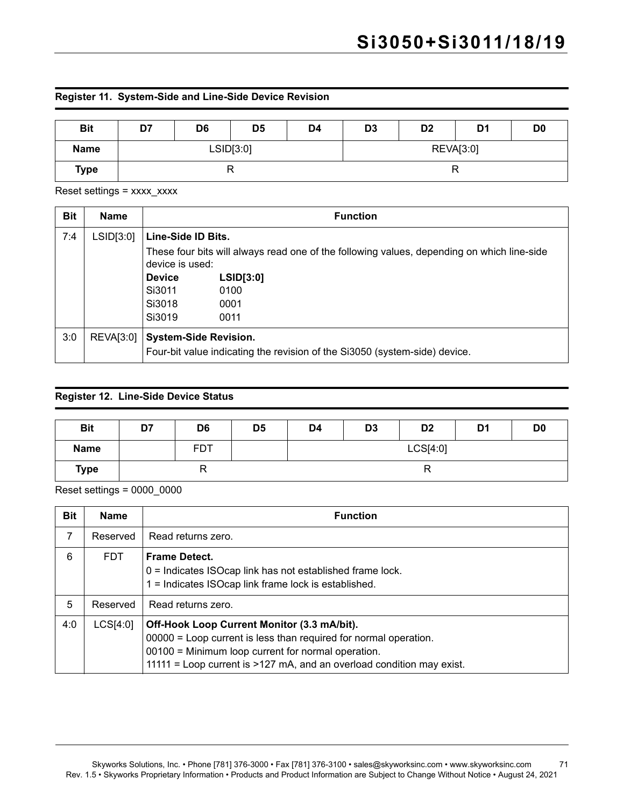#### **Register 11. System-Side and Line-Side Device Revision**

| <b>Bit</b>  | D7 | D <sub>6</sub> | D <sub>5</sub> | D4 | D <sub>3</sub> | D <sub>2</sub> | D <sub>1</sub> | D <sub>0</sub> |  |
|-------------|----|----------------|----------------|----|----------------|----------------|----------------|----------------|--|
| <b>Name</b> |    |                | LSID[3:0]      |    | REVA[3:0]      |                |                |                |  |
| <b>Type</b> |    |                |                |    |                | −              | ĸ              |                |  |

Reset settings = xxxx\_xxxx

| <b>Bit</b> | <b>Name</b> | <b>Function</b>                                                                                               |  |  |  |  |  |  |
|------------|-------------|---------------------------------------------------------------------------------------------------------------|--|--|--|--|--|--|
| 7:4        | LSID[3:0]   | Line-Side ID Bits.                                                                                            |  |  |  |  |  |  |
|            |             | These four bits will always read one of the following values, depending on which line-side<br>device is used: |  |  |  |  |  |  |
|            |             | LSID[3:0]<br><b>Device</b>                                                                                    |  |  |  |  |  |  |
|            |             | Si3011<br>0100                                                                                                |  |  |  |  |  |  |
|            |             | Si3018<br>0001                                                                                                |  |  |  |  |  |  |
|            |             | Si3019<br>0011                                                                                                |  |  |  |  |  |  |
| 3:0        | REVA[3:0]   | <b>System-Side Revision.</b>                                                                                  |  |  |  |  |  |  |
|            |             | Four-bit value indicating the revision of the Si3050 (system-side) device.                                    |  |  |  |  |  |  |

#### **Register 12. Line-Side Device Status**

| <b>Bit</b>  | D7 | D <sub>6</sub> | D <sub>5</sub> | D <sub>4</sub> | D <sub>3</sub> | D <sub>2</sub> | D <sub>1</sub> | D <sub>0</sub> |  |
|-------------|----|----------------|----------------|----------------|----------------|----------------|----------------|----------------|--|
| <b>Name</b> |    | <b>FDT</b>     |                | LCS[4:0]       |                |                |                |                |  |
| <b>Type</b> |    | R              |                | ĸ              |                |                |                |                |  |

| <b>Bit</b> | <b>Name</b> | <b>Function</b>                                                                                                                                                                                                                                |
|------------|-------------|------------------------------------------------------------------------------------------------------------------------------------------------------------------------------------------------------------------------------------------------|
|            | Reserved    | Read returns zero.                                                                                                                                                                                                                             |
| 6          | <b>FDT</b>  | <b>Frame Detect.</b><br>0 = Indicates ISOcap link has not established frame lock.<br>1 = Indicates ISOcap link frame lock is established.                                                                                                      |
| 5          | Reserved    | Read returns zero.                                                                                                                                                                                                                             |
| 4:0        | LCS[4:0]    | Off-Hook Loop Current Monitor (3.3 mA/bit).<br>00000 = Loop current is less than required for normal operation.<br>00100 = Minimum loop current for normal operation.<br>11111 = Loop current is >127 mA, and an overload condition may exist. |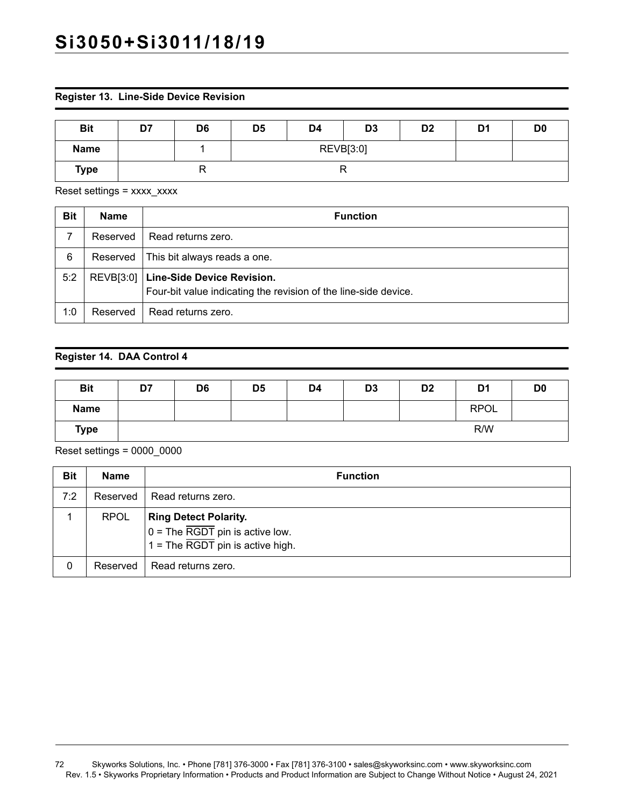# **Si3050+Si3011/18/19**

#### **Register 13. Line-Side Device Revision**

| <b>Bit</b>  | D7 | D <sub>6</sub> | D <sub>5</sub> | D4 | D <sub>3</sub> | D <sub>2</sub> | D <sub>1</sub> | D <sub>0</sub> |
|-------------|----|----------------|----------------|----|----------------|----------------|----------------|----------------|
| <b>Name</b> |    |                | REVB[3:0]      |    |                |                |                |                |
| <b>Type</b> |    | רו<br>n        | $\cdot$        |    |                |                |                |                |

Reset settings = xxxx\_xxxx

| <b>Bit</b> | <b>Name</b> | <b>Function</b>                                                                                           |
|------------|-------------|-----------------------------------------------------------------------------------------------------------|
|            | Reserved    | Read returns zero.                                                                                        |
| 6          |             | Reserved   This bit always reads a one.                                                                   |
| 5:2        |             | REVB[3:0]   Line-Side Device Revision.<br>Four-bit value indicating the revision of the line-side device. |
| 1:0        | Reserved    | Read returns zero.                                                                                        |

#### **Register 14. DAA Control 4**

| <b>Bit</b>  | D7 | D <sub>6</sub> | D <sub>5</sub> | D4 | D <sub>3</sub> | D <sub>2</sub> | D <sub>1</sub> | D <sub>0</sub> |
|-------------|----|----------------|----------------|----|----------------|----------------|----------------|----------------|
| <b>Name</b> |    |                |                |    |                |                | <b>RPOL</b>    |                |
| <b>Type</b> |    |                |                |    |                |                | R/W            |                |

| <b>Bit</b> | <b>Name</b> | <b>Function</b>                                                                                                                                 |
|------------|-------------|-------------------------------------------------------------------------------------------------------------------------------------------------|
| 7:2        | Reserved    | l Read returns zero.                                                                                                                            |
|            | <b>RPOL</b> | <b>Ring Detect Polarity.</b><br>$0 =$ The $\overline{\text{RGDT}}$ pin is active low.<br>$1 =$ The $\overline{\text{RGDT}}$ pin is active high. |
| 0          | Reserved    | Read returns zero.                                                                                                                              |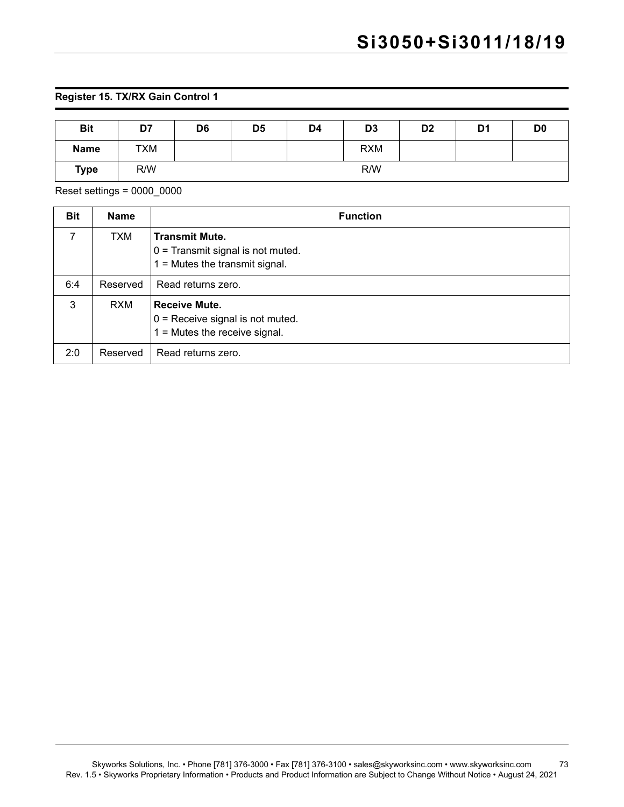#### **Register 15. TX/RX Gain Control 1**

| <b>Bit</b>  | D7         | D <sub>6</sub> | D <sub>5</sub> | D4 | D <sub>3</sub> | D <sub>2</sub> | D <sub>1</sub> | D <sub>0</sub> |
|-------------|------------|----------------|----------------|----|----------------|----------------|----------------|----------------|
| <b>Name</b> | <b>TXM</b> |                |                |    | <b>RXM</b>     |                |                |                |
| <b>Type</b> | R/W        |                |                |    | R/W            |                |                |                |

| <b>Bit</b> | <b>Name</b> | <b>Function</b>                                                                                  |
|------------|-------------|--------------------------------------------------------------------------------------------------|
| 7          | TXM         | <b>Transmit Mute.</b><br>$0 =$ Transmit signal is not muted.<br>$1 =$ Mutes the transmit signal. |
| 6:4        | Reserved    | Read returns zero.                                                                               |
| 3          | RXM         | <b>Receive Mute.</b><br>$0 =$ Receive signal is not muted.<br>$1 =$ Mutes the receive signal.    |
| 2:0        | Reserved    | Read returns zero.                                                                               |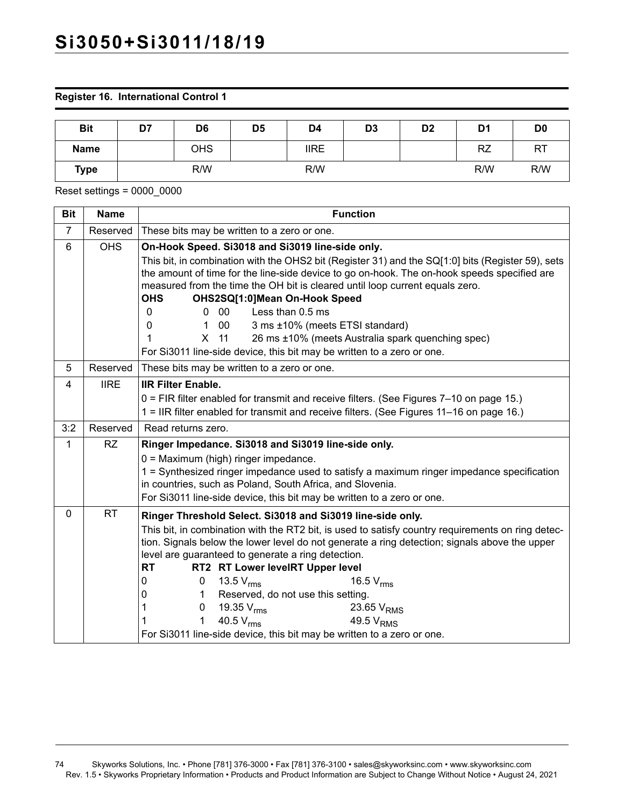#### **Register 16. International Control 1**

| <b>Bit</b>  | D7 | D <sub>6</sub> | D <sub>5</sub> | D4          | D <sub>3</sub> | D <sub>2</sub> | D <sub>1</sub> | D <sub>0</sub> |
|-------------|----|----------------|----------------|-------------|----------------|----------------|----------------|----------------|
| <b>Name</b> |    | <b>OHS</b>     |                | <b>IIRE</b> |                |                | <b>RZ</b>      | <b>RT</b>      |
| <b>Type</b> |    | R/W            |                | R/W         |                |                | R/W            | R/W            |

| <b>Bit</b>     | <b>Name</b> | <b>Function</b>                                                                                                                                                                                                                                                                                                                                                                                                                                                                                                                                                                                                                                                                            |  |  |  |  |  |  |
|----------------|-------------|--------------------------------------------------------------------------------------------------------------------------------------------------------------------------------------------------------------------------------------------------------------------------------------------------------------------------------------------------------------------------------------------------------------------------------------------------------------------------------------------------------------------------------------------------------------------------------------------------------------------------------------------------------------------------------------------|--|--|--|--|--|--|
| $\overline{7}$ | Reserved    | These bits may be written to a zero or one.                                                                                                                                                                                                                                                                                                                                                                                                                                                                                                                                                                                                                                                |  |  |  |  |  |  |
| 6              | <b>OHS</b>  | On-Hook Speed. Si3018 and Si3019 line-side only.<br>This bit, in combination with the OHS2 bit (Register 31) and the SQ[1:0] bits (Register 59), sets<br>the amount of time for the line-side device to go on-hook. The on-hook speeds specified are<br>measured from the time the OH bit is cleared until loop current equals zero.<br><b>OHS</b><br>OHS2SQ[1:0]Mean On-Hook Speed<br>$0\quad 00$<br>Less than 0.5 ms<br>$\mathbf 0$<br>$\mathbf{1}$<br>$00\,$<br>3 ms ±10% (meets ETSI standard)<br>$\mathbf{0}$<br>26 ms ±10% (meets Australia spark quenching spec)<br>$X$ 11<br>1<br>For Si3011 line-side device, this bit may be written to a zero or one.                           |  |  |  |  |  |  |
| 5              | Reserved    | These bits may be written to a zero or one.                                                                                                                                                                                                                                                                                                                                                                                                                                                                                                                                                                                                                                                |  |  |  |  |  |  |
| 4              | <b>IIRE</b> | <b>IIR Filter Enable.</b><br>0 = FIR filter enabled for transmit and receive filters. (See Figures 7–10 on page 15.)<br>1 = IIR filter enabled for transmit and receive filters. (See Figures 11–16 on page 16.)                                                                                                                                                                                                                                                                                                                                                                                                                                                                           |  |  |  |  |  |  |
| 3:2            | Reserved    | Read returns zero.                                                                                                                                                                                                                                                                                                                                                                                                                                                                                                                                                                                                                                                                         |  |  |  |  |  |  |
| 1              | <b>RZ</b>   | Ringer Impedance. Si3018 and Si3019 line-side only.<br>$0 =$ Maximum (high) ringer impedance.<br>1 = Synthesized ringer impedance used to satisfy a maximum ringer impedance specification<br>in countries, such as Poland, South Africa, and Slovenia.<br>For Si3011 line-side device, this bit may be written to a zero or one.                                                                                                                                                                                                                                                                                                                                                          |  |  |  |  |  |  |
| 0              | <b>RT</b>   | Ringer Threshold Select. Si3018 and Si3019 line-side only.<br>This bit, in combination with the RT2 bit, is used to satisfy country requirements on ring detec-<br>tion. Signals below the lower level do not generate a ring detection; signals above the upper<br>level are guaranteed to generate a ring detection.<br>RT2 RT Lower levelRT Upper level<br><b>RT</b><br>13.5 $V_{\text{rms}}$<br>16.5 $V_{rms}$<br>0<br>0<br>Reserved, do not use this setting.<br>0<br>$\mathbf{1}$<br>$\mathbf 0$<br>19.35 $V_{rms}$<br>23.65 $VRMS$<br>1<br>$\mathbf{1}$<br>40.5 $V_{\text{rms}}$<br>49.5 V <sub>RMS</sub><br>For Si3011 line-side device, this bit may be written to a zero or one. |  |  |  |  |  |  |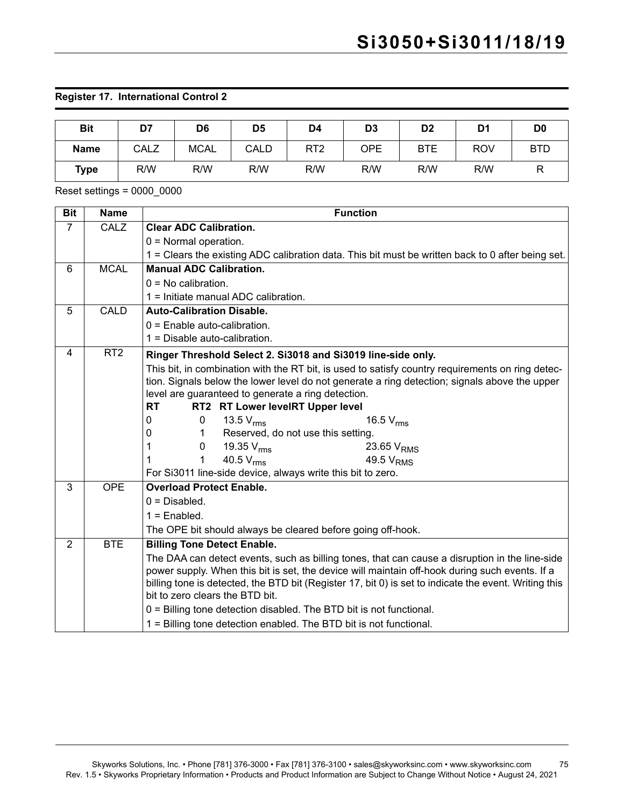#### **Register 17. International Control 2**

| <b>Bit</b>  | D7   | D6          | D5   | D4              | D <sub>3</sub> | D <sub>2</sub> | D <sub>1</sub> | D <sub>0</sub> |
|-------------|------|-------------|------|-----------------|----------------|----------------|----------------|----------------|
| <b>Name</b> | CALZ | <b>MCAL</b> | CALD | RT <sub>2</sub> | OPE            | <b>BTE</b>     | <b>ROV</b>     | <b>BTD</b>     |
| <b>Type</b> | R/W  | R/W         | R/W  | R/W             | R/W            | R/W            | R/W            |                |

| <b>Bit</b>     | <b>Name</b>     | <b>Function</b>                                                                                                                          |  |  |  |  |  |  |  |  |
|----------------|-----------------|------------------------------------------------------------------------------------------------------------------------------------------|--|--|--|--|--|--|--|--|
| $\overline{7}$ | CALZ            | <b>Clear ADC Calibration.</b>                                                                                                            |  |  |  |  |  |  |  |  |
|                |                 | $0 =$ Normal operation.                                                                                                                  |  |  |  |  |  |  |  |  |
|                |                 | 1 = Clears the existing ADC calibration data. This bit must be written back to 0 after being set.                                        |  |  |  |  |  |  |  |  |
| 6              | <b>MCAL</b>     | <b>Manual ADC Calibration.</b>                                                                                                           |  |  |  |  |  |  |  |  |
|                |                 | $0 = No$ calibration.                                                                                                                    |  |  |  |  |  |  |  |  |
|                |                 | 1 = Initiate manual ADC calibration.                                                                                                     |  |  |  |  |  |  |  |  |
| 5              | <b>CALD</b>     | <b>Auto-Calibration Disable.</b>                                                                                                         |  |  |  |  |  |  |  |  |
|                |                 | $0 =$ Enable auto-calibration.                                                                                                           |  |  |  |  |  |  |  |  |
|                |                 | $1 =$ Disable auto-calibration.                                                                                                          |  |  |  |  |  |  |  |  |
| 4              | RT <sub>2</sub> | Ringer Threshold Select 2. Si3018 and Si3019 line-side only.                                                                             |  |  |  |  |  |  |  |  |
|                |                 | This bit, in combination with the RT bit, is used to satisfy country requirements on ring detec-                                         |  |  |  |  |  |  |  |  |
|                |                 | tion. Signals below the lower level do not generate a ring detection; signals above the upper                                            |  |  |  |  |  |  |  |  |
|                |                 | level are guaranteed to generate a ring detection.                                                                                       |  |  |  |  |  |  |  |  |
|                |                 | <b>RT</b><br>RT2 RT Lower levelRT Upper level                                                                                            |  |  |  |  |  |  |  |  |
|                |                 | 0<br>0<br>13.5 $V_{\text{rms}}$<br>16.5 $V_{\rm rms}$                                                                                    |  |  |  |  |  |  |  |  |
|                |                 | 0<br>$\mathbf{1}$<br>Reserved, do not use this setting.                                                                                  |  |  |  |  |  |  |  |  |
|                |                 | $\mathbf 0$<br>19.35 $V_{rms}$<br>1<br>23.65 V <sub>RMS</sub>                                                                            |  |  |  |  |  |  |  |  |
|                |                 | 40.5 $V_{\text{rms}}$<br>1<br>49.5 V <sub>RMS</sub><br>1                                                                                 |  |  |  |  |  |  |  |  |
|                |                 | For Si3011 line-side device, always write this bit to zero.                                                                              |  |  |  |  |  |  |  |  |
| 3              | <b>OPE</b>      | <b>Overload Protect Enable.</b>                                                                                                          |  |  |  |  |  |  |  |  |
|                |                 | $0 = Disabled$ .                                                                                                                         |  |  |  |  |  |  |  |  |
|                |                 | $1 =$ Enabled.                                                                                                                           |  |  |  |  |  |  |  |  |
|                |                 | The OPE bit should always be cleared before going off-hook.                                                                              |  |  |  |  |  |  |  |  |
| 2              | <b>BTE</b>      | <b>Billing Tone Detect Enable.</b>                                                                                                       |  |  |  |  |  |  |  |  |
|                |                 | The DAA can detect events, such as billing tones, that can cause a disruption in the line-side                                           |  |  |  |  |  |  |  |  |
|                |                 | power supply. When this bit is set, the device will maintain off-hook during such events. If a                                           |  |  |  |  |  |  |  |  |
|                |                 | billing tone is detected, the BTD bit (Register 17, bit 0) is set to indicate the event. Writing this<br>bit to zero clears the BTD bit. |  |  |  |  |  |  |  |  |
|                |                 | 0 = Billing tone detection disabled. The BTD bit is not functional.                                                                      |  |  |  |  |  |  |  |  |
|                |                 |                                                                                                                                          |  |  |  |  |  |  |  |  |
|                |                 | 1 = Billing tone detection enabled. The BTD bit is not functional.                                                                       |  |  |  |  |  |  |  |  |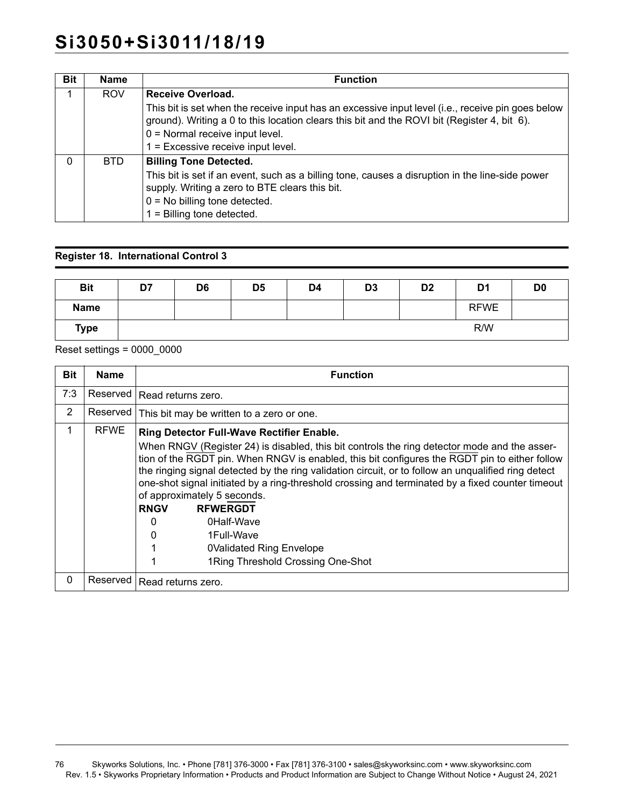| <b>Bit</b> | <b>Name</b> | <b>Function</b>                                                                                                                                                                                  |
|------------|-------------|--------------------------------------------------------------------------------------------------------------------------------------------------------------------------------------------------|
|            | <b>ROV</b>  | <b>Receive Overload.</b>                                                                                                                                                                         |
|            |             | This bit is set when the receive input has an excessive input level (i.e., receive pin goes below<br>ground). Writing a 0 to this location clears this bit and the ROVI bit (Register 4, bit 6). |
|            |             | $0 =$ Normal receive input level.                                                                                                                                                                |
|            |             | 1 = Excessive receive input level.                                                                                                                                                               |
| $\Omega$   | <b>BTD</b>  | <b>Billing Tone Detected.</b>                                                                                                                                                                    |
|            |             | This bit is set if an event, such as a billing tone, causes a disruption in the line-side power<br>supply. Writing a zero to BTE clears this bit.                                                |
|            |             | $0 = No$ billing tone detected.                                                                                                                                                                  |
|            |             | $1 =$ Billing tone detected.                                                                                                                                                                     |

#### **Register 18. International Control 3**

| <b>Bit</b>  | D7 | D <sub>6</sub> | D <sub>5</sub> | D4 | D <sub>3</sub> | D <sub>2</sub> | D <sub>1</sub> | D <sub>0</sub> |
|-------------|----|----------------|----------------|----|----------------|----------------|----------------|----------------|
| <b>Name</b> |    |                |                |    |                |                | <b>RFWE</b>    |                |
| <b>Type</b> |    |                |                |    |                |                | R/W            |                |

| <b>Bit</b>     | <b>Name</b> | <b>Function</b>                                                                                                                                                                                                                                                                                                                         |  |  |  |  |  |  |  |
|----------------|-------------|-----------------------------------------------------------------------------------------------------------------------------------------------------------------------------------------------------------------------------------------------------------------------------------------------------------------------------------------|--|--|--|--|--|--|--|
| 7:3            |             | Reserved   Read returns zero.                                                                                                                                                                                                                                                                                                           |  |  |  |  |  |  |  |
| $\overline{2}$ | Reserved    | This bit may be written to a zero or one.                                                                                                                                                                                                                                                                                               |  |  |  |  |  |  |  |
|                | <b>RFWE</b> | Ring Detector Full-Wave Rectifier Enable.<br>When RNGV (Register 24) is disabled, this bit controls the ring detector mode and the asser-                                                                                                                                                                                               |  |  |  |  |  |  |  |
|                |             | tion of the RGDT pin. When RNGV is enabled, this bit configures the RGDT pin to either follow<br>the ringing signal detected by the ring validation circuit, or to follow an unqualified ring detect<br>one-shot signal initiated by a ring-threshold crossing and terminated by a fixed counter timeout<br>of approximately 5 seconds. |  |  |  |  |  |  |  |
|                |             | <b>RNGV</b><br><b>RFWERGDT</b>                                                                                                                                                                                                                                                                                                          |  |  |  |  |  |  |  |
|                |             | 0Half-Wave<br>0                                                                                                                                                                                                                                                                                                                         |  |  |  |  |  |  |  |
|                |             | $\Omega$<br>1 Full-Wave                                                                                                                                                                                                                                                                                                                 |  |  |  |  |  |  |  |
|                |             | <b>OValidated Ring Envelope</b>                                                                                                                                                                                                                                                                                                         |  |  |  |  |  |  |  |
|                |             | 1Ring Threshold Crossing One-Shot                                                                                                                                                                                                                                                                                                       |  |  |  |  |  |  |  |
| 0              | Reserved    | Read returns zero.                                                                                                                                                                                                                                                                                                                      |  |  |  |  |  |  |  |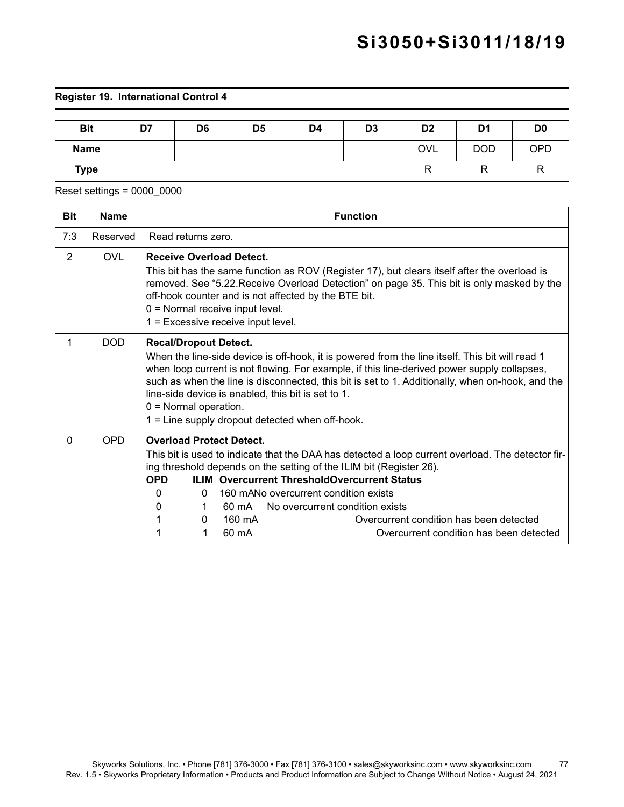#### **Register 19. International Control 4**

| <b>Bit</b>  | D7 | D <sub>6</sub> | D <sub>5</sub> | D4 | D <sub>3</sub> | D <sub>2</sub> | D <sub>1</sub> | D <sub>0</sub> |
|-------------|----|----------------|----------------|----|----------------|----------------|----------------|----------------|
| <b>Name</b> |    |                |                |    |                | <b>OVL</b>     | <b>DOD</b>     | OPD            |
| <b>Type</b> |    |                |                |    |                | R              |                | D              |

| <b>Bit</b>     | <b>Name</b> | <b>Function</b>                                                                                                                                                                                                                                                                                                                                                                                                                                                                                                                                       |  |  |  |  |  |  |  |  |
|----------------|-------------|-------------------------------------------------------------------------------------------------------------------------------------------------------------------------------------------------------------------------------------------------------------------------------------------------------------------------------------------------------------------------------------------------------------------------------------------------------------------------------------------------------------------------------------------------------|--|--|--|--|--|--|--|--|
| 7:3            | Reserved    | Read returns zero.                                                                                                                                                                                                                                                                                                                                                                                                                                                                                                                                    |  |  |  |  |  |  |  |  |
| $\overline{2}$ | OVL         | <b>Receive Overload Detect.</b><br>This bit has the same function as ROV (Register 17), but clears itself after the overload is<br>removed. See "5.22. Receive Overload Detection" on page 35. This bit is only masked by the<br>off-hook counter and is not affected by the BTE bit.<br>$0 =$ Normal receive input level.<br>1 = Excessive receive input level.                                                                                                                                                                                      |  |  |  |  |  |  |  |  |
| 1              | <b>DOD</b>  | <b>Recal/Dropout Detect.</b><br>When the line-side device is off-hook, it is powered from the line itself. This bit will read 1<br>when loop current is not flowing. For example, if this line-derived power supply collapses,<br>such as when the line is disconnected, this bit is set to 1. Additionally, when on-hook, and the<br>line-side device is enabled, this bit is set to 1.<br>$0 =$ Normal operation.<br>1 = Line supply dropout detected when off-hook.                                                                                |  |  |  |  |  |  |  |  |
| 0              | <b>OPD</b>  | <b>Overload Protect Detect.</b><br>This bit is used to indicate that the DAA has detected a loop current overload. The detector fir-<br>ing threshold depends on the setting of the ILIM bit (Register 26).<br><b>OPD</b><br><b>ILIM Overcurrent ThresholdOvercurrent Status</b><br>$\mathbf{0}$<br>160 mANo overcurrent condition exists<br>$\Omega$<br>0<br>$\mathbf{1}$<br>60 mA<br>No overcurrent condition exists<br>160 mA<br>Overcurrent condition has been detected<br>1<br>$\Omega$<br>60 mA<br>Overcurrent condition has been detected<br>1 |  |  |  |  |  |  |  |  |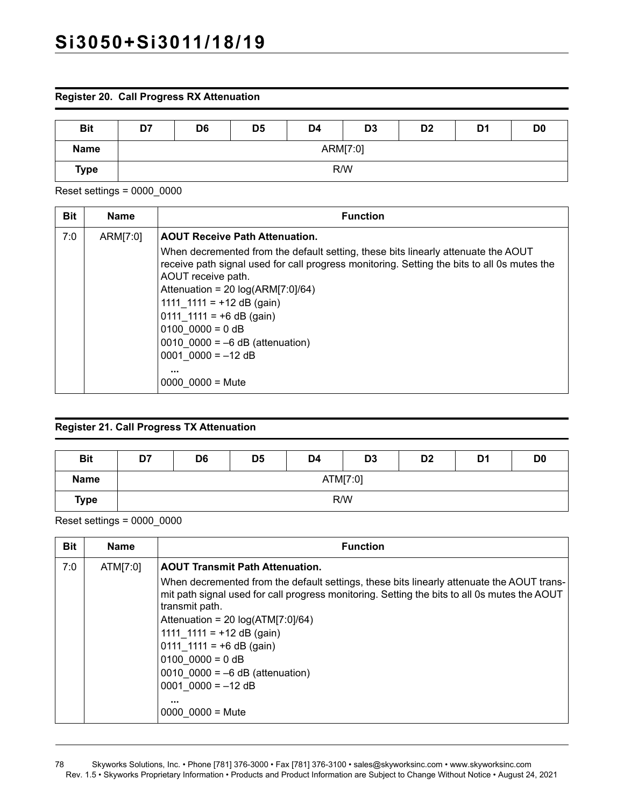#### **Register 20. Call Progress RX Attenuation**

| <b>Bit</b>  | D7       | D <sub>6</sub> | D <sub>5</sub> | D <sub>4</sub> | D <sub>3</sub> | D <sub>2</sub> | D <sub>1</sub> | D <sub>0</sub> |  |  |  |
|-------------|----------|----------------|----------------|----------------|----------------|----------------|----------------|----------------|--|--|--|
| <b>Name</b> | ARM[7:0] |                |                |                |                |                |                |                |  |  |  |
| <b>Type</b> |          |                |                | R/W            |                |                |                |                |  |  |  |

Reset settings = 0000\_0000

| <b>Bit</b> | <b>Name</b> | <b>Function</b>                                                                                                                                                                                                                                                                                                                                                                                                                        |
|------------|-------------|----------------------------------------------------------------------------------------------------------------------------------------------------------------------------------------------------------------------------------------------------------------------------------------------------------------------------------------------------------------------------------------------------------------------------------------|
| 7:0        | ARM[7:0]    | <b>AOUT Receive Path Attenuation.</b>                                                                                                                                                                                                                                                                                                                                                                                                  |
|            |             | When decremented from the default setting, these bits linearly attenuate the AOUT<br>receive path signal used for call progress monitoring. Setting the bits to all 0s mutes the<br>AOUT receive path.<br>Attenuation = $20 \log(ARM[7:0]/64)$<br>1111 1111 = $+12$ dB (gain)<br>0111 1111 = $+6$ dB (gain)<br>$0100 \t0000 = 0 \text{ dB}$<br>0010 0000 = $-6$ dB (attenuation)<br>$0001$ $0000 = -12$ dB<br><br>$0000 \ 0000 =$ Mute |

#### **Register 21. Call Progress TX Attenuation**

| <b>Bit</b>  | D7 | D6       | D <sub>5</sub> | D4 | D <sub>3</sub> | D <sub>2</sub> | D <sub>1</sub> | D <sub>0</sub> |  |  |  |
|-------------|----|----------|----------------|----|----------------|----------------|----------------|----------------|--|--|--|
| <b>Name</b> |    | ATM[7:0] |                |    |                |                |                |                |  |  |  |
| <b>Type</b> |    | R/W      |                |    |                |                |                |                |  |  |  |

| <b>Bit</b> | <b>Name</b> | <b>Function</b>                                                                                                                                                                                                                                                                                                                                                                                                                     |
|------------|-------------|-------------------------------------------------------------------------------------------------------------------------------------------------------------------------------------------------------------------------------------------------------------------------------------------------------------------------------------------------------------------------------------------------------------------------------------|
| 7:0        | ATM[7:0]    | <b>AOUT Transmit Path Attenuation.</b>                                                                                                                                                                                                                                                                                                                                                                                              |
|            |             | When decremented from the default settings, these bits linearly attenuate the AOUT trans-<br>mit path signal used for call progress monitoring. Setting the bits to all 0s mutes the AOUT<br>transmit path.<br>Attenuation = $20 \log(ATM[7:0]/64)$<br>1111 1111 = $+12$ dB (gain)<br>0111 1111 = $+6$ dB (gain)<br>$0100 \t0000 = 0 dB$<br>0010 0000 = $-6$ dB (attenuation)<br>$0001$ $0000 = -12$ dB<br><br>$0000 \ 0000 =$ Mute |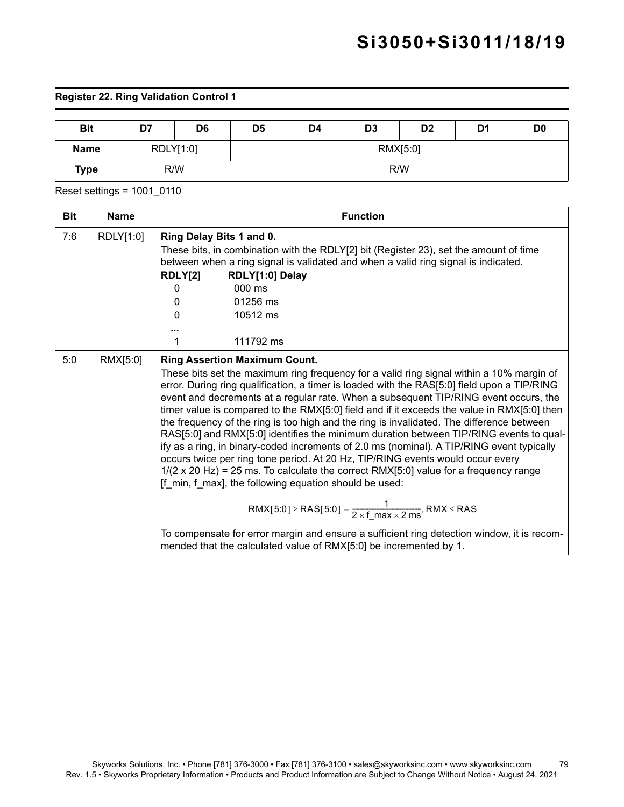#### **Register 22. Ring Validation Control 1**

| <b>Bit</b>  | D7        | D <sub>6</sub> | D <sub>5</sub> | D4 | D <sub>3</sub> | D <sub>2</sub> | D <sub>1</sub> | D <sub>0</sub> |  |
|-------------|-----------|----------------|----------------|----|----------------|----------------|----------------|----------------|--|
| <b>Name</b> | RDLY[1:0] |                | RMX[5:0]       |    |                |                |                |                |  |
| <b>Type</b> | R/W       |                | R/W            |    |                |                |                |                |  |

| <b>Bit</b> | <b>Name</b> | <b>Function</b>                                                                                                                                                                                                                                                                                                                                                                                                                                                                                                                                                                                                                                                                                                                                                                                                                                                                                                                                                                                                                                                                                                                                                                                                     |
|------------|-------------|---------------------------------------------------------------------------------------------------------------------------------------------------------------------------------------------------------------------------------------------------------------------------------------------------------------------------------------------------------------------------------------------------------------------------------------------------------------------------------------------------------------------------------------------------------------------------------------------------------------------------------------------------------------------------------------------------------------------------------------------------------------------------------------------------------------------------------------------------------------------------------------------------------------------------------------------------------------------------------------------------------------------------------------------------------------------------------------------------------------------------------------------------------------------------------------------------------------------|
| 7:6        | RDLY[1:0]   | Ring Delay Bits 1 and 0.<br>These bits, in combination with the RDLY[2] bit (Register 23), set the amount of time<br>between when a ring signal is validated and when a valid ring signal is indicated.                                                                                                                                                                                                                                                                                                                                                                                                                                                                                                                                                                                                                                                                                                                                                                                                                                                                                                                                                                                                             |
|            |             | RDLY[2]<br>RDLY[1:0] Delay<br>000 ms<br>0                                                                                                                                                                                                                                                                                                                                                                                                                                                                                                                                                                                                                                                                                                                                                                                                                                                                                                                                                                                                                                                                                                                                                                           |
|            |             | 01256 ms<br>$\Omega$                                                                                                                                                                                                                                                                                                                                                                                                                                                                                                                                                                                                                                                                                                                                                                                                                                                                                                                                                                                                                                                                                                                                                                                                |
|            |             | 10512 ms<br>$\Omega$                                                                                                                                                                                                                                                                                                                                                                                                                                                                                                                                                                                                                                                                                                                                                                                                                                                                                                                                                                                                                                                                                                                                                                                                |
|            |             |                                                                                                                                                                                                                                                                                                                                                                                                                                                                                                                                                                                                                                                                                                                                                                                                                                                                                                                                                                                                                                                                                                                                                                                                                     |
|            |             | 111792 ms<br>1                                                                                                                                                                                                                                                                                                                                                                                                                                                                                                                                                                                                                                                                                                                                                                                                                                                                                                                                                                                                                                                                                                                                                                                                      |
| 5:0        | RMX[5:0]    | <b>Ring Assertion Maximum Count.</b><br>These bits set the maximum ring frequency for a valid ring signal within a 10% margin of<br>error. During ring qualification, a timer is loaded with the RAS[5:0] field upon a TIP/RING<br>event and decrements at a regular rate. When a subsequent TIP/RING event occurs, the<br>timer value is compared to the RMX[5:0] field and if it exceeds the value in RMX[5:0] then<br>the frequency of the ring is too high and the ring is invalidated. The difference between<br>RAS[5:0] and RMX[5:0] identifies the minimum duration between TIP/RING events to qual-<br>ify as a ring, in binary-coded increments of 2.0 ms (nominal). A TIP/RING event typically<br>occurs twice per ring tone period. At 20 Hz, TIP/RING events would occur every<br>$1/(2 \times 20 \text{ Hz})$ = 25 ms. To calculate the correct RMX[5:0] value for a frequency range<br>[f min, f max], the following equation should be used:<br>RMX[5:0] $\ge$ RAS[5:0] $-\frac{1}{2 \times f}$ max $\times$ 2 ms, RMX $\le$ RAS<br>To compensate for error margin and ensure a sufficient ring detection window, it is recom-<br>mended that the calculated value of RMX[5:0] be incremented by 1. |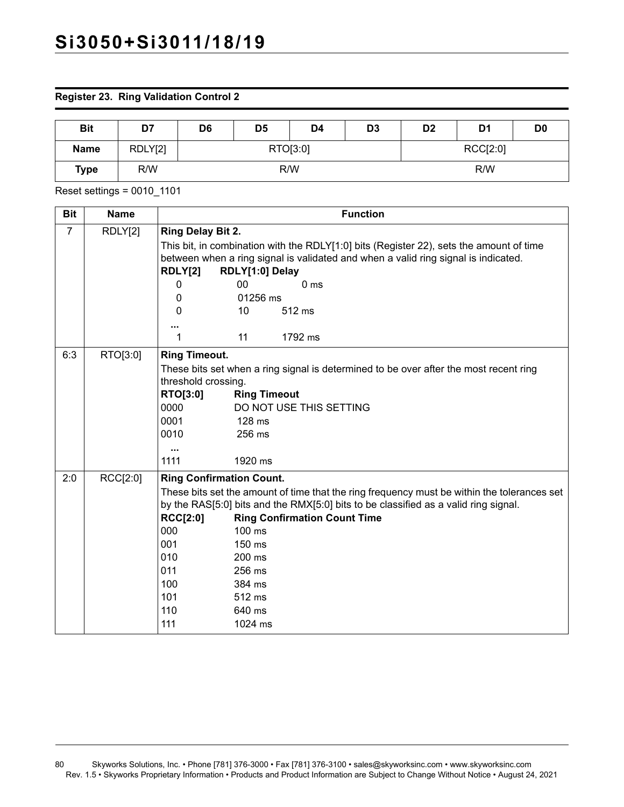#### **Register 23. Ring Validation Control 2**

| <b>Bit</b>  | D7      | D <sub>6</sub> | D <sub>5</sub> | D4       | D <sub>3</sub> | D <sub>2</sub> | D <sub>1</sub> | D <sub>0</sub> |  |
|-------------|---------|----------------|----------------|----------|----------------|----------------|----------------|----------------|--|
| <b>Name</b> | RDLY[2] |                |                | RTO[3:0] |                | RCC[2:0]       |                |                |  |
| <b>Type</b> | R/W     |                |                | R/W      |                |                | R/W            |                |  |

| <b>Name</b> |                                                                                    | <b>Function</b>                                                                                                                                                                                                                    |  |  |  |  |  |  |
|-------------|------------------------------------------------------------------------------------|------------------------------------------------------------------------------------------------------------------------------------------------------------------------------------------------------------------------------------|--|--|--|--|--|--|
| RDLY[2]     | Ring Delay Bit 2.                                                                  |                                                                                                                                                                                                                                    |  |  |  |  |  |  |
|             |                                                                                    | This bit, in combination with the RDLY[1:0] bits (Register 22), sets the amount of time                                                                                                                                            |  |  |  |  |  |  |
|             | between when a ring signal is validated and when a valid ring signal is indicated. |                                                                                                                                                                                                                                    |  |  |  |  |  |  |
|             |                                                                                    | RDLY[1:0] Delay                                                                                                                                                                                                                    |  |  |  |  |  |  |
|             |                                                                                    | 00 <sup>1</sup><br>0 <sub>ms</sub>                                                                                                                                                                                                 |  |  |  |  |  |  |
|             |                                                                                    | 01256 ms                                                                                                                                                                                                                           |  |  |  |  |  |  |
|             |                                                                                    | 512 ms<br>10                                                                                                                                                                                                                       |  |  |  |  |  |  |
|             |                                                                                    |                                                                                                                                                                                                                                    |  |  |  |  |  |  |
|             |                                                                                    | 11<br>1792 ms                                                                                                                                                                                                                      |  |  |  |  |  |  |
|             |                                                                                    |                                                                                                                                                                                                                                    |  |  |  |  |  |  |
|             |                                                                                    | These bits set when a ring signal is determined to be over after the most recent ring                                                                                                                                              |  |  |  |  |  |  |
|             |                                                                                    |                                                                                                                                                                                                                                    |  |  |  |  |  |  |
|             |                                                                                    | <b>Ring Timeout</b>                                                                                                                                                                                                                |  |  |  |  |  |  |
|             |                                                                                    | DO NOT USE THIS SETTING                                                                                                                                                                                                            |  |  |  |  |  |  |
|             |                                                                                    | $128$ ms                                                                                                                                                                                                                           |  |  |  |  |  |  |
|             |                                                                                    | 256 ms                                                                                                                                                                                                                             |  |  |  |  |  |  |
|             |                                                                                    | 1920 ms                                                                                                                                                                                                                            |  |  |  |  |  |  |
|             |                                                                                    |                                                                                                                                                                                                                                    |  |  |  |  |  |  |
|             |                                                                                    |                                                                                                                                                                                                                                    |  |  |  |  |  |  |
|             |                                                                                    | These bits set the amount of time that the ring frequency must be within the tolerances set                                                                                                                                        |  |  |  |  |  |  |
|             |                                                                                    | by the RAS[5:0] bits and the RMX[5:0] bits to be classified as a valid ring signal.<br><b>Ring Confirmation Count Time</b>                                                                                                         |  |  |  |  |  |  |
|             |                                                                                    | $100$ ms                                                                                                                                                                                                                           |  |  |  |  |  |  |
|             |                                                                                    | 150 ms                                                                                                                                                                                                                             |  |  |  |  |  |  |
|             |                                                                                    | $200$ ms                                                                                                                                                                                                                           |  |  |  |  |  |  |
|             |                                                                                    | 256 ms                                                                                                                                                                                                                             |  |  |  |  |  |  |
|             |                                                                                    | 384 ms                                                                                                                                                                                                                             |  |  |  |  |  |  |
|             | 101                                                                                | 512 ms                                                                                                                                                                                                                             |  |  |  |  |  |  |
|             | 110                                                                                | 640 ms                                                                                                                                                                                                                             |  |  |  |  |  |  |
|             | 111                                                                                | 1024 ms                                                                                                                                                                                                                            |  |  |  |  |  |  |
|             | RTO[3:0]<br>RCC[2:0]                                                               | RDLY[2]<br>0<br>0<br>0<br>1<br><b>Ring Timeout.</b><br>threshold crossing.<br><b>RTO[3:0]</b><br>0000<br>0001<br>0010<br>$\cdots$<br>1111<br><b>Ring Confirmation Count.</b><br><b>RCC[2:0]</b><br>000<br>001<br>010<br>011<br>100 |  |  |  |  |  |  |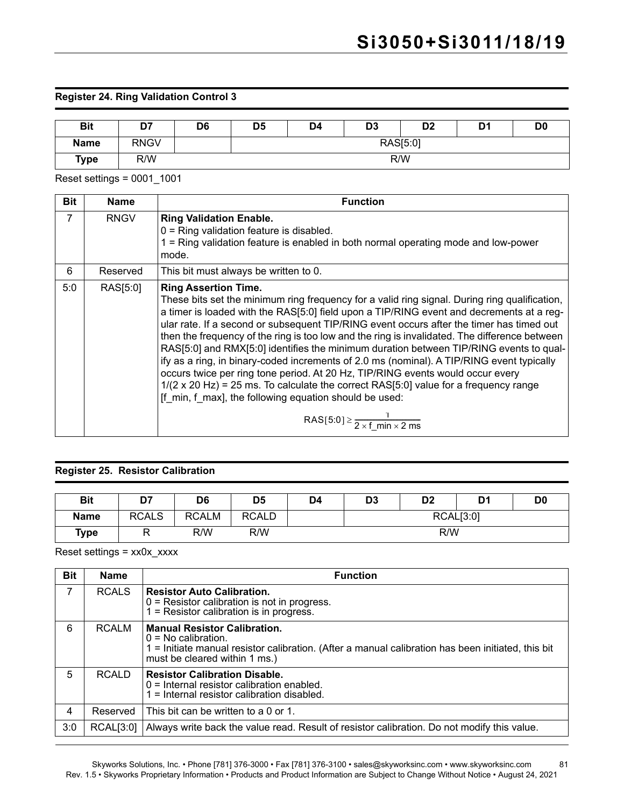#### **Register 24. Ring Validation Control 3**

| <b>Bit</b>  | D7          | D <sub>6</sub> | D <sub>5</sub> | D <sub>4</sub> | D3 | D <sub>2</sub> | D <sub>1</sub> | D <sub>0</sub> |  |
|-------------|-------------|----------------|----------------|----------------|----|----------------|----------------|----------------|--|
| <b>Name</b> | <b>RNGV</b> |                | RAS[5:0]       |                |    |                |                |                |  |
| <b>Type</b> | R/W         |                | R/W            |                |    |                |                |                |  |

Reset settings = 0001\_1001

| <b>Bit</b> | <b>Name</b> | <b>Function</b>                                                                                                                                                                                                                                                                                                                                                                                                                                                                                                                                                                                                                                                                                                                                                                                                                                                                                                                         |
|------------|-------------|-----------------------------------------------------------------------------------------------------------------------------------------------------------------------------------------------------------------------------------------------------------------------------------------------------------------------------------------------------------------------------------------------------------------------------------------------------------------------------------------------------------------------------------------------------------------------------------------------------------------------------------------------------------------------------------------------------------------------------------------------------------------------------------------------------------------------------------------------------------------------------------------------------------------------------------------|
| 7          | <b>RNGV</b> | <b>Ring Validation Enable.</b><br>$0 =$ Ring validation feature is disabled.<br>1 = Ring validation feature is enabled in both normal operating mode and low-power<br>mode.                                                                                                                                                                                                                                                                                                                                                                                                                                                                                                                                                                                                                                                                                                                                                             |
| 6          | Reserved    | This bit must always be written to 0.                                                                                                                                                                                                                                                                                                                                                                                                                                                                                                                                                                                                                                                                                                                                                                                                                                                                                                   |
| 5:0        | RAS[5:0]    | <b>Ring Assertion Time.</b><br>These bits set the minimum ring frequency for a valid ring signal. During ring qualification,<br>a timer is loaded with the RAS[5:0] field upon a TIP/RING event and decrements at a reg-<br>ular rate. If a second or subsequent TIP/RING event occurs after the timer has timed out<br>then the frequency of the ring is too low and the ring is invalidated. The difference between<br>RAS[5:0] and RMX[5:0] identifies the minimum duration between TIP/RING events to qual-<br>ify as a ring, in binary-coded increments of 2.0 ms (nominal). A TIP/RING event typically<br>occurs twice per ring tone period. At 20 Hz, TIP/RING events would occur every<br>$1/(2 \times 20 \text{ Hz})$ = 25 ms. To calculate the correct RAS[5:0] value for a frequency range<br>[f min, f max], the following equation should be used:<br>RAS[5:0] $\geq \frac{1}{2 \times f \text{ min} \times 2 \text{ ms}}$ |

#### **Register 25. Resistor Calibration**

| <b>Bit</b>  | D7           | D6           | D <sub>5</sub> | D4 | D <sub>3</sub> | D <sub>2</sub> | D <sub>1</sub> | D <sub>0</sub> |
|-------------|--------------|--------------|----------------|----|----------------|----------------|----------------|----------------|
| <b>Name</b> | <b>RCALS</b> | <b>RCALM</b> | <b>RCALD</b>   |    | RCAL[3:0]      |                |                |                |
| <b>Type</b> |              | R/W          | R/W            |    | R/W            |                |                |                |

Reset settings = xx0x\_xxxx

| <b>Bit</b> | <b>Name</b>  | <b>Function</b>                                                                                                                                                                              |
|------------|--------------|----------------------------------------------------------------------------------------------------------------------------------------------------------------------------------------------|
| 7          | <b>RCALS</b> | Resistor Auto Calibration.<br>$0 =$ Resistor calibration is not in progress.<br>$1$ = Resistor calibration is in progress.                                                                   |
| 6          | <b>RCALM</b> | Manual Resistor Calibration.<br>$0 = No$ calibration.<br>1 = Initiate manual resistor calibration. (After a manual calibration has been initiated, this bit<br>must be cleared within 1 ms.) |
| 5          | <b>RCALD</b> | Resistor Calibration Disable.<br>$0 =$ Internal resistor calibration enabled.<br>1 = Internal resistor calibration disabled.                                                                 |
| 4          | Reserved     | l This bit can be written to a 0 or 1.                                                                                                                                                       |
| 3:0        | RCAL[3:0]    | Always write back the value read. Result of resistor calibration. Do not modify this value.                                                                                                  |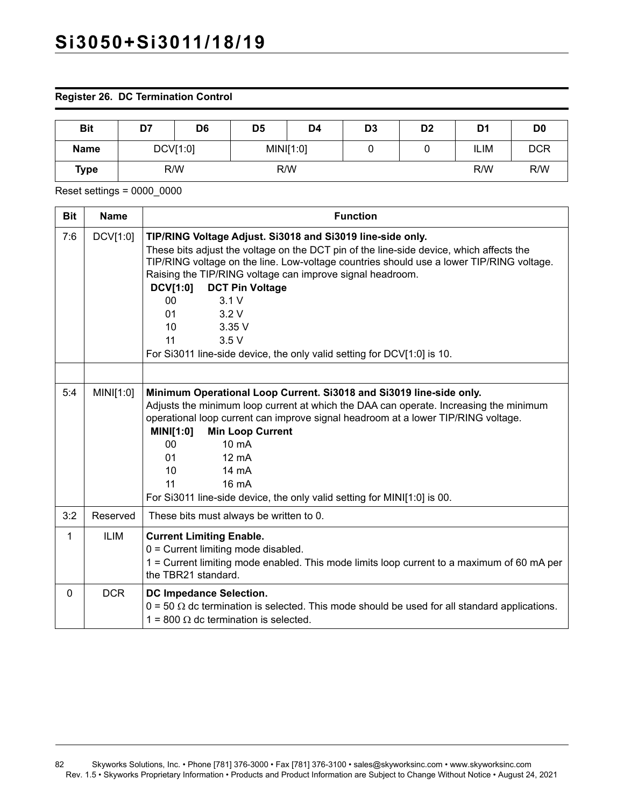#### **Register 26. DC Termination Control**

| <b>Bit</b>  | D7       | D <sub>6</sub> | D <sub>5</sub> | D4 | D <sub>3</sub> | D <sub>2</sub> | D <sub>1</sub> | D <sub>0</sub> |
|-------------|----------|----------------|----------------|----|----------------|----------------|----------------|----------------|
| <b>Name</b> | DCV[1:0] |                | MINI[1:0]      |    |                |                | <b>ILIM</b>    | <b>DCR</b>     |
| <b>Type</b> | R/W      |                | R/W            |    |                |                | R/W            | R/W            |

| <b>Bit</b> | <b>Name</b> | <b>Function</b>                                                                                                                                                                                                                                                                                                                                                                                                                                                                                              |
|------------|-------------|--------------------------------------------------------------------------------------------------------------------------------------------------------------------------------------------------------------------------------------------------------------------------------------------------------------------------------------------------------------------------------------------------------------------------------------------------------------------------------------------------------------|
| 7:6        | DCV[1:0]    | TIP/RING Voltage Adjust. Si3018 and Si3019 line-side only.<br>These bits adjust the voltage on the DCT pin of the line-side device, which affects the<br>TIP/RING voltage on the line. Low-voltage countries should use a lower TIP/RING voltage.<br>Raising the TIP/RING voltage can improve signal headroom.<br><b>DCV[1:0]</b><br><b>DCT Pin Voltage</b><br>00<br>3.1V<br>01<br>3.2V<br>10 <sup>°</sup><br>3.35V<br>3.5V<br>11<br>For Si3011 line-side device, the only valid setting for DCV[1:0] is 10. |
|            |             |                                                                                                                                                                                                                                                                                                                                                                                                                                                                                                              |
| 5:4        | MINI[1:0]   | Minimum Operational Loop Current. Si3018 and Si3019 line-side only.<br>Adjusts the minimum loop current at which the DAA can operate. Increasing the minimum<br>operational loop current can improve signal headroom at a lower TIP/RING voltage.<br><b>Min Loop Current</b><br><b>MINI[1:0]</b><br>00<br>$10 \text{ mA}$<br>$12 \text{ mA}$<br>01<br>10<br>14 mA<br>11<br>16 mA<br>For Si3011 line-side device, the only valid setting for MINI[1:0] is 00.                                                 |
| 3:2        | Reserved    | These bits must always be written to 0.                                                                                                                                                                                                                                                                                                                                                                                                                                                                      |
| 1          | <b>ILIM</b> | <b>Current Limiting Enable.</b><br>$0 =$ Current limiting mode disabled.<br>1 = Current limiting mode enabled. This mode limits loop current to a maximum of 60 mA per<br>the TBR21 standard.                                                                                                                                                                                                                                                                                                                |
| 0          | <b>DCR</b>  | DC Impedance Selection.<br>$0 = 50 \Omega$ dc termination is selected. This mode should be used for all standard applications.<br>$1 = 800 \Omega$ dc termination is selected.                                                                                                                                                                                                                                                                                                                               |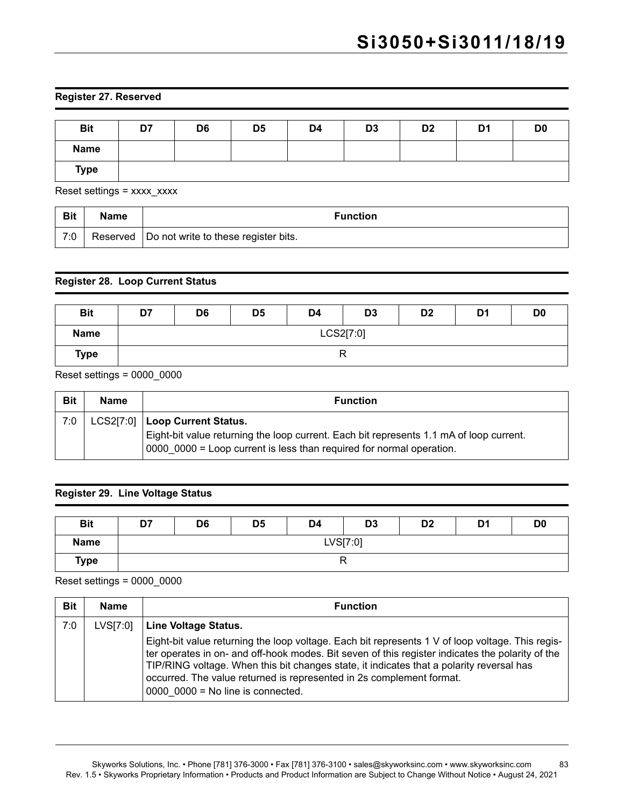#### **Register 27. Reserved**

| <b>Bit</b>  | D7 | D <sub>6</sub> | D <sub>5</sub> | D <sub>4</sub> | D <sub>3</sub> | D <sub>2</sub> | D <sub>1</sub> | D <sub>0</sub> |
|-------------|----|----------------|----------------|----------------|----------------|----------------|----------------|----------------|
| <b>Name</b> |    |                |                |                |                |                |                |                |
| <b>Type</b> |    |                |                |                |                |                |                |                |

Reset settings = xxxx\_xxxx

| <b>Bit</b> | Name | <b>Function</b>                                 |
|------------|------|-------------------------------------------------|
| 7:0        |      | Reserved   Do not write to these register bits. |

#### **Register 28. Loop Current Status**

| <b>Bit</b>  | D7 | D <sub>6</sub> | D <sub>5</sub> | D4 | D <sub>3</sub> | D <sub>2</sub> | D <sub>1</sub> | D <sub>0</sub> |  |  |  |
|-------------|----|----------------|----------------|----|----------------|----------------|----------------|----------------|--|--|--|
| <b>Name</b> |    | LCS2[7:0]      |                |    |                |                |                |                |  |  |  |
| <b>Type</b> |    |                |                |    |                |                |                |                |  |  |  |

Reset settings = 0000\_0000

| <b>Bit</b> | Name | <b>Function</b>                                                                                                                                                                                     |
|------------|------|-----------------------------------------------------------------------------------------------------------------------------------------------------------------------------------------------------|
| 7:0        |      | LCS2[7:0]   Loop Current Status.<br>Eight-bit value returning the loop current. Each bit represents 1.1 mA of loop current.<br>0000 0000 = Loop current is less than required for normal operation. |

#### **Register 29. Line Voltage Status**

| <b>Bit</b>  | D7 | D <sub>6</sub> | D <sub>5</sub> | D4 | D <sub>3</sub> | D <sub>2</sub> | D <sub>1</sub> | D <sub>0</sub> |  |  |  |
|-------------|----|----------------|----------------|----|----------------|----------------|----------------|----------------|--|--|--|
| Name        |    | LVS[7:0]       |                |    |                |                |                |                |  |  |  |
| <b>Type</b> |    |                |                |    | $\mathbf{I}$   |                |                |                |  |  |  |

| <b>Bit</b> | <b>Name</b> | <b>Function</b>                                                                                                                                                                                                                                                                                                                                                                                                   |
|------------|-------------|-------------------------------------------------------------------------------------------------------------------------------------------------------------------------------------------------------------------------------------------------------------------------------------------------------------------------------------------------------------------------------------------------------------------|
| 7:0        | LVS[7:0]    | Line Voltage Status.                                                                                                                                                                                                                                                                                                                                                                                              |
|            |             | Eight-bit value returning the loop voltage. Each bit represents 1 V of loop voltage. This regis-<br>ter operates in on- and off-hook modes. Bit seven of this register indicates the polarity of the<br>TIP/RING voltage. When this bit changes state, it indicates that a polarity reversal has<br>occurred. The value returned is represented in 2s complement format.<br>$0000$ $0000$ = No line is connected. |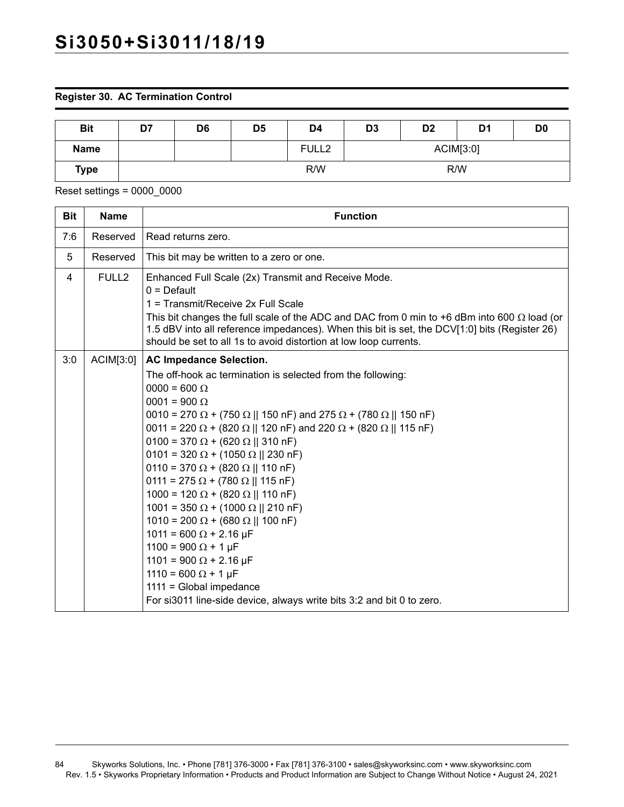#### **Register 30. AC Termination Control**

| <b>Bit</b>  | D7 | D <sub>6</sub> | D <sub>5</sub> | D <sub>4</sub> | D <sub>3</sub> | D <sub>2</sub> | D <sub>1</sub> | D <sub>0</sub> |
|-------------|----|----------------|----------------|----------------|----------------|----------------|----------------|----------------|
| <b>Name</b> |    |                |                | FULL2          | ACIM[3:0]      |                |                |                |
| <b>Type</b> |    |                |                | R/W            | R/W            |                |                |                |

| <b>Bit</b> | <b>Name</b>       | <b>Function</b>                                                                                                                                                                                                                                                                                                                                                                                                                                                                                                                                                                                                                                                                                                                                                                                                                                                                                                                                                            |
|------------|-------------------|----------------------------------------------------------------------------------------------------------------------------------------------------------------------------------------------------------------------------------------------------------------------------------------------------------------------------------------------------------------------------------------------------------------------------------------------------------------------------------------------------------------------------------------------------------------------------------------------------------------------------------------------------------------------------------------------------------------------------------------------------------------------------------------------------------------------------------------------------------------------------------------------------------------------------------------------------------------------------|
| 7:6        | Reserved          | Read returns zero.                                                                                                                                                                                                                                                                                                                                                                                                                                                                                                                                                                                                                                                                                                                                                                                                                                                                                                                                                         |
| 5          | Reserved          | This bit may be written to a zero or one.                                                                                                                                                                                                                                                                                                                                                                                                                                                                                                                                                                                                                                                                                                                                                                                                                                                                                                                                  |
| 4          | FULL <sub>2</sub> | Enhanced Full Scale (2x) Transmit and Receive Mode.<br>$0 = Default$<br>1 = Transmit/Receive 2x Full Scale<br>This bit changes the full scale of the ADC and DAC from 0 min to +6 dBm into 600 $\Omega$ load (or<br>1.5 dBV into all reference impedances). When this bit is set, the DCV[1:0] bits (Register 26)<br>should be set to all 1s to avoid distortion at low loop currents.                                                                                                                                                                                                                                                                                                                                                                                                                                                                                                                                                                                     |
| 3:0        | ACIM[3:0]         | AC Impedance Selection.<br>The off-hook ac termination is selected from the following:<br>$0000 = 600 \Omega$<br>$0001 = 900 \Omega$<br>$0010 = 270 \Omega + (750 \Omega    150 \text{ nF})$ and $275 \Omega + (780 \Omega    150 \text{ nF})$<br>0011 = 220 Ω + (820 Ω    120 nF) and 220 Ω + (820 Ω    115 nF)<br>$0100 = 370 \Omega + (620 \Omega    310 \text{ nF})$<br>$0101 = 320 \Omega + (1050 \Omega    230 \text{ nF})$<br>$0110 = 370 \Omega + (820 \Omega    110 \text{ nF})$<br>$0111 = 275 \Omega + (780 \Omega    115 \text{ nF})$<br>$1000 = 120 \Omega + (820 \Omega    110 \text{ nF})$<br>$1001 = 350 \Omega + (1000 \Omega    210 \text{ nF})$<br>$1010 = 200 \Omega + (680 \Omega    100 \text{ nF})$<br>$1011 = 600 \Omega + 2.16 \mu F$<br>$1100 = 900 \Omega + 1 \mu F$<br>$1101 = 900 \Omega + 2.16 \mu F$<br>$1110 = 600 \Omega + 1 \mu F$<br>$1111 = Global impedance$<br>For si3011 line-side device, always write bits 3:2 and bit 0 to zero. |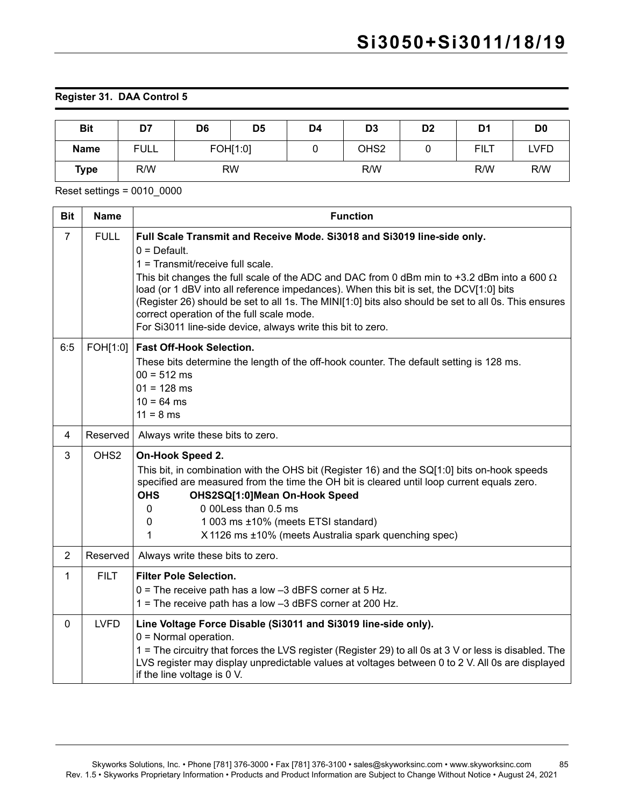#### <span id="page-84-0"></span>**Register 31. DAA Control 5**

| <b>Bit</b>  | D7          | D6       | D <sub>5</sub> | D4 | D <sub>3</sub>   | D <sub>2</sub> | D <sub>1</sub> | D <sub>0</sub> |
|-------------|-------------|----------|----------------|----|------------------|----------------|----------------|----------------|
| <b>Name</b> | <b>FULL</b> | FOH[1:0] |                |    | OHS <sub>2</sub> |                | <b>FILT</b>    | LVFD           |
| Type        | R/W         | RW       |                |    | R/W              |                | R/W            | R/W            |

| <b>Bit</b>     | <b>Name</b>      | <b>Function</b>                                                                                                                                                                                                                                                                                                                                                                                                                                                                                                                                  |
|----------------|------------------|--------------------------------------------------------------------------------------------------------------------------------------------------------------------------------------------------------------------------------------------------------------------------------------------------------------------------------------------------------------------------------------------------------------------------------------------------------------------------------------------------------------------------------------------------|
| $\overline{7}$ | <b>FULL</b>      | Full Scale Transmit and Receive Mode. Si3018 and Si3019 line-side only.<br>$0 = Default.$<br>1 = Transmit/receive full scale.<br>This bit changes the full scale of the ADC and DAC from 0 dBm min to +3.2 dBm into a 600 $\Omega$<br>load (or 1 dBV into all reference impedances). When this bit is set, the DCV[1:0] bits<br>(Register 26) should be set to all 1s. The MINI[1:0] bits also should be set to all 0s. This ensures<br>correct operation of the full scale mode.<br>For Si3011 line-side device, always write this bit to zero. |
| 6:5            | FOH[1:0]         | <b>Fast Off-Hook Selection.</b><br>These bits determine the length of the off-hook counter. The default setting is 128 ms.<br>$00 = 512$ ms<br>$01 = 128$ ms<br>$10 = 64$ ms<br>$11 = 8$ ms                                                                                                                                                                                                                                                                                                                                                      |
| 4              | Reserved         | Always write these bits to zero.                                                                                                                                                                                                                                                                                                                                                                                                                                                                                                                 |
| 3              | OH <sub>S2</sub> | On-Hook Speed 2.<br>This bit, in combination with the OHS bit (Register 16) and the SQ[1:0] bits on-hook speeds<br>specified are measured from the time the OH bit is cleared until loop current equals zero.<br><b>OHS</b><br>OHS2SQ[1:0]Mean On-Hook Speed<br>0 00Less than 0.5 ms<br>0<br>1 003 ms ±10% (meets ETSI standard)<br>0<br>X 1126 ms ±10% (meets Australia spark quenching spec)<br>1                                                                                                                                              |
| 2              | Reserved         | Always write these bits to zero.                                                                                                                                                                                                                                                                                                                                                                                                                                                                                                                 |
| 1              | <b>FILT</b>      | <b>Filter Pole Selection.</b><br>$0 =$ The receive path has a low $-3$ dBFS corner at 5 Hz.<br>1 = The receive path has a low -3 dBFS corner at 200 Hz.                                                                                                                                                                                                                                                                                                                                                                                          |
| 0              | <b>LVFD</b>      | Line Voltage Force Disable (Si3011 and Si3019 line-side only).<br>$0 =$ Normal operation.<br>1 = The circuitry that forces the LVS register (Register 29) to all 0s at 3 V or less is disabled. The<br>LVS register may display unpredictable values at voltages between 0 to 2 V. All 0s are displayed<br>if the line voltage is 0 V.                                                                                                                                                                                                           |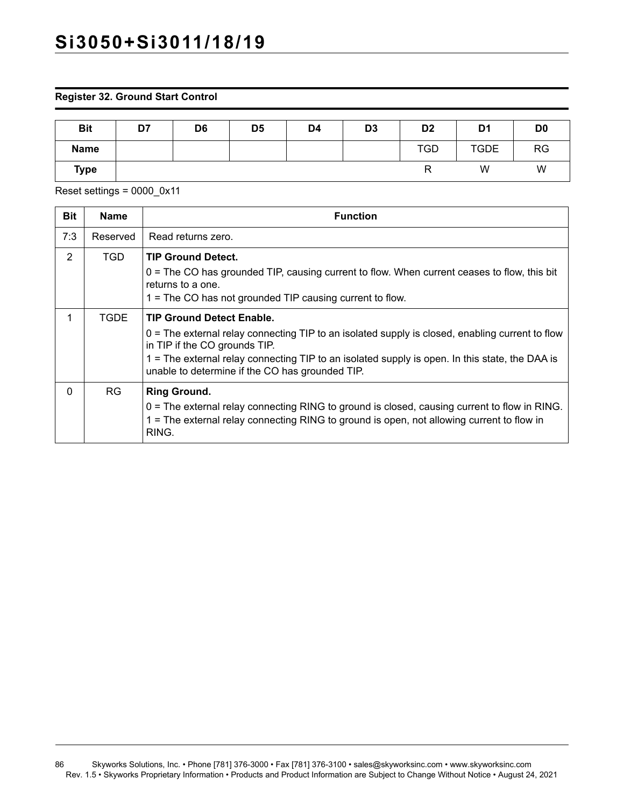#### **Register 32. Ground Start Control**

| <b>Bit</b>  | D7 | D <sub>6</sub> | D <sub>5</sub> | D4 | D <sub>3</sub> | D <sub>2</sub> | D <sub>1</sub> | D <sub>0</sub> |
|-------------|----|----------------|----------------|----|----------------|----------------|----------------|----------------|
| <b>Name</b> |    |                |                |    |                | <b>TGD</b>     | <b>TGDE</b>    | <b>RG</b>      |
| <b>Type</b> |    |                |                |    |                |                | W              | W              |

| <b>Bit</b> | <b>Name</b> | <b>Function</b>                                                                                                                                                                                                                                                                                                             |
|------------|-------------|-----------------------------------------------------------------------------------------------------------------------------------------------------------------------------------------------------------------------------------------------------------------------------------------------------------------------------|
| 7:3        | Reserved    | Read returns zero.                                                                                                                                                                                                                                                                                                          |
| 2          | TGD.        | <b>TIP Ground Detect.</b><br>$0 =$ The CO has grounded TIP, causing current to flow. When current ceases to flow, this bit<br>returns to a one.<br>1 = The CO has not grounded TIP causing current to flow.                                                                                                                 |
|            | <b>TGDE</b> | <b>TIP Ground Detect Enable.</b><br>$0$ = The external relay connecting TIP to an isolated supply is closed, enabling current to flow<br>in TIP if the CO grounds TIP.<br>1 = The external relay connecting TIP to an isolated supply is open. In this state, the DAA is<br>unable to determine if the CO has grounded TIP. |
| $\Omega$   | RG          | <b>Ring Ground.</b><br>$0$ = The external relay connecting RING to ground is closed, causing current to flow in RING.<br>1 = The external relay connecting RING to ground is open, not allowing current to flow in<br>RING.                                                                                                 |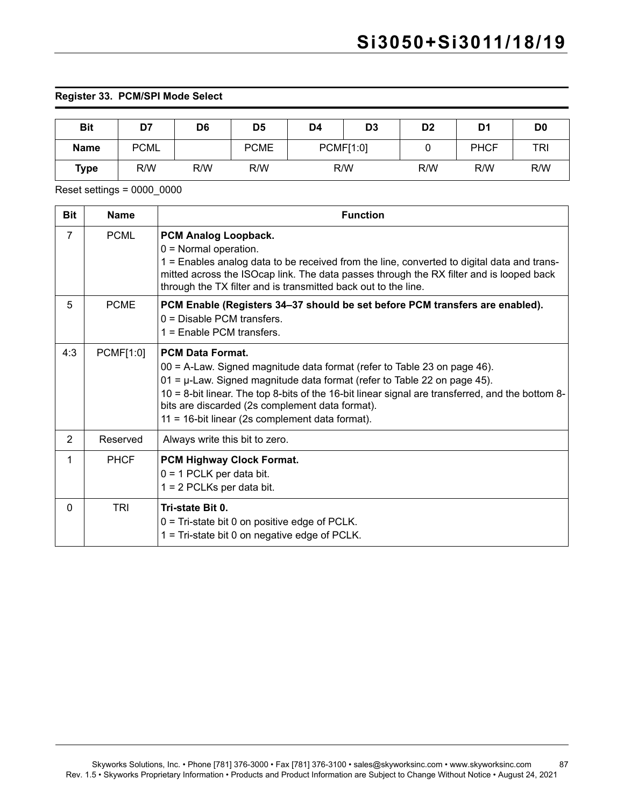#### **Register 33. PCM/SPI Mode Select**

| <b>Bit</b>  | D7          | D6  | D <sub>5</sub> | D <sub>4</sub> | D <sub>3</sub> | D <sub>2</sub> | D <sub>1</sub> | D <sub>0</sub> |
|-------------|-------------|-----|----------------|----------------|----------------|----------------|----------------|----------------|
| <b>Name</b> | <b>PCML</b> |     | <b>PCME</b>    | PCMF[1:0]      |                |                | <b>PHCF</b>    | <b>TRI</b>     |
| <b>Type</b> | R/W         | R/W | R/W            |                | R/W            |                | R/W            | R/W            |

| <b>Bit</b>     | <b>Name</b> | <b>Function</b>                                                                                                                                                                                                                                                                                                                                                                                |
|----------------|-------------|------------------------------------------------------------------------------------------------------------------------------------------------------------------------------------------------------------------------------------------------------------------------------------------------------------------------------------------------------------------------------------------------|
| 7              | <b>PCML</b> | PCM Analog Loopback.<br>$0 =$ Normal operation.<br>1 = Enables analog data to be received from the line, converted to digital data and trans-<br>mitted across the ISOcap link. The data passes through the RX filter and is looped back<br>through the TX filter and is transmitted back out to the line.                                                                                     |
| 5              | <b>PCME</b> | PCM Enable (Registers 34-37 should be set before PCM transfers are enabled).<br>$0 =$ Disable PCM transfers.<br>$1 =$ Enable PCM transfers.                                                                                                                                                                                                                                                    |
| 4:3            | PCMF[1:0]   | <b>PCM Data Format.</b><br>00 = A-Law. Signed magnitude data format (refer to Table 23 on page 46).<br>$01 = \mu$ -Law. Signed magnitude data format (refer to Table 22 on page 45).<br>10 = 8-bit linear. The top 8-bits of the 16-bit linear signal are transferred, and the bottom 8-<br>bits are discarded (2s complement data format).<br>11 = 16-bit linear (2s complement data format). |
| $\overline{2}$ | Reserved    | Always write this bit to zero.                                                                                                                                                                                                                                                                                                                                                                 |
| 1              | <b>PHCF</b> | PCM Highway Clock Format.<br>$0 = 1$ PCLK per data bit.<br>$1 = 2$ PCLKs per data bit.                                                                                                                                                                                                                                                                                                         |
| 0              | TRI         | Tri-state Bit 0.<br>0 = Tri-state bit 0 on positive edge of PCLK.<br>1 = Tri-state bit 0 on negative edge of PCLK.                                                                                                                                                                                                                                                                             |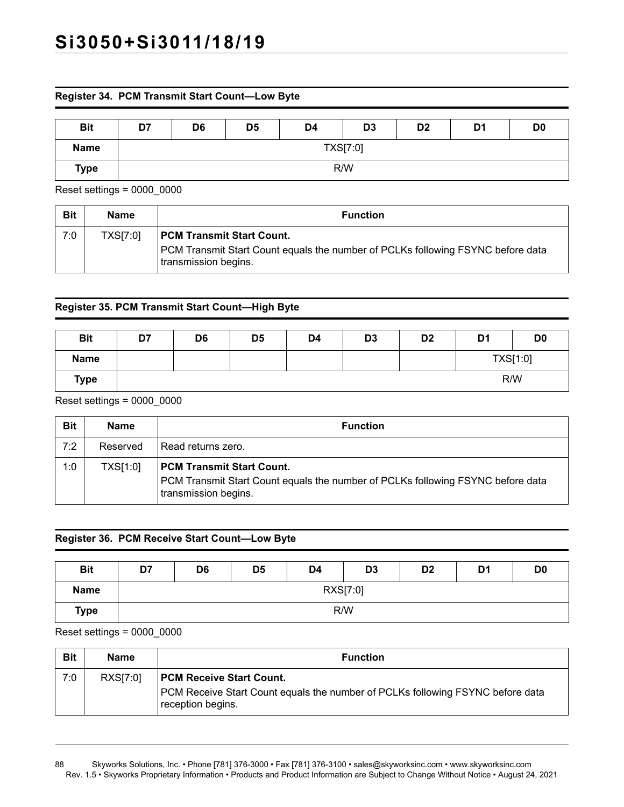#### **Register 34. PCM Transmit Start Count—Low Byte**

| <b>Bit</b>  | D7 | D <sub>6</sub> | D <sub>5</sub> | D4 | D <sub>3</sub> | D <sub>2</sub> | D <sub>1</sub> | D <sub>0</sub> |  |  |  |  |
|-------------|----|----------------|----------------|----|----------------|----------------|----------------|----------------|--|--|--|--|
| <b>Name</b> |    | TXS[7:0]       |                |    |                |                |                |                |  |  |  |  |
| <b>Type</b> |    |                |                |    | R/W            |                |                |                |  |  |  |  |

Reset settings = 0000\_0000

| <b>Bit</b> | Name     | <b>Function</b>                                                                                                                             |
|------------|----------|---------------------------------------------------------------------------------------------------------------------------------------------|
| 7:0        | TXS[7:0] | <b>PCM Transmit Start Count.</b><br>PCM Transmit Start Count equals the number of PCLKs following FSYNC before data<br>transmission begins. |

#### **Register 35. PCM Transmit Start Count—High Byte**

| <b>Bit</b>  | D7 | D <sub>6</sub> | D <sub>5</sub> | D4 | D <sub>3</sub> | D <sub>2</sub> | D <sub>1</sub> | D <sub>0</sub> |
|-------------|----|----------------|----------------|----|----------------|----------------|----------------|----------------|
| <b>Name</b> |    |                |                |    |                |                | TXS[1:0]       |                |
| <b>Type</b> |    |                |                |    |                |                |                | R/W            |

#### Reset settings = 0000\_0000

| <b>Bit</b> | <b>Name</b> | <b>Function</b>                                                                                                                             |
|------------|-------------|---------------------------------------------------------------------------------------------------------------------------------------------|
| 7:2        | Reserved    | Read returns zero.                                                                                                                          |
| 1:0        | TXS[1:0]    | <b>PCM Transmit Start Count.</b><br>PCM Transmit Start Count equals the number of PCLKs following FSYNC before data<br>transmission begins. |

#### **Register 36. PCM Receive Start Count—Low Byte**

| <b>Bit</b>  | D7 | D6       | D <sub>5</sub> | D4 | D <sub>3</sub> | D <sub>2</sub> | D <sub>1</sub> | D <sub>0</sub> |  |  |  |
|-------------|----|----------|----------------|----|----------------|----------------|----------------|----------------|--|--|--|
| <b>Name</b> |    | RXS[7:0] |                |    |                |                |                |                |  |  |  |
| <b>Type</b> |    |          | R/W            |    |                |                |                |                |  |  |  |

| <b>Bit</b> | Name     | <b>Function</b>                                                                                                                        |
|------------|----------|----------------------------------------------------------------------------------------------------------------------------------------|
| 7:0        | RXS[7:0] | <b>PCM Receive Start Count.</b><br>PCM Receive Start Count equals the number of PCLKs following FSYNC before data<br>reception begins. |

<sup>88</sup> Skyworks Solutions, Inc. • Phone [781] 376-3000 • Fax [781] 376-3100 • sales@skyworksinc.com • www.skyworksinc.com Rev. 1.5 • Skyworks Proprietary Information • Products and Product Information are Subject to Change Without Notice • August 24, 2021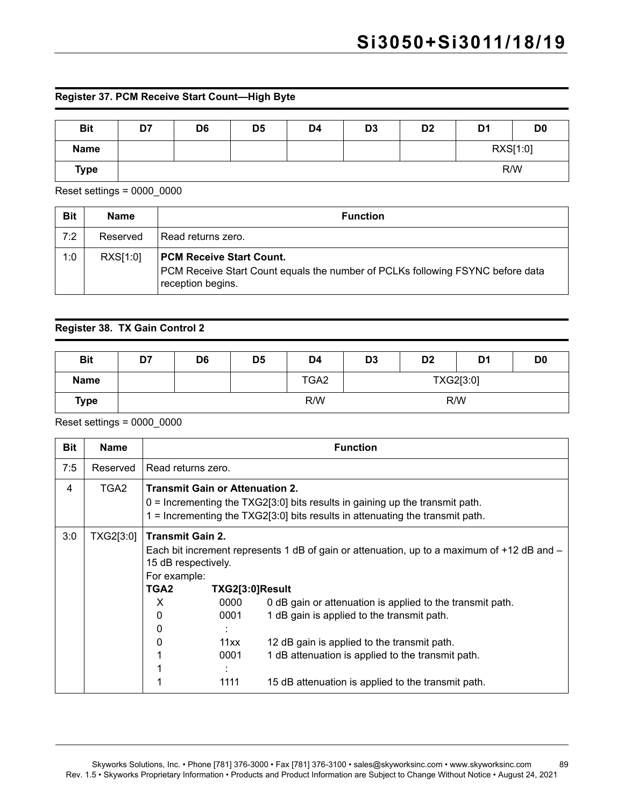#### **Register 37. PCM Receive Start Count—High Byte**

| <b>Bit</b>  | D7 | D <sub>6</sub> | D <sub>5</sub> | D <sub>4</sub> | D <sub>3</sub> | D <sub>2</sub> | D <sub>1</sub> | D <sub>0</sub> |
|-------------|----|----------------|----------------|----------------|----------------|----------------|----------------|----------------|
| <b>Name</b> |    |                |                |                |                |                | RXS[1:0]       |                |
| <b>Type</b> |    |                |                |                |                |                | R/W            |                |

Reset settings = 0000\_0000

| <b>Bit</b> | <b>Name</b> | <b>Function</b>                                                                                                                        |
|------------|-------------|----------------------------------------------------------------------------------------------------------------------------------------|
| 7:2        | Reserved    | Read returns zero.                                                                                                                     |
| 1:0        | RXS[1:0]    | <b>PCM Receive Start Count.</b><br>PCM Receive Start Count equals the number of PCLKs following FSYNC before data<br>reception begins. |

#### **Register 38. TX Gain Control 2**

| <b>Bit</b>  | D7 | D <sub>6</sub> | D <sub>5</sub> | D4               | D <sub>3</sub> | D <sub>2</sub> | D <sub>1</sub> | D <sub>0</sub> |
|-------------|----|----------------|----------------|------------------|----------------|----------------|----------------|----------------|
| <b>Name</b> |    |                |                | TGA <sub>2</sub> | TXG2[3:0]      |                |                |                |
| <b>Type</b> |    |                |                | R/W              | R/W            |                |                |                |

| <b>Bit</b> | <b>Name</b> |                                                                                                        |                                                                                                                                                                                                           | <b>Function</b>                                                                                                                                                                                                                                                                                                                                                     |  |  |  |  |  |
|------------|-------------|--------------------------------------------------------------------------------------------------------|-----------------------------------------------------------------------------------------------------------------------------------------------------------------------------------------------------------|---------------------------------------------------------------------------------------------------------------------------------------------------------------------------------------------------------------------------------------------------------------------------------------------------------------------------------------------------------------------|--|--|--|--|--|
| 7:5        | Reserved    | l Read returns zero.                                                                                   |                                                                                                                                                                                                           |                                                                                                                                                                                                                                                                                                                                                                     |  |  |  |  |  |
| 4          | TGA2        |                                                                                                        | <b>Transmit Gain or Attenuation 2.</b><br>$0 =$ Incrementing the TXG2[3:0] bits results in gaining up the transmit path.<br>1 = Incrementing the TXG2[3:0] bits results in attenuating the transmit path. |                                                                                                                                                                                                                                                                                                                                                                     |  |  |  |  |  |
| 3:0        | TXG2[3:0]   | Transmit Gain 2.<br>15 dB respectively.<br>For example:<br>TGA <sub>2</sub><br>X<br>0<br>0<br>$\Omega$ | TXG2[3:0]Result<br>0000<br>0001<br>11xx<br>0001<br>1111                                                                                                                                                   | Each bit increment represents 1 dB of gain or attenuation, up to a maximum of $+12$ dB and $-$<br>0 dB gain or attenuation is applied to the transmit path.<br>1 dB gain is applied to the transmit path.<br>12 dB gain is applied to the transmit path.<br>1 dB attenuation is applied to the transmit path.<br>15 dB attenuation is applied to the transmit path. |  |  |  |  |  |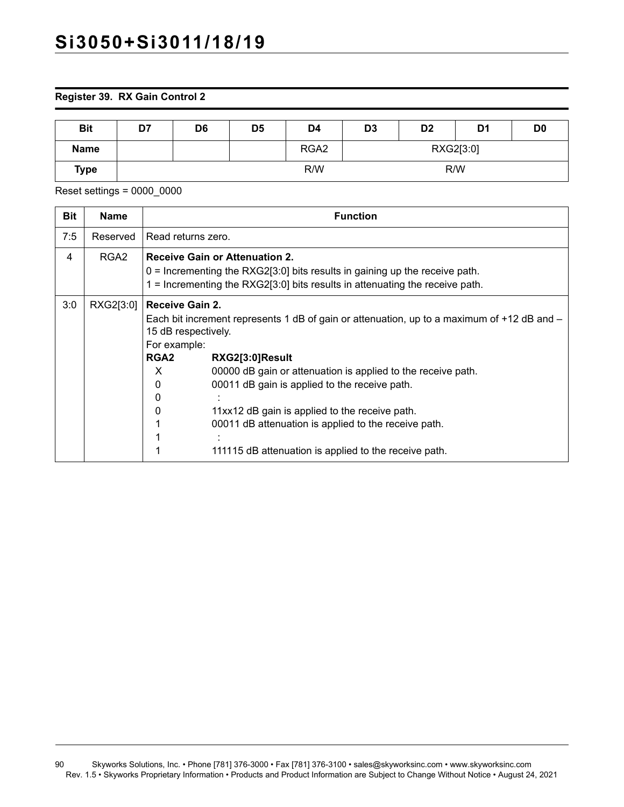#### **Register 39. RX Gain Control 2**

| <b>Bit</b>  | D7 | D <sub>6</sub> | D <sub>5</sub> | D4               | D <sub>3</sub> | D <sub>2</sub> | D <sub>1</sub> | D <sub>0</sub> |  |
|-------------|----|----------------|----------------|------------------|----------------|----------------|----------------|----------------|--|
| <b>Name</b> |    |                |                | RGA <sub>2</sub> |                | RXG2[3:0]      |                |                |  |
| Type        |    |                |                | R/W              |                | R/W            |                |                |  |

| <b>Name</b>      |                                 | <b>Function</b>                                                                                                                                                                                                                                                                                                                                                                                       |  |  |  |  |  |  |
|------------------|---------------------------------|-------------------------------------------------------------------------------------------------------------------------------------------------------------------------------------------------------------------------------------------------------------------------------------------------------------------------------------------------------------------------------------------------------|--|--|--|--|--|--|
| Reserved         |                                 | Read returns zero.                                                                                                                                                                                                                                                                                                                                                                                    |  |  |  |  |  |  |
| RGA <sub>2</sub> |                                 | <b>Receive Gain or Attenuation 2.</b><br>$0 =$ Incrementing the RXG2[3:0] bits results in gaining up the receive path.<br>1 = Incrementing the RXG2[3:0] bits results in attenuating the receive path.                                                                                                                                                                                                |  |  |  |  |  |  |
| RXG2[3:0]        | <b>RGA2</b><br>X<br>0<br>0<br>0 | Each bit increment represents 1 dB of gain or attenuation, up to a maximum of $+12$ dB and $-$<br>RXG2[3:0]Result<br>00000 dB gain or attenuation is applied to the receive path.<br>00011 dB gain is applied to the receive path.<br>11xx12 dB gain is applied to the receive path.<br>00011 dB attenuation is applied to the receive path.<br>111115 dB attenuation is applied to the receive path. |  |  |  |  |  |  |
|                  |                                 | <b>Receive Gain 2.</b><br>15 dB respectively.<br>For example:                                                                                                                                                                                                                                                                                                                                         |  |  |  |  |  |  |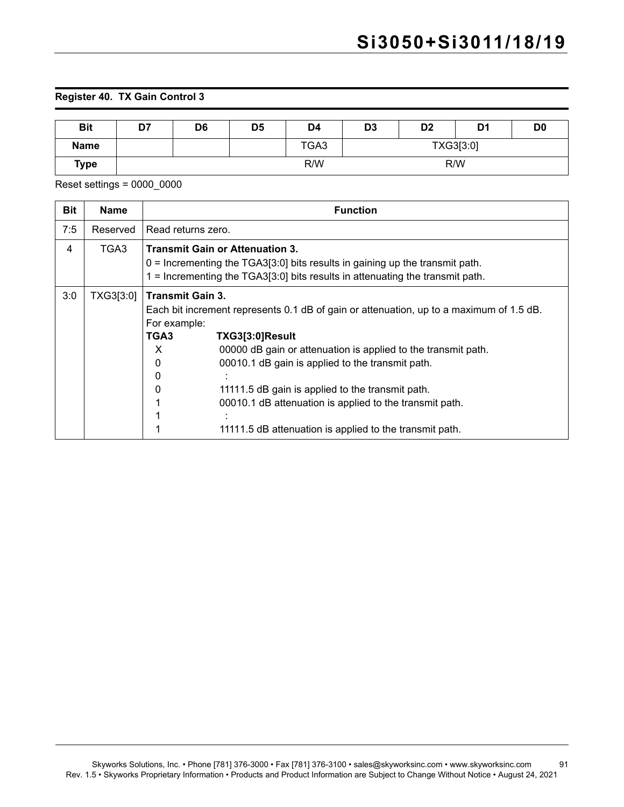#### **Register 40. TX Gain Control 3**

| <b>Bit</b>  | D7 | D <sub>6</sub> | D5 | D <sub>4</sub> | D <sub>3</sub> | D <sub>2</sub> | D <sub>1</sub> | D <sub>0</sub> |  |
|-------------|----|----------------|----|----------------|----------------|----------------|----------------|----------------|--|
| <b>Name</b> |    |                |    | TGA3           |                | TXG3[3:0]      |                |                |  |
| <b>Type</b> |    |                |    | R/W            |                | R/W            |                |                |  |

| <b>Bit</b> | <b>Name</b> |                                                                     | <b>Function</b>                                                                                                                                                                                                                                                                                                                                                                                           |  |  |  |  |  |  |
|------------|-------------|---------------------------------------------------------------------|-----------------------------------------------------------------------------------------------------------------------------------------------------------------------------------------------------------------------------------------------------------------------------------------------------------------------------------------------------------------------------------------------------------|--|--|--|--|--|--|
| 7:5        | Reserved    |                                                                     | Read returns zero.                                                                                                                                                                                                                                                                                                                                                                                        |  |  |  |  |  |  |
| 4          | TGA3        |                                                                     | <b>Transmit Gain or Attenuation 3.</b><br>$0 =$ Incrementing the TGA3[3:0] bits results in gaining up the transmit path.<br>1 = Incrementing the TGA3[3:0] bits results in attenuating the transmit path.                                                                                                                                                                                                 |  |  |  |  |  |  |
| 3:0        | TXG3[3:0]   | <b>Transmit Gain 3.</b><br>For example:<br>TGA3<br>X<br>0<br>0<br>0 | Each bit increment represents 0.1 dB of gain or attenuation, up to a maximum of 1.5 dB.<br>TXG3[3:0]Result<br>00000 dB gain or attenuation is applied to the transmit path.<br>00010.1 dB gain is applied to the transmit path.<br>11111.5 dB gain is applied to the transmit path.<br>00010.1 dB attenuation is applied to the transmit path.<br>11111.5 dB attenuation is applied to the transmit path. |  |  |  |  |  |  |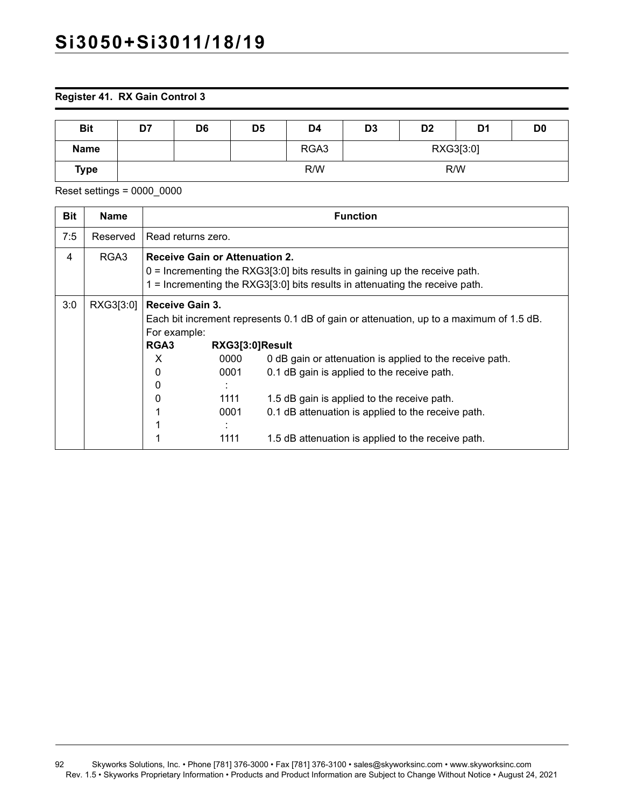#### **Register 41. RX Gain Control 3**

| <b>Bit</b>  | D7 | D <sub>6</sub> | D <sub>5</sub> | D4               | D <sub>3</sub> | D <sub>2</sub> | D <sub>1</sub> | D <sub>0</sub> |  |
|-------------|----|----------------|----------------|------------------|----------------|----------------|----------------|----------------|--|
| <b>Name</b> |    |                |                | RGA <sub>3</sub> |                | RXG3[3:0]      |                |                |  |
| <b>Type</b> |    |                |                | R/W              | R/W            |                |                |                |  |

| <b>Bit</b> | <b>Name</b> |                                                                                |                                                                                                                                                                                                        | <b>Function</b>                                                                                                                                                                                                                                                                                                                                               |  |  |  |  |  |  |
|------------|-------------|--------------------------------------------------------------------------------|--------------------------------------------------------------------------------------------------------------------------------------------------------------------------------------------------------|---------------------------------------------------------------------------------------------------------------------------------------------------------------------------------------------------------------------------------------------------------------------------------------------------------------------------------------------------------------|--|--|--|--|--|--|
| 7:5        | Reserved    |                                                                                | Read returns zero.                                                                                                                                                                                     |                                                                                                                                                                                                                                                                                                                                                               |  |  |  |  |  |  |
| 4          | RGA3        |                                                                                | <b>Receive Gain or Attenuation 2.</b><br>$0 =$ Incrementing the RXG3[3:0] bits results in gaining up the receive path.<br>1 = Incrementing the RXG3[3:0] bits results in attenuating the receive path. |                                                                                                                                                                                                                                                                                                                                                               |  |  |  |  |  |  |
| 3:0        | RXG3[3:0]   | <b>Receive Gain 3.</b><br>For example:<br>RGA <sub>3</sub><br>X<br>0<br>0<br>0 | RXG3[3:0]Result<br>0000<br>0001<br>1111<br>0001<br>1111                                                                                                                                                | Each bit increment represents 0.1 dB of gain or attenuation, up to a maximum of 1.5 dB.<br>0 dB gain or attenuation is applied to the receive path.<br>0.1 dB gain is applied to the receive path.<br>1.5 dB gain is applied to the receive path.<br>0.1 dB attenuation is applied to the receive path.<br>1.5 dB attenuation is applied to the receive path. |  |  |  |  |  |  |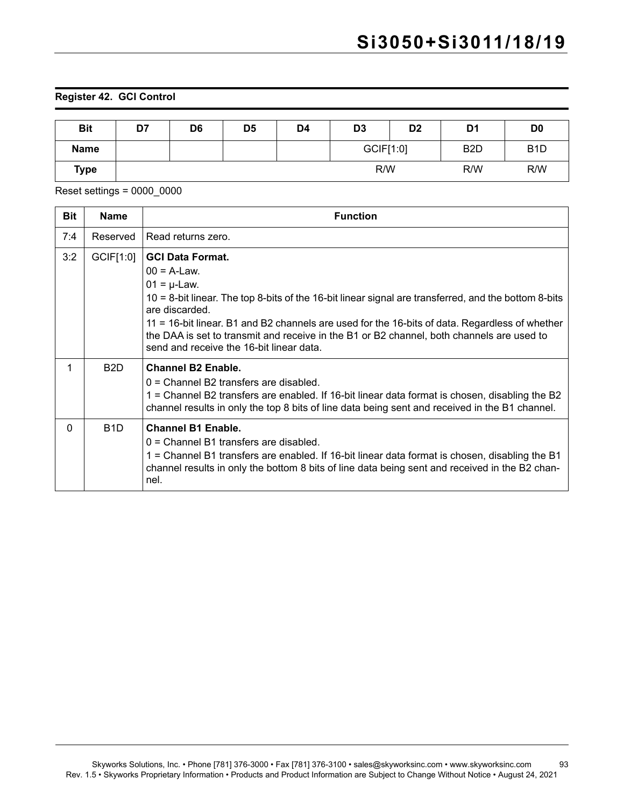#### **Register 42. GCI Control**

| <b>Bit</b>  | D7 | D <sub>6</sub> | D <sub>5</sub> | D4 | D <sub>3</sub> | D <sub>2</sub> | D <sub>1</sub>   | D <sub>0</sub>   |
|-------------|----|----------------|----------------|----|----------------|----------------|------------------|------------------|
| <b>Name</b> |    |                |                |    | GCIF[1:0]      |                | B <sub>2</sub> D | B <sub>1</sub> D |
| <b>Type</b> |    |                |                |    | R/W            |                | R/W              | R/W              |

| <b>Bit</b> | <b>Name</b>      | <b>Function</b>                                                                                                                                                                                                                                                                                                                                                                                                                    |
|------------|------------------|------------------------------------------------------------------------------------------------------------------------------------------------------------------------------------------------------------------------------------------------------------------------------------------------------------------------------------------------------------------------------------------------------------------------------------|
| 7:4        | Reserved         | Read returns zero.                                                                                                                                                                                                                                                                                                                                                                                                                 |
| 3:2        | GCIF[1:0]        | <b>GCI Data Format.</b><br>$00 = A$ -Law.<br>$01 = \mu$ -Law.<br>10 = 8-bit linear. The top 8-bits of the 16-bit linear signal are transferred, and the bottom 8-bits<br>are discarded.<br>11 = 16-bit linear. B1 and B2 channels are used for the 16-bits of data. Regardless of whether<br>the DAA is set to transmit and receive in the B1 or B2 channel, both channels are used to<br>send and receive the 16-bit linear data. |
| 1          | B <sub>2</sub> D | <b>Channel B2 Enable.</b><br>$0 =$ Channel B2 transfers are disabled.<br>1 = Channel B2 transfers are enabled. If 16-bit linear data format is chosen, disabling the B2<br>channel results in only the top 8 bits of line data being sent and received in the B1 channel.                                                                                                                                                          |
| 0          | B <sub>1</sub> D | <b>Channel B1 Enable.</b><br>$0 =$ Channel B1 transfers are disabled.<br>1 = Channel B1 transfers are enabled. If 16-bit linear data format is chosen, disabling the B1<br>channel results in only the bottom 8 bits of line data being sent and received in the B2 chan-<br>nel.                                                                                                                                                  |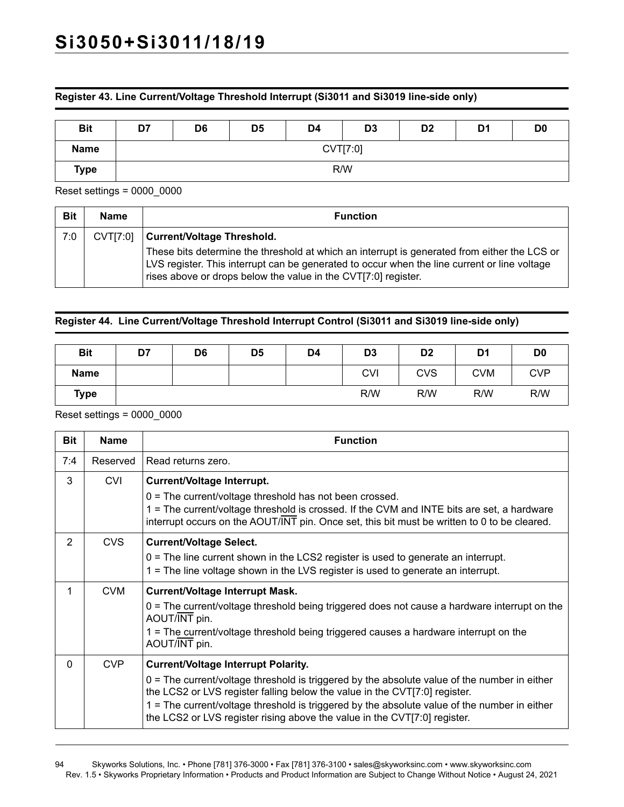#### **Register 43. Line Current/Voltage Threshold Interrupt (Si3011 and Si3019 line-side only)**

| <b>Bit</b>  | D7 | D <sub>6</sub> | D <sub>5</sub> | D4 | D <sub>3</sub> | D <sub>2</sub> | D <sub>1</sub> | D <sub>0</sub> |
|-------------|----|----------------|----------------|----|----------------|----------------|----------------|----------------|
| <b>Name</b> |    |                |                |    | CVT[7:0]       |                |                |                |
| Type        |    |                |                |    | R/W            |                |                |                |

Reset settings = 0000\_0000

| <b>Bit</b> | <b>Name</b> | <b>Function</b>                                                                                                                                                |
|------------|-------------|----------------------------------------------------------------------------------------------------------------------------------------------------------------|
| 7:0        | CVT[7:0]    | Current/Voltage Threshold.<br>These bits determine the threshold at which an interrupt is generated from either the LCS or                                     |
|            |             | LVS register. This interrupt can be generated to occur when the line current or line voltage<br>rises above or drops below the value in the CVT[7:0] register. |

#### **Register 44. Line Current/Voltage Threshold Interrupt Control (Si3011 and Si3019 line-side only)**

| <b>Bit</b>  | D7 | D <sub>6</sub> | D <sub>5</sub> | D <sub>4</sub> | D <sub>3</sub> | D <sub>2</sub> | D <sub>1</sub> | D <sub>0</sub> |
|-------------|----|----------------|----------------|----------------|----------------|----------------|----------------|----------------|
| <b>Name</b> |    |                |                |                | <b>CVI</b>     | <b>CVS</b>     | <b>CVM</b>     | <b>CVP</b>     |
| <b>Type</b> |    |                |                |                | R/W            | R/W            | R/W            | R/W            |

| <b>Bit</b> | <b>Name</b> | <b>Function</b>                                                                                                                                                                                                                                                                                                                                                                                       |
|------------|-------------|-------------------------------------------------------------------------------------------------------------------------------------------------------------------------------------------------------------------------------------------------------------------------------------------------------------------------------------------------------------------------------------------------------|
| 7:4        | Reserved    | Read returns zero.                                                                                                                                                                                                                                                                                                                                                                                    |
| 3          | <b>CVI</b>  | <b>Current/Voltage Interrupt.</b><br>$0 =$ The current/voltage threshold has not been crossed.<br>1 = The current/voltage threshold is crossed. If the CVM and INTE bits are set, a hardware<br>interrupt occurs on the AOUT/INT pin. Once set, this bit must be written to 0 to be cleared.                                                                                                          |
| 2          | <b>CVS</b>  | <b>Current/Voltage Select.</b><br>$0 =$ The line current shown in the LCS2 register is used to generate an interrupt.<br>1 = The line voltage shown in the LVS register is used to generate an interrupt.                                                                                                                                                                                             |
| 1          | <b>CVM</b>  | <b>Current/Voltage Interrupt Mask.</b><br>0 = The current/voltage threshold being triggered does not cause a hardware interrupt on the<br>AOUT/INT pin.<br>1 = The current/voltage threshold being triggered causes a hardware interrupt on the<br>AOUT/INT pin.                                                                                                                                      |
| 0          | <b>CVP</b>  | <b>Current/Voltage Interrupt Polarity.</b><br>0 = The current/voltage threshold is triggered by the absolute value of the number in either<br>the LCS2 or LVS register falling below the value in the CVT[7:0] register.<br>1 = The current/voltage threshold is triggered by the absolute value of the number in either<br>the LCS2 or LVS register rising above the value in the CVT[7:0] register. |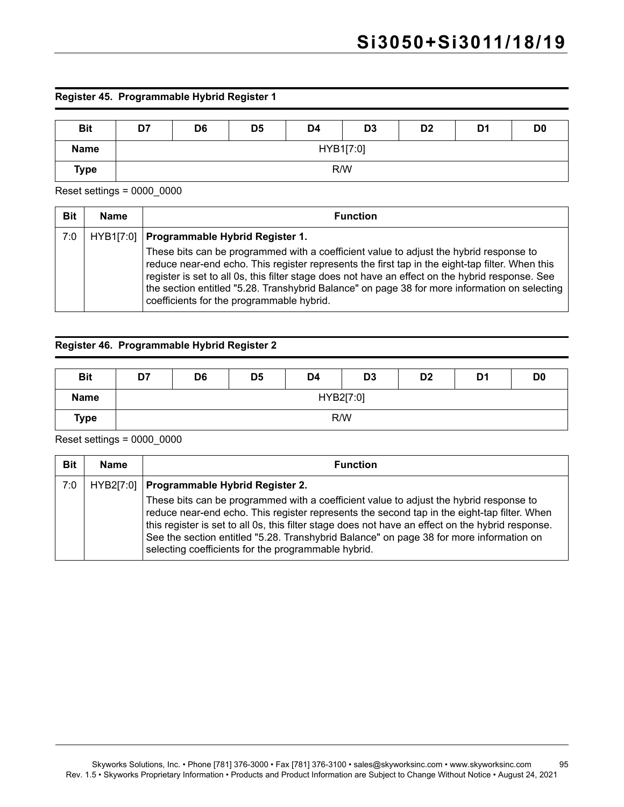#### **Register 45. Programmable Hybrid Register 1**

| <b>Bit</b>  | D7 | D <sub>6</sub> | D <sub>5</sub> | D4 | D <sub>3</sub> | D <sub>2</sub> | D <sub>1</sub> | D <sub>0</sub> |  |  |  |
|-------------|----|----------------|----------------|----|----------------|----------------|----------------|----------------|--|--|--|
| <b>Name</b> |    | HYB1[7:0]      |                |    |                |                |                |                |  |  |  |
| Type        |    | R/W            |                |    |                |                |                |                |  |  |  |

Reset settings = 0000\_0000

| <b>Bit</b> | <b>Name</b> | <b>Function</b>                                                                                                                                                                                                                                                                                                                                                                                                                             |
|------------|-------------|---------------------------------------------------------------------------------------------------------------------------------------------------------------------------------------------------------------------------------------------------------------------------------------------------------------------------------------------------------------------------------------------------------------------------------------------|
| 7:0        |             | HYB1[7:0]   Programmable Hybrid Register 1.                                                                                                                                                                                                                                                                                                                                                                                                 |
|            |             | These bits can be programmed with a coefficient value to adjust the hybrid response to<br>reduce near-end echo. This register represents the first tap in the eight-tap filter. When this<br>register is set to all 0s, this filter stage does not have an effect on the hybrid response. See<br>the section entitled "5.28. Transhybrid Balance" on page 38 for more information on selecting<br>coefficients for the programmable hybrid. |

#### **Register 46. Programmable Hybrid Register 2**

| <b>Bit</b>  | D7 | D <sub>6</sub> | D <sub>5</sub> | D4  | D <sub>3</sub> | D <sub>2</sub> | D <sub>1</sub> | D <sub>0</sub> |  |  |  |
|-------------|----|----------------|----------------|-----|----------------|----------------|----------------|----------------|--|--|--|
| <b>Name</b> |    | HYB2[7:0]      |                |     |                |                |                |                |  |  |  |
| <b>Type</b> |    |                |                | R/W |                |                |                |                |  |  |  |

| <b>Bit</b> | <b>Name</b> | <b>Function</b>                                                                                                                                                                                                                                                                                                                                                                                                                              |
|------------|-------------|----------------------------------------------------------------------------------------------------------------------------------------------------------------------------------------------------------------------------------------------------------------------------------------------------------------------------------------------------------------------------------------------------------------------------------------------|
| 7:0        | HYB2[7:0]   | <b>Programmable Hybrid Register 2.</b>                                                                                                                                                                                                                                                                                                                                                                                                       |
|            |             | These bits can be programmed with a coefficient value to adjust the hybrid response to<br>reduce near-end echo. This register represents the second tap in the eight-tap filter. When<br>this register is set to all 0s, this filter stage does not have an effect on the hybrid response.<br>See the section entitled "5.28. Transhybrid Balance" on page 38 for more information on<br>selecting coefficients for the programmable hybrid. |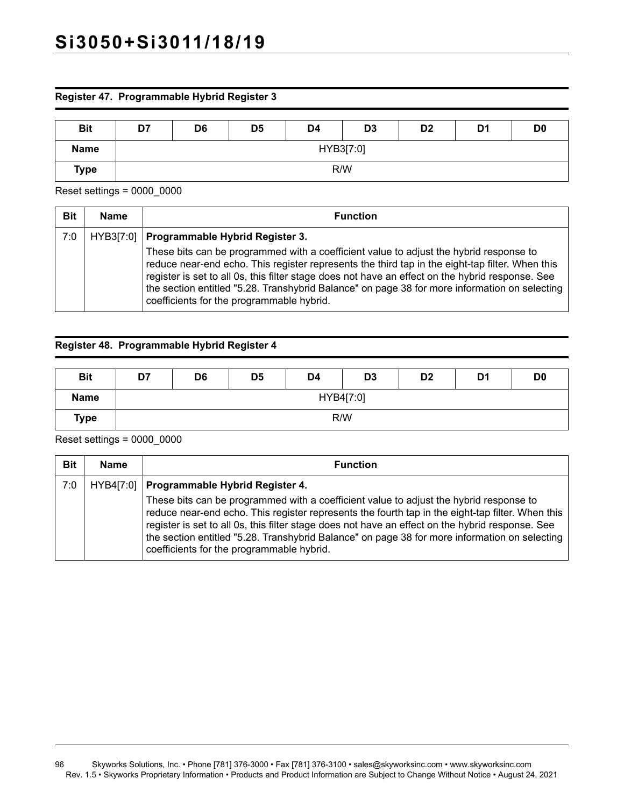#### **Register 47. Programmable Hybrid Register 3**

| <b>Bit</b>  | D7 | D <sub>6</sub> | D <sub>5</sub> | D <sub>4</sub> | D <sub>3</sub> | D <sub>2</sub> | D <sub>1</sub> | D <sub>0</sub> |  |  |  |
|-------------|----|----------------|----------------|----------------|----------------|----------------|----------------|----------------|--|--|--|
| Name        |    | HYB3[7:0]      |                |                |                |                |                |                |  |  |  |
| <b>Type</b> |    |                |                |                | R/W            |                |                |                |  |  |  |

Reset settings = 0000\_0000

| <b>Bit</b> | <b>Name</b> | <b>Function</b>                                                                                                                                                                                                                                                                                                                                                                                                                             |
|------------|-------------|---------------------------------------------------------------------------------------------------------------------------------------------------------------------------------------------------------------------------------------------------------------------------------------------------------------------------------------------------------------------------------------------------------------------------------------------|
| 7:0        |             | HYB3[7:0]   Programmable Hybrid Register 3.                                                                                                                                                                                                                                                                                                                                                                                                 |
|            |             | These bits can be programmed with a coefficient value to adjust the hybrid response to<br>reduce near-end echo. This register represents the third tap in the eight-tap filter. When this<br>register is set to all 0s, this filter stage does not have an effect on the hybrid response. See<br>the section entitled "5.28. Transhybrid Balance" on page 38 for more information on selecting<br>coefficients for the programmable hybrid. |

#### **Register 48. Programmable Hybrid Register 4**

| <b>Bit</b>  | D7 | D <sub>6</sub> | D <sub>5</sub> | D <sub>4</sub> | D <sub>3</sub> | D <sub>2</sub> | D <sub>1</sub> | D <sub>0</sub> |  |  |  |
|-------------|----|----------------|----------------|----------------|----------------|----------------|----------------|----------------|--|--|--|
| <b>Name</b> |    | HYB4[7:0]      |                |                |                |                |                |                |  |  |  |
| <b>Type</b> |    |                |                |                | R/W            |                |                |                |  |  |  |

| <b>Bit</b> | <b>Name</b> | <b>Function</b>                                                                                                                                                                                                                                                                                                                                                                                                                              |
|------------|-------------|----------------------------------------------------------------------------------------------------------------------------------------------------------------------------------------------------------------------------------------------------------------------------------------------------------------------------------------------------------------------------------------------------------------------------------------------|
| 7:0        |             | HYB4[7:0]   Programmable Hybrid Register 4.                                                                                                                                                                                                                                                                                                                                                                                                  |
|            |             | These bits can be programmed with a coefficient value to adjust the hybrid response to<br>reduce near-end echo. This register represents the fourth tap in the eight-tap filter. When this<br>register is set to all 0s, this filter stage does not have an effect on the hybrid response. See<br>the section entitled "5.28. Transhybrid Balance" on page 38 for more information on selecting<br>coefficients for the programmable hybrid. |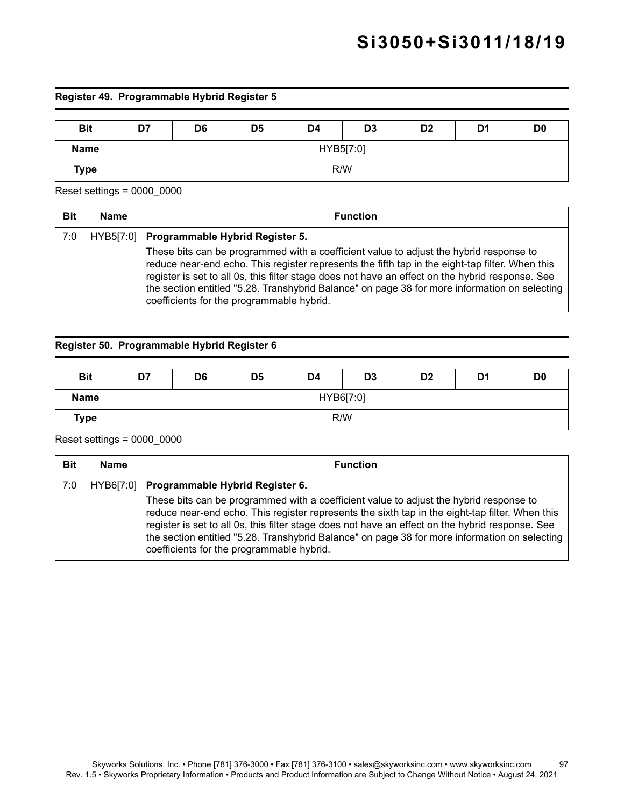#### **Register 49. Programmable Hybrid Register 5**

| <b>Bit</b>  | D7 | D <sub>6</sub> | D <sub>5</sub> | D4  | D <sub>3</sub> | D <sub>2</sub> | D <sub>1</sub> | D <sub>0</sub> |  |  |  |
|-------------|----|----------------|----------------|-----|----------------|----------------|----------------|----------------|--|--|--|
| <b>Name</b> |    | HYB5[7:0]      |                |     |                |                |                |                |  |  |  |
| Type        |    |                |                | R/W |                |                |                |                |  |  |  |

Reset settings = 0000\_0000

| <b>Bit</b> | <b>Name</b> | <b>Function</b>                                                                                                                                                                                                                                                                                                                                                                                                                             |
|------------|-------------|---------------------------------------------------------------------------------------------------------------------------------------------------------------------------------------------------------------------------------------------------------------------------------------------------------------------------------------------------------------------------------------------------------------------------------------------|
| 7:0        |             | HYB5[7:0]   Programmable Hybrid Register 5.                                                                                                                                                                                                                                                                                                                                                                                                 |
|            |             | These bits can be programmed with a coefficient value to adjust the hybrid response to<br>reduce near-end echo. This register represents the fifth tap in the eight-tap filter. When this<br>register is set to all 0s, this filter stage does not have an effect on the hybrid response. See<br>the section entitled "5.28. Transhybrid Balance" on page 38 for more information on selecting<br>coefficients for the programmable hybrid. |

#### **Register 50. Programmable Hybrid Register 6**

| <b>Bit</b>  | D7 | D <sub>6</sub> | D <sub>5</sub> | D <sub>4</sub> | D <sub>3</sub> | D <sub>2</sub> | D1 | D <sub>0</sub> |  |  |  |
|-------------|----|----------------|----------------|----------------|----------------|----------------|----|----------------|--|--|--|
| <b>Name</b> |    | HYB6[7:0]      |                |                |                |                |    |                |  |  |  |
| Type        |    |                |                |                | R/W            |                |    |                |  |  |  |

| <b>Bit</b> | <b>Name</b> | <b>Function</b>                                                                                                                                                                                                                                                                                                                                                                                                                             |
|------------|-------------|---------------------------------------------------------------------------------------------------------------------------------------------------------------------------------------------------------------------------------------------------------------------------------------------------------------------------------------------------------------------------------------------------------------------------------------------|
| 7:0        | HYB6[7:0]   | <b>Programmable Hybrid Register 6.</b>                                                                                                                                                                                                                                                                                                                                                                                                      |
|            |             | These bits can be programmed with a coefficient value to adjust the hybrid response to<br>reduce near-end echo. This register represents the sixth tap in the eight-tap filter. When this<br>register is set to all 0s, this filter stage does not have an effect on the hybrid response. See<br>the section entitled "5.28. Transhybrid Balance" on page 38 for more information on selecting<br>coefficients for the programmable hybrid. |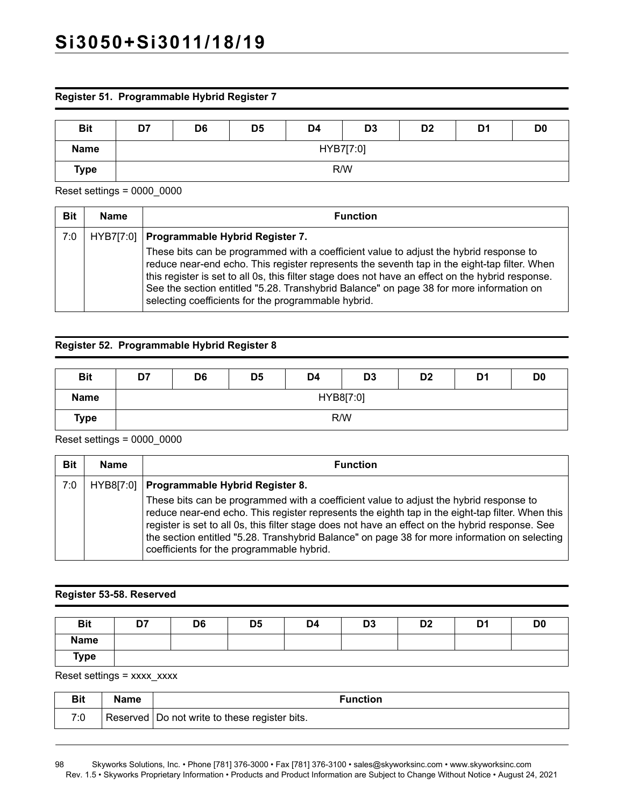#### **Register 51. Programmable Hybrid Register 7**

| <b>Bit</b>  | D7        | D <sub>6</sub> | D <sub>5</sub> | D4 | D <sub>3</sub> | D <sub>2</sub> | D <sub>1</sub> | D <sub>0</sub> |
|-------------|-----------|----------------|----------------|----|----------------|----------------|----------------|----------------|
| <b>Name</b> | HYB7[7:0] |                |                |    |                |                |                |                |
| Type        | R/W       |                |                |    |                |                |                |                |

Reset settings = 0000\_0000

| <b>Bit</b> | <b>Name</b> | <b>Function</b>                                                                                                                                                                                                                                                                                                                                                                                                                               |
|------------|-------------|-----------------------------------------------------------------------------------------------------------------------------------------------------------------------------------------------------------------------------------------------------------------------------------------------------------------------------------------------------------------------------------------------------------------------------------------------|
| 7:0        |             | HYB7[7:0]   Programmable Hybrid Register 7.                                                                                                                                                                                                                                                                                                                                                                                                   |
|            |             | These bits can be programmed with a coefficient value to adjust the hybrid response to<br>reduce near-end echo. This register represents the seventh tap in the eight-tap filter. When<br>this register is set to all 0s, this filter stage does not have an effect on the hybrid response.<br>See the section entitled "5.28. Transhybrid Balance" on page 38 for more information on<br>selecting coefficients for the programmable hybrid. |

#### **Register 52. Programmable Hybrid Register 8**

| <b>Bit</b>  | D7        | D <sub>6</sub> | D <sub>5</sub> | D <sub>4</sub> | D <sub>3</sub> | D <sub>2</sub> | D <sub>1</sub> | D <sub>0</sub> |
|-------------|-----------|----------------|----------------|----------------|----------------|----------------|----------------|----------------|
| <b>Name</b> | HYB8[7:0] |                |                |                |                |                |                |                |
| Type        | R/W       |                |                |                |                |                |                |                |

Reset settings = 0000\_0000

| Bit | <b>Name</b> | <b>Function</b>                                                                                                                                                                                                                                                                                                                                                                                                                              |
|-----|-------------|----------------------------------------------------------------------------------------------------------------------------------------------------------------------------------------------------------------------------------------------------------------------------------------------------------------------------------------------------------------------------------------------------------------------------------------------|
| 7:0 | HYB8[7:0]   | <b>Programmable Hybrid Register 8.</b>                                                                                                                                                                                                                                                                                                                                                                                                       |
|     |             | These bits can be programmed with a coefficient value to adjust the hybrid response to<br>reduce near-end echo. This register represents the eighth tap in the eight-tap filter. When this<br>register is set to all 0s, this filter stage does not have an effect on the hybrid response. See<br>the section entitled "5.28. Transhybrid Balance" on page 38 for more information on selecting<br>coefficients for the programmable hybrid. |

#### **Register 53-58. Reserved**

| <b>Bit</b>  | D7 | D <sub>6</sub> | D <sub>5</sub> | D4 | D <sub>3</sub> | D <sub>2</sub> | D <sub>1</sub> | D <sub>0</sub> |
|-------------|----|----------------|----------------|----|----------------|----------------|----------------|----------------|
| <b>Name</b> |    |                |                |    |                |                |                |                |
| <b>Type</b> |    |                |                |    |                |                |                |                |

#### Reset settings = xxxx\_xxxx

| Bit | Name | <b>Function</b>                                 |
|-----|------|-------------------------------------------------|
| 7:0 |      | Reserved   Do not write to these register bits. |

98 Skyworks Solutions, Inc. • Phone [781] 376-3000 • Fax [781] 376-3100 • sales@skyworksinc.com • www.skyworksinc.com Rev. 1.5 • Skyworks Proprietary Information • Products and Product Information are Subject to Change Without Notice • August 24, 2021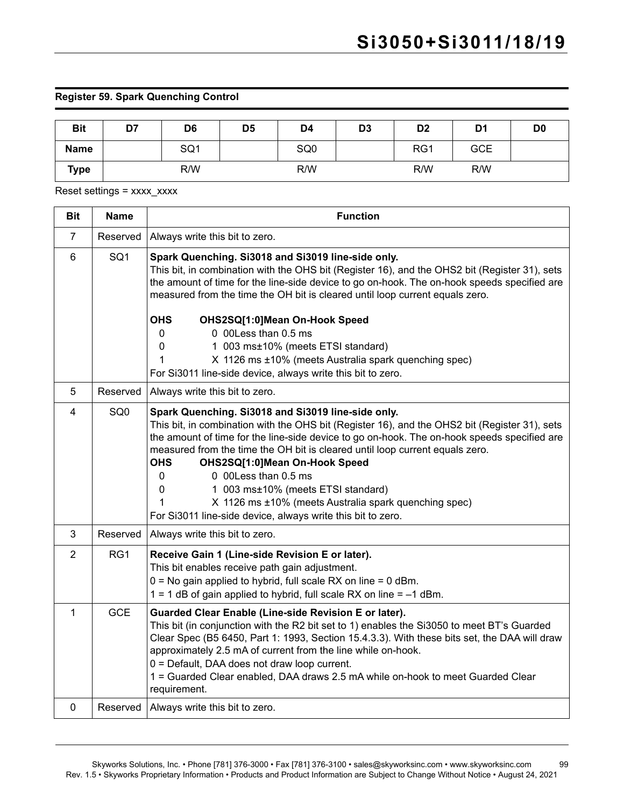#### **Register 59. Spark Quenching Control**

| <b>Bit</b>  | D7 | D <sub>6</sub> | D <sub>5</sub> | D4              | D <sub>3</sub> | D2  | D <sub>1</sub> | D <sub>0</sub> |
|-------------|----|----------------|----------------|-----------------|----------------|-----|----------------|----------------|
| <b>Name</b> |    | SQ1            |                | SQ <sub>0</sub> |                | RG1 | <b>GCE</b>     |                |
| <b>Type</b> |    | R/W            |                | R/W             |                | R/W | R/W            |                |

Reset settings = xxxx\_xxxx

| <b>Bit</b>     | <b>Name</b>     | <b>Function</b>                                                                                                                                                                                                                                                                                                                                                                                                                                                                                                                                                                                      |  |  |  |  |  |
|----------------|-----------------|------------------------------------------------------------------------------------------------------------------------------------------------------------------------------------------------------------------------------------------------------------------------------------------------------------------------------------------------------------------------------------------------------------------------------------------------------------------------------------------------------------------------------------------------------------------------------------------------------|--|--|--|--|--|
| $\overline{7}$ | Reserved        | Always write this bit to zero.                                                                                                                                                                                                                                                                                                                                                                                                                                                                                                                                                                       |  |  |  |  |  |
| 6              | SQ <sub>1</sub> | Spark Quenching. Si3018 and Si3019 line-side only.<br>This bit, in combination with the OHS bit (Register 16), and the OHS2 bit (Register 31), sets<br>the amount of time for the line-side device to go on-hook. The on-hook speeds specified are<br>measured from the time the OH bit is cleared until loop current equals zero.                                                                                                                                                                                                                                                                   |  |  |  |  |  |
|                |                 | <b>OHS</b><br>OHS2SQ[1:0]Mean On-Hook Speed<br>0 00Less than 0.5 ms<br>0                                                                                                                                                                                                                                                                                                                                                                                                                                                                                                                             |  |  |  |  |  |
|                |                 | 1 003 ms±10% (meets ETSI standard)<br>$\Omega$                                                                                                                                                                                                                                                                                                                                                                                                                                                                                                                                                       |  |  |  |  |  |
|                |                 | X 1126 ms ±10% (meets Australia spark quenching spec)<br>1<br>For Si3011 line-side device, always write this bit to zero.                                                                                                                                                                                                                                                                                                                                                                                                                                                                            |  |  |  |  |  |
| 5              | Reserved        | Always write this bit to zero.                                                                                                                                                                                                                                                                                                                                                                                                                                                                                                                                                                       |  |  |  |  |  |
|                |                 |                                                                                                                                                                                                                                                                                                                                                                                                                                                                                                                                                                                                      |  |  |  |  |  |
| 4              | SQ <sub>0</sub> | Spark Quenching. Si3018 and Si3019 line-side only.<br>This bit, in combination with the OHS bit (Register 16), and the OHS2 bit (Register 31), sets<br>the amount of time for the line-side device to go on-hook. The on-hook speeds specified are<br>measured from the time the OH bit is cleared until loop current equals zero.<br>OHS<br>OHS2SQ[1:0]Mean On-Hook Speed<br>0 00Less than 0.5 ms<br>$\mathbf 0$<br>1 003 ms±10% (meets ETSI standard)<br>0<br>$\mathbf{1}$<br>X 1126 ms ±10% (meets Australia spark quenching spec)<br>For Si3011 line-side device, always write this bit to zero. |  |  |  |  |  |
| 3              | Reserved        | Always write this bit to zero.                                                                                                                                                                                                                                                                                                                                                                                                                                                                                                                                                                       |  |  |  |  |  |
| $\overline{2}$ | RG1             | Receive Gain 1 (Line-side Revision E or later).<br>This bit enables receive path gain adjustment.<br>$0 = No$ gain applied to hybrid, full scale RX on line = 0 dBm.<br>$1 = 1$ dB of gain applied to hybrid, full scale RX on line = $-1$ dBm.                                                                                                                                                                                                                                                                                                                                                      |  |  |  |  |  |
| $\mathbf{1}$   | <b>GCE</b>      | Guarded Clear Enable (Line-side Revision E or later).<br>This bit (in conjunction with the R2 bit set to 1) enables the Si3050 to meet BT's Guarded<br>Clear Spec (B5 6450, Part 1: 1993, Section 15.4.3.3). With these bits set, the DAA will draw<br>approximately 2.5 mA of current from the line while on-hook.<br>0 = Default, DAA does not draw loop current.<br>1 = Guarded Clear enabled, DAA draws 2.5 mA while on-hook to meet Guarded Clear<br>requirement.                                                                                                                               |  |  |  |  |  |
| $\mathbf 0$    | Reserved        | Always write this bit to zero.                                                                                                                                                                                                                                                                                                                                                                                                                                                                                                                                                                       |  |  |  |  |  |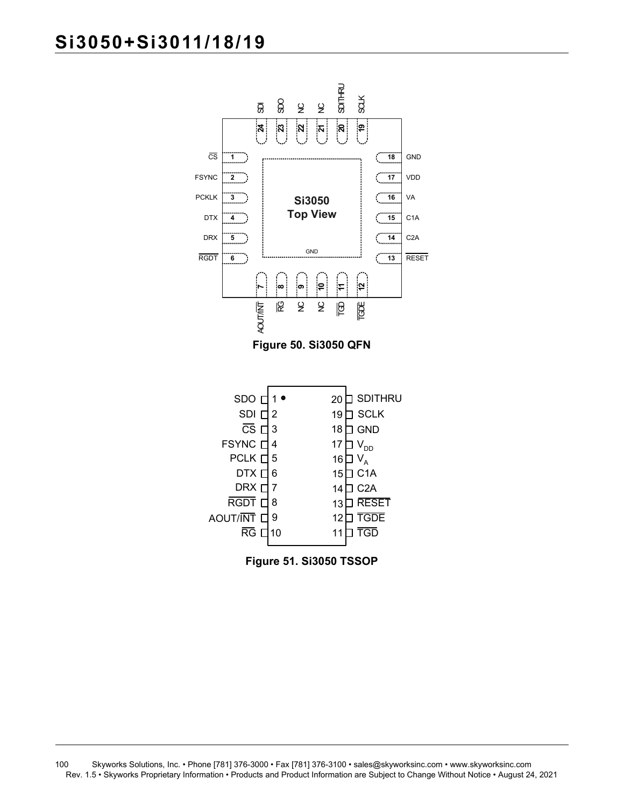

**Figure 51. Si3050 TSSOP**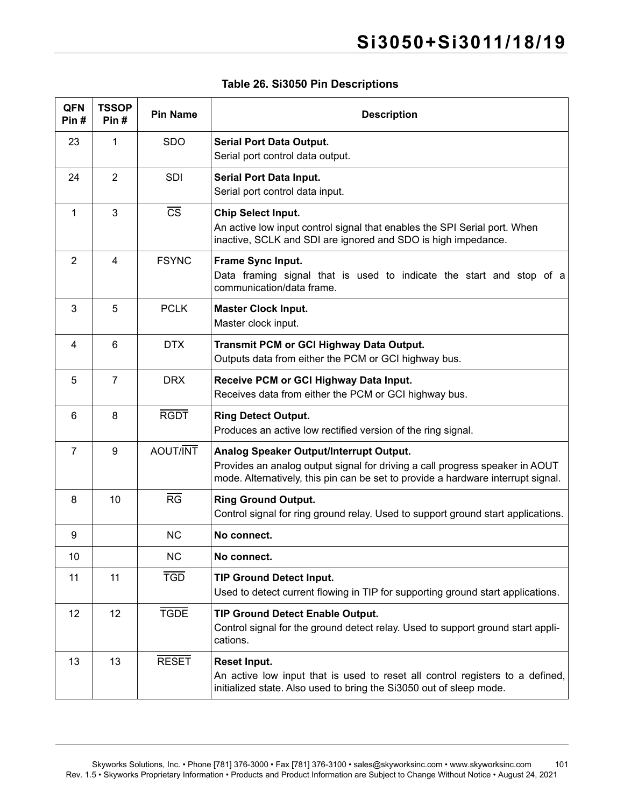| QFN<br>Pin#    | <b>TSSOP</b><br>Pin# | <b>Pin Name</b>        | <b>Description</b>                                                                                                                                                                                          |
|----------------|----------------------|------------------------|-------------------------------------------------------------------------------------------------------------------------------------------------------------------------------------------------------------|
| 23             | 1                    | <b>SDO</b>             | <b>Serial Port Data Output.</b><br>Serial port control data output.                                                                                                                                         |
| 24             | $\overline{2}$       | <b>SDI</b>             | Serial Port Data Input.<br>Serial port control data input.                                                                                                                                                  |
| 1              | 3                    | $\overline{\text{CS}}$ | Chip Select Input.<br>An active low input control signal that enables the SPI Serial port. When<br>inactive, SCLK and SDI are ignored and SDO is high impedance.                                            |
| 2              | 4                    | <b>FSYNC</b>           | Frame Sync Input.<br>Data framing signal that is used to indicate the start and stop of a<br>communication/data frame.                                                                                      |
| 3              | 5                    | <b>PCLK</b>            | <b>Master Clock Input.</b><br>Master clock input.                                                                                                                                                           |
| $\overline{4}$ | $6\phantom{1}$       | <b>DTX</b>             | Transmit PCM or GCI Highway Data Output.<br>Outputs data from either the PCM or GCI highway bus.                                                                                                            |
| 5              | $\overline{7}$       | <b>DRX</b>             | Receive PCM or GCI Highway Data Input.<br>Receives data from either the PCM or GCI highway bus.                                                                                                             |
| 6              | 8                    | <b>RGDT</b>            | <b>Ring Detect Output.</b><br>Produces an active low rectified version of the ring signal.                                                                                                                  |
| $\overline{7}$ | 9                    | AOUT/INT               | Analog Speaker Output/Interrupt Output.<br>Provides an analog output signal for driving a call progress speaker in AOUT<br>mode. Alternatively, this pin can be set to provide a hardware interrupt signal. |
| 8              | 10                   | $\overline{\text{RG}}$ | <b>Ring Ground Output.</b><br>Control signal for ring ground relay. Used to support ground start applications.                                                                                              |
| 9              |                      | <b>NC</b>              | No connect.                                                                                                                                                                                                 |
| 10             |                      | <b>NC</b>              | No connect.                                                                                                                                                                                                 |
| 11             | 11                   | <b>TGD</b>             | <b>TIP Ground Detect Input.</b><br>Used to detect current flowing in TIP for supporting ground start applications.                                                                                          |
| 12             | 12                   | <b>TGDE</b>            | <b>TIP Ground Detect Enable Output.</b><br>Control signal for the ground detect relay. Used to support ground start appli-<br>cations.                                                                      |
| 13             | 13                   | <b>RESET</b>           | <b>Reset Input.</b><br>An active low input that is used to reset all control registers to a defined,<br>initialized state. Also used to bring the Si3050 out of sleep mode.                                 |

#### **Table 26. Si3050 Pin Descriptions**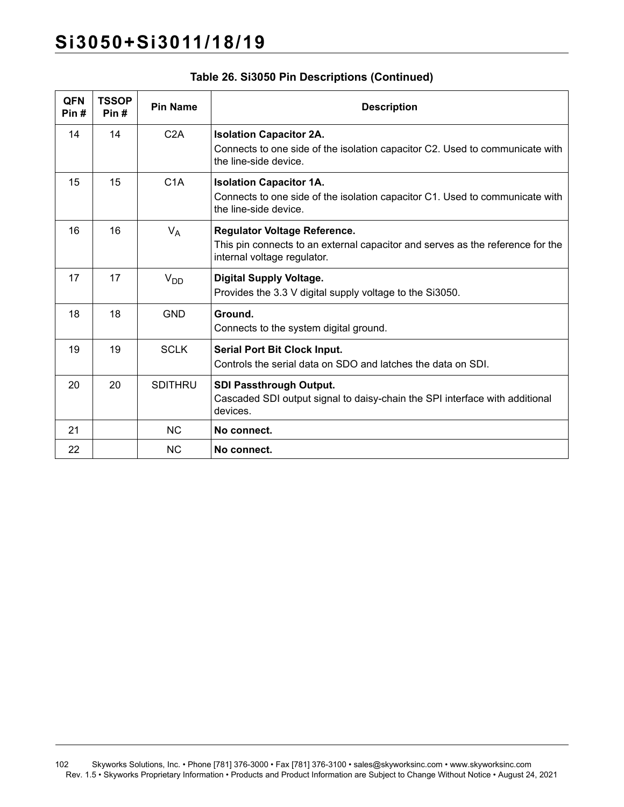| <b>QFN</b><br>Pin# | <b>TSSOP</b><br>Pin# | <b>Pin Name</b>  | <b>Description</b>                                                                                                                                   |
|--------------------|----------------------|------------------|------------------------------------------------------------------------------------------------------------------------------------------------------|
| 14                 | 14                   | C2A              | <b>Isolation Capacitor 2A.</b><br>Connects to one side of the isolation capacitor C2. Used to communicate with<br>the line-side device.              |
| 15                 | 15                   | C <sub>1</sub> A | <b>Isolation Capacitor 1A.</b><br>Connects to one side of the isolation capacitor C1. Used to communicate with<br>the line-side device.              |
| 16                 | 16                   | $V_A$            | <b>Regulator Voltage Reference.</b><br>This pin connects to an external capacitor and serves as the reference for the<br>internal voltage regulator. |
| 17                 | 17                   | V <sub>DD</sub>  | <b>Digital Supply Voltage.</b><br>Provides the 3.3 V digital supply voltage to the Si3050.                                                           |
| 18                 | 18                   | <b>GND</b>       | Ground.<br>Connects to the system digital ground.                                                                                                    |
| 19                 | 19                   | <b>SCLK</b>      | <b>Serial Port Bit Clock Input.</b><br>Controls the serial data on SDO and latches the data on SDL                                                   |
| 20                 | 20                   | <b>SDITHRU</b>   | <b>SDI Passthrough Output.</b><br>Cascaded SDI output signal to daisy-chain the SPI interface with additional<br>devices.                            |
| 21                 |                      | <b>NC</b>        | No connect.                                                                                                                                          |
| 22                 |                      | <b>NC</b>        | No connect.                                                                                                                                          |

### **Table 26. Si3050 Pin Descriptions (Continued)**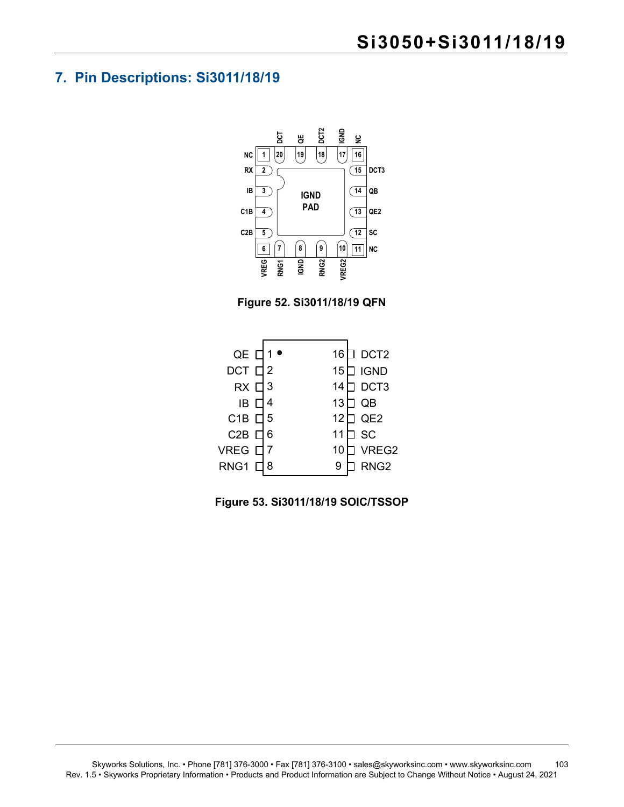### **7. Pin Descriptions: Si3011/18/19**



**Figure 52. Si3011/18/19 QFN**

| QE L               |                | 16 |     | DCT <sub>2</sub> |
|--------------------|----------------|----|-----|------------------|
| $DCT$ $\Box$       | $\overline{2}$ | 15 |     | J IGND           |
| $RX$ $\square$     | 3              | 14 |     | DCT <sub>3</sub> |
| IB                 | 4              | 13 |     | QB               |
| $C1B$ $\Box$       | 5              | 12 | - 1 | QE <sub>2</sub>  |
| C <sub>2</sub> B L | 6              | 11 |     | <b>SC</b>        |
| VREG L             |                | 10 |     | VREG2            |
| RNG1               | 8              |    |     | RNG <sub>2</sub> |
|                    |                |    |     |                  |

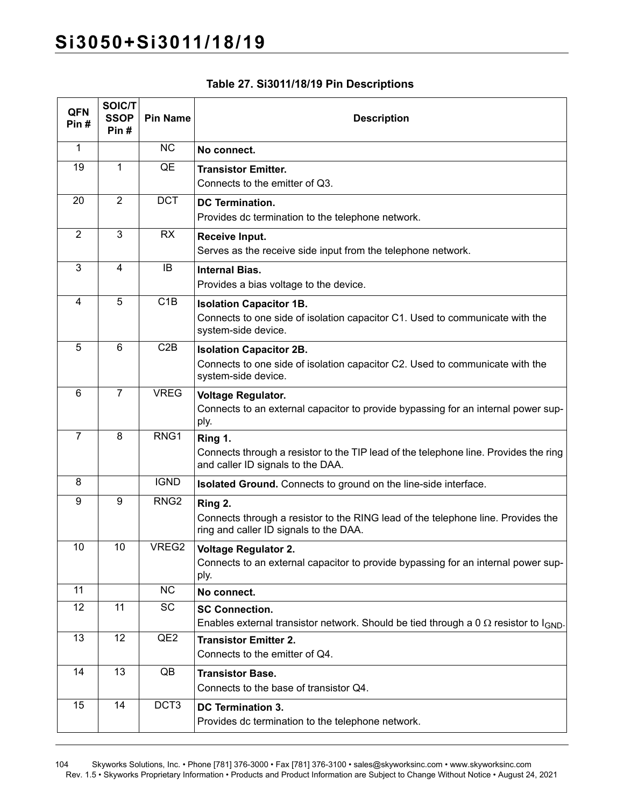| <b>QFN</b><br>Pin# | SOIC/T<br><b>SSOP</b><br>Pin# | <b>Pin Name</b>  | <b>Description</b>                                                                                                                    |  |  |  |
|--------------------|-------------------------------|------------------|---------------------------------------------------------------------------------------------------------------------------------------|--|--|--|
| $\mathbf{1}$       |                               | <b>NC</b>        | No connect.                                                                                                                           |  |  |  |
| 19                 | $\mathbf{1}$                  | QE               | <b>Transistor Emitter.</b><br>Connects to the emitter of Q3.                                                                          |  |  |  |
| 20                 | $\overline{2}$                | <b>DCT</b>       | <b>DC Termination.</b><br>Provides dc termination to the telephone network.                                                           |  |  |  |
| $\overline{2}$     | 3                             | <b>RX</b>        | Receive Input.<br>Serves as the receive side input from the telephone network.                                                        |  |  |  |
| 3                  | 4                             | IB               | <b>Internal Bias.</b><br>Provides a bias voltage to the device.                                                                       |  |  |  |
| 4                  | 5                             | C <sub>1</sub> B | <b>Isolation Capacitor 1B.</b><br>Connects to one side of isolation capacitor C1. Used to communicate with the<br>system-side device. |  |  |  |
| 5                  | $6\phantom{1}$                | C2B              | <b>Isolation Capacitor 2B.</b><br>Connects to one side of isolation capacitor C2. Used to communicate with the<br>system-side device. |  |  |  |
| 6                  | $\overline{7}$                | <b>VREG</b>      | <b>Voltage Regulator.</b><br>Connects to an external capacitor to provide bypassing for an internal power sup-<br>ply.                |  |  |  |
| $\overline{7}$     | 8                             | RNG1             | Ring 1.<br>Connects through a resistor to the TIP lead of the telephone line. Provides the ring<br>and caller ID signals to the DAA.  |  |  |  |
| 8                  |                               | <b>IGND</b>      | <b>Isolated Ground.</b> Connects to ground on the line-side interface.                                                                |  |  |  |
| $\boldsymbol{9}$   | 9                             | RNG <sub>2</sub> | Ring 2.<br>Connects through a resistor to the RING lead of the telephone line. Provides the<br>ring and caller ID signals to the DAA. |  |  |  |
| 10                 | 10                            | VREG2            | <b>Voltage Regulator 2.</b><br>Connects to an external capacitor to provide bypassing for an internal power sup-<br>ply.              |  |  |  |
| 11                 |                               | NC               | No connect.                                                                                                                           |  |  |  |
| 12                 | 11                            | SC               | <b>SC Connection.</b><br>Enables external transistor network. Should be tied through a 0 $\Omega$ resistor to $I_{GND}$ .             |  |  |  |
| 13                 | 12                            | QE <sub>2</sub>  | <b>Transistor Emitter 2.</b><br>Connects to the emitter of Q4.                                                                        |  |  |  |
| 14                 | 13                            | QB               | <b>Transistor Base.</b><br>Connects to the base of transistor Q4.                                                                     |  |  |  |
| 15                 | 14                            | DCT3             | <b>DC Termination 3.</b><br>Provides dc termination to the telephone network.                                                         |  |  |  |

104 Skyworks Solutions, Inc. • Phone [781] 376-3000 • Fax [781] 376-3100 • sales@skyworksinc.com • www.skyworksinc.com Rev. 1.5 • Skyworks Proprietary Information • Products and Product Information are Subject to Change Without Notice • August 24, 2021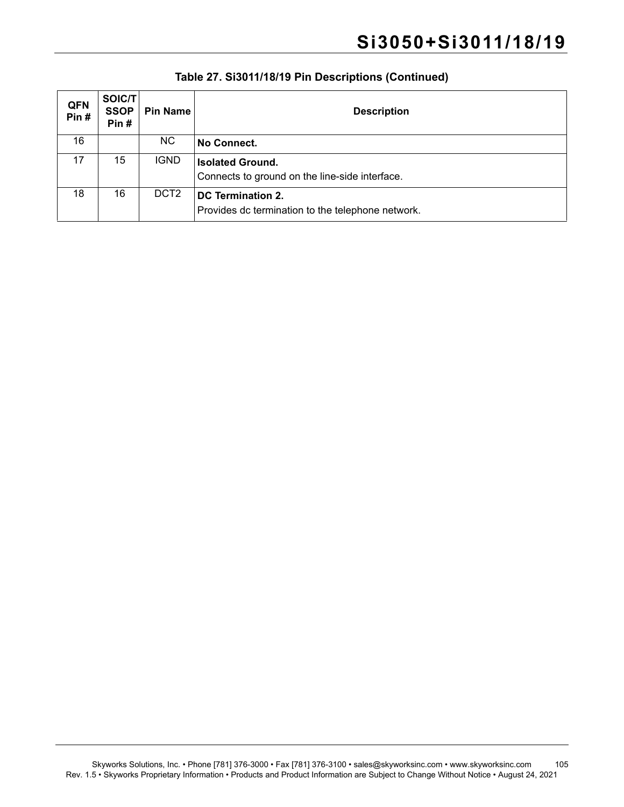| <b>QFN</b><br>Pin# | SOIC/T<br><b>SSOP</b><br>Pin# | <b>Pin Name</b>  | <b>Description</b>                                                        |
|--------------------|-------------------------------|------------------|---------------------------------------------------------------------------|
| 16                 |                               | NC.              | No Connect.                                                               |
| 17                 | 15                            | <b>IGND</b>      | <b>Isolated Ground.</b><br>Connects to ground on the line-side interface. |
| 18                 | 16                            | DCT <sub>2</sub> | DC Termination 2.<br>Provides dc termination to the telephone network.    |

### **Table 27. Si3011/18/19 Pin Descriptions (Continued)**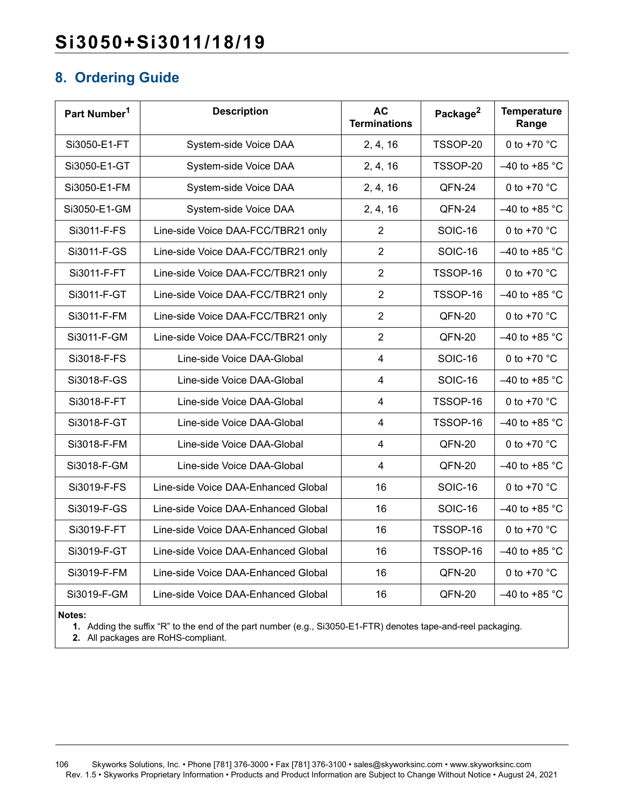### **8. Ordering Guide**

| Part Number <sup>1</sup> | <b>Description</b>                  | <b>AC</b><br><b>Terminations</b> | Package <sup>2</sup> | <b>Temperature</b><br>Range |
|--------------------------|-------------------------------------|----------------------------------|----------------------|-----------------------------|
| Si3050-E1-FT             | System-side Voice DAA               | 2, 4, 16                         | TSSOP-20             | 0 to $+70$ °C               |
| Si3050-E1-GT             | System-side Voice DAA               | 2, 4, 16                         | TSSOP-20             | $-40$ to +85 °C             |
| Si3050-E1-FM             | System-side Voice DAA               | 2, 4, 16                         | QFN-24               | 0 to +70 $^{\circ}$ C       |
| Si3050-E1-GM             | System-side Voice DAA               | 2, 4, 16                         | QFN-24               | $-40$ to +85 °C             |
| Si3011-F-FS              | Line-side Voice DAA-FCC/TBR21 only  | $\overline{2}$                   | SOIC-16              | 0 to +70 $^{\circ}$ C       |
| Si3011-F-GS              | Line-side Voice DAA-FCC/TBR21 only  | 2                                | SOIC-16              | $-40$ to +85 °C             |
| Si3011-F-FT              | Line-side Voice DAA-FCC/TBR21 only  | $\overline{2}$                   | TSSOP-16             | 0 to +70 $^{\circ}$ C       |
| Si3011-F-GT              | Line-side Voice DAA-FCC/TBR21 only  | $\overline{2}$                   | TSSOP-16             | $-40$ to +85 °C             |
| Si3011-F-FM              | Line-side Voice DAA-FCC/TBR21 only  | $\overline{2}$                   | QFN-20               | 0 to +70 $^{\circ}$ C       |
| Si3011-F-GM              | Line-side Voice DAA-FCC/TBR21 only  | $\overline{2}$                   | QFN-20               | $-40$ to +85 °C             |
| Si3018-F-FS              | Line-side Voice DAA-Global          | $\overline{4}$                   | SOIC-16              | 0 to +70 $^{\circ}$ C       |
| Si3018-F-GS              | Line-side Voice DAA-Global          | 4                                | SOIC-16              | $-40$ to +85 °C             |
| Si3018-F-FT              | Line-side Voice DAA-Global          | $\overline{4}$                   | TSSOP-16             | 0 to $+70$ °C               |
| Si3018-F-GT              | Line-side Voice DAA-Global          | $\overline{4}$                   | <b>TSSOP-16</b>      | $-40$ to +85 °C             |
| Si3018-F-FM              | Line-side Voice DAA-Global          | 4                                | <b>QFN-20</b>        | 0 to +70 $^{\circ}$ C       |
| Si3018-F-GM              | Line-side Voice DAA-Global          | $\overline{4}$                   | <b>QFN-20</b>        | $-40$ to +85 °C             |
| Si3019-F-FS              | Line-side Voice DAA-Enhanced Global | 16                               | SOIC-16              | 0 to $+70$ °C               |
| Si3019-F-GS              | Line-side Voice DAA-Enhanced Global | 16                               | SOIC-16              | $-40$ to +85 °C             |
| Si3019-F-FT              | Line-side Voice DAA-Enhanced Global | 16                               | TSSOP-16             | 0 to +70 $^{\circ}$ C       |
| Si3019-F-GT              | Line-side Voice DAA-Enhanced Global | 16                               | TSSOP-16             | $-40$ to +85 °C             |
| Si3019-F-FM              | Line-side Voice DAA-Enhanced Global | 16                               | <b>QFN-20</b>        | 0 to +70 $^{\circ}$ C       |
| Si3019-F-GM              | Line-side Voice DAA-Enhanced Global | 16                               | <b>QFN-20</b>        | $-40$ to +85 °C             |

**Notes:**

**1.** Adding the suffix "R" to the end of the part number (e.g., Si3050-E1-FTR) denotes tape-and-reel packaging.

**2.** All packages are RoHS-compliant.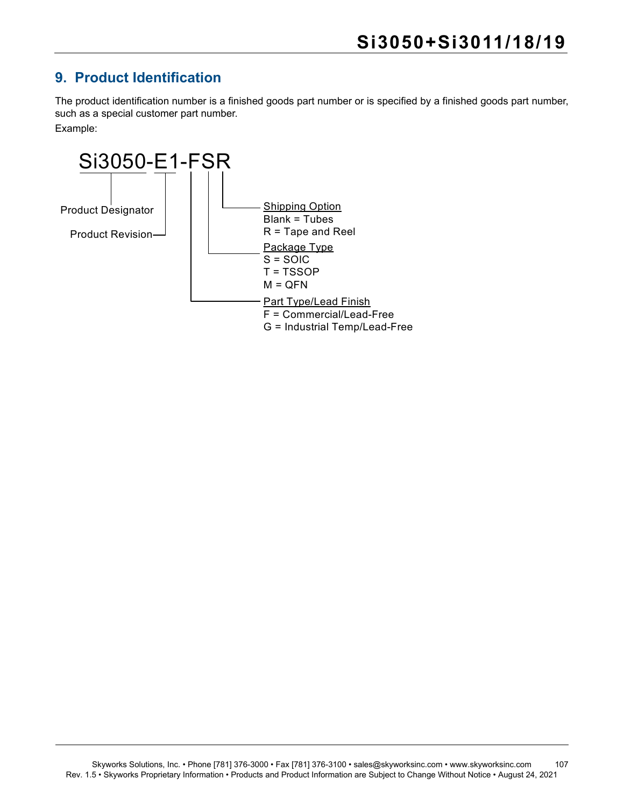### **9. Product Identification**

The product identification number is a finished goods part number or is specified by a finished goods part number, such as a special customer part number.

Example:

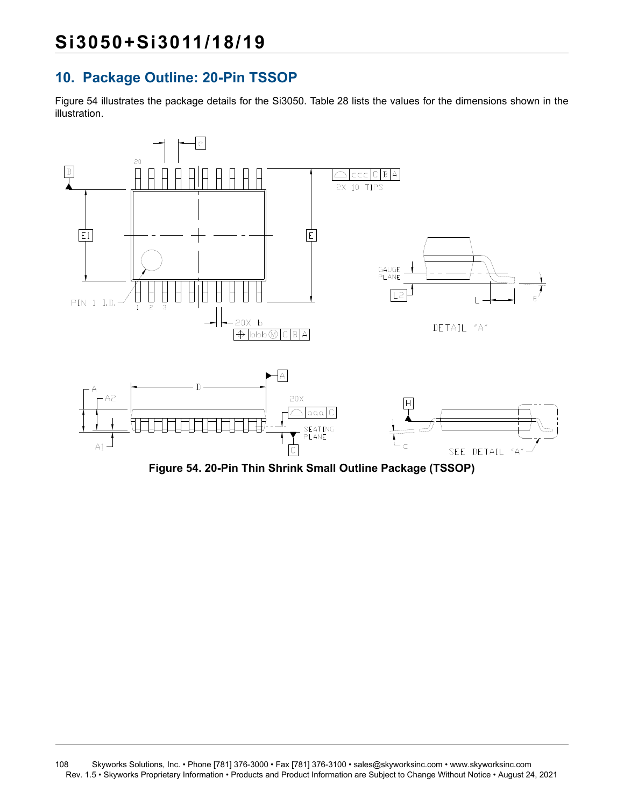### **10. Package Outline: 20-Pin TSSOP**

[Figure 54](#page-107-0) illustrates the package details for the Si3050. [Table 28](#page-108-0) lists the values for the dimensions shown in the illustration.



<span id="page-107-0"></span>**Figure 54. 20-Pin Thin Shrink Small Outline Package (TSSOP)**

<sup>108</sup> Skyworks Solutions, Inc. • Phone [781] 376-3000 • Fax [781] 376-3100 • sales@skyworksinc.com • www.skyworksinc.com Rev. 1.5 • Skyworks Proprietary Information • Products and Product Information are Subject to Change Without Notice • August 24, 2021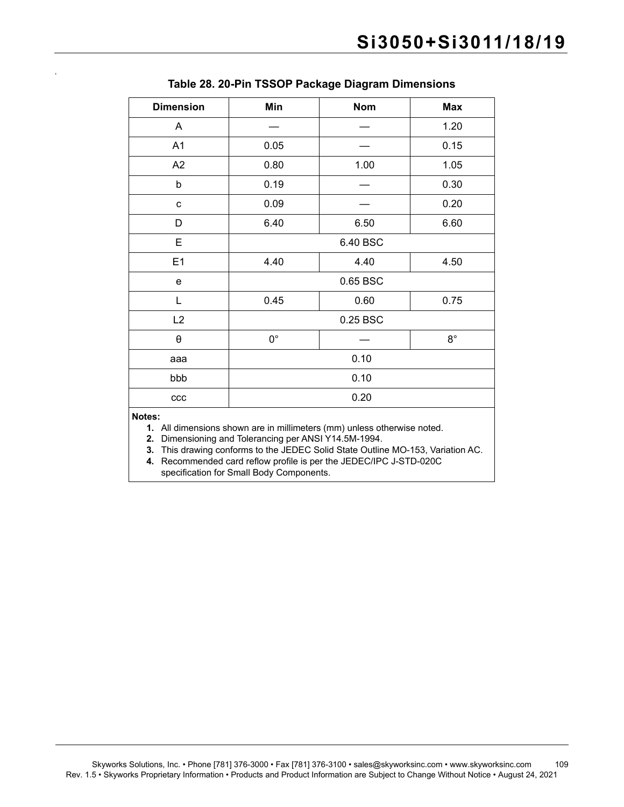| <b>Dimension</b> | Min         | <b>Nom</b> | <b>Max</b>  |  |
|------------------|-------------|------------|-------------|--|
| A                |             |            | 1.20        |  |
| A1               | 0.05        |            | 0.15        |  |
| A2               | 0.80        | 1.00       | 1.05        |  |
| b                | 0.19        |            | 0.30        |  |
| C                | 0.09        |            | 0.20        |  |
| D                | 6.40        | 6.50       | 6.60        |  |
| E                |             | 6.40 BSC   |             |  |
| E <sub>1</sub>   | 4.40        | 4.40       | 4.50        |  |
| e                | 0.65 BSC    |            |             |  |
| L                | 0.45        | 0.60       | 0.75        |  |
| L2               |             | 0.25 BSC   |             |  |
| θ                | $0^{\circ}$ |            | $8^{\circ}$ |  |
| aaa              | 0.10        |            |             |  |
| bbb              | 0.10        |            |             |  |
| ccc              |             | 0.20       |             |  |

**Table 28. 20-Pin TSSOP Package Diagram Dimensions**

#### **Notes:**

'

**1.** All dimensions shown are in millimeters (mm) unless otherwise noted.

**2.** Dimensioning and Tolerancing per ANSI Y14.5M-1994.

**3.** This drawing conforms to the JEDEC Solid State Outline MO-153, Variation AC.

**4.** Recommended card reflow profile is per the JEDEC/IPC J-STD-020C

specification for Small Body Components.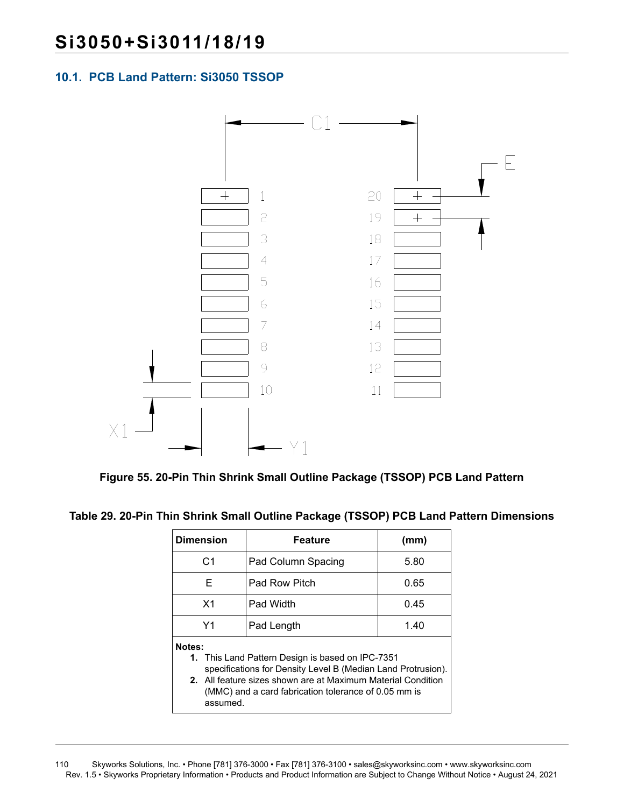# **10.1. PCB Land Pattern: Si3050 TSSOP**



|  |  |  |  |  | Table 29. 20-Pin Thin Shrink Small Outline Package (TSSOP) PCB Land Pattern Dimensions |
|--|--|--|--|--|----------------------------------------------------------------------------------------|
|  |  |  |  |  |                                                                                        |
|  |  |  |  |  |                                                                                        |

| <b>Dimension</b>                                                                                                                                                                                                                                               | <b>Feature</b>     | (mm) |  |  |
|----------------------------------------------------------------------------------------------------------------------------------------------------------------------------------------------------------------------------------------------------------------|--------------------|------|--|--|
| C <sub>1</sub>                                                                                                                                                                                                                                                 | Pad Column Spacing | 5.80 |  |  |
| F                                                                                                                                                                                                                                                              | Pad Row Pitch      | 0.65 |  |  |
| X <sub>1</sub>                                                                                                                                                                                                                                                 | Pad Width          | 0.45 |  |  |
| Y1                                                                                                                                                                                                                                                             | Pad Length         | 1.40 |  |  |
| Notes:<br>1. This Land Pattern Design is based on IPC-7351<br>specifications for Density Level B (Median Land Protrusion).<br>2. All feature sizes shown are at Maximum Material Condition<br>(MMC) and a card fabrication tolerance of 0.05 mm is<br>assumed. |                    |      |  |  |

<sup>110</sup> Skyworks Solutions, Inc. • Phone [781] 376-3000 • Fax [781] 376-3100 • sales@skyworksinc.com • www.skyworksinc.com Rev. 1.5 • Skyworks Proprietary Information • Products and Product Information are Subject to Change Without Notice • August 24, 2021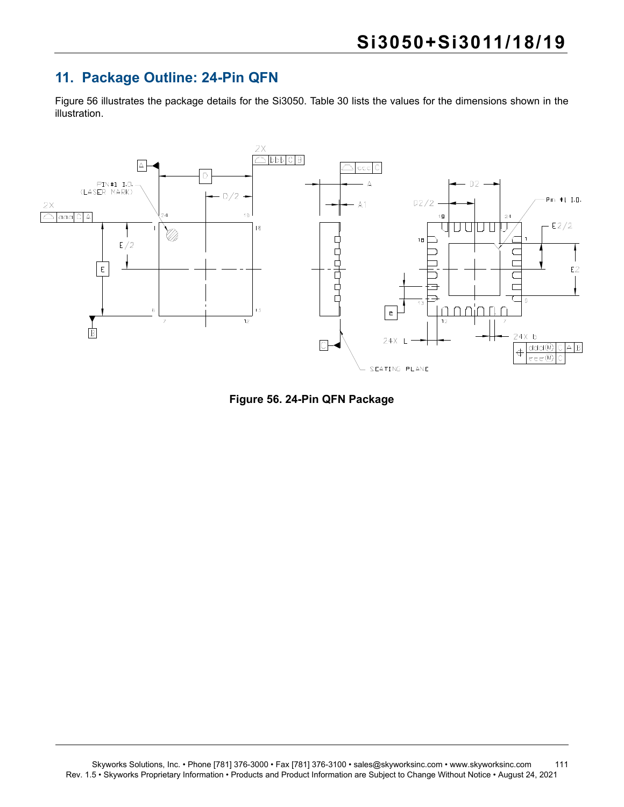# **11. Package Outline: 24-Pin QFN**

[Figure 56](#page-110-0) illustrates the package details for the Si3050. [Table 30](#page-111-0) lists the values for the dimensions shown in the illustration.



<span id="page-110-0"></span>**Figure 56. 24-Pin QFN Package**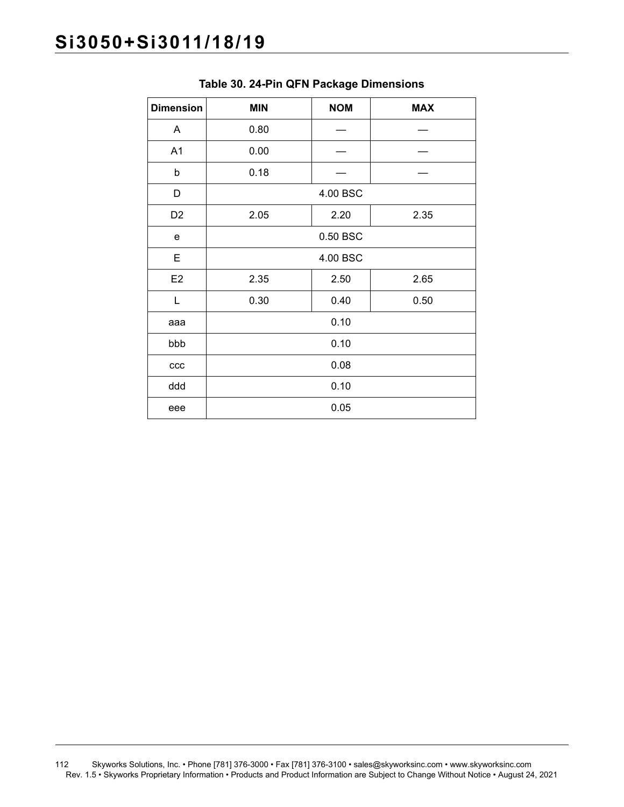<span id="page-111-0"></span>

| <b>Dimension</b> | <b>MIN</b> | <b>NOM</b> | <b>MAX</b> |  |
|------------------|------------|------------|------------|--|
| A                | 0.80       |            |            |  |
| A <sub>1</sub>   | 0.00       |            |            |  |
| $\sf b$          | 0.18       |            |            |  |
| D                |            | 4.00 BSC   |            |  |
| D <sub>2</sub>   | 2.05       | 2.20       | 2.35       |  |
| e                |            | 0.50 BSC   |            |  |
| E                |            | 4.00 BSC   |            |  |
| E <sub>2</sub>   | 2.35       | 2.50       | 2.65       |  |
| Г                | 0.30       | 0.40       | 0.50       |  |
| aaa              |            | 0.10       |            |  |
| bbb              |            | 0.10       |            |  |
| ccc              |            | 0.08       |            |  |
| ddd              |            | 0.10       |            |  |
| eee              |            | 0.05       |            |  |

**Table 30. 24-Pin QFN Package Dimensions**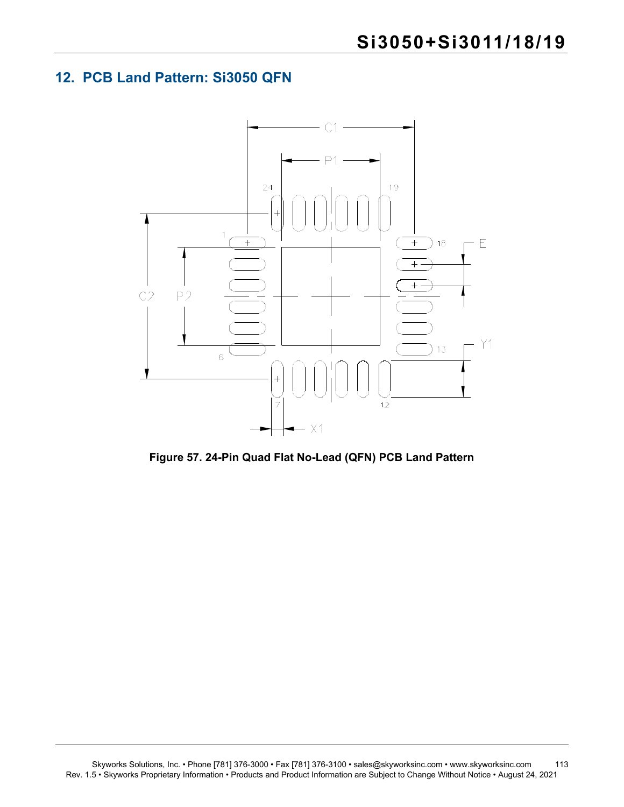# **12. PCB Land Pattern: Si3050 QFN**



**Figure 57. 24-Pin Quad Flat No-Lead (QFN) PCB Land Pattern**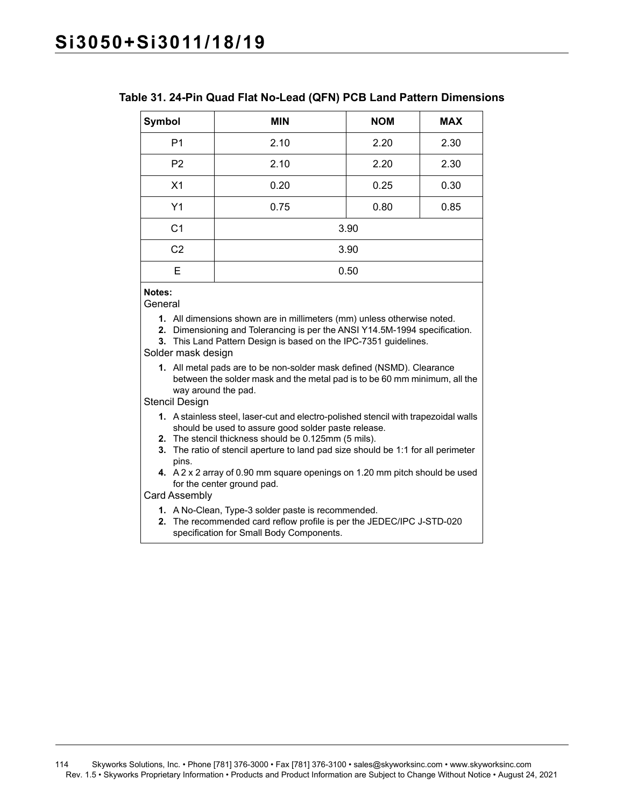| Symbol         | <b>MIN</b> | <b>NOM</b> | <b>MAX</b> |
|----------------|------------|------------|------------|
| P <sub>1</sub> | 2.10       | 2.20       | 2.30       |
| P <sub>2</sub> | 2.10       | 2.20       | 2.30       |
| X1             | 0.20       | 0.25       | 0.30       |
| Y1             | 0.75       | 0.80       | 0.85       |
| C <sub>1</sub> | 3.90       |            |            |
| C <sub>2</sub> | 3.90       |            |            |
| E              | 0.50       |            |            |

### **Table 31. 24-Pin Quad Flat No-Lead (QFN) PCB Land Pattern Dimensions**

#### **Notes:**

General

- **1.** All dimensions shown are in millimeters (mm) unless otherwise noted.
- **2.** Dimensioning and Tolerancing is per the ANSI Y14.5M-1994 specification.
- **3.** This Land Pattern Design is based on the IPC-7351 guidelines.

Solder mask design

**1.** All metal pads are to be non-solder mask defined (NSMD). Clearance between the solder mask and the metal pad is to be 60 mm minimum, all the way around the pad.

Stencil Design

- **1.** A stainless steel, laser-cut and electro-polished stencil with trapezoidal walls should be used to assure good solder paste release.
- **2.** The stencil thickness should be 0.125mm (5 mils).
- **3.** The ratio of stencil aperture to land pad size should be 1:1 for all perimeter pins.
- **4.** A 2 x 2 array of 0.90 mm square openings on 1.20 mm pitch should be used for the center ground pad.

Card Assembly

- **1.** A No-Clean, Type-3 solder paste is recommended.
- **2.** The recommended card reflow profile is per the JEDEC/IPC J-STD-020 specification for Small Body Components.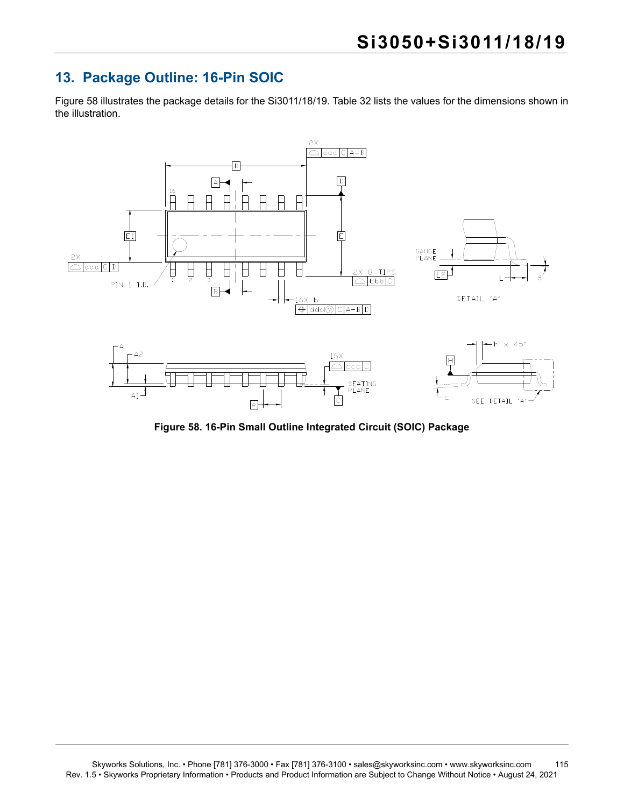# **13. Package Outline: 16-Pin SOIC**

[Figure 58](#page-114-0) illustrates the package details for the Si3011/18/19. [Table 32](#page-115-0) lists the values for the dimensions shown in the illustration.



<span id="page-114-0"></span>**Figure 58. 16-Pin Small Outline Integrated Circuit (SOIC) Package**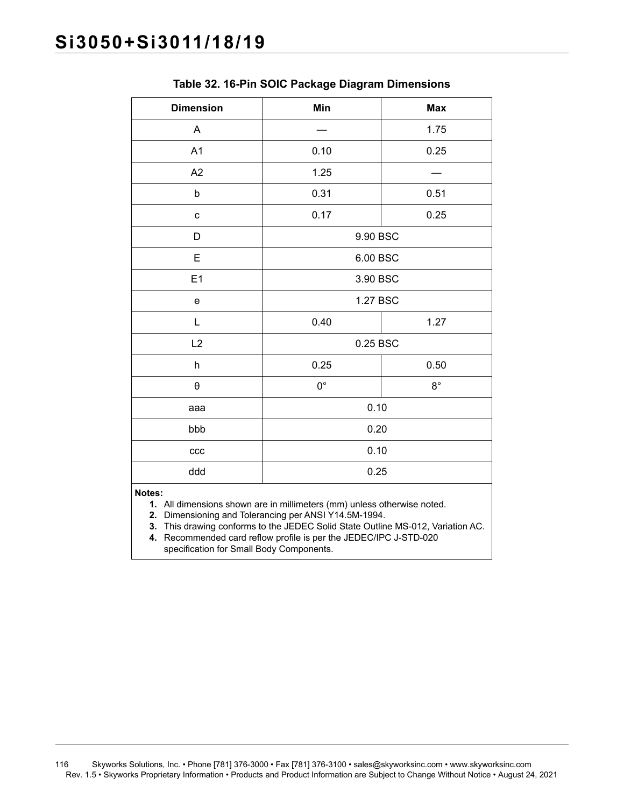<span id="page-115-0"></span>

| <b>Dimension</b>                                                                  | Min         | <b>Max</b>  |  |
|-----------------------------------------------------------------------------------|-------------|-------------|--|
| Α                                                                                 |             | 1.75        |  |
| A1                                                                                | 0.10        | 0.25        |  |
| A2                                                                                | 1.25        |             |  |
| b                                                                                 | 0.31        | 0.51        |  |
| C                                                                                 | 0.17        | 0.25        |  |
| D                                                                                 | 9.90 BSC    |             |  |
| E                                                                                 | 6.00 BSC    |             |  |
| E1                                                                                | 3.90 BSC    |             |  |
| е                                                                                 | 1.27 BSC    |             |  |
| Г                                                                                 | 0.40        | 1.27        |  |
| L2                                                                                | 0.25 BSC    |             |  |
| h                                                                                 | 0.25        | 0.50        |  |
| θ                                                                                 | $0^{\circ}$ | $8^{\circ}$ |  |
| aaa                                                                               | 0.10        |             |  |
| bbb                                                                               | 0.20        |             |  |
| ccc                                                                               | 0.10        |             |  |
| ddd                                                                               | 0.25        |             |  |
| Notes:<br>1. All dimensions shown are in millimeters (mm) unless otherwise noted. |             |             |  |

**Table 32. 16-Pin SOIC Package Diagram Dimensions**

**2.** Dimensioning and Tolerancing per ANSI Y14.5M-1994.

**3.** This drawing conforms to the JEDEC Solid State Outline MS-012, Variation AC.

**4.** Recommended card reflow profile is per the JEDEC/IPC J-STD-020 specification for Small Body Components.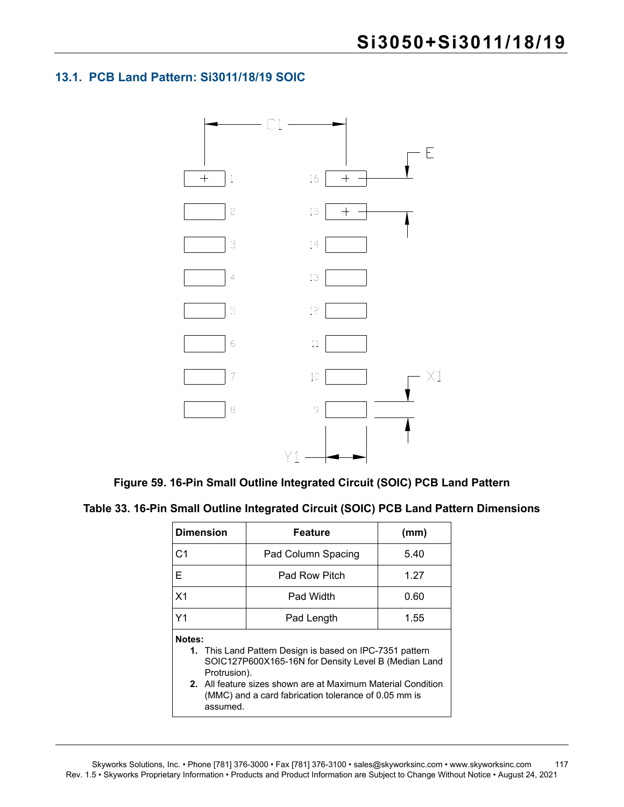## **13.1. PCB Land Pattern: Si3011/18/19 SOIC**



**Figure 59. 16-Pin Small Outline Integrated Circuit (SOIC) PCB Land Pattern**

| Table 33. 16-Pin Small Outline Integrated Circuit (SOIC) PCB Land Pattern Dimensions |  |
|--------------------------------------------------------------------------------------|--|
|--------------------------------------------------------------------------------------|--|

| <b>Dimension</b>                                                                                                                                                                                                                                                                      | <b>Feature</b>     | (mm) |  |
|---------------------------------------------------------------------------------------------------------------------------------------------------------------------------------------------------------------------------------------------------------------------------------------|--------------------|------|--|
| C1                                                                                                                                                                                                                                                                                    | Pad Column Spacing | 5.40 |  |
| E                                                                                                                                                                                                                                                                                     | Pad Row Pitch      | 1.27 |  |
| X <sub>1</sub>                                                                                                                                                                                                                                                                        | Pad Width          | 0.60 |  |
| Y <sub>1</sub>                                                                                                                                                                                                                                                                        | Pad Length         | 1.55 |  |
| Notes:<br>1. This Land Pattern Design is based on IPC-7351 pattern<br>SOIC127P600X165-16N for Density Level B (Median Land<br>Protrusion).<br><b>2.</b> All feature sizes shown are at Maximum Material Condition<br>(MMC) and a card fabrication tolerance of 0.05 mm is<br>assumed. |                    |      |  |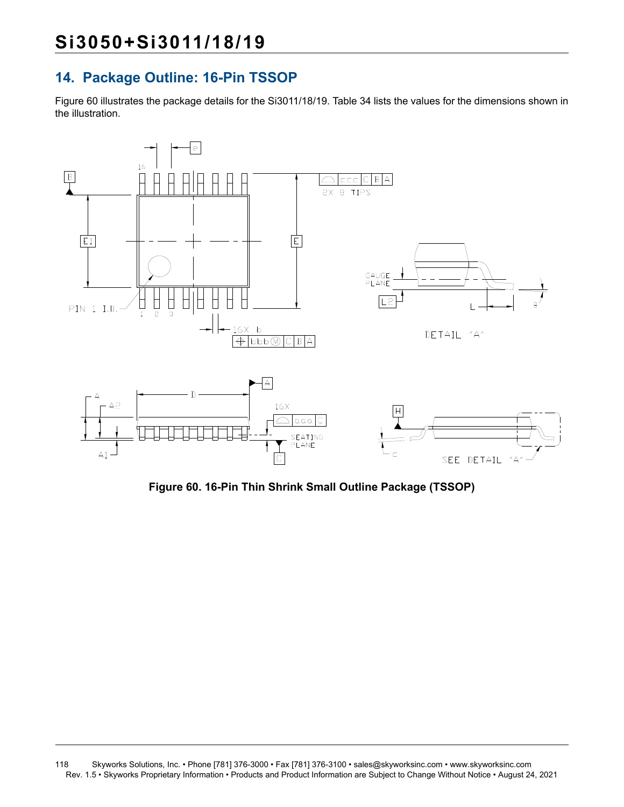# <span id="page-117-1"></span>**14. Package Outline: 16-Pin TSSOP**

[Figure 60](#page-117-0) illustrates the package details for the Si3011/18/19. [Table 34](#page-118-0) lists the values for the dimensions shown in the illustration.



<span id="page-117-0"></span>**Figure 60. 16-Pin Thin Shrink Small Outline Package (TSSOP)**

<sup>118</sup> Skyworks Solutions, Inc. • Phone [781] 376-3000 • Fax [781] 376-3100 • sales@skyworksinc.com • www.skyworksinc.com Rev. 1.5 • Skyworks Proprietary Information • Products and Product Information are Subject to Change Without Notice • August 24, 2021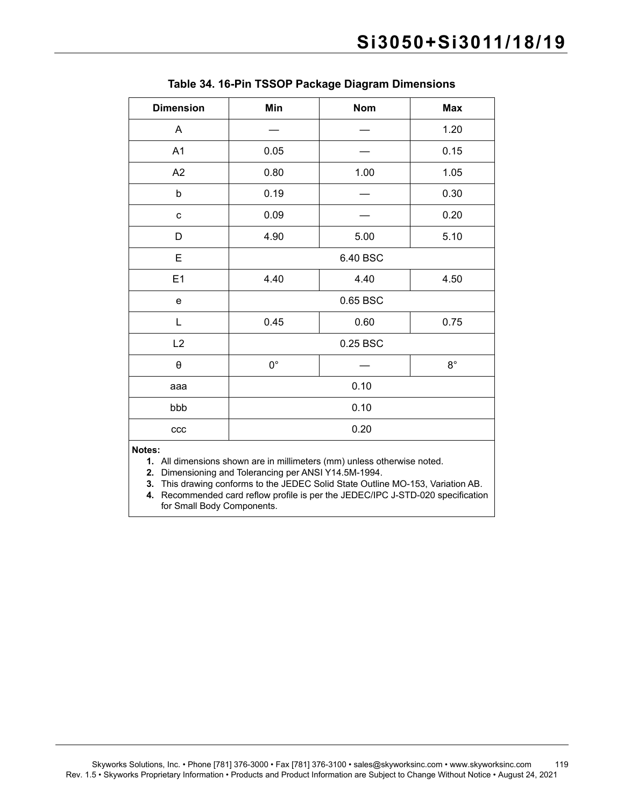<span id="page-118-0"></span>

| <b>Dimension</b> | Min         | <b>Nom</b> | <b>Max</b>  |  |
|------------------|-------------|------------|-------------|--|
| A                |             |            | 1.20        |  |
| A1               | 0.05        |            | 0.15        |  |
| A2               | 0.80        | 1.00       | 1.05        |  |
| b                | 0.19        |            | 0.30        |  |
| $\mathbf C$      | 0.09        |            | 0.20        |  |
| D                | 4.90        | 5.00       | 5.10        |  |
| E                |             | 6.40 BSC   |             |  |
| E <sub>1</sub>   | 4.40        | 4.40       | 4.50        |  |
| e                | 0.65 BSC    |            |             |  |
| L                | 0.45        | 0.60       | 0.75        |  |
| L2               |             | 0.25 BSC   |             |  |
| θ                | $0^{\circ}$ |            | $8^{\circ}$ |  |
| aaa              | 0.10        |            |             |  |
| bbb              | 0.10        |            |             |  |
| ccc              |             | 0.20       |             |  |

**Table 34. 16-Pin TSSOP Package Diagram Dimensions**

**Notes:**

**1.** All dimensions shown are in millimeters (mm) unless otherwise noted.

**2.** Dimensioning and Tolerancing per ANSI Y14.5M-1994.

**3.** This drawing conforms to the JEDEC Solid State Outline MO-153, Variation AB.

**4.** Recommended card reflow profile is per the JEDEC/IPC J-STD-020 specification for Small Body Components.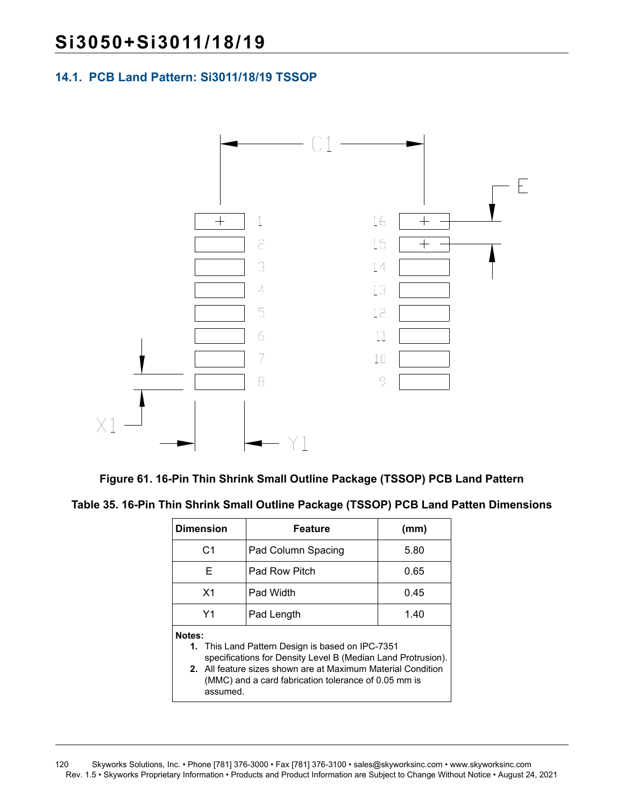# **Si3050+Si3011/18/19**

## **14.1. PCB Land Pattern: Si3011/18/19 TSSOP**



**Figure 61. 16-Pin Thin Shrink Small Outline Package (TSSOP) PCB Land Pattern**

**Table 35. 16-Pin Thin Shrink Small Outline Package (TSSOP) PCB Land Patten Dimensions**

| <b>Dimension</b>                                                                                                                                                                                                                                               | <b>Feature</b> | (mm) |  |  |
|----------------------------------------------------------------------------------------------------------------------------------------------------------------------------------------------------------------------------------------------------------------|----------------|------|--|--|
| C <sub>1</sub><br>Pad Column Spacing                                                                                                                                                                                                                           |                | 5.80 |  |  |
| F.                                                                                                                                                                                                                                                             | Pad Row Pitch  |      |  |  |
| X <sub>1</sub>                                                                                                                                                                                                                                                 | Pad Width      | 0.45 |  |  |
| Υ1                                                                                                                                                                                                                                                             | Pad Length     | 1.40 |  |  |
| Notes:<br>1. This Land Pattern Design is based on IPC-7351<br>specifications for Density Level B (Median Land Protrusion).<br>2. All feature sizes shown are at Maximum Material Condition<br>(MMC) and a card fabrication tolerance of 0.05 mm is<br>assumed. |                |      |  |  |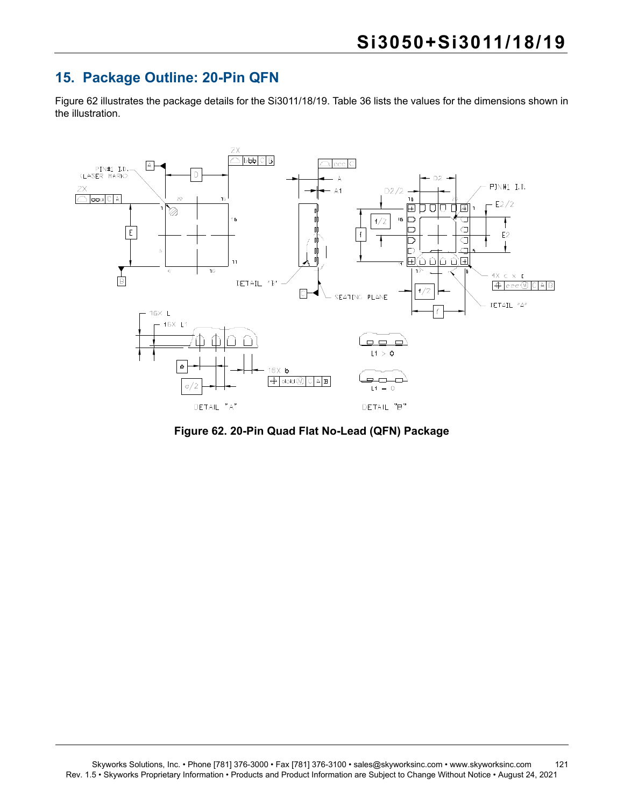# **15. Package Outline: 20-Pin QFN**

[Figure 62](#page-120-0) illustrates the package details for the Si3011/18/19. [Table 36](#page-121-0) lists the values for the dimensions shown in the illustration.



<span id="page-120-0"></span>**Figure 62. 20-Pin Quad Flat No-Lead (QFN) Package**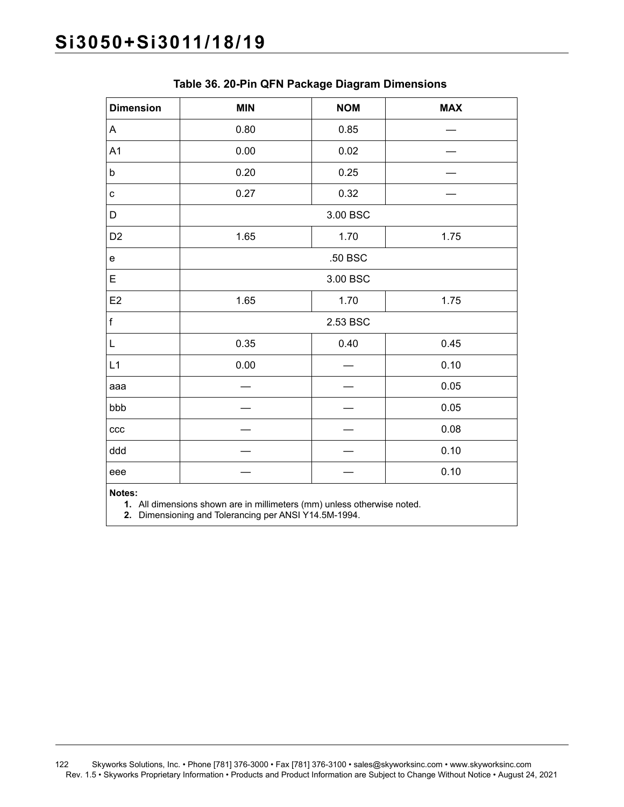<span id="page-121-0"></span>

| <b>Dimension</b> | <b>MIN</b> | <b>NOM</b> | <b>MAX</b> |
|------------------|------------|------------|------------|
| A                | 0.80       | 0.85       |            |
| A <sub>1</sub>   | 0.00       | 0.02       |            |
| b                | 0.20       | 0.25       |            |
| C                | 0.27       | 0.32       |            |
| D                |            | 3.00 BSC   |            |
| D <sub>2</sub>   | 1.65       | 1.70       | 1.75       |
| e                | .50 BSC    |            |            |
| E                | 3.00 BSC   |            |            |
| E <sub>2</sub>   | 1.65       | 1.70       | 1.75       |
| $\mathsf f$      | 2.53 BSC   |            |            |
| L                | 0.35       | 0.40       | 0.45       |
| L1               | 0.00       |            | 0.10       |
| aaa              |            |            | 0.05       |
| bbb              |            |            | 0.05       |
| ccc              |            |            | 0.08       |
| ddd              |            |            | 0.10       |
| eee              |            |            | 0.10       |
| Notes:           |            |            |            |

**Table 36. 20-Pin QFN Package Diagram Dimensions**

**Notes:**

**1.** All dimensions shown are in millimeters (mm) unless otherwise noted.

**2.** Dimensioning and Tolerancing per ANSI Y14.5M-1994.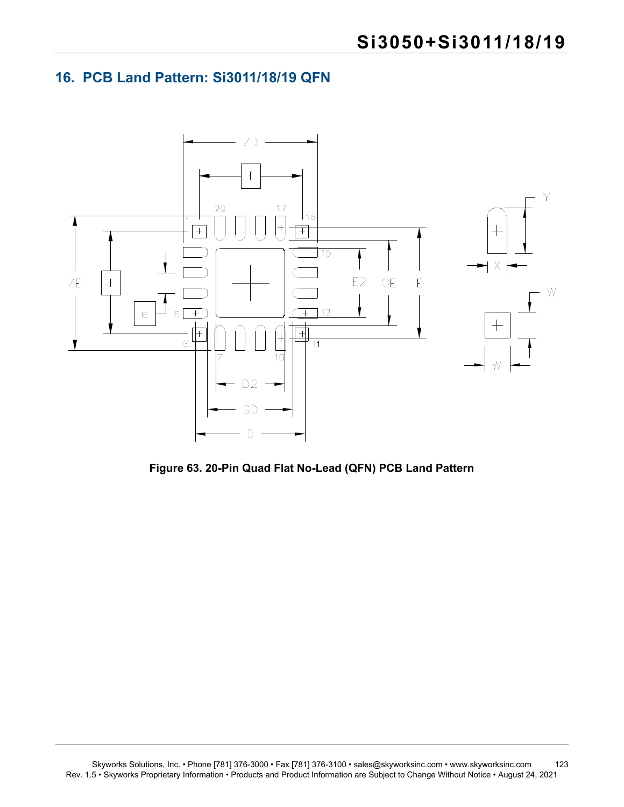# **16. PCB Land Pattern: Si3011/18/19 QFN**



**Figure 63. 20-Pin Quad Flat No-Lead (QFN) PCB Land Pattern**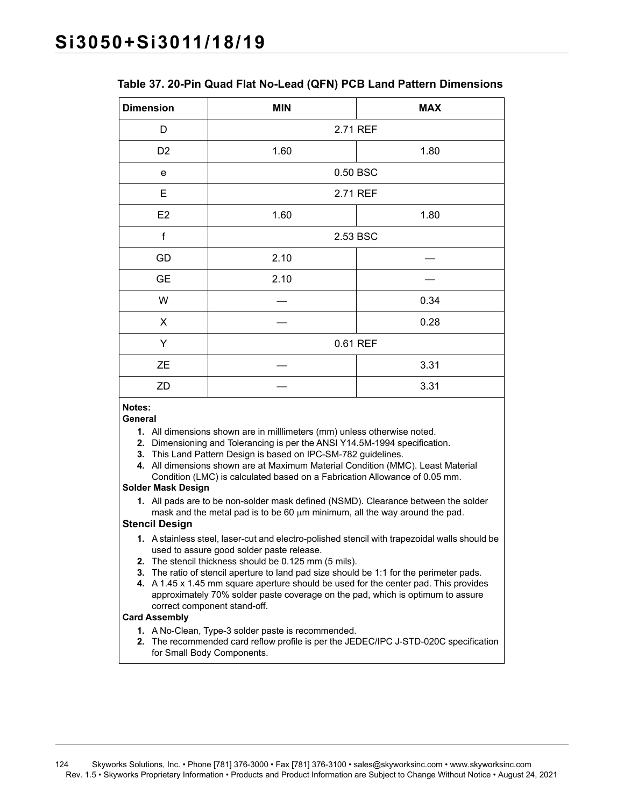| <b>Dimension</b> | <b>MIN</b> | <b>MAX</b> |
|------------------|------------|------------|
| D                | 2.71 REF   |            |
| D <sub>2</sub>   | 1.60       | 1.80       |
| e                | 0.50 BSC   |            |
| E                | 2.71 REF   |            |
| E <sub>2</sub>   | 1.60       | 1.80       |
| $\mathsf{f}$     | 2.53 BSC   |            |
| GD               | 2.10       |            |
| <b>GE</b>        | 2.10       |            |
| W                |            | 0.34       |
| X                |            | 0.28       |
| Υ                | 0.61 REF   |            |
| <b>ZE</b>        |            | 3.31       |
| ZD               |            | 3.31       |

### **Table 37. 20-Pin Quad Flat No-Lead (QFN) PCB Land Pattern Dimensions**

#### **Notes:**

**General**

- **1.** All dimensions shown are in milllimeters (mm) unless otherwise noted.
- **2.** Dimensioning and Tolerancing is per the ANSI Y14.5M-1994 specification.
- **3.** This Land Pattern Design is based on IPC-SM-782 guidelines.
- **4.** All dimensions shown are at Maximum Material Condition (MMC). Least Material Condition (LMC) is calculated based on a Fabrication Allowance of 0.05 mm.

#### **Solder Mask Design**

**1.** All pads are to be non-solder mask defined (NSMD). Clearance between the solder mask and the metal pad is to be 60  $\mu$ m minimum, all the way around the pad.

#### **Stencil Design**

- **1.** A stainless steel, laser-cut and electro-polished stencil with trapezoidal walls should be used to assure good solder paste release.
- **2.** The stencil thickness should be 0.125 mm (5 mils).
- **3.** The ratio of stencil aperture to land pad size should be 1:1 for the perimeter pads.
- **4.** A 1.45 x 1.45 mm square aperture should be used for the center pad. This provides approximately 70% solder paste coverage on the pad, which is optimum to assure correct component stand-off.

#### **Card Assembly**

- **1.** A No-Clean, Type-3 solder paste is recommended.
- **2.** The recommended card reflow profile is per the JEDEC/IPC J-STD-020C specification for Small Body Components.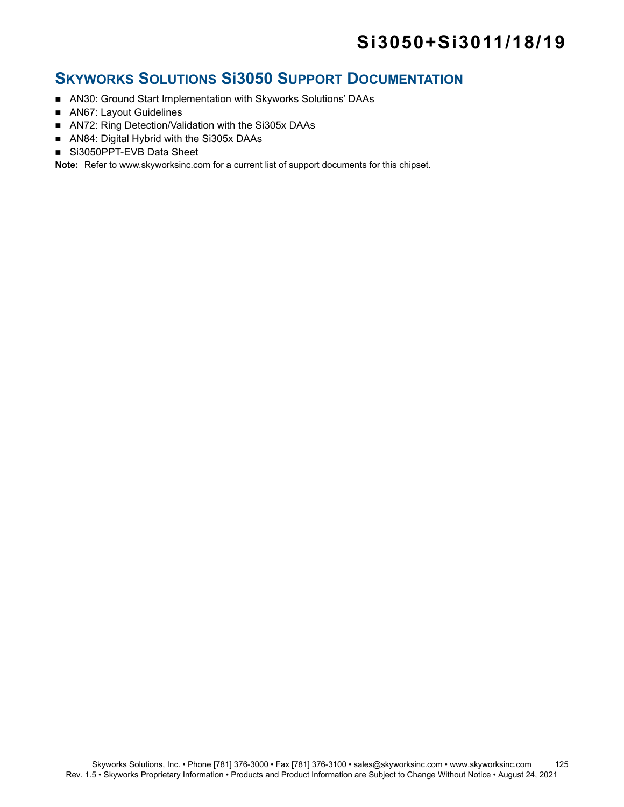# **SKYWORKS SOLUTIONS SI3050 SUPPORT DOCUMENTATION**

- AN30: Ground Start Implementation with Skyworks Solutions' DAAs
- AN67: Layout Guidelines
- AN72: Ring Detection/Validation with the Si305x DAAs
- AN84: Digital Hybrid with the Si305x DAAs
- Si3050PPT-EVB Data Sheet

**Note:** Refer to www.skyworksinc.com for a current list of support documents for this chipset.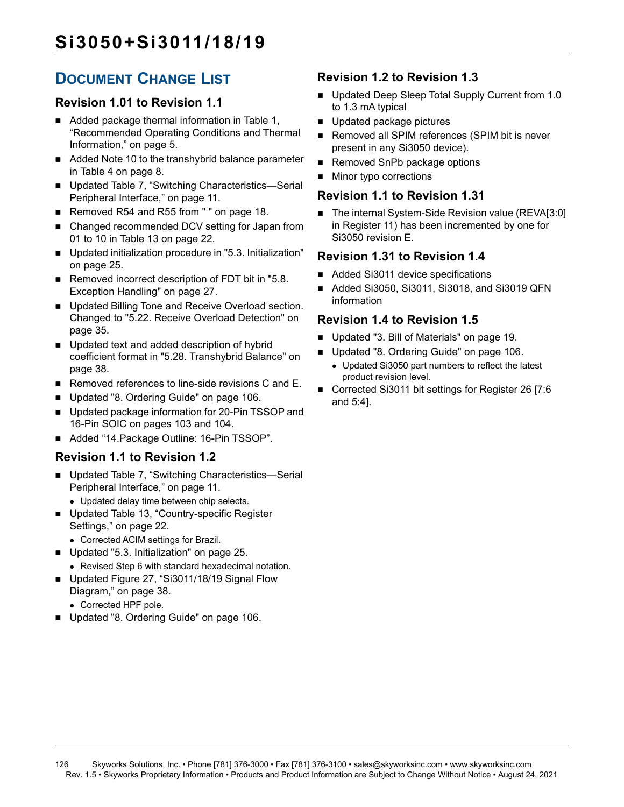# **DOCUMENT CHANGE LIST**

## **Revision 1.01 to Revision 1.1**

- Added package thermal information in Table 1, ["Recommended Operating Conditions and Thermal](#page-4-0)  [Information," on page 5.](#page-4-0)
- Added Note 10 to the transhybrid balance parameter in [Table 4 on page 8](#page-7-0).
- Updated Table 7, "Switching Characteristics—Serial [Peripheral Interface," on page 11.](#page-10-0)
- Removed R54 and R55 from [" " on page 18](#page-17-0).
- Changed recommended DCV setting for Japan from 01 to 10 in [Table 13 on page 22](#page-21-0).
- Updated initialization procedure in ["5.3. Initialization"](#page-24-0)  [on page 25](#page-24-0).
- Removed incorrect description of FDT bit in "5.8. [Exception Handling" on page 27.](#page-26-0)
- **Updated Billing Tone and Receive Overload section.** Changed to ["5.22. Receive Overload Detection" on](#page-34-0)  [page 35.](#page-34-0)
- Updated text and added description of hybrid coefficient format in ["5.28. Transhybrid Balance" on](#page-37-0)  [page 38.](#page-37-0)
- Removed references to line-side revisions C and E.
- Updated ["8. Ordering Guide" on page 106.](#page-105-0)
- Updated package information for 20-Pin TSSOP and 16-Pin SOIC on pages 103 and 104.
- Added "14. Package Outline: 16-Pin TSSOP".

## **Revision 1.1 to Revision 1.2**

- Updated Table 7, "Switching Characteristics-Serial [Peripheral Interface," on page 11.](#page-10-0)
- Updated delay time between chip selects.
- Updated Table 13, "Country-specific Register [Settings," on page 22](#page-21-0).
	- Corrected ACIM settings for Brazil.
- Updated ["5.3. Initialization" on page 25](#page-24-0).
- Revised Step 6 with standard hexadecimal notation.
- Updated Figure 27, "Si3011/18/19 Signal Flow [Diagram," on page 38](#page-37-1).
	- Corrected HPF pole.
- Updated ["8. Ordering Guide" on page 106.](#page-105-0)

## **Revision 1.2 to Revision 1.3**

- Updated Deep Sleep Total Supply Current from 1.0 to 1.3 mA typical
- Updated package pictures
- Removed all SPIM references (SPIM bit is never present in any Si3050 device).
- Removed SnPb package options
- Minor typo corrections

### **Revision 1.1 to Revision 1.31**

■ The internal System-Side Revision value (REVA[3:0] in Register 11) has been incremented by one for Si3050 revision E.

### **Revision 1.31 to Revision 1.4**

- Added Si3011 device specifications
- Added Si3050, Si3011, Si3018, and Si3019 QFN information

### **Revision 1.4 to Revision 1.5**

- Updated ["3. Bill of Materials" on page 19](#page-18-0).
- Updated ["8. Ordering Guide" on page 106](#page-105-0).
	- Updated Si3050 part numbers to reflect the latest product revision level.
- Corrected Si3011 bit settings for Register 26 [7:6] and 5:4].